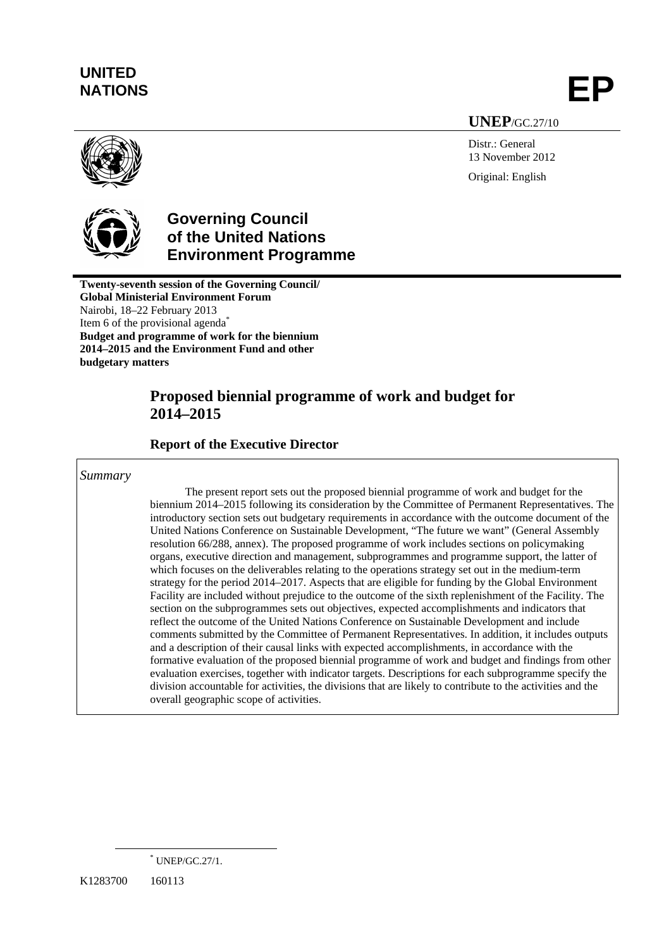# **UNITED**  NATIONS **EP**

**UNEP**/GC.27/10

Distr.: General 13 November 2012 Original: English





# **Governing Council of the United Nations Environment Programme**

**Twenty-seventh session of the Governing Council/ Global Ministerial Environment Forum**  Nairobi, 18–22 February 2013 Item 6 of the provisional agenda<sup>\*</sup> **Budget and programme of work for the biennium 2014–2015 and the Environment Fund and other budgetary matters** 

# **Proposed biennial programme of work and budget for 2014–2015**

 **Report of the Executive Director** 

### *Summary*

The present report sets out the proposed biennial programme of work and budget for the biennium 2014–2015 following its consideration by the Committee of Permanent Representatives. The introductory section sets out budgetary requirements in accordance with the outcome document of the United Nations Conference on Sustainable Development, "The future we want" (General Assembly resolution 66/288, annex). The proposed programme of work includes sections on policymaking organs, executive direction and management, subprogrammes and programme support, the latter of which focuses on the deliverables relating to the operations strategy set out in the medium-term strategy for the period 2014–2017. Aspects that are eligible for funding by the Global Environment Facility are included without prejudice to the outcome of the sixth replenishment of the Facility. The section on the subprogrammes sets out objectives, expected accomplishments and indicators that reflect the outcome of the United Nations Conference on Sustainable Development and include comments submitted by the Committee of Permanent Representatives. In addition, it includes outputs and a description of their causal links with expected accomplishments, in accordance with the formative evaluation of the proposed biennial programme of work and budget and findings from other evaluation exercises, together with indicator targets. Descriptions for each subprogramme specify the division accountable for activities, the divisions that are likely to contribute to the activities and the overall geographic scope of activities.

 <sup>\*</sup> UNEP/GC.27/1.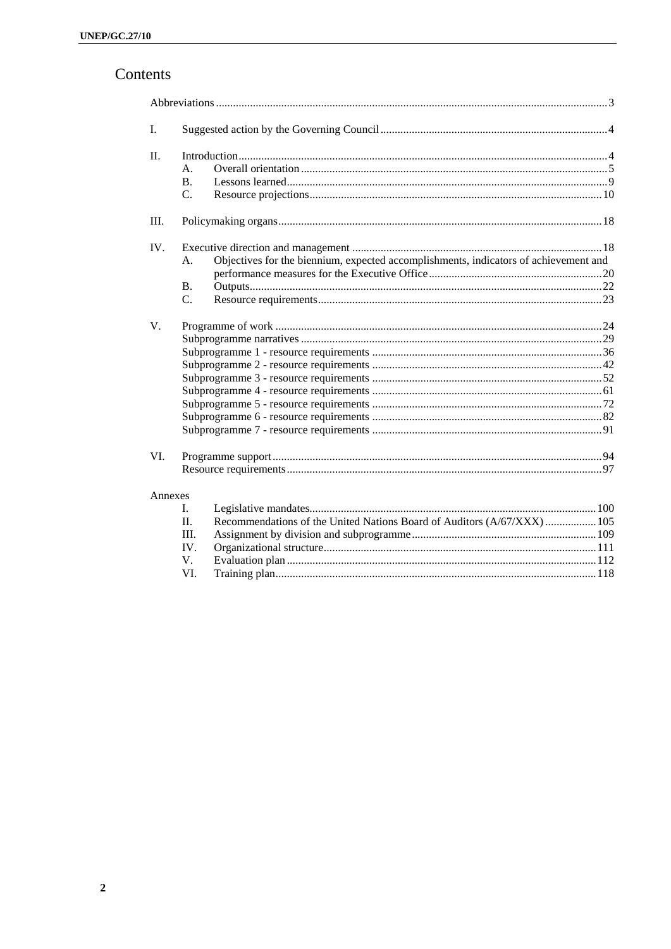# Contents

| I.      |                 |                                                                                      |
|---------|-----------------|--------------------------------------------------------------------------------------|
| $\Pi$ . |                 |                                                                                      |
|         | А.              |                                                                                      |
|         | <b>B.</b>       |                                                                                      |
|         | C.              |                                                                                      |
| Ш.      |                 |                                                                                      |
| IV.     |                 |                                                                                      |
|         | A.              | Objectives for the biennium, expected accomplishments, indicators of achievement and |
|         |                 |                                                                                      |
|         | <b>B.</b>       |                                                                                      |
|         | $\mathcal{C}$ . |                                                                                      |
| V.      |                 |                                                                                      |
|         |                 |                                                                                      |
|         |                 |                                                                                      |
|         |                 |                                                                                      |
|         |                 |                                                                                      |
|         |                 |                                                                                      |
|         |                 |                                                                                      |
|         |                 |                                                                                      |
|         |                 |                                                                                      |
| VI.     |                 |                                                                                      |
|         |                 |                                                                                      |
| Annexes |                 |                                                                                      |
|         | L.              |                                                                                      |
|         | $\Pi$ .         | Recommendations of the United Nations Board of Auditors (A/67/XXX)  105              |
|         | Ш.              |                                                                                      |
|         | IV.             |                                                                                      |
|         | V.              |                                                                                      |
|         | VI.             |                                                                                      |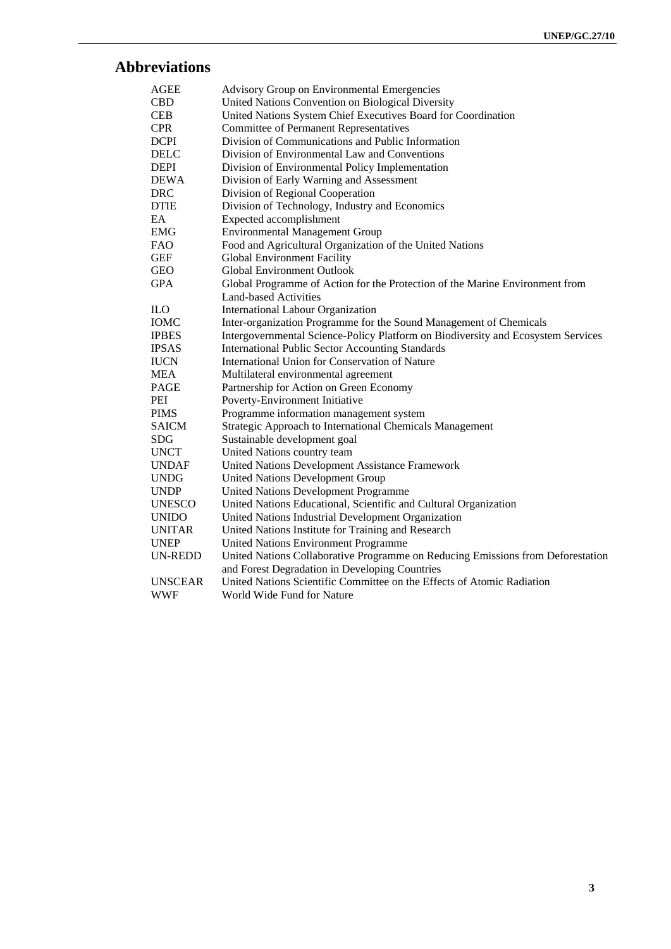# **Abbreviations**

| <b>AGEE</b>    | Advisory Group on Environmental Emergencies                                      |
|----------------|----------------------------------------------------------------------------------|
| <b>CBD</b>     | United Nations Convention on Biological Diversity                                |
| <b>CEB</b>     | United Nations System Chief Executives Board for Coordination                    |
| <b>CPR</b>     | <b>Committee of Permanent Representatives</b>                                    |
| <b>DCPI</b>    | Division of Communications and Public Information                                |
| <b>DELC</b>    | Division of Environmental Law and Conventions                                    |
| <b>DEPI</b>    | Division of Environmental Policy Implementation                                  |
| <b>DEWA</b>    | Division of Early Warning and Assessment                                         |
| <b>DRC</b>     | Division of Regional Cooperation                                                 |
| <b>DTIE</b>    | Division of Technology, Industry and Economics                                   |
| EA             | Expected accomplishment                                                          |
| EMG            | <b>Environmental Management Group</b>                                            |
| FAO.           | Food and Agricultural Organization of the United Nations                         |
| <b>GEF</b>     | <b>Global Environment Facility</b>                                               |
| <b>GEO</b>     | <b>Global Environment Outlook</b>                                                |
| <b>GPA</b>     | Global Programme of Action for the Protection of the Marine Environment from     |
|                | <b>Land-based Activities</b>                                                     |
| <b>ILO</b>     | <b>International Labour Organization</b>                                         |
| <b>IOMC</b>    | Inter-organization Programme for the Sound Management of Chemicals               |
| <b>IPBES</b>   | Intergovernmental Science-Policy Platform on Biodiversity and Ecosystem Services |
| <b>IPSAS</b>   | <b>International Public Sector Accounting Standards</b>                          |
| <b>IUCN</b>    | International Union for Conservation of Nature                                   |
| <b>MEA</b>     | Multilateral environmental agreement                                             |
| PAGE           | Partnership for Action on Green Economy                                          |
| PEI            | Poverty-Environment Initiative                                                   |
| <b>PIMS</b>    | Programme information management system                                          |
| <b>SAICM</b>   | Strategic Approach to International Chemicals Management                         |
| <b>SDG</b>     | Sustainable development goal                                                     |
| <b>UNCT</b>    | United Nations country team                                                      |
| <b>UNDAF</b>   | United Nations Development Assistance Framework                                  |
| <b>UNDG</b>    | <b>United Nations Development Group</b>                                          |
| <b>UNDP</b>    | United Nations Development Programme                                             |
| <b>UNESCO</b>  | United Nations Educational, Scientific and Cultural Organization                 |
| <b>UNIDO</b>   | United Nations Industrial Development Organization                               |
| <b>UNITAR</b>  | United Nations Institute for Training and Research                               |
| <b>UNEP</b>    | <b>United Nations Environment Programme</b>                                      |
| <b>UN-REDD</b> | United Nations Collaborative Programme on Reducing Emissions from Deforestation  |
|                | and Forest Degradation in Developing Countries                                   |
| <b>UNSCEAR</b> | United Nations Scientific Committee on the Effects of Atomic Radiation           |
| <b>WWF</b>     | World Wide Fund for Nature                                                       |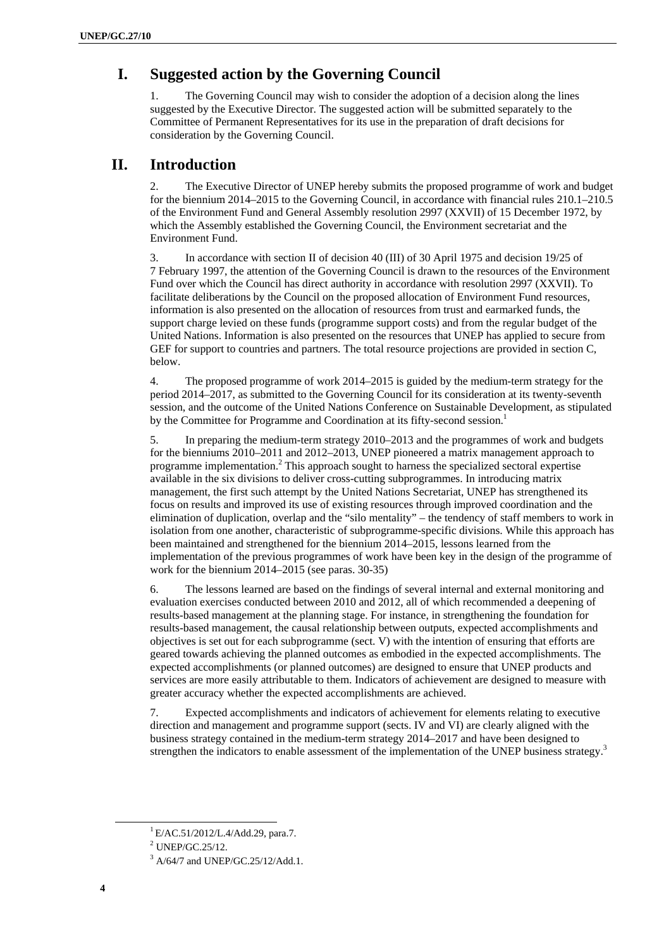# **I. Suggested action by the Governing Council**

1. The Governing Council may wish to consider the adoption of a decision along the lines suggested by the Executive Director. The suggested action will be submitted separately to the Committee of Permanent Representatives for its use in the preparation of draft decisions for consideration by the Governing Council.

# **II. Introduction**

2. The Executive Director of UNEP hereby submits the proposed programme of work and budget for the biennium 2014–2015 to the Governing Council, in accordance with financial rules 210.1–210.5 of the Environment Fund and General Assembly resolution 2997 (XXVII) of 15 December 1972, by which the Assembly established the Governing Council, the Environment secretariat and the Environment Fund.

3. In accordance with section II of decision 40 (III) of 30 April 1975 and decision 19/25 of 7 February 1997, the attention of the Governing Council is drawn to the resources of the Environment Fund over which the Council has direct authority in accordance with resolution 2997 (XXVII). To facilitate deliberations by the Council on the proposed allocation of Environment Fund resources, information is also presented on the allocation of resources from trust and earmarked funds, the support charge levied on these funds (programme support costs) and from the regular budget of the United Nations. Information is also presented on the resources that UNEP has applied to secure from GEF for support to countries and partners. The total resource projections are provided in section C, below.

4. The proposed programme of work 2014–2015 is guided by the medium-term strategy for the period 2014–2017, as submitted to the Governing Council for its consideration at its twenty-seventh session, and the outcome of the United Nations Conference on Sustainable Development, as stipulated by the Committee for Programme and Coordination at its fifty-second session.<sup>1</sup>

5. In preparing the medium-term strategy 2010–2013 and the programmes of work and budgets for the bienniums 2010–2011 and 2012–2013, UNEP pioneered a matrix management approach to programme implementation.<sup>2</sup> This approach sought to harness the specialized sectoral expertise available in the six divisions to deliver cross-cutting subprogrammes. In introducing matrix management, the first such attempt by the United Nations Secretariat, UNEP has strengthened its focus on results and improved its use of existing resources through improved coordination and the elimination of duplication, overlap and the "silo mentality" – the tendency of staff members to work in isolation from one another, characteristic of subprogramme-specific divisions. While this approach has been maintained and strengthened for the biennium 2014–2015, lessons learned from the implementation of the previous programmes of work have been key in the design of the programme of work for the biennium 2014–2015 (see paras. 30-35)

6. The lessons learned are based on the findings of several internal and external monitoring and evaluation exercises conducted between 2010 and 2012, all of which recommended a deepening of results-based management at the planning stage. For instance, in strengthening the foundation for results-based management, the causal relationship between outputs, expected accomplishments and objectives is set out for each subprogramme (sect. V) with the intention of ensuring that efforts are geared towards achieving the planned outcomes as embodied in the expected accomplishments. The expected accomplishments (or planned outcomes) are designed to ensure that UNEP products and services are more easily attributable to them. Indicators of achievement are designed to measure with greater accuracy whether the expected accomplishments are achieved.

7. Expected accomplishments and indicators of achievement for elements relating to executive direction and management and programme support (sects. IV and VI) are clearly aligned with the business strategy contained in the medium-term strategy 2014–2017 and have been designed to strengthen the indicators to enable assessment of the implementation of the UNEP business strategy.<sup>3</sup>

 ${}^{1}$ E/AC.51/2012/L.4/Add.29, para.7.

<sup>2</sup> UNEP/GC.25/12.

<sup>&</sup>lt;sup>3</sup> A/64/7 and UNEP/GC.25/12/Add.1.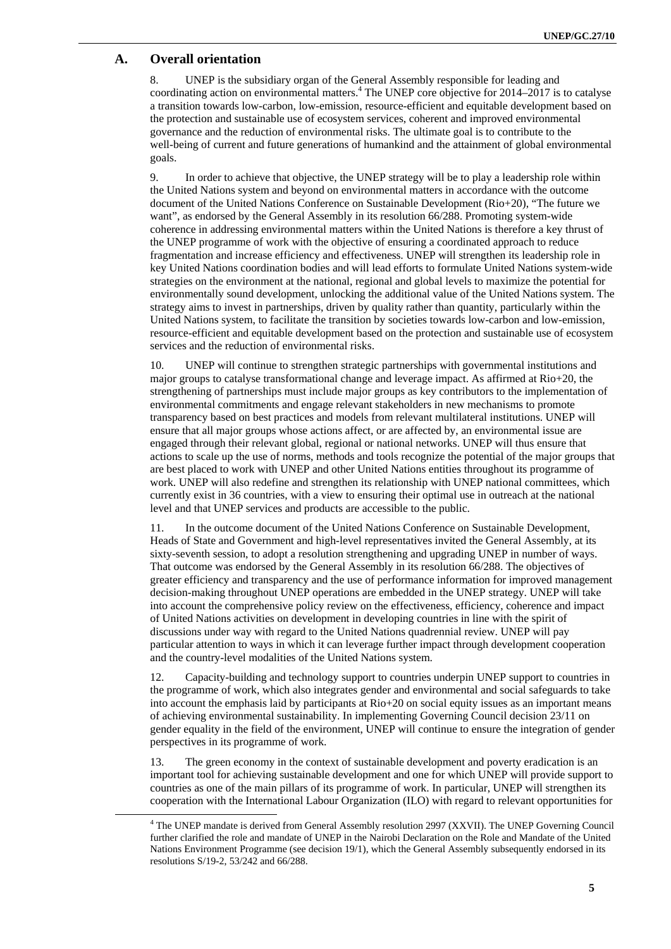### **A. Overall orientation**

8. UNEP is the subsidiary organ of the General Assembly responsible for leading and coordinating action on environmental matters.<sup>4</sup> The UNEP core objective for 2014–2017 is to catalyse a transition towards low-carbon, low-emission, resource-efficient and equitable development based on the protection and sustainable use of ecosystem services, coherent and improved environmental governance and the reduction of environmental risks. The ultimate goal is to contribute to the well-being of current and future generations of humankind and the attainment of global environmental goals.

9. In order to achieve that objective, the UNEP strategy will be to play a leadership role within the United Nations system and beyond on environmental matters in accordance with the outcome document of the United Nations Conference on Sustainable Development (Rio+20), "The future we want", as endorsed by the General Assembly in its resolution 66/288. Promoting system-wide coherence in addressing environmental matters within the United Nations is therefore a key thrust of the UNEP programme of work with the objective of ensuring a coordinated approach to reduce fragmentation and increase efficiency and effectiveness. UNEP will strengthen its leadership role in key United Nations coordination bodies and will lead efforts to formulate United Nations system-wide strategies on the environment at the national, regional and global levels to maximize the potential for environmentally sound development, unlocking the additional value of the United Nations system. The strategy aims to invest in partnerships, driven by quality rather than quantity, particularly within the United Nations system, to facilitate the transition by societies towards low-carbon and low-emission, resource-efficient and equitable development based on the protection and sustainable use of ecosystem services and the reduction of environmental risks.

10. UNEP will continue to strengthen strategic partnerships with governmental institutions and major groups to catalyse transformational change and leverage impact. As affirmed at Rio+20, the strengthening of partnerships must include major groups as key contributors to the implementation of environmental commitments and engage relevant stakeholders in new mechanisms to promote transparency based on best practices and models from relevant multilateral institutions. UNEP will ensure that all major groups whose actions affect, or are affected by, an environmental issue are engaged through their relevant global, regional or national networks. UNEP will thus ensure that actions to scale up the use of norms, methods and tools recognize the potential of the major groups that are best placed to work with UNEP and other United Nations entities throughout its programme of work. UNEP will also redefine and strengthen its relationship with UNEP national committees, which currently exist in 36 countries, with a view to ensuring their optimal use in outreach at the national level and that UNEP services and products are accessible to the public.

11. In the outcome document of the United Nations Conference on Sustainable Development, Heads of State and Government and high-level representatives invited the General Assembly, at its sixty-seventh session, to adopt a resolution strengthening and upgrading UNEP in number of ways. That outcome was endorsed by the General Assembly in its resolution 66/288. The objectives of greater efficiency and transparency and the use of performance information for improved management decision-making throughout UNEP operations are embedded in the UNEP strategy. UNEP will take into account the comprehensive policy review on the effectiveness, efficiency, coherence and impact of United Nations activities on development in developing countries in line with the spirit of discussions under way with regard to the United Nations quadrennial review. UNEP will pay particular attention to ways in which it can leverage further impact through development cooperation and the country-level modalities of the United Nations system.

12. Capacity-building and technology support to countries underpin UNEP support to countries in the programme of work, which also integrates gender and environmental and social safeguards to take into account the emphasis laid by participants at Rio+20 on social equity issues as an important means of achieving environmental sustainability. In implementing Governing Council decision 23/11 on gender equality in the field of the environment, UNEP will continue to ensure the integration of gender perspectives in its programme of work.

13. The green economy in the context of sustainable development and poverty eradication is an important tool for achieving sustainable development and one for which UNEP will provide support to countries as one of the main pillars of its programme of work. In particular, UNEP will strengthen its cooperation with the International Labour Organization (ILO) with regard to relevant opportunities for

 $\overline{4}$ <sup>4</sup> The UNEP mandate is derived from General Assembly resolution 2997 (XXVII). The UNEP Governing Council further clarified the role and mandate of UNEP in the Nairobi Declaration on the Role and Mandate of the United Nations Environment Programme (see decision 19/1), which the General Assembly subsequently endorsed in its resolutions S/19-2, 53/242 and 66/288.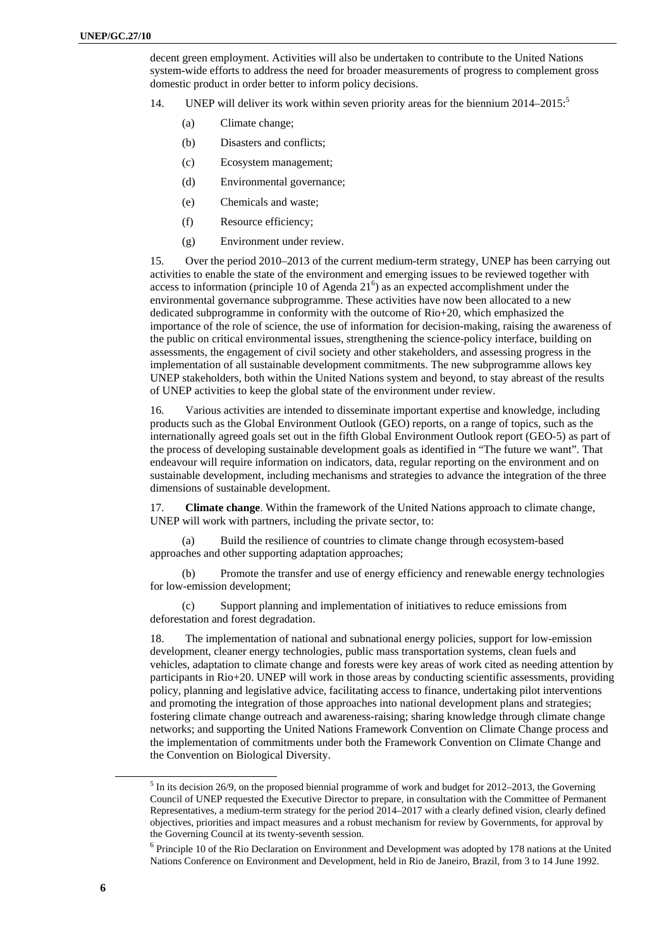decent green employment. Activities will also be undertaken to contribute to the United Nations system-wide efforts to address the need for broader measurements of progress to complement gross domestic product in order better to inform policy decisions.

- 14. UNEP will deliver its work within seven priority areas for the biennium  $2014-2015$ .<sup>5</sup>
	- (a) Climate change;
	- (b) Disasters and conflicts;
	- (c) Ecosystem management;
	- (d) Environmental governance;
	- (e) Chemicals and waste;
	- (f) Resource efficiency;
	- (g) Environment under review.

15. Over the period 2010–2013 of the current medium-term strategy, UNEP has been carrying out activities to enable the state of the environment and emerging issues to be reviewed together with access to information (principle 10 of Agenda  $21<sup>6</sup>$ ) as an expected accomplishment under the environmental governance subprogramme. These activities have now been allocated to a new dedicated subprogramme in conformity with the outcome of Rio+20, which emphasized the importance of the role of science, the use of information for decision-making, raising the awareness of the public on critical environmental issues, strengthening the science-policy interface, building on assessments, the engagement of civil society and other stakeholders, and assessing progress in the implementation of all sustainable development commitments. The new subprogramme allows key UNEP stakeholders, both within the United Nations system and beyond, to stay abreast of the results of UNEP activities to keep the global state of the environment under review.

16. Various activities are intended to disseminate important expertise and knowledge, including products such as the Global Environment Outlook (GEO) reports, on a range of topics, such as the internationally agreed goals set out in the fifth Global Environment Outlook report (GEO-5) as part of the process of developing sustainable development goals as identified in "The future we want". That endeavour will require information on indicators, data, regular reporting on the environment and on sustainable development, including mechanisms and strategies to advance the integration of the three dimensions of sustainable development.

17. **Climate change**. Within the framework of the United Nations approach to climate change, UNEP will work with partners, including the private sector, to:

(a) Build the resilience of countries to climate change through ecosystem-based approaches and other supporting adaptation approaches;

(b) Promote the transfer and use of energy efficiency and renewable energy technologies for low-emission development;

(c) Support planning and implementation of initiatives to reduce emissions from deforestation and forest degradation.

18. The implementation of national and subnational energy policies, support for low-emission development, cleaner energy technologies, public mass transportation systems, clean fuels and vehicles, adaptation to climate change and forests were key areas of work cited as needing attention by participants in Rio+20. UNEP will work in those areas by conducting scientific assessments, providing policy, planning and legislative advice, facilitating access to finance, undertaking pilot interventions and promoting the integration of those approaches into national development plans and strategies; fostering climate change outreach and awareness-raising; sharing knowledge through climate change networks; and supporting the United Nations Framework Convention on Climate Change process and the implementation of commitments under both the Framework Convention on Climate Change and the Convention on Biological Diversity.

 $\frac{1}{5}$  $<sup>5</sup>$  In its decision 26/9, on the proposed biennial programme of work and budget for 2012–2013, the Governing</sup> Council of UNEP requested the Executive Director to prepare, in consultation with the Committee of Permanent Representatives, a medium-term strategy for the period 2014–2017 with a clearly defined vision, clearly defined objectives, priorities and impact measures and a robust mechanism for review by Governments, for approval by the Governing Council at its twenty-seventh session.

 $6$  Principle 10 of the Rio Declaration on Environment and Development was adopted by 178 nations at the United Nations Conference on Environment and Development, held in Rio de Janeiro, Brazil, from 3 to 14 June 1992.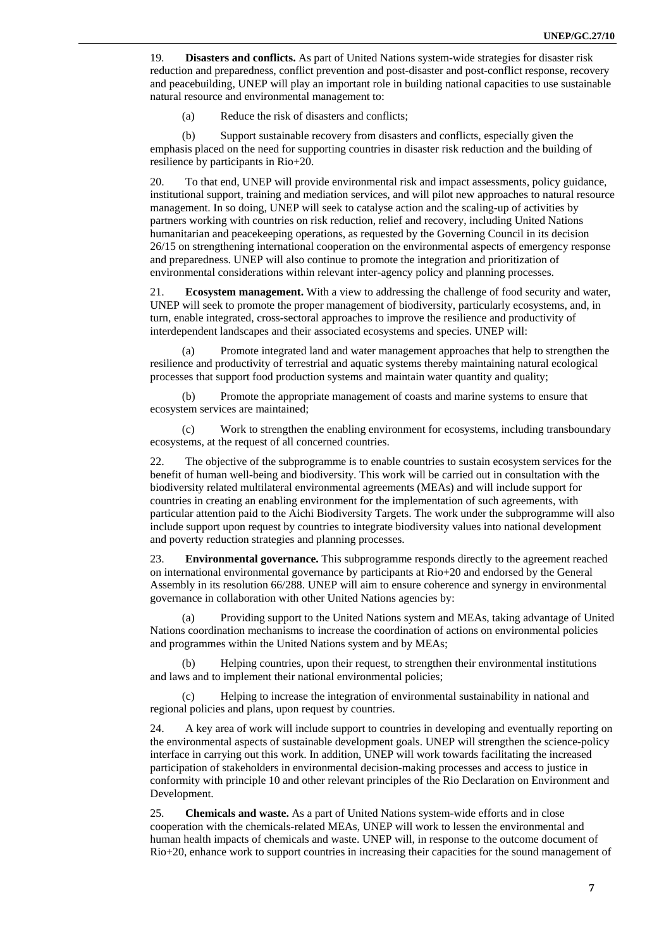19. **Disasters and conflicts.** As part of United Nations system-wide strategies for disaster risk reduction and preparedness, conflict prevention and post-disaster and post-conflict response, recovery and peacebuilding, UNEP will play an important role in building national capacities to use sustainable natural resource and environmental management to:

(a) Reduce the risk of disasters and conflicts;

(b) Support sustainable recovery from disasters and conflicts, especially given the emphasis placed on the need for supporting countries in disaster risk reduction and the building of resilience by participants in Rio+20.

20. To that end, UNEP will provide environmental risk and impact assessments, policy guidance, institutional support, training and mediation services, and will pilot new approaches to natural resource management. In so doing, UNEP will seek to catalyse action and the scaling-up of activities by partners working with countries on risk reduction, relief and recovery, including United Nations humanitarian and peacekeeping operations, as requested by the Governing Council in its decision 26/15 on strengthening international cooperation on the environmental aspects of emergency response and preparedness. UNEP will also continue to promote the integration and prioritization of environmental considerations within relevant inter-agency policy and planning processes.

21. **Ecosystem management.** With a view to addressing the challenge of food security and water, UNEP will seek to promote the proper management of biodiversity, particularly ecosystems, and, in turn, enable integrated, cross-sectoral approaches to improve the resilience and productivity of interdependent landscapes and their associated ecosystems and species. UNEP will:

Promote integrated land and water management approaches that help to strengthen the resilience and productivity of terrestrial and aquatic systems thereby maintaining natural ecological processes that support food production systems and maintain water quantity and quality;

(b) Promote the appropriate management of coasts and marine systems to ensure that ecosystem services are maintained;

(c) Work to strengthen the enabling environment for ecosystems, including transboundary ecosystems, at the request of all concerned countries.

22. The objective of the subprogramme is to enable countries to sustain ecosystem services for the benefit of human well-being and biodiversity. This work will be carried out in consultation with the biodiversity related multilateral environmental agreements (MEAs) and will include support for countries in creating an enabling environment for the implementation of such agreements, with particular attention paid to the Aichi Biodiversity Targets. The work under the subprogramme will also include support upon request by countries to integrate biodiversity values into national development and poverty reduction strategies and planning processes.

23. **Environmental governance.** This subprogramme responds directly to the agreement reached on international environmental governance by participants at Rio+20 and endorsed by the General Assembly in its resolution 66/288. UNEP will aim to ensure coherence and synergy in environmental governance in collaboration with other United Nations agencies by:

(a) Providing support to the United Nations system and MEAs, taking advantage of United Nations coordination mechanisms to increase the coordination of actions on environmental policies and programmes within the United Nations system and by MEAs;

(b) Helping countries, upon their request, to strengthen their environmental institutions and laws and to implement their national environmental policies;

(c) Helping to increase the integration of environmental sustainability in national and regional policies and plans, upon request by countries.

24. A key area of work will include support to countries in developing and eventually reporting on the environmental aspects of sustainable development goals. UNEP will strengthen the science-policy interface in carrying out this work. In addition, UNEP will work towards facilitating the increased participation of stakeholders in environmental decision-making processes and access to justice in conformity with principle 10 and other relevant principles of the Rio Declaration on Environment and Development.

25. **Chemicals and waste.** As a part of United Nations system-wide efforts and in close cooperation with the chemicals-related MEAs, UNEP will work to lessen the environmental and human health impacts of chemicals and waste. UNEP will, in response to the outcome document of Rio+20, enhance work to support countries in increasing their capacities for the sound management of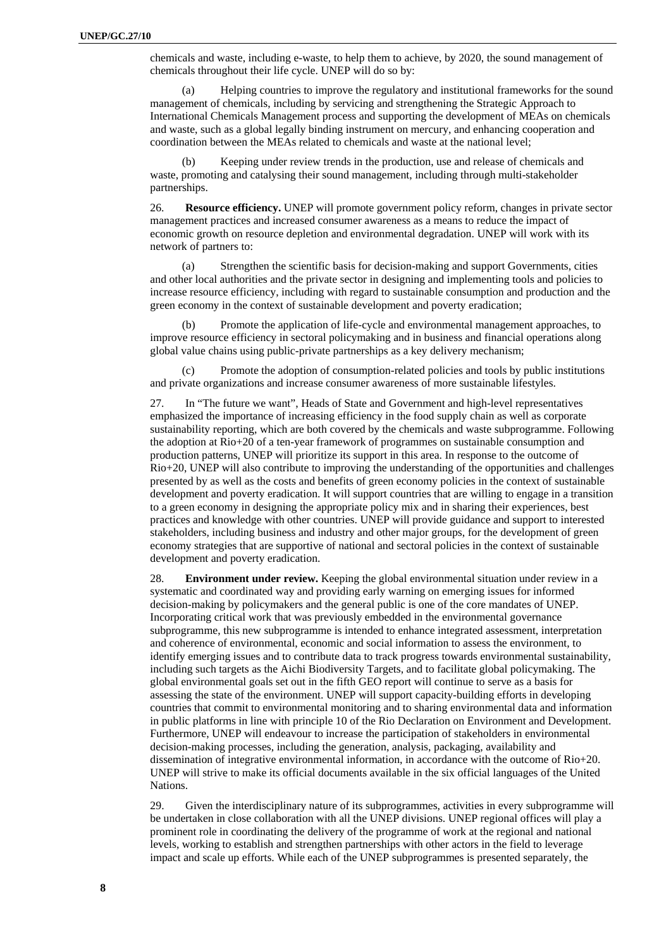chemicals and waste, including e-waste, to help them to achieve, by 2020, the sound management of chemicals throughout their life cycle. UNEP will do so by:

(a) Helping countries to improve the regulatory and institutional frameworks for the sound management of chemicals, including by servicing and strengthening the Strategic Approach to International Chemicals Management process and supporting the development of MEAs on chemicals and waste, such as a global legally binding instrument on mercury, and enhancing cooperation and coordination between the MEAs related to chemicals and waste at the national level;

(b) Keeping under review trends in the production, use and release of chemicals and waste, promoting and catalysing their sound management, including through multi-stakeholder partnerships.

26. **Resource efficiency.** UNEP will promote government policy reform, changes in private sector management practices and increased consumer awareness as a means to reduce the impact of economic growth on resource depletion and environmental degradation. UNEP will work with its network of partners to:

(a) Strengthen the scientific basis for decision-making and support Governments, cities and other local authorities and the private sector in designing and implementing tools and policies to increase resource efficiency, including with regard to sustainable consumption and production and the green economy in the context of sustainable development and poverty eradication;

Promote the application of life-cycle and environmental management approaches, to improve resource efficiency in sectoral policymaking and in business and financial operations along global value chains using public-private partnerships as a key delivery mechanism;

(c) Promote the adoption of consumption-related policies and tools by public institutions and private organizations and increase consumer awareness of more sustainable lifestyles.

27. In "The future we want", Heads of State and Government and high-level representatives emphasized the importance of increasing efficiency in the food supply chain as well as corporate sustainability reporting, which are both covered by the chemicals and waste subprogramme. Following the adoption at Rio+20 of a ten-year framework of programmes on sustainable consumption and production patterns, UNEP will prioritize its support in this area. In response to the outcome of Rio+20, UNEP will also contribute to improving the understanding of the opportunities and challenges presented by as well as the costs and benefits of green economy policies in the context of sustainable development and poverty eradication. It will support countries that are willing to engage in a transition to a green economy in designing the appropriate policy mix and in sharing their experiences, best practices and knowledge with other countries. UNEP will provide guidance and support to interested stakeholders, including business and industry and other major groups, for the development of green economy strategies that are supportive of national and sectoral policies in the context of sustainable development and poverty eradication.

28. **Environment under review.** Keeping the global environmental situation under review in a systematic and coordinated way and providing early warning on emerging issues for informed decision-making by policymakers and the general public is one of the core mandates of UNEP. Incorporating critical work that was previously embedded in the environmental governance subprogramme, this new subprogramme is intended to enhance integrated assessment, interpretation and coherence of environmental, economic and social information to assess the environment, to identify emerging issues and to contribute data to track progress towards environmental sustainability, including such targets as the Aichi Biodiversity Targets, and to facilitate global policymaking. The global environmental goals set out in the fifth GEO report will continue to serve as a basis for assessing the state of the environment. UNEP will support capacity-building efforts in developing countries that commit to environmental monitoring and to sharing environmental data and information in public platforms in line with principle 10 of the Rio Declaration on Environment and Development. Furthermore, UNEP will endeavour to increase the participation of stakeholders in environmental decision-making processes, including the generation, analysis, packaging, availability and dissemination of integrative environmental information, in accordance with the outcome of Rio+20. UNEP will strive to make its official documents available in the six official languages of the United Nations.

29. Given the interdisciplinary nature of its subprogrammes, activities in every subprogramme will be undertaken in close collaboration with all the UNEP divisions. UNEP regional offices will play a prominent role in coordinating the delivery of the programme of work at the regional and national levels, working to establish and strengthen partnerships with other actors in the field to leverage impact and scale up efforts. While each of the UNEP subprogrammes is presented separately, the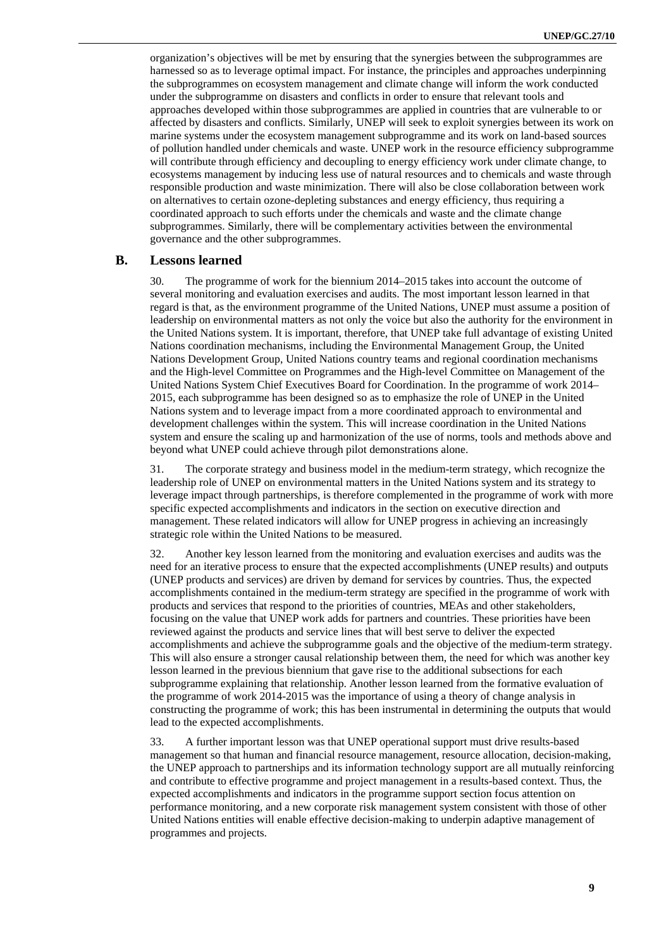organization's objectives will be met by ensuring that the synergies between the subprogrammes are harnessed so as to leverage optimal impact. For instance, the principles and approaches underpinning the subprogrammes on ecosystem management and climate change will inform the work conducted under the subprogramme on disasters and conflicts in order to ensure that relevant tools and approaches developed within those subprogrammes are applied in countries that are vulnerable to or affected by disasters and conflicts. Similarly, UNEP will seek to exploit synergies between its work on marine systems under the ecosystem management subprogramme and its work on land-based sources of pollution handled under chemicals and waste. UNEP work in the resource efficiency subprogramme will contribute through efficiency and decoupling to energy efficiency work under climate change, to ecosystems management by inducing less use of natural resources and to chemicals and waste through responsible production and waste minimization. There will also be close collaboration between work on alternatives to certain ozone-depleting substances and energy efficiency, thus requiring a coordinated approach to such efforts under the chemicals and waste and the climate change subprogrammes. Similarly, there will be complementary activities between the environmental governance and the other subprogrammes.

### **B. Lessons learned**

30. The programme of work for the biennium 2014–2015 takes into account the outcome of several monitoring and evaluation exercises and audits. The most important lesson learned in that regard is that, as the environment programme of the United Nations, UNEP must assume a position of leadership on environmental matters as not only the voice but also the authority for the environment in the United Nations system. It is important, therefore, that UNEP take full advantage of existing United Nations coordination mechanisms, including the Environmental Management Group, the United Nations Development Group, United Nations country teams and regional coordination mechanisms and the High-level Committee on Programmes and the High-level Committee on Management of the United Nations System Chief Executives Board for Coordination. In the programme of work 2014– 2015, each subprogramme has been designed so as to emphasize the role of UNEP in the United Nations system and to leverage impact from a more coordinated approach to environmental and development challenges within the system. This will increase coordination in the United Nations system and ensure the scaling up and harmonization of the use of norms, tools and methods above and beyond what UNEP could achieve through pilot demonstrations alone.

31. The corporate strategy and business model in the medium-term strategy, which recognize the leadership role of UNEP on environmental matters in the United Nations system and its strategy to leverage impact through partnerships, is therefore complemented in the programme of work with more specific expected accomplishments and indicators in the section on executive direction and management. These related indicators will allow for UNEP progress in achieving an increasingly strategic role within the United Nations to be measured.

32. Another key lesson learned from the monitoring and evaluation exercises and audits was the need for an iterative process to ensure that the expected accomplishments (UNEP results) and outputs (UNEP products and services) are driven by demand for services by countries. Thus, the expected accomplishments contained in the medium-term strategy are specified in the programme of work with products and services that respond to the priorities of countries, MEAs and other stakeholders, focusing on the value that UNEP work adds for partners and countries. These priorities have been reviewed against the products and service lines that will best serve to deliver the expected accomplishments and achieve the subprogramme goals and the objective of the medium-term strategy. This will also ensure a stronger causal relationship between them, the need for which was another key lesson learned in the previous biennium that gave rise to the additional subsections for each subprogramme explaining that relationship. Another lesson learned from the formative evaluation of the programme of work 2014-2015 was the importance of using a theory of change analysis in constructing the programme of work; this has been instrumental in determining the outputs that would lead to the expected accomplishments.

33. A further important lesson was that UNEP operational support must drive results-based management so that human and financial resource management, resource allocation, decision-making, the UNEP approach to partnerships and its information technology support are all mutually reinforcing and contribute to effective programme and project management in a results-based context. Thus, the expected accomplishments and indicators in the programme support section focus attention on performance monitoring, and a new corporate risk management system consistent with those of other United Nations entities will enable effective decision-making to underpin adaptive management of programmes and projects.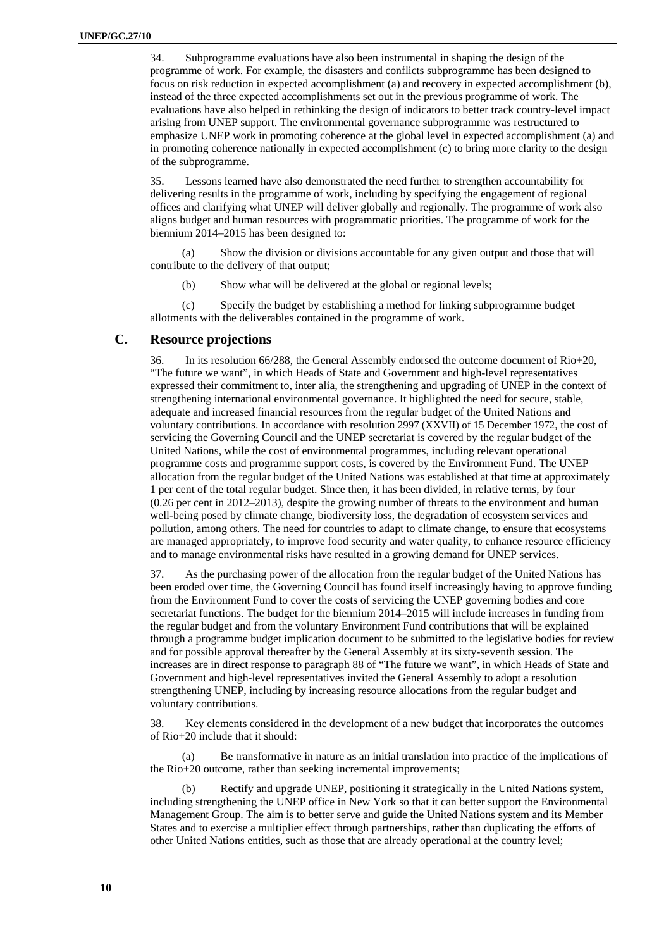34. Subprogramme evaluations have also been instrumental in shaping the design of the programme of work. For example, the disasters and conflicts subprogramme has been designed to focus on risk reduction in expected accomplishment (a) and recovery in expected accomplishment (b), instead of the three expected accomplishments set out in the previous programme of work. The evaluations have also helped in rethinking the design of indicators to better track country-level impact arising from UNEP support. The environmental governance subprogramme was restructured to emphasize UNEP work in promoting coherence at the global level in expected accomplishment (a) and in promoting coherence nationally in expected accomplishment (c) to bring more clarity to the design of the subprogramme.

35. Lessons learned have also demonstrated the need further to strengthen accountability for delivering results in the programme of work, including by specifying the engagement of regional offices and clarifying what UNEP will deliver globally and regionally. The programme of work also aligns budget and human resources with programmatic priorities. The programme of work for the biennium 2014–2015 has been designed to:

(a) Show the division or divisions accountable for any given output and those that will contribute to the delivery of that output;

(b) Show what will be delivered at the global or regional levels;

(c) Specify the budget by establishing a method for linking subprogramme budget allotments with the deliverables contained in the programme of work.

### **C. Resource projections**

36. In its resolution 66/288, the General Assembly endorsed the outcome document of Rio+20, "The future we want", in which Heads of State and Government and high-level representatives expressed their commitment to, inter alia, the strengthening and upgrading of UNEP in the context of strengthening international environmental governance. It highlighted the need for secure, stable, adequate and increased financial resources from the regular budget of the United Nations and voluntary contributions. In accordance with resolution 2997 (XXVII) of 15 December 1972, the cost of servicing the Governing Council and the UNEP secretariat is covered by the regular budget of the United Nations, while the cost of environmental programmes, including relevant operational programme costs and programme support costs, is covered by the Environment Fund. The UNEP allocation from the regular budget of the United Nations was established at that time at approximately 1 per cent of the total regular budget. Since then, it has been divided, in relative terms, by four (0.26 per cent in 2012–2013), despite the growing number of threats to the environment and human well-being posed by climate change, biodiversity loss, the degradation of ecosystem services and pollution, among others. The need for countries to adapt to climate change, to ensure that ecosystems are managed appropriately, to improve food security and water quality, to enhance resource efficiency and to manage environmental risks have resulted in a growing demand for UNEP services.

37. As the purchasing power of the allocation from the regular budget of the United Nations has been eroded over time, the Governing Council has found itself increasingly having to approve funding from the Environment Fund to cover the costs of servicing the UNEP governing bodies and core secretariat functions. The budget for the biennium 2014–2015 will include increases in funding from the regular budget and from the voluntary Environment Fund contributions that will be explained through a programme budget implication document to be submitted to the legislative bodies for review and for possible approval thereafter by the General Assembly at its sixty-seventh session. The increases are in direct response to paragraph 88 of "The future we want", in which Heads of State and Government and high-level representatives invited the General Assembly to adopt a resolution strengthening UNEP, including by increasing resource allocations from the regular budget and voluntary contributions.

38. Key elements considered in the development of a new budget that incorporates the outcomes of Rio+20 include that it should:

Be transformative in nature as an initial translation into practice of the implications of the Rio+20 outcome, rather than seeking incremental improvements;

(b) Rectify and upgrade UNEP, positioning it strategically in the United Nations system, including strengthening the UNEP office in New York so that it can better support the Environmental Management Group. The aim is to better serve and guide the United Nations system and its Member States and to exercise a multiplier effect through partnerships, rather than duplicating the efforts of other United Nations entities, such as those that are already operational at the country level;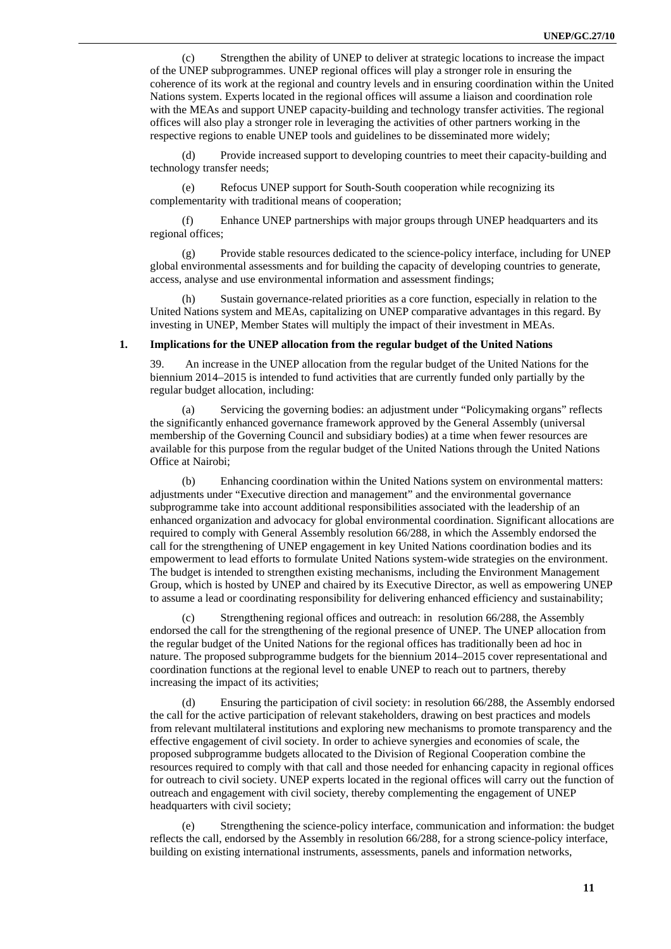(c) Strengthen the ability of UNEP to deliver at strategic locations to increase the impact of the UNEP subprogrammes. UNEP regional offices will play a stronger role in ensuring the coherence of its work at the regional and country levels and in ensuring coordination within the United Nations system. Experts located in the regional offices will assume a liaison and coordination role with the MEAs and support UNEP capacity-building and technology transfer activities. The regional offices will also play a stronger role in leveraging the activities of other partners working in the respective regions to enable UNEP tools and guidelines to be disseminated more widely;

(d) Provide increased support to developing countries to meet their capacity-building and technology transfer needs;

(e) Refocus UNEP support for South-South cooperation while recognizing its complementarity with traditional means of cooperation;

(f) Enhance UNEP partnerships with major groups through UNEP headquarters and its regional offices;

(g) Provide stable resources dedicated to the science-policy interface, including for UNEP global environmental assessments and for building the capacity of developing countries to generate, access, analyse and use environmental information and assessment findings;

(h) Sustain governance-related priorities as a core function, especially in relation to the United Nations system and MEAs, capitalizing on UNEP comparative advantages in this regard. By investing in UNEP, Member States will multiply the impact of their investment in MEAs.

### **1. Implications for the UNEP allocation from the regular budget of the United Nations**

39. An increase in the UNEP allocation from the regular budget of the United Nations for the biennium 2014–2015 is intended to fund activities that are currently funded only partially by the regular budget allocation, including:

(a) Servicing the governing bodies: an adjustment under "Policymaking organs" reflects the significantly enhanced governance framework approved by the General Assembly (universal membership of the Governing Council and subsidiary bodies) at a time when fewer resources are available for this purpose from the regular budget of the United Nations through the United Nations Office at Nairobi;

(b) Enhancing coordination within the United Nations system on environmental matters: adjustments under "Executive direction and management" and the environmental governance subprogramme take into account additional responsibilities associated with the leadership of an enhanced organization and advocacy for global environmental coordination. Significant allocations are required to comply with General Assembly resolution 66/288, in which the Assembly endorsed the call for the strengthening of UNEP engagement in key United Nations coordination bodies and its empowerment to lead efforts to formulate United Nations system-wide strategies on the environment. The budget is intended to strengthen existing mechanisms, including the Environment Management Group, which is hosted by UNEP and chaired by its Executive Director, as well as empowering UNEP to assume a lead or coordinating responsibility for delivering enhanced efficiency and sustainability;

(c) Strengthening regional offices and outreach: in resolution 66/288, the Assembly endorsed the call for the strengthening of the regional presence of UNEP. The UNEP allocation from the regular budget of the United Nations for the regional offices has traditionally been ad hoc in nature. The proposed subprogramme budgets for the biennium 2014–2015 cover representational and coordination functions at the regional level to enable UNEP to reach out to partners, thereby increasing the impact of its activities;

(d) Ensuring the participation of civil society: in resolution 66/288, the Assembly endorsed the call for the active participation of relevant stakeholders, drawing on best practices and models from relevant multilateral institutions and exploring new mechanisms to promote transparency and the effective engagement of civil society. In order to achieve synergies and economies of scale, the proposed subprogramme budgets allocated to the Division of Regional Cooperation combine the resources required to comply with that call and those needed for enhancing capacity in regional offices for outreach to civil society. UNEP experts located in the regional offices will carry out the function of outreach and engagement with civil society, thereby complementing the engagement of UNEP headquarters with civil society;

(e) Strengthening the science-policy interface, communication and information: the budget reflects the call, endorsed by the Assembly in resolution 66/288, for a strong science-policy interface, building on existing international instruments, assessments, panels and information networks,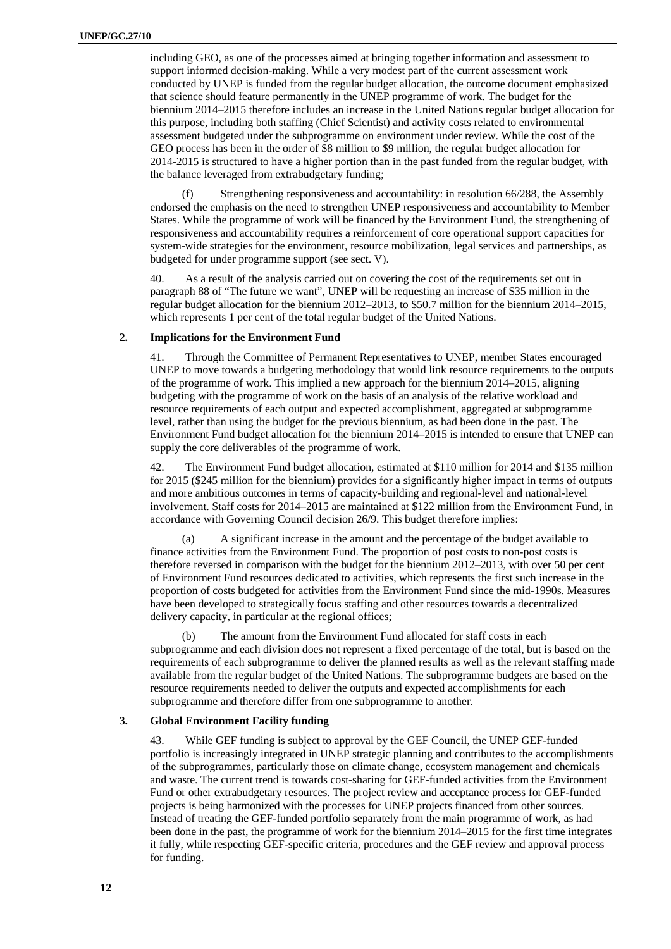including GEO, as one of the processes aimed at bringing together information and assessment to support informed decision-making. While a very modest part of the current assessment work conducted by UNEP is funded from the regular budget allocation, the outcome document emphasized that science should feature permanently in the UNEP programme of work. The budget for the biennium 2014–2015 therefore includes an increase in the United Nations regular budget allocation for this purpose, including both staffing (Chief Scientist) and activity costs related to environmental assessment budgeted under the subprogramme on environment under review. While the cost of the GEO process has been in the order of \$8 million to \$9 million, the regular budget allocation for 2014-2015 is structured to have a higher portion than in the past funded from the regular budget, with the balance leveraged from extrabudgetary funding;

(f) Strengthening responsiveness and accountability: in resolution 66/288, the Assembly endorsed the emphasis on the need to strengthen UNEP responsiveness and accountability to Member States. While the programme of work will be financed by the Environment Fund, the strengthening of responsiveness and accountability requires a reinforcement of core operational support capacities for system-wide strategies for the environment, resource mobilization, legal services and partnerships, as budgeted for under programme support (see sect. V).

As a result of the analysis carried out on covering the cost of the requirements set out in paragraph 88 of "The future we want", UNEP will be requesting an increase of \$35 million in the regular budget allocation for the biennium 2012–2013, to \$50.7 million for the biennium 2014–2015, which represents 1 per cent of the total regular budget of the United Nations.

### **2. Implications for the Environment Fund**

41. Through the Committee of Permanent Representatives to UNEP, member States encouraged UNEP to move towards a budgeting methodology that would link resource requirements to the outputs of the programme of work. This implied a new approach for the biennium 2014–2015, aligning budgeting with the programme of work on the basis of an analysis of the relative workload and resource requirements of each output and expected accomplishment, aggregated at subprogramme level, rather than using the budget for the previous biennium, as had been done in the past. The Environment Fund budget allocation for the biennium 2014–2015 is intended to ensure that UNEP can supply the core deliverables of the programme of work.

42. The Environment Fund budget allocation, estimated at \$110 million for 2014 and \$135 million for 2015 (\$245 million for the biennium) provides for a significantly higher impact in terms of outputs and more ambitious outcomes in terms of capacity-building and regional-level and national-level involvement. Staff costs for 2014–2015 are maintained at \$122 million from the Environment Fund, in accordance with Governing Council decision 26/9. This budget therefore implies:

(a) A significant increase in the amount and the percentage of the budget available to finance activities from the Environment Fund. The proportion of post costs to non-post costs is therefore reversed in comparison with the budget for the biennium 2012–2013, with over 50 per cent of Environment Fund resources dedicated to activities, which represents the first such increase in the proportion of costs budgeted for activities from the Environment Fund since the mid-1990s. Measures have been developed to strategically focus staffing and other resources towards a decentralized delivery capacity, in particular at the regional offices;

(b) The amount from the Environment Fund allocated for staff costs in each subprogramme and each division does not represent a fixed percentage of the total, but is based on the requirements of each subprogramme to deliver the planned results as well as the relevant staffing made available from the regular budget of the United Nations. The subprogramme budgets are based on the resource requirements needed to deliver the outputs and expected accomplishments for each subprogramme and therefore differ from one subprogramme to another.

### **3. Global Environment Facility funding**

43. While GEF funding is subject to approval by the GEF Council, the UNEP GEF-funded portfolio is increasingly integrated in UNEP strategic planning and contributes to the accomplishments of the subprogrammes, particularly those on climate change, ecosystem management and chemicals and waste. The current trend is towards cost-sharing for GEF-funded activities from the Environment Fund or other extrabudgetary resources. The project review and acceptance process for GEF-funded projects is being harmonized with the processes for UNEP projects financed from other sources. Instead of treating the GEF-funded portfolio separately from the main programme of work, as had been done in the past, the programme of work for the biennium 2014–2015 for the first time integrates it fully, while respecting GEF-specific criteria, procedures and the GEF review and approval process for funding.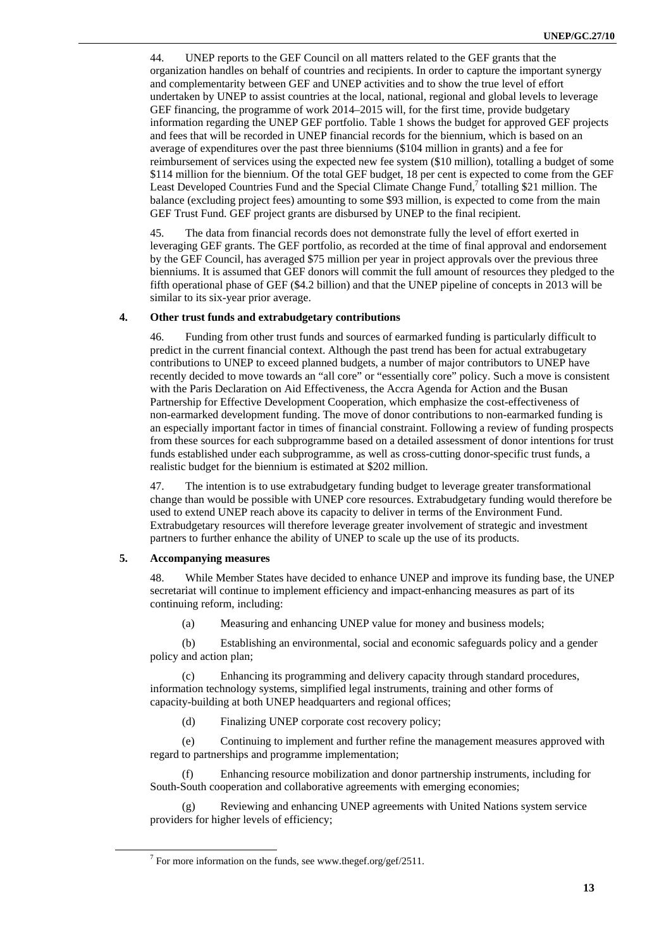44. UNEP reports to the GEF Council on all matters related to the GEF grants that the organization handles on behalf of countries and recipients. In order to capture the important synergy and complementarity between GEF and UNEP activities and to show the true level of effort undertaken by UNEP to assist countries at the local, national, regional and global levels to leverage GEF financing, the programme of work 2014–2015 will, for the first time, provide budgetary information regarding the UNEP GEF portfolio. Table 1 shows the budget for approved GEF projects and fees that will be recorded in UNEP financial records for the biennium, which is based on an average of expenditures over the past three bienniums (\$104 million in grants) and a fee for reimbursement of services using the expected new fee system (\$10 million), totalling a budget of some \$114 million for the biennium. Of the total GEF budget, 18 per cent is expected to come from the GEF Least Developed Countries Fund and the Special Climate Change Fund,<sup>7</sup> totalling \$21 million. The balance (excluding project fees) amounting to some \$93 million, is expected to come from the main GEF Trust Fund. GEF project grants are disbursed by UNEP to the final recipient.

45. The data from financial records does not demonstrate fully the level of effort exerted in leveraging GEF grants. The GEF portfolio, as recorded at the time of final approval and endorsement by the GEF Council, has averaged \$75 million per year in project approvals over the previous three bienniums. It is assumed that GEF donors will commit the full amount of resources they pledged to the fifth operational phase of GEF (\$4.2 billion) and that the UNEP pipeline of concepts in 2013 will be similar to its six-year prior average.

### **4. Other trust funds and extrabudgetary contributions**

46. Funding from other trust funds and sources of earmarked funding is particularly difficult to predict in the current financial context. Although the past trend has been for actual extrabugetary contributions to UNEP to exceed planned budgets, a number of major contributors to UNEP have recently decided to move towards an "all core" or "essentially core" policy. Such a move is consistent with the Paris Declaration on Aid Effectiveness, the Accra Agenda for Action and the Busan Partnership for Effective Development Cooperation, which emphasize the cost-effectiveness of non-earmarked development funding. The move of donor contributions to non-earmarked funding is an especially important factor in times of financial constraint. Following a review of funding prospects from these sources for each subprogramme based on a detailed assessment of donor intentions for trust funds established under each subprogramme, as well as cross-cutting donor-specific trust funds, a realistic budget for the biennium is estimated at \$202 million.

47. The intention is to use extrabudgetary funding budget to leverage greater transformational change than would be possible with UNEP core resources. Extrabudgetary funding would therefore be used to extend UNEP reach above its capacity to deliver in terms of the Environment Fund. Extrabudgetary resources will therefore leverage greater involvement of strategic and investment partners to further enhance the ability of UNEP to scale up the use of its products.

### **5. Accompanying measures**

48. While Member States have decided to enhance UNEP and improve its funding base, the UNEP secretariat will continue to implement efficiency and impact-enhancing measures as part of its continuing reform, including:

(a) Measuring and enhancing UNEP value for money and business models;

(b) Establishing an environmental, social and economic safeguards policy and a gender policy and action plan;

(c) Enhancing its programming and delivery capacity through standard procedures, information technology systems, simplified legal instruments, training and other forms of capacity-building at both UNEP headquarters and regional offices;

(d) Finalizing UNEP corporate cost recovery policy;

(e) Continuing to implement and further refine the management measures approved with regard to partnerships and programme implementation;

(f) Enhancing resource mobilization and donor partnership instruments, including for South-South cooperation and collaborative agreements with emerging economies;

(g) Reviewing and enhancing UNEP agreements with United Nations system service providers for higher levels of efficiency;

 <sup>7</sup> <sup>7</sup> For more information on the funds, see www.thegef.org/gef/2511.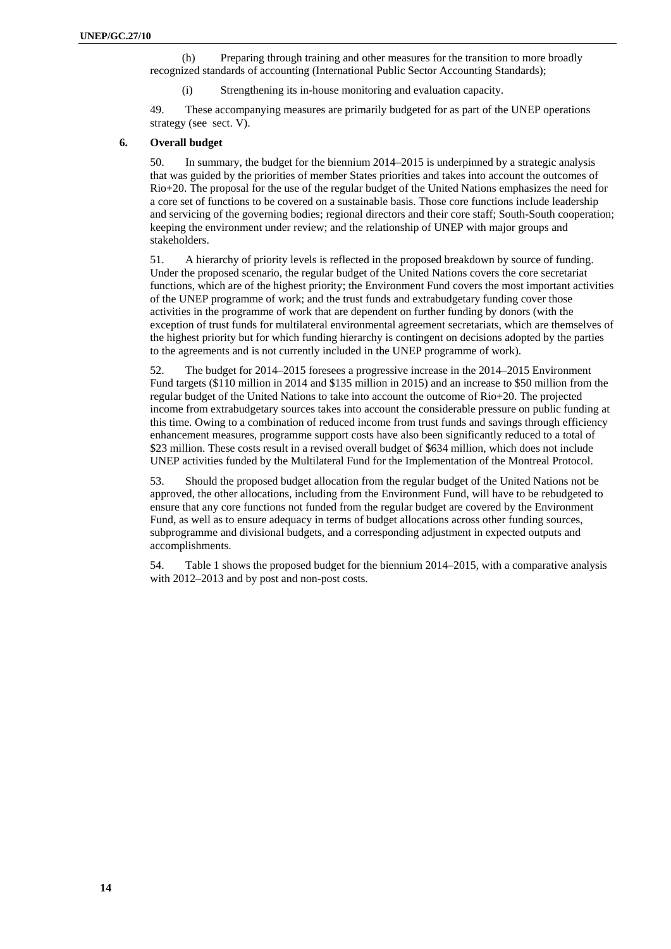(h) Preparing through training and other measures for the transition to more broadly recognized standards of accounting (International Public Sector Accounting Standards);

(i) Strengthening its in-house monitoring and evaluation capacity.

49. These accompanying measures are primarily budgeted for as part of the UNEP operations strategy (see sect. V).

### **6. Overall budget**

50. In summary, the budget for the biennium 2014–2015 is underpinned by a strategic analysis that was guided by the priorities of member States priorities and takes into account the outcomes of Rio+20. The proposal for the use of the regular budget of the United Nations emphasizes the need for a core set of functions to be covered on a sustainable basis. Those core functions include leadership and servicing of the governing bodies; regional directors and their core staff; South-South cooperation; keeping the environment under review; and the relationship of UNEP with major groups and stakeholders.

51. A hierarchy of priority levels is reflected in the proposed breakdown by source of funding. Under the proposed scenario, the regular budget of the United Nations covers the core secretariat functions, which are of the highest priority; the Environment Fund covers the most important activities of the UNEP programme of work; and the trust funds and extrabudgetary funding cover those activities in the programme of work that are dependent on further funding by donors (with the exception of trust funds for multilateral environmental agreement secretariats, which are themselves of the highest priority but for which funding hierarchy is contingent on decisions adopted by the parties to the agreements and is not currently included in the UNEP programme of work).

52. The budget for 2014–2015 foresees a progressive increase in the 2014–2015 Environment Fund targets (\$110 million in 2014 and \$135 million in 2015) and an increase to \$50 million from the regular budget of the United Nations to take into account the outcome of Rio+20. The projected income from extrabudgetary sources takes into account the considerable pressure on public funding at this time. Owing to a combination of reduced income from trust funds and savings through efficiency enhancement measures, programme support costs have also been significantly reduced to a total of \$23 million. These costs result in a revised overall budget of \$634 million, which does not include UNEP activities funded by the Multilateral Fund for the Implementation of the Montreal Protocol.

53. Should the proposed budget allocation from the regular budget of the United Nations not be approved, the other allocations, including from the Environment Fund, will have to be rebudgeted to ensure that any core functions not funded from the regular budget are covered by the Environment Fund, as well as to ensure adequacy in terms of budget allocations across other funding sources, subprogramme and divisional budgets, and a corresponding adjustment in expected outputs and accomplishments.

54. Table 1 shows the proposed budget for the biennium 2014–2015, with a comparative analysis with 2012–2013 and by post and non-post costs.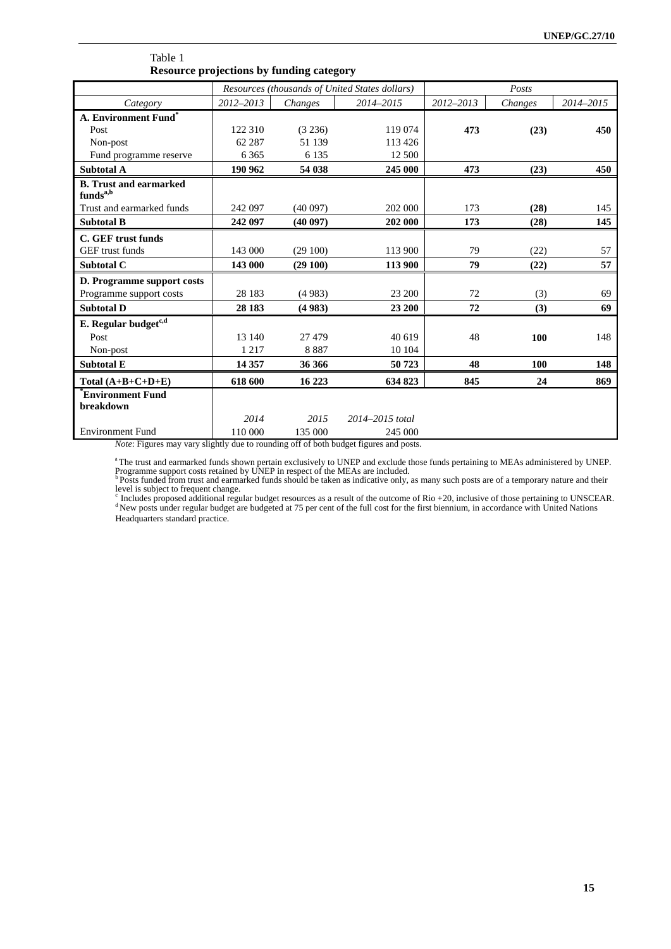|                                                                  | Resources (thousands of United States dollars) |         |                     | Posts     |         |           |
|------------------------------------------------------------------|------------------------------------------------|---------|---------------------|-----------|---------|-----------|
| Category                                                         | 2012-2013                                      | Changes | 2014-2015           | 2012-2013 | Changes | 2014-2015 |
| A. Environment Fund*                                             |                                                |         |                     |           |         |           |
| Post                                                             | 122 310                                        | (3 236) | 119 074             | 473       | (23)    | 450       |
| Non-post                                                         | 62 287                                         | 51 139  | 113 426             |           |         |           |
| Fund programme reserve                                           | 6 3 6 5                                        | 6 1 3 5 | 12 500              |           |         |           |
| <b>Subtotal A</b>                                                | 190 962                                        | 54 038  | 245 000             | 473       | (23)    | 450       |
| <b>B.</b> Trust and earmarked<br>$\mathbf{funds}^{\mathrm{a,b}}$ |                                                |         |                     |           |         |           |
| Trust and earmarked funds                                        | 242 097                                        | (40097) | 202 000             | 173       | (28)    | 145       |
| <b>Subtotal B</b>                                                | 242 097                                        | (40097) | 202 000             | 173       | (28)    | 145       |
| C. GEF trust funds                                               |                                                |         |                     |           |         |           |
| GEF trust funds                                                  | 143 000                                        | (29100) | 113 900             | 79        | (22)    | 57        |
| Subtotal C                                                       | 143 000                                        | (29100) | 113 900             | 79        | (22)    | 57        |
| D. Programme support costs                                       |                                                |         |                     |           |         |           |
| Programme support costs                                          | 28 183                                         | (4983)  | 23 200              | 72        | (3)     | 69        |
| <b>Subtotal D</b>                                                | 28 183                                         | (4983)  | 23 200              | 72        | (3)     | 69        |
| E. Regular budget <sup>c,d</sup>                                 |                                                |         |                     |           |         |           |
| Post                                                             | 13 140                                         | 27 479  | 40 619              | 48        | 100     | 148       |
| Non-post                                                         | 1 2 1 7                                        | 8887    | 10 104              |           |         |           |
| <b>Subtotal E</b>                                                | 14 3 57                                        | 36 366  | 50723               | 48        | 100     | 148       |
| Total $(A+B+C+D+E)$                                              | 618 600                                        | 16 223  | 634 823             | 845       | 24      | 869       |
| Environment Fund                                                 |                                                |         |                     |           |         |           |
| breakdown                                                        | 2014                                           | 2015    | $2014 - 2015$ total |           |         |           |
| <b>Environment Fund</b>                                          | 110 000                                        | 135 000 | 245 000             |           |         |           |
|                                                                  |                                                |         |                     |           |         |           |

### Table 1 **Resource projections by funding category**

*Note*: Figures may vary slightly due to rounding off of both budget figures and posts.

a The trust and earmarked funds shown pertain exclusively to UNEP and exclude those funds pertaining to MEAs administered by UNEP.<br>Programme support costs retained by UNEP in respect of the MEAs are included.<br><sup>b</sup> Posts fun

level is subject to frequent change.<br><sup>c</sup> Includes proposed additional regular budget resources as a result of the outcome of Rio +20, inclusive of those pertaining to UNSCEAR.<br><sup>d</sup> New posts under regular budget are budgete Headquarters standard practice.<br>Headquarters standard practice.<br>Headquarters standard practice.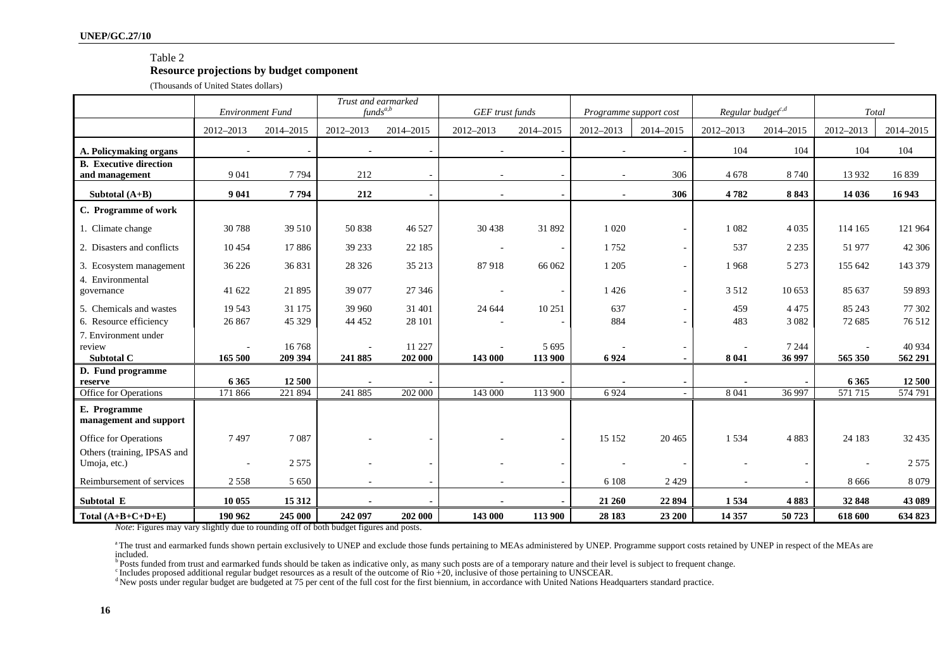### Table 2

### **Resource projections by budget component**

(Thousands of United States dollars)

|                                                 | Trust and earmarked<br>$funds^{a,b}$<br><b>Environment Fund</b> |                  |           | GEF trust funds   |           | Programme support cost   |           | Regular budget <sup>c,d</sup> |           | Total             |                    |                   |
|-------------------------------------------------|-----------------------------------------------------------------|------------------|-----------|-------------------|-----------|--------------------------|-----------|-------------------------------|-----------|-------------------|--------------------|-------------------|
|                                                 | 2012-2013                                                       | 2014-2015        | 2012-2013 | 2014-2015         | 2012-2013 | 2014-2015                | 2012-2013 | 2014-2015                     | 2012-2013 | 2014-2015         | 2012-2013          | 2014-2015         |
| A. Policymaking organs                          |                                                                 |                  |           |                   |           |                          |           |                               | 104       | 104               | 104                | 104               |
| <b>B.</b> Executive direction<br>and management | 9 0 4 1                                                         | 7794             | 212       |                   | $\sim$    | $\overline{a}$           |           | 306                           | 4678      | 8 7 4 0           | 13 9 32            | 16839             |
| Subtotal $(A+B)$                                | 9 0 4 1                                                         | 7794             | 212       |                   |           |                          |           | 306                           | 4782      | 8843              | 14 036             | 16 943            |
| C. Programme of work                            |                                                                 |                  |           |                   |           |                          |           |                               |           |                   |                    |                   |
| 1. Climate change                               | 30788                                                           | 39 510           | 50 838    | 46 527            | 30 438    | 31 892                   | 1 0 20    |                               | 1 0 8 2   | 4 0 3 5           | 114 165            | 121 964           |
| 2. Disasters and conflicts                      | 10 4 5 4                                                        | 17886            | 39 233    | 22 185            | $\sim$    | $\overline{\phantom{a}}$ | 1752      |                               | 537       | 2 2 3 5           | 51 977             | 42 30 6           |
| 3. Ecosystem management                         | 36 226                                                          | 36 831           | 28 3 26   | 35 213            | 87918     | 66 062                   | 1 2 0 5   |                               | 1968      | 5 2 7 3           | 155 642            | 143 379           |
| 4. Environmental<br>governance                  | 41 622                                                          | 21 8 9 5         | 39 077    | 27 34 6           |           | $\overline{\phantom{a}}$ | 1426      |                               | 3 5 1 2   | 10 653            | 85 637             | 59 893            |
| 5. Chemicals and wastes                         | 19 5 43                                                         | 31 175           | 39 960    | 31 401            | 24 644    | 10 251                   | 637       |                               | 459       | 4 4 7 5           | 85 24 3            | 77 302            |
| 6. Resource efficiency                          | 26 867                                                          | 45 329           | 44 4 52   | 28 101            |           |                          | 884       |                               | 483       | 3 0 8 2           | 72 685             | 76 512            |
| 7. Environment under<br>review<br>Subtotal C    | 165 500                                                         | 16768<br>209 394 | 241 885   | 11 227<br>202 000 | 143 000   | 5 6 9 5<br>113 900       | 6924      |                               | 8 0 4 1   | 7 2 4 4<br>36 997 | 565 350            | 40 934<br>562 291 |
| D. Fund programme                               |                                                                 | 12 500           |           |                   |           |                          |           |                               |           |                   |                    |                   |
| reserve<br>Office for Operations                | 6 3 6 5<br>171 866                                              | 221 894          | 241 885   | 202 000           | 143 000   | 113 900                  | 6924      |                               | 8 0 4 1   | 36 997            | 6 3 6 5<br>571 715 | 12 500<br>574 791 |
| E. Programme<br>management and support          |                                                                 |                  |           |                   |           |                          |           |                               |           |                   |                    |                   |
| Office for Operations                           | 7497                                                            | 7087             |           |                   |           | $\overline{\phantom{a}}$ | 15 15 2   | 20 4 65                       | 1534      | 4883              | 24 183             | 32 4 35           |
| Others (training, IPSAS and<br>Umoja, etc.)     |                                                                 | 2 5 7 5          |           |                   |           |                          |           |                               |           |                   |                    | 2 5 7 5           |
| Reimbursement of services                       | 2558                                                            | 5 6 5 0          |           |                   |           |                          | 6 1 0 8   | 2 4 2 9                       |           |                   | 8 6 6 6            | 8 0 7 9           |
| Subtotal E                                      | 10 055                                                          | 15 3 12          |           |                   |           |                          | 21 260    | 22 894                        | 1534      | 4883              | 32 848             | 43 089            |
| Total $(A+B+C+D+E)$                             | 190 962                                                         | 245 000          | 242 097   | 202 000           | 143 000   | 113 900                  | 28 183    | 23 200                        | 14 357    | 50723             | 618 600            | 634 823           |

*Note*: Figures may vary slightly due to rounding off of both budget figures and posts.

a The trust and earmarked funds shown pertain exclusively to UNEP and exclude those funds pertaining to MEAs administered by UNEP. Programme support costs retained by UNEP in respect of the MEAs are included.

**b** Posts funded from trust and earmarked funds should be taken as indicative only, as many such posts are of a temporary nature and their level is subject to frequent change.

c Includes proposed additional regular budget resources as a result of the outcome of Rio +20, inclusive of those pertaining to UNSCEAR.

<sup>d</sup> New posts under regular budget are budgeted at 75 per cent of the full cost for the first biennium, in accordance with United Nations Headquarters standard practice.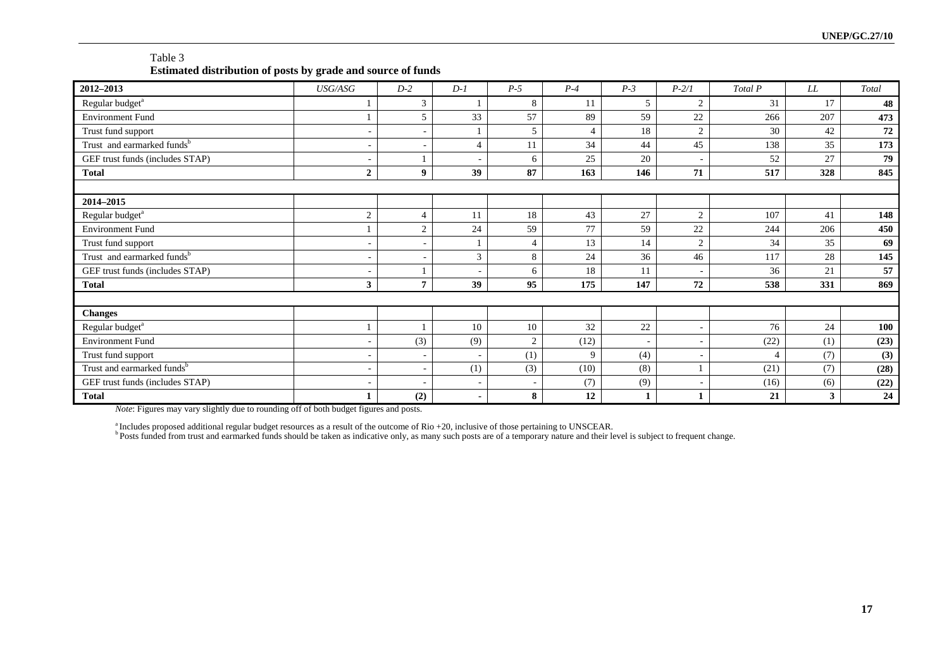| Table 3                                                      |
|--------------------------------------------------------------|
| Estimated distribution of posts by grade and source of funds |

| 2012-2013                              | USG/ASG        | $D-2$                    | $D-1$                    | $P-5$ | $P-4$          | $P-3$                    | $P - 2/I$                | Total P              | LL  | Total      |
|----------------------------------------|----------------|--------------------------|--------------------------|-------|----------------|--------------------------|--------------------------|----------------------|-----|------------|
| Regular budget <sup>a</sup>            |                | 3                        |                          | 8     | 11             | 5                        | 2                        | 31                   | 17  | 48         |
| <b>Environment Fund</b>                |                | 5                        | 33                       | 57    | 89             | 59                       | 22                       | 266                  | 207 | 473        |
| Trust fund support                     |                | ٠                        |                          | 5     | $\overline{4}$ | 18                       | 2                        | 30                   | 42  | ${\bf 72}$ |
| Trust and earmarked funds <sup>b</sup> | ٠              | ٠                        | $\overline{4}$           | 11    | 34             | 44                       | 45                       | 138                  | 35  | 173        |
| GEF trust funds (includes STAP)        | ٠              |                          | $\overline{\phantom{a}}$ | 6     | 25             | 20                       | $\overline{\phantom{a}}$ | 52                   | 27  | 79         |
| <b>Total</b>                           | $\overline{2}$ | $\boldsymbol{9}$         | 39                       | 87    | 163            | 146                      | 71                       | 517                  | 328 | 845        |
|                                        |                |                          |                          |       |                |                          |                          |                      |     |            |
| 2014-2015                              |                |                          |                          |       |                |                          |                          |                      |     |            |
| Regular budget <sup>a</sup>            | $\overline{2}$ | $\overline{4}$           | 11                       | 18    | 43             | 27                       | $\overline{2}$           | 107                  | 41  | 148        |
| <b>Environment Fund</b>                |                | $\overline{2}$           | 24                       | 59    | 77             | 59                       | 22                       | 244                  | 206 | 450        |
| Trust fund support                     |                | ٠                        |                          |       | 13             | 14                       | 2                        | 34                   | 35  | 69         |
| Trust and earmarked funds <sup>b</sup> | ٠              | ٠                        | 3                        | 8     | 24             | 36                       | 46                       | 117                  | 28  | 145        |
| GEF trust funds (includes STAP)        |                |                          |                          | 6     | 18             | 11                       | ٠                        | 36                   | 21  | 57         |
| <b>Total</b>                           | 3              | $\overline{7}$           | 39                       | 95    | 175            | 147                      | 72                       | 538                  | 331 | 869        |
|                                        |                |                          |                          |       |                |                          |                          |                      |     |            |
| <b>Changes</b>                         |                |                          |                          |       |                |                          |                          |                      |     |            |
| Regular budget <sup>a</sup>            |                |                          | 10                       | 10    | 32             | 22                       | ۰                        | 76                   | 24  | 100        |
| <b>Environment Fund</b>                | ٠              | (3)                      | (9)                      | 2     | (12)           | $\overline{\phantom{a}}$ | ÷,                       | (22)                 | (1) | (23)       |
| Trust fund support                     | ٠              | $\overline{\phantom{a}}$ | ٠                        | (1)   | 9              | (4)                      | $\overline{\phantom{a}}$ | $\overline{\Lambda}$ | (7) | (3)        |
| Trust and earmarked funds <sup>b</sup> | ٠              | ٠                        | (1)                      | (3)   | (10)           | (8)                      |                          | (21)                 | (7) | (28)       |
| GEF trust funds (includes STAP)        |                |                          |                          |       | (7)            | (9)                      | $\overline{a}$           | (16)                 | (6) | (22)       |
| <b>Total</b>                           |                | (2)                      | ۰                        | 8     | 12             |                          |                          | 21                   | 3   | 24         |

*Note*: Figures may vary slightly due to rounding off of both budget figures and posts.

<sup>a</sup> Includes proposed additional regular budget resources as a result of the outcome of Rio +20, inclusive of those pertaining to UNSCEAR.<br><sup>b</sup> Posts funded from trust and earmarked funds should be taken as indicative only,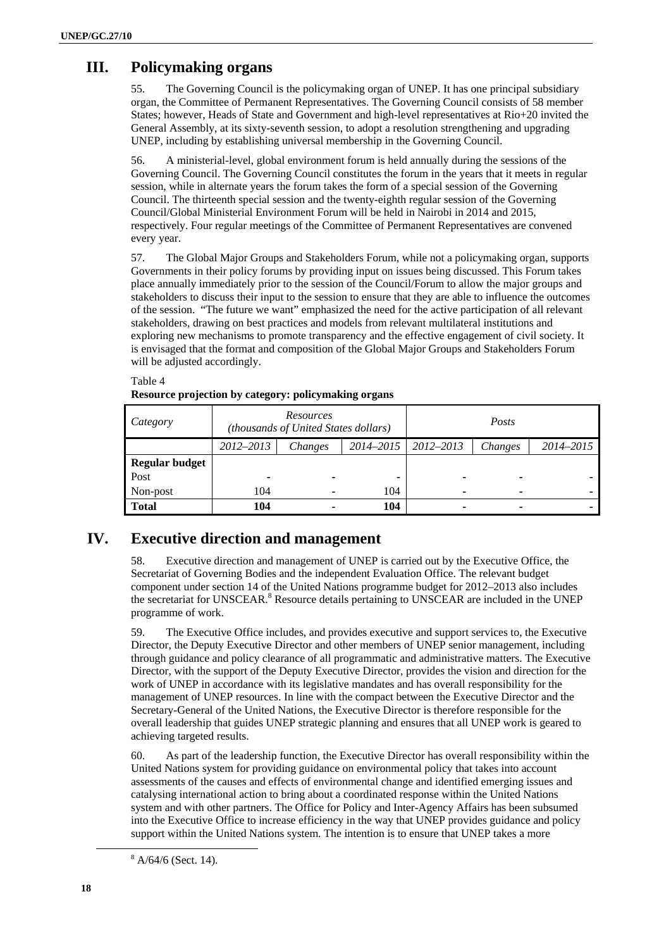# **III. Policymaking organs**

55. The Governing Council is the policymaking organ of UNEP. It has one principal subsidiary organ, the Committee of Permanent Representatives. The Governing Council consists of 58 member States; however, Heads of State and Government and high-level representatives at Rio+20 invited the General Assembly, at its sixty-seventh session, to adopt a resolution strengthening and upgrading UNEP, including by establishing universal membership in the Governing Council.

56. A ministerial-level, global environment forum is held annually during the sessions of the Governing Council. The Governing Council constitutes the forum in the years that it meets in regular session, while in alternate years the forum takes the form of a special session of the Governing Council. The thirteenth special session and the twenty-eighth regular session of the Governing Council/Global Ministerial Environment Forum will be held in Nairobi in 2014 and 2015, respectively. Four regular meetings of the Committee of Permanent Representatives are convened every year.

57. The Global Major Groups and Stakeholders Forum, while not a policymaking organ, supports Governments in their policy forums by providing input on issues being discussed. This Forum takes place annually immediately prior to the session of the Council/Forum to allow the major groups and stakeholders to discuss their input to the session to ensure that they are able to influence the outcomes of the session. "The future we want" emphasized the need for the active participation of all relevant stakeholders, drawing on best practices and models from relevant multilateral institutions and exploring new mechanisms to promote transparency and the effective engagement of civil society. It is envisaged that the format and composition of the Global Major Groups and Stakeholders Forum will be adjusted accordingly.

### Table 4

**Resource projection by category: policymaking organs** 

| Category                      |                | <b>Resources</b><br>(thousands of United States dollars) |               | Posts         |         |           |  |
|-------------------------------|----------------|----------------------------------------------------------|---------------|---------------|---------|-----------|--|
|                               | 2012-2013      | Changes                                                  | $2014 - 2015$ | $2012 - 2013$ | Changes | 2014-2015 |  |
| <b>Regular budget</b><br>Post | $\blacksquare$ |                                                          |               | ۰             |         |           |  |
| Non-post                      | 104            |                                                          | 104           |               |         |           |  |
| <b>Total</b>                  | 104            |                                                          | 104           |               |         |           |  |

# **IV. Executive direction and management**

58. Executive direction and management of UNEP is carried out by the Executive Office, the Secretariat of Governing Bodies and the independent Evaluation Office. The relevant budget component under section 14 of the United Nations programme budget for 2012–2013 also includes the secretariat for UNSCEAR.<sup>8</sup> Resource details pertaining to UNSCEAR are included in the UNEP programme of work.

59. The Executive Office includes, and provides executive and support services to, the Executive Director, the Deputy Executive Director and other members of UNEP senior management, including through guidance and policy clearance of all programmatic and administrative matters. The Executive Director, with the support of the Deputy Executive Director, provides the vision and direction for the work of UNEP in accordance with its legislative mandates and has overall responsibility for the management of UNEP resources. In line with the compact between the Executive Director and the Secretary-General of the United Nations, the Executive Director is therefore responsible for the overall leadership that guides UNEP strategic planning and ensures that all UNEP work is geared to achieving targeted results.

60. As part of the leadership function, the Executive Director has overall responsibility within the United Nations system for providing guidance on environmental policy that takes into account assessments of the causes and effects of environmental change and identified emerging issues and catalysing international action to bring about a coordinated response within the United Nations system and with other partners. The Office for Policy and Inter-Agency Affairs has been subsumed into the Executive Office to increase efficiency in the way that UNEP provides guidance and policy support within the United Nations system. The intention is to ensure that UNEP takes a more

 <sup>8</sup>  $8$  A/64/6 (Sect. 14).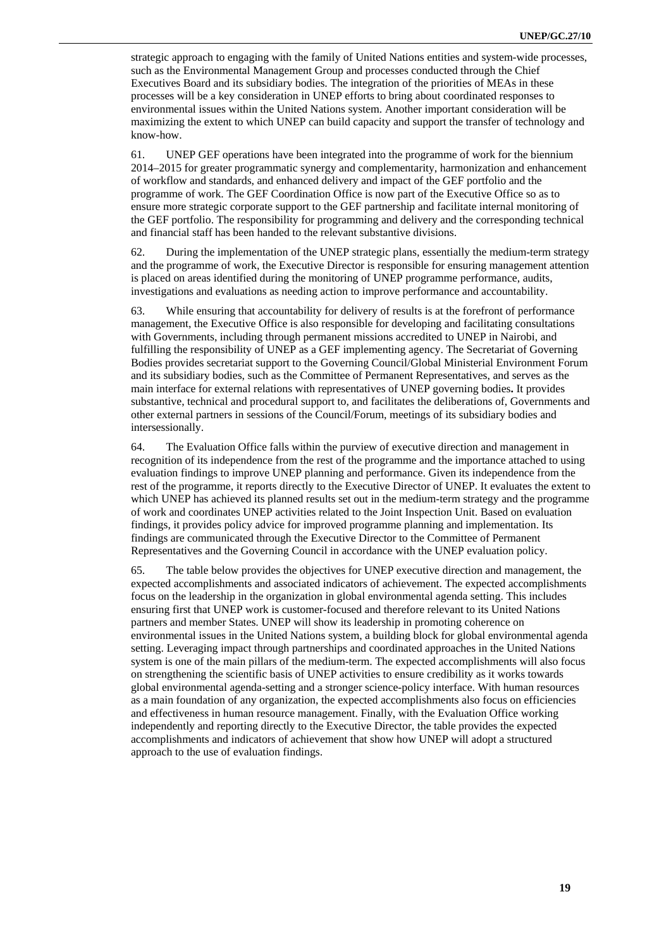strategic approach to engaging with the family of United Nations entities and system-wide processes, such as the Environmental Management Group and processes conducted through the Chief Executives Board and its subsidiary bodies. The integration of the priorities of MEAs in these processes will be a key consideration in UNEP efforts to bring about coordinated responses to environmental issues within the United Nations system. Another important consideration will be maximizing the extent to which UNEP can build capacity and support the transfer of technology and know-how.

61. UNEP GEF operations have been integrated into the programme of work for the biennium 2014–2015 for greater programmatic synergy and complementarity, harmonization and enhancement of workflow and standards, and enhanced delivery and impact of the GEF portfolio and the programme of work. The GEF Coordination Office is now part of the Executive Office so as to ensure more strategic corporate support to the GEF partnership and facilitate internal monitoring of the GEF portfolio. The responsibility for programming and delivery and the corresponding technical and financial staff has been handed to the relevant substantive divisions.

62. During the implementation of the UNEP strategic plans, essentially the medium-term strategy and the programme of work, the Executive Director is responsible for ensuring management attention is placed on areas identified during the monitoring of UNEP programme performance, audits, investigations and evaluations as needing action to improve performance and accountability.

63. While ensuring that accountability for delivery of results is at the forefront of performance management, the Executive Office is also responsible for developing and facilitating consultations with Governments, including through permanent missions accredited to UNEP in Nairobi, and fulfilling the responsibility of UNEP as a GEF implementing agency. The Secretariat of Governing Bodies provides secretariat support to the Governing Council/Global Ministerial Environment Forum and its subsidiary bodies, such as the Committee of Permanent Representatives, and serves as the main interface for external relations with representatives of UNEP governing bodies**.** It provides substantive, technical and procedural support to, and facilitates the deliberations of, Governments and other external partners in sessions of the Council/Forum, meetings of its subsidiary bodies and intersessionally.

64. The Evaluation Office falls within the purview of executive direction and management in recognition of its independence from the rest of the programme and the importance attached to using evaluation findings to improve UNEP planning and performance. Given its independence from the rest of the programme, it reports directly to the Executive Director of UNEP. It evaluates the extent to which UNEP has achieved its planned results set out in the medium-term strategy and the programme of work and coordinates UNEP activities related to the Joint Inspection Unit. Based on evaluation findings, it provides policy advice for improved programme planning and implementation. Its findings are communicated through the Executive Director to the Committee of Permanent Representatives and the Governing Council in accordance with the UNEP evaluation policy.

65. The table below provides the objectives for UNEP executive direction and management, the expected accomplishments and associated indicators of achievement. The expected accomplishments focus on the leadership in the organization in global environmental agenda setting. This includes ensuring first that UNEP work is customer-focused and therefore relevant to its United Nations partners and member States. UNEP will show its leadership in promoting coherence on environmental issues in the United Nations system, a building block for global environmental agenda setting. Leveraging impact through partnerships and coordinated approaches in the United Nations system is one of the main pillars of the medium-term. The expected accomplishments will also focus on strengthening the scientific basis of UNEP activities to ensure credibility as it works towards global environmental agenda-setting and a stronger science-policy interface. With human resources as a main foundation of any organization, the expected accomplishments also focus on efficiencies and effectiveness in human resource management. Finally, with the Evaluation Office working independently and reporting directly to the Executive Director, the table provides the expected accomplishments and indicators of achievement that show how UNEP will adopt a structured approach to the use of evaluation findings.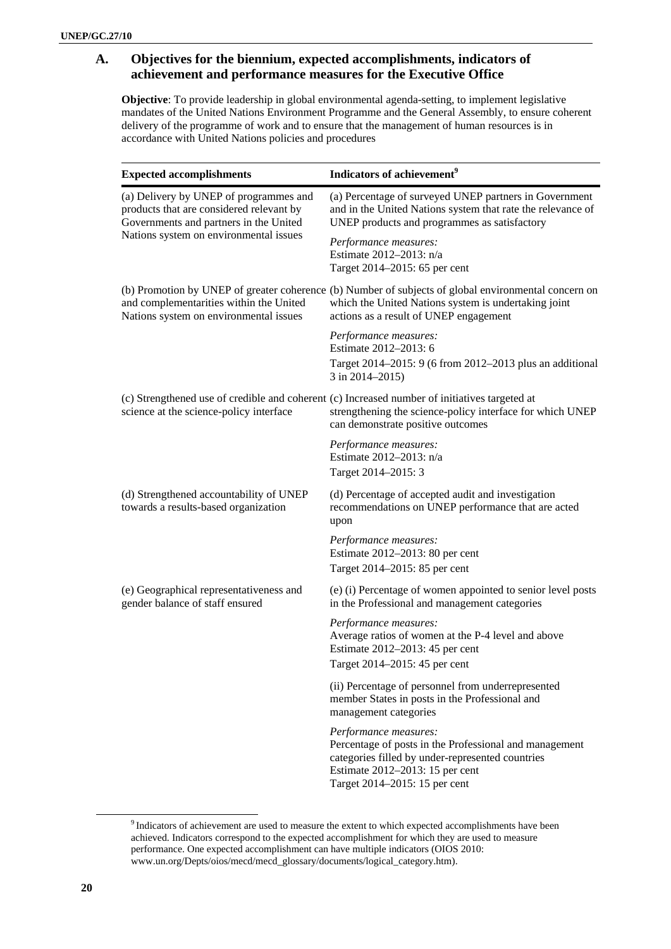### **A. Objectives for the biennium, expected accomplishments, indicators of achievement and performance measures for the Executive Office**

**Objective**: To provide leadership in global environmental agenda-setting, to implement legislative mandates of the United Nations Environment Programme and the General Assembly, to ensure coherent delivery of the programme of work and to ensure that the management of human resources is in accordance with United Nations policies and procedures

| <b>Expected accomplishments</b>                                                                                              | Indicators of achievement <sup>9</sup>                                                                                                                                                                  |
|------------------------------------------------------------------------------------------------------------------------------|---------------------------------------------------------------------------------------------------------------------------------------------------------------------------------------------------------|
| (a) Delivery by UNEP of programmes and<br>products that are considered relevant by<br>Governments and partners in the United | (a) Percentage of surveyed UNEP partners in Government<br>and in the United Nations system that rate the relevance of<br>UNEP products and programmes as satisfactory                                   |
| Nations system on environmental issues                                                                                       | Performance measures:<br>Estimate 2012-2013: n/a<br>Target 2014–2015: 65 per cent                                                                                                                       |
| and complementarities within the United<br>Nations system on environmental issues                                            | (b) Promotion by UNEP of greater coherence (b) Number of subjects of global environmental concern on<br>which the United Nations system is undertaking joint<br>actions as a result of UNEP engagement  |
|                                                                                                                              | Performance measures:<br>Estimate 2012-2013: 6<br>Target 2014–2015: 9 (6 from 2012–2013 plus an additional<br>$3$ in 2014–2015)                                                                         |
| science at the science-policy interface                                                                                      | (c) Strengthened use of credible and coherent (c) Increased number of initiatives targeted at<br>strengthening the science-policy interface for which UNEP<br>can demonstrate positive outcomes         |
|                                                                                                                              | Performance measures:<br>Estimate 2012-2013: n/a<br>Target 2014-2015: 3                                                                                                                                 |
| (d) Strengthened accountability of UNEP<br>towards a results-based organization                                              | (d) Percentage of accepted audit and investigation<br>recommendations on UNEP performance that are acted<br>upon                                                                                        |
|                                                                                                                              | Performance measures:<br>Estimate 2012–2013: 80 per cent<br>Target 2014–2015: 85 per cent                                                                                                               |
| (e) Geographical representativeness and<br>gender balance of staff ensured                                                   | (e) (i) Percentage of women appointed to senior level posts<br>in the Professional and management categories                                                                                            |
|                                                                                                                              | Performance measures:<br>Average ratios of women at the P-4 level and above<br>Estimate 2012-2013: 45 per cent<br>Target 2014–2015: 45 per cent                                                         |
|                                                                                                                              | (ii) Percentage of personnel from underrepresented<br>member States in posts in the Professional and<br>management categories                                                                           |
|                                                                                                                              | Performance measures:<br>Percentage of posts in the Professional and management<br>categories filled by under-represented countries<br>Estimate 2012–2013: 15 per cent<br>Target 2014–2015: 15 per cent |

<sup>&</sup>lt;sup>9</sup> Indicators of achievement are used to measure the extent to which expected accomplishments have been achieved. Indicators correspond to the expected accomplishment for which they are used to measure performance. One expected accomplishment can have multiple indicators (OIOS 2010: www.un.org/Depts/oios/mecd/mecd\_glossary/documents/logical\_category.htm).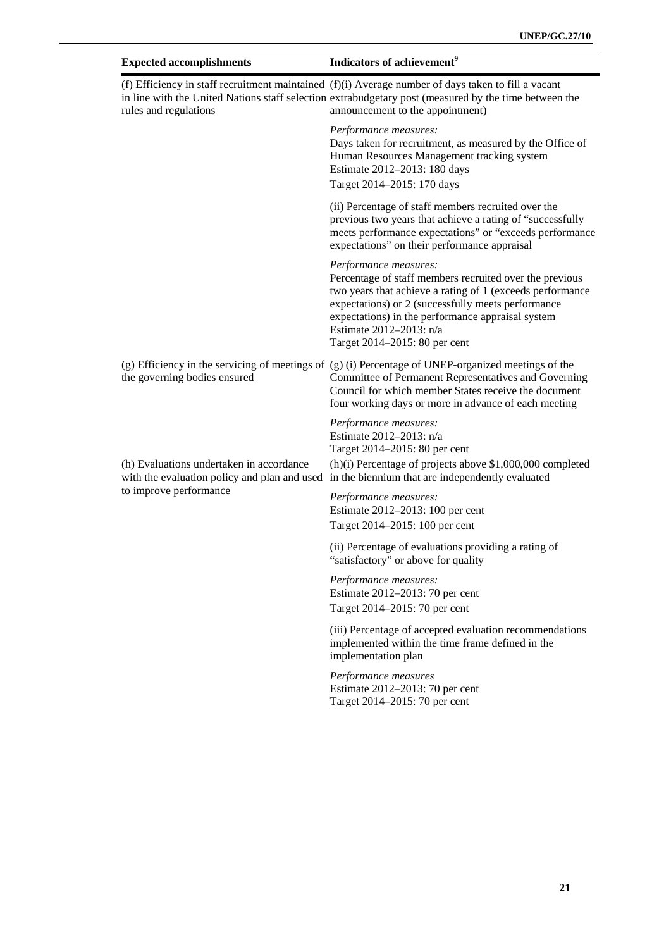| <b>Expected accomplishments</b>          | Indicators of achievement <sup>9</sup>                                                                                                                                                                                                                                                                               |
|------------------------------------------|----------------------------------------------------------------------------------------------------------------------------------------------------------------------------------------------------------------------------------------------------------------------------------------------------------------------|
| rules and regulations                    | (f) Efficiency in staff recruitment maintained $(f)(i)$ Average number of days taken to fill a vacant<br>in line with the United Nations staff selection extrabudgetary post (measured by the time between the<br>announcement to the appointment)                                                                   |
|                                          | Performance measures:<br>Days taken for recruitment, as measured by the Office of<br>Human Resources Management tracking system<br>Estimate 2012-2013: 180 days<br>Target 2014-2015: 170 days                                                                                                                        |
|                                          | (ii) Percentage of staff members recruited over the<br>previous two years that achieve a rating of "successfully<br>meets performance expectations" or "exceeds performance<br>expectations" on their performance appraisal                                                                                          |
|                                          | Performance measures:<br>Percentage of staff members recruited over the previous<br>two years that achieve a rating of 1 (exceeds performance<br>expectations) or 2 (successfully meets performance<br>expectations) in the performance appraisal system<br>Estimate 2012-2013: n/a<br>Target 2014–2015: 80 per cent |
| the governing bodies ensured             | (g) Efficiency in the servicing of meetings of (g) (i) Percentage of UNEP-organized meetings of the<br>Committee of Permanent Representatives and Governing<br>Council for which member States receive the document<br>four working days or more in advance of each meeting                                          |
| (h) Evaluations undertaken in accordance | Performance measures:<br>Estimate 2012-2013: n/a<br>Target 2014–2015: 80 per cent<br>(h)(i) Percentage of projects above \$1,000,000 completed                                                                                                                                                                       |
| to improve performance                   | with the evaluation policy and plan and used in the biennium that are independently evaluated<br>Performance measures:<br>Estimate 2012–2013: 100 per cent<br>Target 2014–2015: 100 per cent                                                                                                                         |
|                                          | (ii) Percentage of evaluations providing a rating of<br>'satisfactory" or above for quality                                                                                                                                                                                                                          |
|                                          | Performance measures:<br>Estimate 2012-2013: 70 per cent<br>Target 2014–2015: 70 per cent                                                                                                                                                                                                                            |
|                                          | (iii) Percentage of accepted evaluation recommendations<br>implemented within the time frame defined in the<br>implementation plan                                                                                                                                                                                   |
|                                          | Performance measures<br>Estimate 2012-2013: 70 per cent                                                                                                                                                                                                                                                              |

Target 2014–2015: 70 per cent

**21**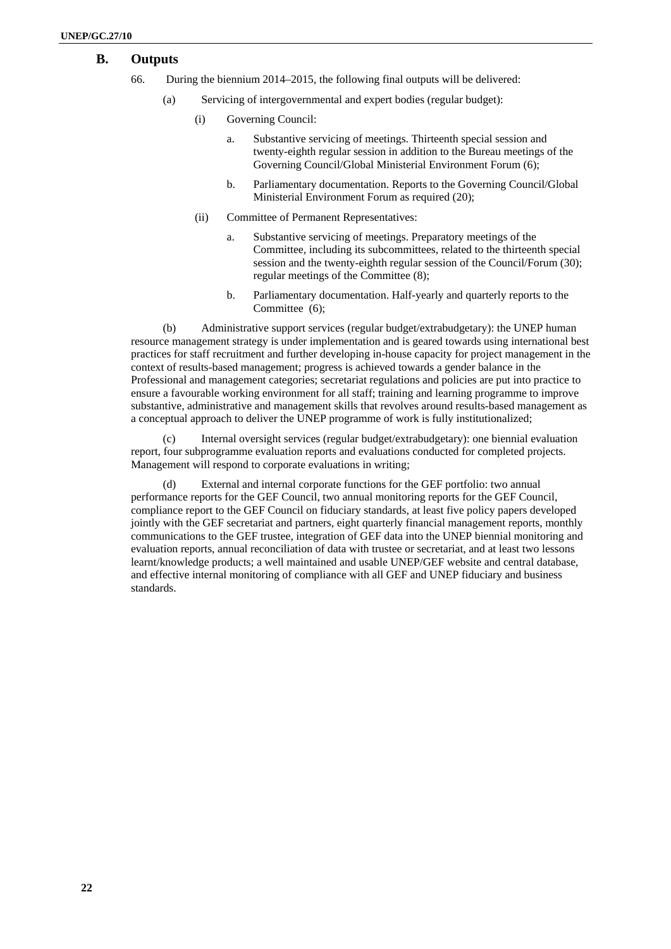## **B. Outputs**

- 66. During the biennium 2014–2015, the following final outputs will be delivered:
	- (a) Servicing of intergovernmental and expert bodies (regular budget):
		- (i) Governing Council:
			- a. Substantive servicing of meetings. Thirteenth special session and twenty-eighth regular session in addition to the Bureau meetings of the Governing Council/Global Ministerial Environment Forum (6);
			- b. Parliamentary documentation. Reports to the Governing Council/Global Ministerial Environment Forum as required (20);
		- (ii) Committee of Permanent Representatives:
			- a. Substantive servicing of meetings. Preparatory meetings of the Committee, including its subcommittees, related to the thirteenth special session and the twenty-eighth regular session of the Council/Forum (30); regular meetings of the Committee (8);
			- b. Parliamentary documentation. Half-yearly and quarterly reports to the Committee (6):

(b) Administrative support services (regular budget/extrabudgetary): the UNEP human resource management strategy is under implementation and is geared towards using international best practices for staff recruitment and further developing in-house capacity for project management in the context of results-based management; progress is achieved towards a gender balance in the Professional and management categories; secretariat regulations and policies are put into practice to ensure a favourable working environment for all staff; training and learning programme to improve substantive, administrative and management skills that revolves around results-based management as a conceptual approach to deliver the UNEP programme of work is fully institutionalized;

(c) Internal oversight services (regular budget/extrabudgetary): one biennial evaluation report, four subprogramme evaluation reports and evaluations conducted for completed projects. Management will respond to corporate evaluations in writing;

(d) External and internal corporate functions for the GEF portfolio: two annual performance reports for the GEF Council, two annual monitoring reports for the GEF Council, compliance report to the GEF Council on fiduciary standards, at least five policy papers developed jointly with the GEF secretariat and partners, eight quarterly financial management reports, monthly communications to the GEF trustee, integration of GEF data into the UNEP biennial monitoring and evaluation reports, annual reconciliation of data with trustee or secretariat, and at least two lessons learnt/knowledge products; a well maintained and usable UNEP/GEF website and central database, and effective internal monitoring of compliance with all GEF and UNEP fiduciary and business standards.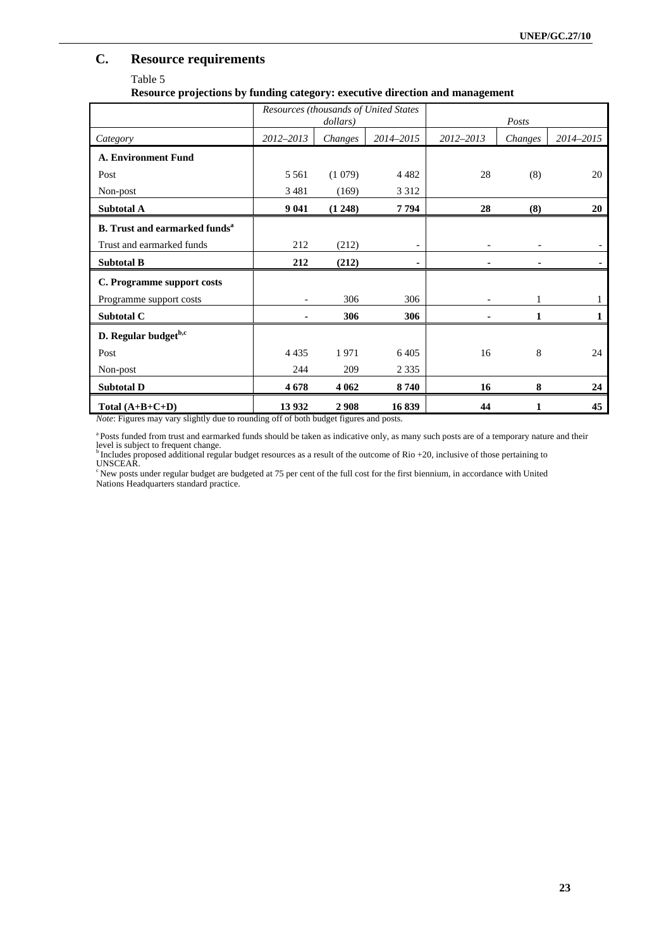# **C. Resource requirements**

### Table 5

### **Resource projections by funding category: executive direction and management**

|                                                  |           | dollars) | Resources (thousands of United States |           | Posts   |           |
|--------------------------------------------------|-----------|----------|---------------------------------------|-----------|---------|-----------|
| Category                                         | 2012-2013 | Changes  | 2014-2015                             | 2012-2013 | Changes | 2014-2015 |
| <b>A. Environment Fund</b>                       |           |          |                                       |           |         |           |
| Post                                             | 5 5 6 1   | (1079)   | 4 4 8 2                               | 28        | (8)     | 20        |
| Non-post                                         | 3 4 8 1   | (169)    | 3 3 1 2                               |           |         |           |
| Subtotal A                                       | 9 0 41    | (1248)   | 7794                                  | 28        | (8)     | 20        |
| <b>B.</b> Trust and earmarked funds <sup>a</sup> |           |          |                                       |           |         |           |
| Trust and earmarked funds                        | 212       | (212)    | $\overline{\phantom{a}}$              |           |         |           |
| <b>Subtotal B</b>                                | 212       | (212)    | ۰                                     |           |         |           |
| C. Programme support costs                       |           |          |                                       |           |         |           |
| Programme support costs                          |           | 306      | 306                                   |           |         |           |
| Subtotal C                                       |           | 306      | 306                                   |           | 1       |           |
| D. Regular budget <sup>b,c</sup>                 |           |          |                                       |           |         |           |
| Post                                             | 4 4 3 5   | 1971     | 6405                                  | 16        | 8       | 24        |
| Non-post                                         | 244       | 209      | 2 3 3 5                               |           |         |           |
| <b>Subtotal D</b>                                | 4678      | 4 0 6 2  | 8740                                  | 16        | 8       | 24        |
| Total $(A+B+C+D)$                                | 13 9 32   | 2908     | 16839                                 | 44        |         | 45        |

*Note*: Figures may vary slightly due to rounding off of both budget figures and posts.

a Posts funded from trust and earmarked funds should be taken as indicative only, as many such posts are of a temporary nature and their level is subject to frequent change.<br><sup>b</sup> Includes proposed additional regular budget resources as a result of the outcome of Rio +20, inclusive of those pertaining to

UNSCEAR.

<sup>c</sup> New posts under regular budget are budgeted at 75 per cent of the full cost for the first biennium, in accordance with United Nations Headquarters standard practice.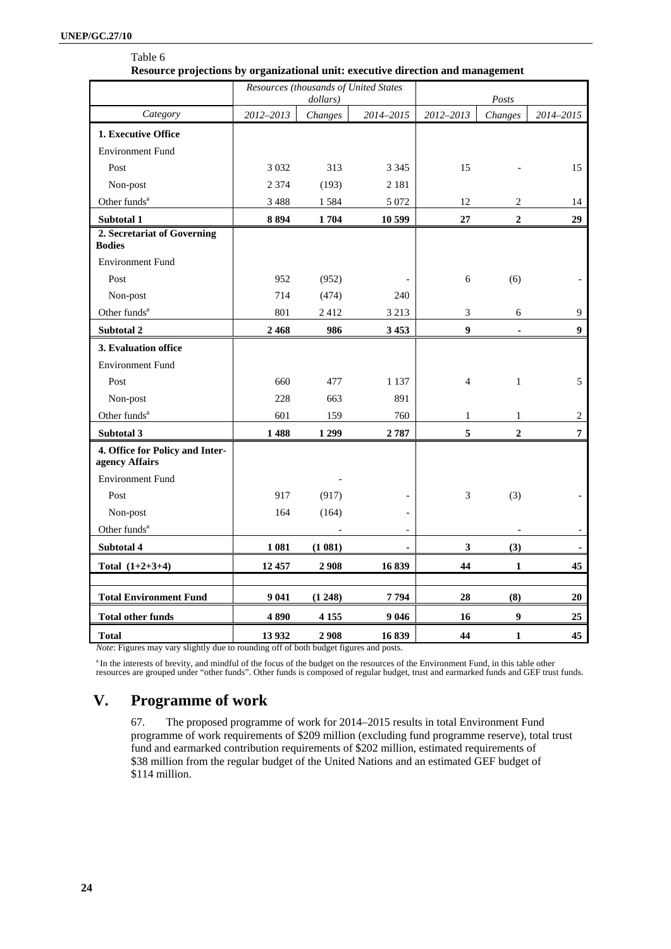| Resource projections by organizational unit: executive direction and management |           |                                                   |           |                  |                  |                |
|---------------------------------------------------------------------------------|-----------|---------------------------------------------------|-----------|------------------|------------------|----------------|
|                                                                                 |           | Resources (thousands of United States<br>dollars) |           |                  | Posts            |                |
| Category                                                                        | 2012-2013 | Changes                                           | 2014-2015 | 2012-2013        | Changes          | 2014-2015      |
| 1. Executive Office                                                             |           |                                                   |           |                  |                  |                |
| <b>Environment Fund</b>                                                         |           |                                                   |           |                  |                  |                |
| Post                                                                            | 3 0 3 2   | 313                                               | 3 3 4 5   | 15               |                  | 15             |
| Non-post                                                                        | 2 3 7 4   | (193)                                             | 2 1 8 1   |                  |                  |                |
| Other funds <sup>a</sup>                                                        | 3488      | 1584                                              | 5 0 7 2   | 12               | 2                | 14             |
| Subtotal 1                                                                      | 8894      | 1704                                              | 10 599    | 27               | $\overline{2}$   | 29             |
| 2. Secretariat of Governing<br><b>Bodies</b>                                    |           |                                                   |           |                  |                  |                |
| <b>Environment Fund</b>                                                         |           |                                                   |           |                  |                  |                |
| Post                                                                            | 952       | (952)                                             |           | 6                | (6)              |                |
| Non-post                                                                        | 714       | (474)                                             | 240       |                  |                  |                |
| Other funds <sup>a</sup>                                                        | 801       | 2412                                              | 3 2 1 3   | 3                | 6                | 9              |
| Subtotal 2                                                                      | 2468      | 986                                               | 3 4 5 3   | $\boldsymbol{9}$ |                  | 9              |
| 3. Evaluation office                                                            |           |                                                   |           |                  |                  |                |
| <b>Environment Fund</b>                                                         |           |                                                   |           |                  |                  |                |
| Post                                                                            | 660       | 477                                               | 1 1 3 7   | $\overline{4}$   | $\mathbf{1}$     | 5              |
| Non-post                                                                        | 228       | 663                                               | 891       |                  |                  |                |
| Other funds <sup>a</sup>                                                        | 601       | 159                                               | 760       | 1                | 1                | $\overline{c}$ |
| Subtotal 3                                                                      | 1488      | 1 2 9 9                                           | 2787      | 5                | $\overline{2}$   | $\overline{7}$ |
| 4. Office for Policy and Inter-<br>agency Affairs                               |           |                                                   |           |                  |                  |                |
| <b>Environment Fund</b>                                                         |           |                                                   |           |                  |                  |                |
| Post                                                                            | 917       | (917)                                             |           | 3                | (3)              |                |
| Non-post                                                                        | 164       | (164)                                             |           |                  |                  |                |
| Other funds <sup>a</sup>                                                        |           |                                                   |           |                  |                  |                |
| Subtotal 4                                                                      | 1 0 8 1   | (1081)                                            |           | 3                | (3)              |                |
| Total $(1+2+3+4)$                                                               | 12 457    | 2 9 0 8                                           | 16839     | 44               | $\mathbf{1}$     | 45             |
| <b>Total Environment Fund</b>                                                   | 9 0 41    | (1248)                                            | 7794      | 28               | (8)              | 20             |
| <b>Total other funds</b>                                                        | 4890      | 4 1 5 5                                           | 9 0 4 6   | 16               | $\boldsymbol{9}$ | 25             |

*Note*: Figures may vary slightly due to rounding off of both budget figures and posts.

<sup>a</sup> In the interests of brevity, and mindful of the focus of the budget on the resources of the Environment Fund, in this table other resources are grouped under "other funds". Other funds is composed of regular budget, tr

**Total 13 932 2 908 16 839 44 1 45** 

# **V. Programme of work**

67. The proposed programme of work for 2014–2015 results in total Environment Fund programme of work requirements of \$209 million (excluding fund programme reserve), total trust fund and earmarked contribution requirements of \$202 million, estimated requirements of \$38 million from the regular budget of the United Nations and an estimated GEF budget of \$114 million.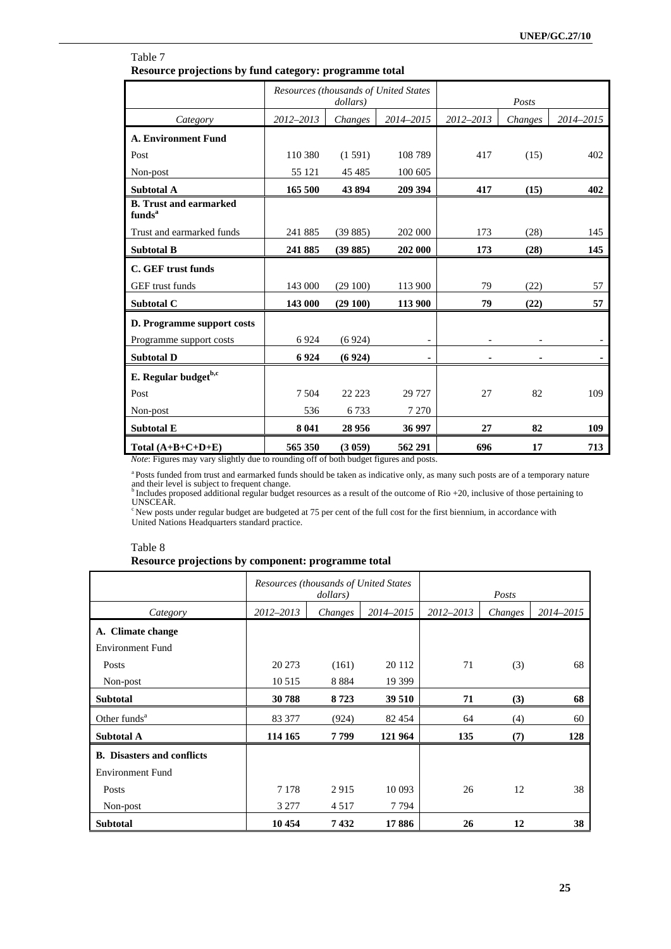| Table 7                                                |
|--------------------------------------------------------|
| Resource projections by fund category: programme total |

|                                                                                                             | Resources (thousands of United States<br>dollars) |         |           | Posts     |         |           |
|-------------------------------------------------------------------------------------------------------------|---------------------------------------------------|---------|-----------|-----------|---------|-----------|
| Category                                                                                                    | 2012-2013                                         | Changes | 2014-2015 | 2012-2013 | Changes | 2014-2015 |
| <b>A. Environment Fund</b>                                                                                  |                                                   |         |           |           |         |           |
| Post                                                                                                        | 110 380                                           | (1591)  | 108 789   | 417       | (15)    | 402       |
| Non-post                                                                                                    | 55 121                                            | 45 4 85 | 100 605   |           |         |           |
| <b>Subtotal A</b>                                                                                           | 165 500                                           | 43 894  | 209 394   | 417       | (15)    | 402       |
| <b>B.</b> Trust and earmarked<br>funds <sup>a</sup>                                                         |                                                   |         |           |           |         |           |
| Trust and earmarked funds                                                                                   | 241 885                                           | (39885) | 202 000   | 173       | (28)    | 145       |
| <b>Subtotal B</b>                                                                                           | 241 885                                           | (39885) | 202 000   | 173       | (28)    | 145       |
| C. GEF trust funds                                                                                          |                                                   |         |           |           |         |           |
| GEF trust funds                                                                                             | 143 000                                           | (29100) | 113 900   | 79        | (22)    | 57        |
| Subtotal C                                                                                                  | 143 000                                           | (29100) | 113 900   | 79        | (22)    | 57        |
| D. Programme support costs                                                                                  |                                                   |         |           |           |         |           |
| Programme support costs                                                                                     | 6924                                              | (6924)  |           |           |         |           |
| <b>Subtotal D</b>                                                                                           | 6924                                              | (6924)  |           |           |         |           |
| E. Regular budget <sup>b,c</sup>                                                                            |                                                   |         |           |           |         |           |
| Post                                                                                                        | 7 5 0 4                                           | 22 2 23 | 29 7 27   | 27        | 82      | 109       |
| Non-post                                                                                                    | 536                                               | 6733    | 7 2 7 0   |           |         |           |
| <b>Subtotal E</b>                                                                                           | 8 0 4 1                                           | 28 9 56 | 36 997    | 27        | 82      | 109       |
| Total $(A+B+C+D+E)$<br>Note: Figures may vary slightly due to rounding off of both budget figures and posts | 565 350                                           | (3 059) | 562 291   | 696       | 17      | 713       |

*Note*: Figures may vary slightly due to rounding off of both budget figures and posts.

 $^a$  Posts funded from trust and earmarked funds should be taken as indicative only, as many such posts are of a temporary nature<br>and their level is subject to frequent change.<br> $^b$  Includes proposed additional regular bu

UNSCEAR.

<sup>c</sup> New posts under regular budget are budgeted at 75 per cent of the full cost for the first biennium, in accordance with United Nations Headquarters standard practice.

### Table 8

### **Resource projections by component: programme total**

|                                   | Resources (thousands of United States<br>dollars) |         |           |           | Posts   |           |
|-----------------------------------|---------------------------------------------------|---------|-----------|-----------|---------|-----------|
| Category                          | 2012-2013                                         | Changes | 2014-2015 | 2012-2013 | Changes | 2014-2015 |
| A. Climate change                 |                                                   |         |           |           |         |           |
| <b>Environment Fund</b>           |                                                   |         |           |           |         |           |
| Posts                             | 20 27 3                                           | (161)   | 20 112    | 71        | (3)     | 68        |
| Non-post                          | 10 5 15                                           | 8884    | 19 3 99   |           |         |           |
| <b>Subtotal</b>                   | 30788                                             | 8723    | 39 510    | 71        | (3)     | 68        |
| Other funds <sup>a</sup>          | 83 377                                            | (924)   | 82 454    | 64        | (4)     | 60        |
| Subtotal A                        | 114 165                                           | 7799    | 121 964   | 135       | (7)     | 128       |
| <b>B.</b> Disasters and conflicts |                                                   |         |           |           |         |           |
| <b>Environment Fund</b>           |                                                   |         |           |           |         |           |
| Posts                             | 7 1 7 8                                           | 2915    | 10 093    | 26        | 12      | 38        |
| Non-post                          | 3 2 7 7                                           | 4517    | 7 7 9 4   |           |         |           |
| <b>Subtotal</b>                   | 10 454                                            | 7432    | 17886     | 26        | 12      | 38        |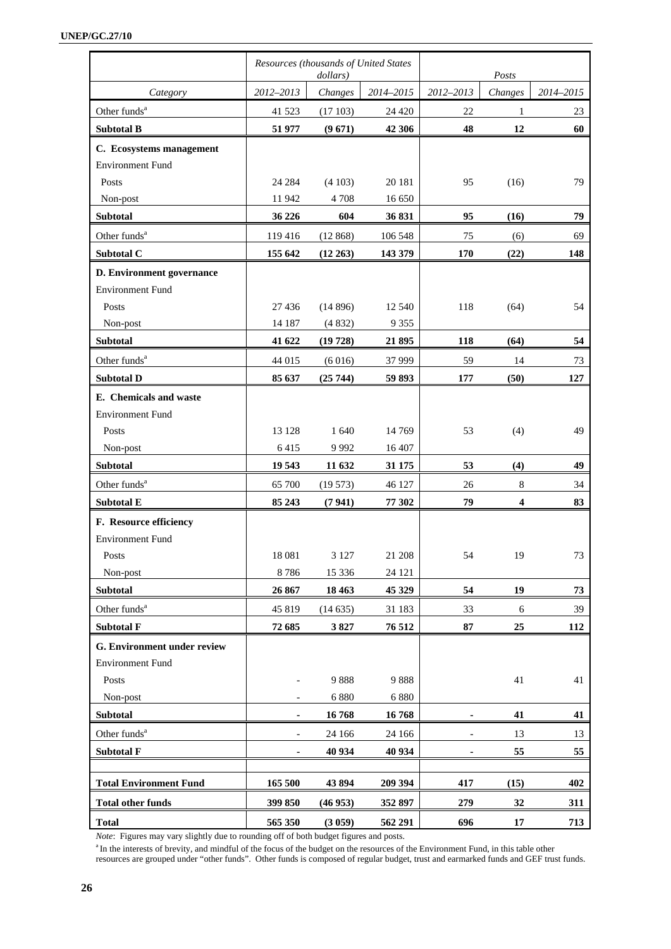|                               | Resources (thousands of United States | dollars) |           | Posts                    |         |           |
|-------------------------------|---------------------------------------|----------|-----------|--------------------------|---------|-----------|
| Category                      | 2012-2013                             | Changes  | 2014-2015 | 2012-2013                | Changes | 2014-2015 |
| Other funds <sup>a</sup>      | 41 523                                | (17103)  | 24 4 20   | 22                       | 1       | 23        |
| <b>Subtotal B</b>             | 51 977                                | (9671)   | 42 30 6   | 48                       | 12      | 60        |
| C. Ecosystems management      |                                       |          |           |                          |         |           |
| <b>Environment Fund</b>       |                                       |          |           |                          |         |           |
| Posts                         | 24 284                                | (4103)   | 20 18 1   | 95                       | (16)    | 79        |
| Non-post                      | 11942                                 | 4 7 0 8  | 16 650    |                          |         |           |
| Subtotal                      | 36 226                                | 604      | 36 831    | 95                       | (16)    | 79        |
| Other funds <sup>a</sup>      | 119 416                               | (12868)  | 106 548   | 75                       | (6)     | 69        |
| Subtotal C                    | 155 642                               | (12 263) | 143 379   | 170                      | (22)    | 148       |
| D. Environment governance     |                                       |          |           |                          |         |           |
| <b>Environment Fund</b>       |                                       |          |           |                          |         |           |
| Posts                         | 27 4 36                               | (14896)  | 12 540    | 118                      | (64)    | 54        |
| Non-post                      | 14 187                                | (4832)   | 9 3 5 5   |                          |         |           |
| <b>Subtotal</b>               | 41 622                                | (19728)  | 21 895    | 118                      | (64)    | 54        |
| Other funds <sup>a</sup>      | 44 015                                | (6016)   | 37 999    | 59                       | 14      | 73        |
| <b>Subtotal D</b>             | 85 637                                | (25744)  | 59 893    | 177                      | (50)    | 127       |
| E. Chemicals and waste        |                                       |          |           |                          |         |           |
| <b>Environment Fund</b>       |                                       |          |           |                          |         |           |
| Posts                         | 13 128                                | 1 640    | 14 7 69   | 53                       | (4)     | 49        |
| Non-post                      | 6415                                  | 9992     | 16 407    |                          |         |           |
| Subtotal                      | 19 543                                | 11 632   | 31 175    | 53                       | (4)     | 49        |
| Other funds <sup>a</sup>      | 65 700                                | (19573)  | 46 127    | 26                       | 8       | 34        |
| <b>Subtotal E</b>             | 85 243                                | (7941)   | 77 302    | 79                       | 4       | 83        |
| F. Resource efficiency        |                                       |          |           |                          |         |           |
| <b>Environment Fund</b>       |                                       |          |           |                          |         |           |
| Posts                         | 18 08 1                               | 3 1 2 7  | 21 208    | 54                       | 19      | 73        |
| Non-post                      | 8786                                  | 15 3 36  | 24 121    |                          |         |           |
| <b>Subtotal</b>               | 26 867                                | 18 4 63  | 45 329    | 54                       | 19      | 73        |
| Other funds <sup>a</sup>      | 45 819                                | (14635)  | 31 183    | 33                       | 6       | 39        |
| <b>Subtotal F</b>             | 72 685                                | 3827     | 76 512    | 87                       | 25      | 112       |
| G. Environment under review   |                                       |          |           |                          |         |           |
| <b>Environment Fund</b>       |                                       |          |           |                          |         |           |
| Posts                         |                                       | 9888     | 9888      |                          | 41      | 41        |
| Non-post                      |                                       | 6880     | 6 8 8 0   |                          |         |           |
| Subtotal                      |                                       | 16768    | 16768     |                          | 41      | 41        |
| Other funds <sup>a</sup>      | $\overline{\phantom{a}}$              | 24 16 6  | 24 166    | $\overline{\phantom{a}}$ | 13      | 13        |
| <b>Subtotal F</b>             |                                       | 40 934   | 40 934    |                          | 55      | 55        |
|                               |                                       |          |           |                          |         |           |
| <b>Total Environment Fund</b> | 165 500                               | 43894    | 209 394   | 417                      | (15)    | 402       |
| <b>Total other funds</b>      | 399 850                               | (46953)  | 352 897   | 279                      | 32      | 311       |
| <b>Total</b>                  | 565 350                               | (3059)   | 562 291   | 696                      | 17      | 713       |

*Note*: Figures may vary slightly due to rounding off of both budget figures and posts.<br><sup>a</sup> In the interests of brevity, and mindful of the focus of the budget on the resources of the Environment Fund, in this table other

resources are grouped under "other funds". Other funds is composed of regular budget, trust and earmarked funds and GEF trust funds.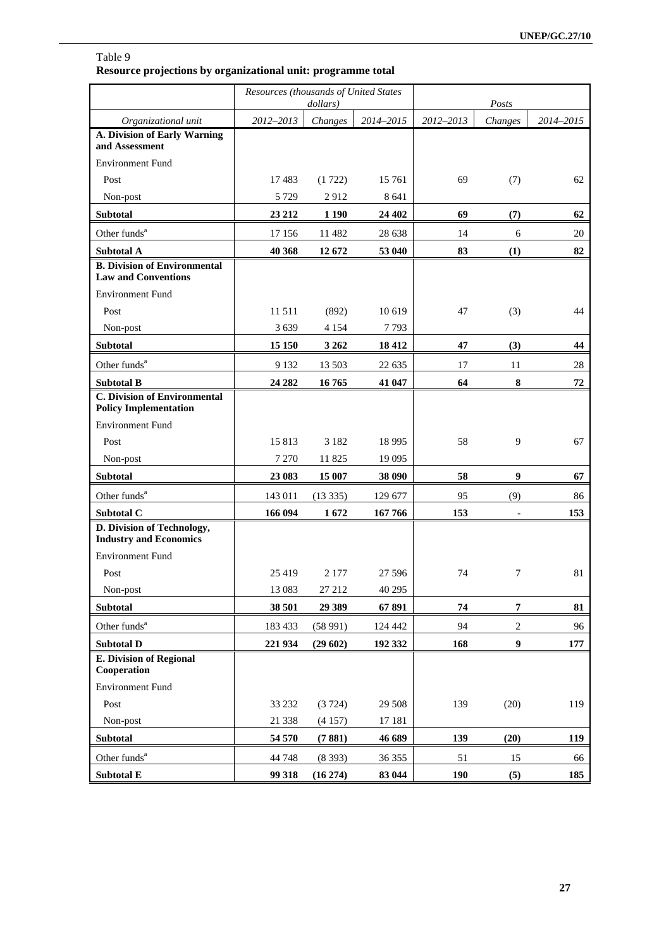### Table 9 **Resource projections by organizational unit: programme total**

|                                                                     | Resources (thousands of United States | dollars) |           | Posts      |                  |           |
|---------------------------------------------------------------------|---------------------------------------|----------|-----------|------------|------------------|-----------|
| Organizational unit                                                 | 2012-2013                             | Changes  | 2014-2015 | 2012-2013  | Changes          | 2014-2015 |
| A. Division of Early Warning<br>and Assessment                      |                                       |          |           |            |                  |           |
| <b>Environment Fund</b>                                             |                                       |          |           |            |                  |           |
| Post                                                                | 17483                                 | (1722)   | 15 761    | 69         | (7)              | 62        |
| Non-post                                                            | 5 7 2 9                               | 2912     | 8 6 4 1   |            |                  |           |
| Subtotal                                                            | 23 21 2                               | 1 1 9 0  | 24 402    | 69         | (7)              | 62        |
| Other funds <sup>a</sup>                                            | 17 15 6                               | 11 482   | 28 638    | 14         | 6                | 20        |
| <b>Subtotal A</b>                                                   | 40 368                                | 12672    | 53 040    | 83         | (1)              | 82        |
| <b>B. Division of Environmental</b><br><b>Law and Conventions</b>   |                                       |          |           |            |                  |           |
| <b>Environment Fund</b>                                             |                                       |          |           |            |                  |           |
| Post                                                                | 11511                                 | (892)    | 10 619    | 47         | (3)              | 44        |
| Non-post                                                            | 3639                                  | 4 1 5 4  | 7793      |            |                  |           |
| Subtotal                                                            | 15 150                                | 3 2 6 2  | 18 4 12   | 47         | (3)              | 44        |
| Other funds <sup>a</sup>                                            | 9 1 3 2                               | 13 503   | 22 635    | 17         | 11               | 28        |
| <b>Subtotal B</b>                                                   | 24 28 2                               | 16765    | 41 047    | 64         | 8                | 72        |
| <b>C. Division of Environmental</b><br><b>Policy Implementation</b> |                                       |          |           |            |                  |           |
| <b>Environment Fund</b>                                             |                                       |          |           |            |                  |           |
| Post                                                                | 15813                                 | 3 1 8 2  | 18 9 95   | 58         | 9                | 67        |
| Non-post                                                            | 7 270                                 | 11 825   | 19 0 95   |            |                  |           |
| <b>Subtotal</b>                                                     | 23 083                                | 15 007   | 38 090    | 58         | 9                | 67        |
| Other funds <sup>a</sup>                                            | 143 011                               | (13335)  | 129 677   | 95         | (9)              | 86        |
| Subtotal C                                                          | 166 094                               | 1672     | 167766    | 153        |                  | 153       |
| D. Division of Technology,<br><b>Industry and Economics</b>         |                                       |          |           |            |                  |           |
| <b>Environment Fund</b>                                             |                                       |          |           |            |                  |           |
| Post                                                                | 25 4 19                               | 2 1 7 7  | 27 596    | 74         | 7                | 81        |
| Non-post                                                            | 13 083                                | 27 212   | 40 29 5   |            |                  |           |
| Subtotal                                                            | 38 501                                | 29 3 89  | 67891     | 74         | $\overline{7}$   | 81        |
| Other funds <sup>a</sup>                                            | 183 433                               | (58991)  | 124 442   | 94         | 2                | 96        |
| <b>Subtotal D</b>                                                   | 221 934                               | (29602)  | 192 332   | 168        | $\boldsymbol{9}$ | 177       |
| <b>E. Division of Regional</b><br>Cooperation                       |                                       |          |           |            |                  |           |
| <b>Environment Fund</b>                                             |                                       |          |           |            |                  |           |
| Post                                                                | 33 232                                | (3724)   | 29 508    | 139        | (20)             | 119       |
| Non-post                                                            | 21 338                                | (4157)   | 17 181    |            |                  |           |
| Subtotal                                                            | 54 570                                | (7881)   | 46 689    | 139        | (20)             | 119       |
| Other funds <sup>a</sup>                                            | 44 748                                | (8393)   | 36 355    | 51         | 15               | 66        |
| Subtotal E                                                          | 99 318                                | (16 274) | 83 044    | <b>190</b> | (5)              | 185       |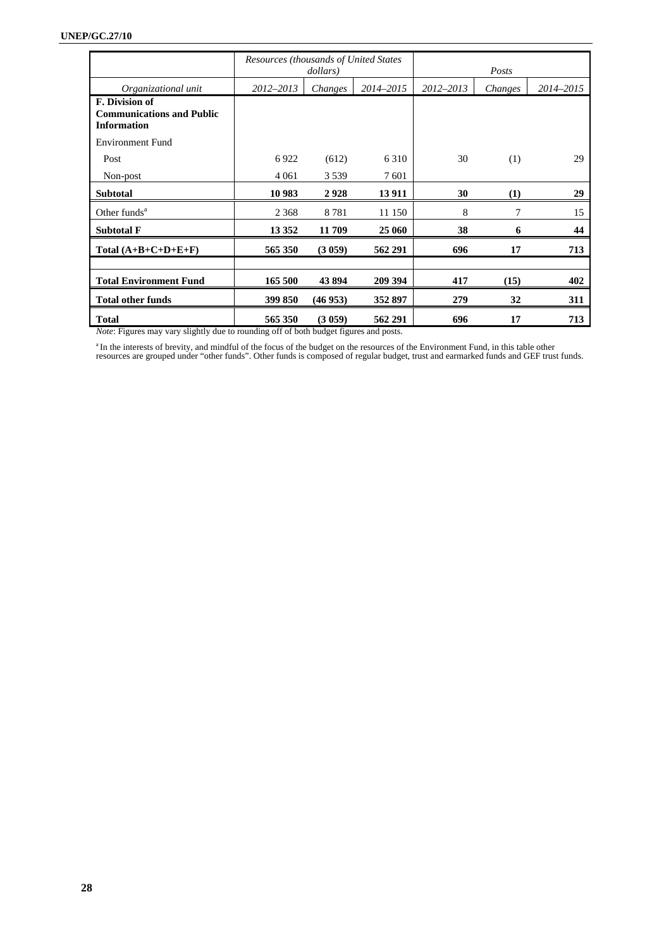|                                                                          | Resources (thousands of United States | dollars) |           | Posts     |           |     |
|--------------------------------------------------------------------------|---------------------------------------|----------|-----------|-----------|-----------|-----|
| Organizational unit                                                      | 2012-2013                             | Changes  | 2014-2015 | 2012–2013 | 2014–2015 |     |
| F. Division of<br><b>Communications and Public</b><br><b>Information</b> |                                       |          |           |           |           |     |
| <b>Environment Fund</b>                                                  |                                       |          |           |           |           |     |
| Post                                                                     | 6922                                  | (612)    | 6 3 1 0   | 30        | (1)       | 29  |
| Non-post                                                                 | 4 0 6 1                               | 3 5 3 9  | 7601      |           |           |     |
| <b>Subtotal</b>                                                          | 10 983                                | 2928     | 13911     | 30        | (1)       | 29  |
| Other funds <sup>a</sup>                                                 | 2 3 6 8                               | 8781     | 11 150    | 8         | 7         | 15  |
| <b>Subtotal F</b>                                                        | 13 3 5 2                              | 11 709   | 25 060    | 38        | 6         | 44  |
| Total $(A+B+C+D+E+F)$                                                    | 565 350                               | (3059)   | 562 291   | 696       | 17        | 713 |
|                                                                          |                                       |          |           |           |           |     |
| <b>Total Environment Fund</b>                                            | 165 500                               | 43 894   | 209 394   | 417       | (15)      | 402 |
| <b>Total other funds</b>                                                 | 399 850                               | (46953)  | 352 897   | 279       | 32        | 311 |
| <b>Total</b>                                                             | 565 350                               | (3059)   | 562 291   | 696       | 17        | 713 |

*Note*: Figures may vary slightly due to rounding off of both budget figures and posts.

<sup>a</sup> In the interests of brevity, and mindful of the focus of the budget on the resources of the Environment Fund, in this table other resources are grouped under "other funds". Other funds is composed of regular budget, tr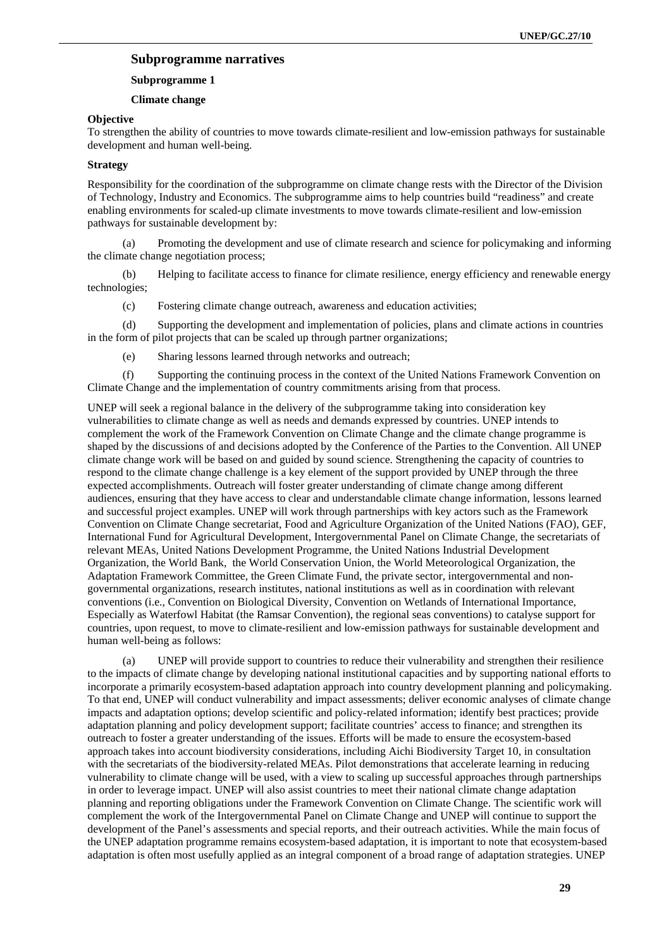### **Subprogramme narratives**

#### **Subprogramme 1**

#### **Climate change**

#### **Objective**

To strengthen the ability of countries to move towards climate-resilient and low-emission pathways for sustainable development and human well-being.

### **Strategy**

Responsibility for the coordination of the subprogramme on climate change rests with the Director of the Division of Technology, Industry and Economics. The subprogramme aims to help countries build "readiness" and create enabling environments for scaled-up climate investments to move towards climate-resilient and low-emission pathways for sustainable development by:

(a) Promoting the development and use of climate research and science for policymaking and informing the climate change negotiation process;

(b) Helping to facilitate access to finance for climate resilience, energy efficiency and renewable energy technologies;

(c) Fostering climate change outreach, awareness and education activities;

(d) Supporting the development and implementation of policies, plans and climate actions in countries in the form of pilot projects that can be scaled up through partner organizations;

(e) Sharing lessons learned through networks and outreach;

(f) Supporting the continuing process in the context of the United Nations Framework Convention on Climate Change and the implementation of country commitments arising from that process.

UNEP will seek a regional balance in the delivery of the subprogramme taking into consideration key vulnerabilities to climate change as well as needs and demands expressed by countries. UNEP intends to complement the work of the Framework Convention on Climate Change and the climate change programme is shaped by the discussions of and decisions adopted by the Conference of the Parties to the Convention. All UNEP climate change work will be based on and guided by sound science. Strengthening the capacity of countries to respond to the climate change challenge is a key element of the support provided by UNEP through the three expected accomplishments. Outreach will foster greater understanding of climate change among different audiences, ensuring that they have access to clear and understandable climate change information, lessons learned and successful project examples. UNEP will work through partnerships with key actors such as the Framework Convention on Climate Change secretariat, Food and Agriculture Organization of the United Nations (FAO), GEF, International Fund for Agricultural Development, Intergovernmental Panel on Climate Change, the secretariats of relevant MEAs, United Nations Development Programme, the United Nations Industrial Development Organization, the World Bank, the World Conservation Union, the World Meteorological Organization, the Adaptation Framework Committee, the Green Climate Fund, the private sector, intergovernmental and nongovernmental organizations, research institutes, national institutions as well as in coordination with relevant conventions (i.e., Convention on Biological Diversity, Convention on Wetlands of International Importance, Especially as Waterfowl Habitat (the Ramsar Convention), the regional seas conventions) to catalyse support for countries, upon request, to move to climate-resilient and low-emission pathways for sustainable development and human well-being as follows:

(a) UNEP will provide support to countries to reduce their vulnerability and strengthen their resilience to the impacts of climate change by developing national institutional capacities and by supporting national efforts to incorporate a primarily ecosystem-based adaptation approach into country development planning and policymaking. To that end, UNEP will conduct vulnerability and impact assessments; deliver economic analyses of climate change impacts and adaptation options; develop scientific and policy-related information; identify best practices; provide adaptation planning and policy development support; facilitate countries' access to finance; and strengthen its outreach to foster a greater understanding of the issues. Efforts will be made to ensure the ecosystem-based approach takes into account biodiversity considerations, including Aichi Biodiversity Target 10, in consultation with the secretariats of the biodiversity-related MEAs. Pilot demonstrations that accelerate learning in reducing vulnerability to climate change will be used, with a view to scaling up successful approaches through partnerships in order to leverage impact. UNEP will also assist countries to meet their national climate change adaptation planning and reporting obligations under the Framework Convention on Climate Change. The scientific work will complement the work of the Intergovernmental Panel on Climate Change and UNEP will continue to support the development of the Panel's assessments and special reports, and their outreach activities. While the main focus of the UNEP adaptation programme remains ecosystem-based adaptation, it is important to note that ecosystem-based adaptation is often most usefully applied as an integral component of a broad range of adaptation strategies. UNEP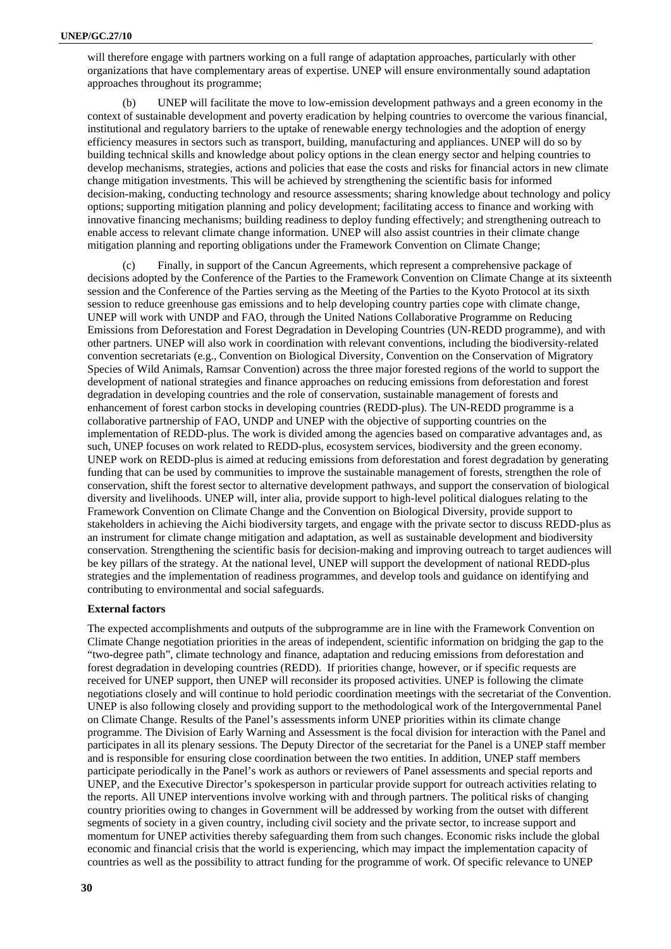will therefore engage with partners working on a full range of adaptation approaches, particularly with other organizations that have complementary areas of expertise. UNEP will ensure environmentally sound adaptation approaches throughout its programme;

(b) UNEP will facilitate the move to low-emission development pathways and a green economy in the context of sustainable development and poverty eradication by helping countries to overcome the various financial, institutional and regulatory barriers to the uptake of renewable energy technologies and the adoption of energy efficiency measures in sectors such as transport, building, manufacturing and appliances. UNEP will do so by building technical skills and knowledge about policy options in the clean energy sector and helping countries to develop mechanisms, strategies, actions and policies that ease the costs and risks for financial actors in new climate change mitigation investments. This will be achieved by strengthening the scientific basis for informed decision-making, conducting technology and resource assessments; sharing knowledge about technology and policy options; supporting mitigation planning and policy development; facilitating access to finance and working with innovative financing mechanisms; building readiness to deploy funding effectively; and strengthening outreach to enable access to relevant climate change information. UNEP will also assist countries in their climate change mitigation planning and reporting obligations under the Framework Convention on Climate Change;

Finally, in support of the Cancun Agreements, which represent a comprehensive package of decisions adopted by the Conference of the Parties to the Framework Convention on Climate Change at its sixteenth session and the Conference of the Parties serving as the Meeting of the Parties to the Kyoto Protocol at its sixth session to reduce greenhouse gas emissions and to help developing country parties cope with climate change, UNEP will work with UNDP and FAO, through the United Nations Collaborative Programme on Reducing Emissions from Deforestation and Forest Degradation in Developing Countries (UN-REDD programme), and with other partners. UNEP will also work in coordination with relevant conventions, including the biodiversity-related convention secretariats (e.g., Convention on Biological Diversity, Convention on the Conservation of Migratory Species of Wild Animals, Ramsar Convention) across the three major forested regions of the world to support the development of national strategies and finance approaches on reducing emissions from deforestation and forest degradation in developing countries and the role of conservation, sustainable management of forests and enhancement of forest carbon stocks in developing countries (REDD-plus). The UN-REDD programme is a collaborative partnership of FAO, UNDP and UNEP with the objective of supporting countries on the implementation of REDD-plus. The work is divided among the agencies based on comparative advantages and, as such, UNEP focuses on work related to REDD-plus, ecosystem services, biodiversity and the green economy. UNEP work on REDD-plus is aimed at reducing emissions from deforestation and forest degradation by generating funding that can be used by communities to improve the sustainable management of forests, strengthen the role of conservation, shift the forest sector to alternative development pathways, and support the conservation of biological diversity and livelihoods. UNEP will, inter alia, provide support to high-level political dialogues relating to the Framework Convention on Climate Change and the Convention on Biological Diversity, provide support to stakeholders in achieving the Aichi biodiversity targets, and engage with the private sector to discuss REDD-plus as an instrument for climate change mitigation and adaptation, as well as sustainable development and biodiversity conservation. Strengthening the scientific basis for decision-making and improving outreach to target audiences will be key pillars of the strategy. At the national level, UNEP will support the development of national REDD-plus strategies and the implementation of readiness programmes, and develop tools and guidance on identifying and contributing to environmental and social safeguards.

### **External factors**

The expected accomplishments and outputs of the subprogramme are in line with the Framework Convention on Climate Change negotiation priorities in the areas of independent, scientific information on bridging the gap to the "two-degree path", climate technology and finance, adaptation and reducing emissions from deforestation and forest degradation in developing countries (REDD). If priorities change, however, or if specific requests are received for UNEP support, then UNEP will reconsider its proposed activities. UNEP is following the climate negotiations closely and will continue to hold periodic coordination meetings with the secretariat of the Convention. UNEP is also following closely and providing support to the methodological work of the Intergovernmental Panel on Climate Change. Results of the Panel's assessments inform UNEP priorities within its climate change programme. The Division of Early Warning and Assessment is the focal division for interaction with the Panel and participates in all its plenary sessions. The Deputy Director of the secretariat for the Panel is a UNEP staff member and is responsible for ensuring close coordination between the two entities. In addition, UNEP staff members participate periodically in the Panel's work as authors or reviewers of Panel assessments and special reports and UNEP, and the Executive Director's spokesperson in particular provide support for outreach activities relating to the reports. All UNEP interventions involve working with and through partners. The political risks of changing country priorities owing to changes in Government will be addressed by working from the outset with different segments of society in a given country, including civil society and the private sector, to increase support and momentum for UNEP activities thereby safeguarding them from such changes. Economic risks include the global economic and financial crisis that the world is experiencing, which may impact the implementation capacity of countries as well as the possibility to attract funding for the programme of work. Of specific relevance to UNEP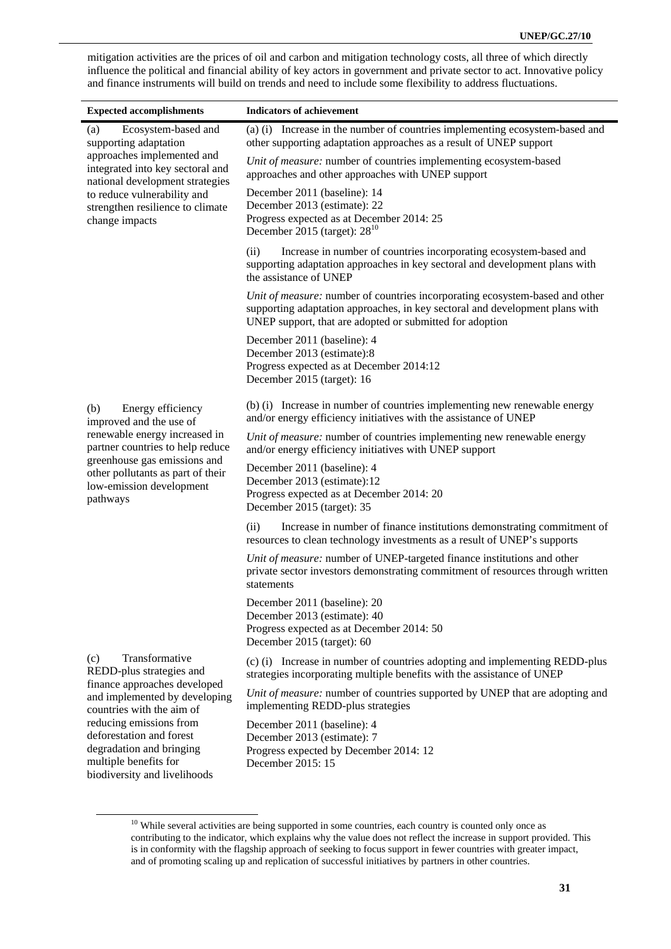mitigation activities are the prices of oil and carbon and mitigation technology costs, all three of which directly influence the political and financial ability of key actors in government and private sector to act. Innovative policy and finance instruments will build on trends and need to include some flexibility to address fluctuations.

| <b>Expected accomplishments</b>                                                                                          | <b>Indicators of achievement</b>                                                                                                                                                                                         |  |  |  |
|--------------------------------------------------------------------------------------------------------------------------|--------------------------------------------------------------------------------------------------------------------------------------------------------------------------------------------------------------------------|--|--|--|
| Ecosystem-based and<br>(a)<br>supporting adaptation                                                                      | (a) (i) Increase in the number of countries implementing ecosystem-based and<br>other supporting adaptation approaches as a result of UNEP support                                                                       |  |  |  |
| approaches implemented and<br>integrated into key sectoral and<br>national development strategies                        | Unit of measure: number of countries implementing ecosystem-based<br>approaches and other approaches with UNEP support                                                                                                   |  |  |  |
| to reduce vulnerability and<br>strengthen resilience to climate<br>change impacts                                        | December 2011 (baseline): 14<br>December 2013 (estimate): 22<br>Progress expected as at December 2014: 25<br>December 2015 (target): $28^{10}$                                                                           |  |  |  |
|                                                                                                                          | (ii)<br>Increase in number of countries incorporating ecosystem-based and<br>supporting adaptation approaches in key sectoral and development plans with<br>the assistance of UNEP                                       |  |  |  |
|                                                                                                                          | Unit of measure: number of countries incorporating ecosystem-based and other<br>supporting adaptation approaches, in key sectoral and development plans with<br>UNEP support, that are adopted or submitted for adoption |  |  |  |
|                                                                                                                          | December 2011 (baseline): 4<br>December 2013 (estimate):8<br>Progress expected as at December 2014:12<br>December 2015 (target): 16                                                                                      |  |  |  |
| Energy efficiency<br>(b)<br>improved and the use of<br>renewable energy increased in<br>partner countries to help reduce | (b) (i) Increase in number of countries implementing new renewable energy<br>and/or energy efficiency initiatives with the assistance of UNEP                                                                            |  |  |  |
|                                                                                                                          | Unit of measure: number of countries implementing new renewable energy<br>and/or energy efficiency initiatives with UNEP support                                                                                         |  |  |  |
| greenhouse gas emissions and<br>other pollutants as part of their<br>low-emission development<br>pathways                | December 2011 (baseline): 4<br>December 2013 (estimate):12<br>Progress expected as at December 2014: 20<br>December 2015 (target): 35                                                                                    |  |  |  |
|                                                                                                                          | Increase in number of finance institutions demonstrating commitment of<br>(ii)<br>resources to clean technology investments as a result of UNEP's supports                                                               |  |  |  |
|                                                                                                                          | Unit of measure: number of UNEP-targeted finance institutions and other<br>private sector investors demonstrating commitment of resources through written<br>statements                                                  |  |  |  |
|                                                                                                                          | December 2011 (baseline): 20<br>December 2013 (estimate): 40<br>Progress expected as at December 2014: 50<br>December 2015 (target): 60                                                                                  |  |  |  |
| Transformative<br>(c)<br>REDD-plus strategies and                                                                        | (c) (i) Increase in number of countries adopting and implementing REDD-plus<br>strategies incorporating multiple benefits with the assistance of UNEP                                                                    |  |  |  |
| finance approaches developed<br>and implemented by developing<br>countries with the aim of                               | Unit of measure: number of countries supported by UNEP that are adopting and<br>implementing REDD-plus strategies                                                                                                        |  |  |  |
| reducing emissions from<br>deforestation and forest<br>degradation and bringing<br>multiple benefits for                 | December 2011 (baseline): 4<br>December 2013 (estimate): 7<br>Progress expected by December 2014: 12<br>December 2015: 15                                                                                                |  |  |  |

<sup>&</sup>lt;sup>10</sup> While several activities are being supported in some countries, each country is counted only once as contributing to the indicator, which explains why the value does not reflect the increase in support provided. This is in conformity with the flagship approach of seeking to focus support in fewer countries with greater impact, and of promoting scaling up and replication of successful initiatives by partners in other countries.

biodiversity and livelihoods

j.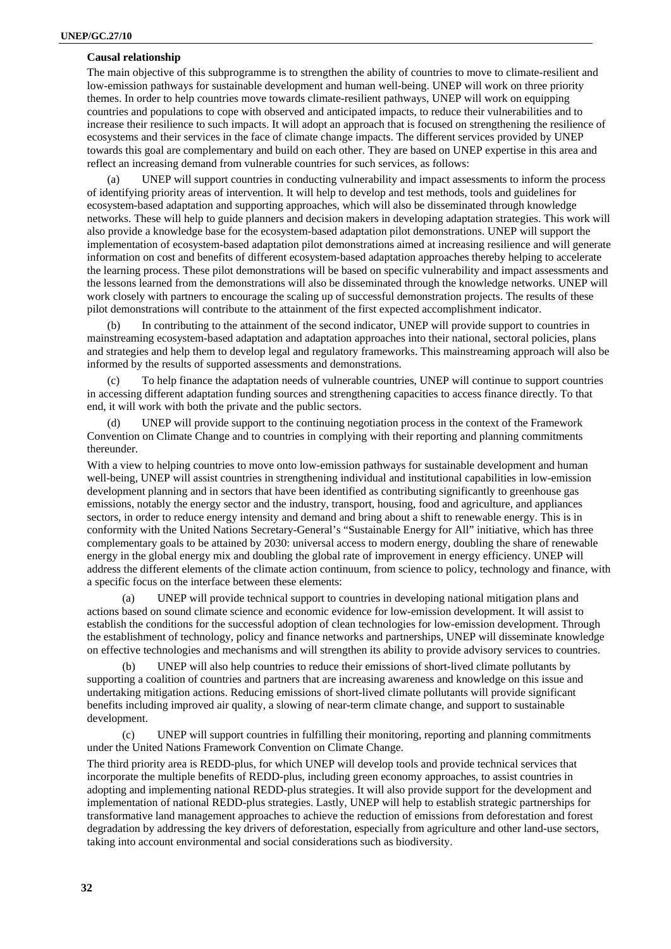### **Causal relationship**

The main objective of this subprogramme is to strengthen the ability of countries to move to climate-resilient and low-emission pathways for sustainable development and human well-being. UNEP will work on three priority themes. In order to help countries move towards climate-resilient pathways, UNEP will work on equipping countries and populations to cope with observed and anticipated impacts, to reduce their vulnerabilities and to increase their resilience to such impacts. It will adopt an approach that is focused on strengthening the resilience of ecosystems and their services in the face of climate change impacts. The different services provided by UNEP towards this goal are complementary and build on each other. They are based on UNEP expertise in this area and reflect an increasing demand from vulnerable countries for such services, as follows:

(a) UNEP will support countries in conducting vulnerability and impact assessments to inform the process of identifying priority areas of intervention. It will help to develop and test methods, tools and guidelines for ecosystem-based adaptation and supporting approaches, which will also be disseminated through knowledge networks. These will help to guide planners and decision makers in developing adaptation strategies. This work will also provide a knowledge base for the ecosystem-based adaptation pilot demonstrations. UNEP will support the implementation of ecosystem-based adaptation pilot demonstrations aimed at increasing resilience and will generate information on cost and benefits of different ecosystem-based adaptation approaches thereby helping to accelerate the learning process. These pilot demonstrations will be based on specific vulnerability and impact assessments and the lessons learned from the demonstrations will also be disseminated through the knowledge networks. UNEP will work closely with partners to encourage the scaling up of successful demonstration projects. The results of these pilot demonstrations will contribute to the attainment of the first expected accomplishment indicator.

In contributing to the attainment of the second indicator, UNEP will provide support to countries in mainstreaming ecosystem-based adaptation and adaptation approaches into their national, sectoral policies, plans and strategies and help them to develop legal and regulatory frameworks. This mainstreaming approach will also be informed by the results of supported assessments and demonstrations.

(c) To help finance the adaptation needs of vulnerable countries, UNEP will continue to support countries in accessing different adaptation funding sources and strengthening capacities to access finance directly. To that end, it will work with both the private and the public sectors.

UNEP will provide support to the continuing negotiation process in the context of the Framework Convention on Climate Change and to countries in complying with their reporting and planning commitments thereunder.

With a view to helping countries to move onto low-emission pathways for sustainable development and human well-being, UNEP will assist countries in strengthening individual and institutional capabilities in low-emission development planning and in sectors that have been identified as contributing significantly to greenhouse gas emissions, notably the energy sector and the industry, transport, housing, food and agriculture, and appliances sectors, in order to reduce energy intensity and demand and bring about a shift to renewable energy. This is in conformity with the United Nations Secretary-General's "Sustainable Energy for All" initiative, which has three complementary goals to be attained by 2030: universal access to modern energy, doubling the share of renewable energy in the global energy mix and doubling the global rate of improvement in energy efficiency. UNEP will address the different elements of the climate action continuum, from science to policy, technology and finance, with a specific focus on the interface between these elements:

(a) UNEP will provide technical support to countries in developing national mitigation plans and actions based on sound climate science and economic evidence for low-emission development. It will assist to establish the conditions for the successful adoption of clean technologies for low-emission development. Through the establishment of technology, policy and finance networks and partnerships, UNEP will disseminate knowledge on effective technologies and mechanisms and will strengthen its ability to provide advisory services to countries.

(b) UNEP will also help countries to reduce their emissions of short-lived climate pollutants by supporting a coalition of countries and partners that are increasing awareness and knowledge on this issue and undertaking mitigation actions. Reducing emissions of short-lived climate pollutants will provide significant benefits including improved air quality, a slowing of near-term climate change, and support to sustainable development.

(c) UNEP will support countries in fulfilling their monitoring, reporting and planning commitments under the United Nations Framework Convention on Climate Change.

The third priority area is REDD-plus, for which UNEP will develop tools and provide technical services that incorporate the multiple benefits of REDD-plus, including green economy approaches, to assist countries in adopting and implementing national REDD-plus strategies. It will also provide support for the development and implementation of national REDD-plus strategies. Lastly, UNEP will help to establish strategic partnerships for transformative land management approaches to achieve the reduction of emissions from deforestation and forest degradation by addressing the key drivers of deforestation, especially from agriculture and other land-use sectors, taking into account environmental and social considerations such as biodiversity.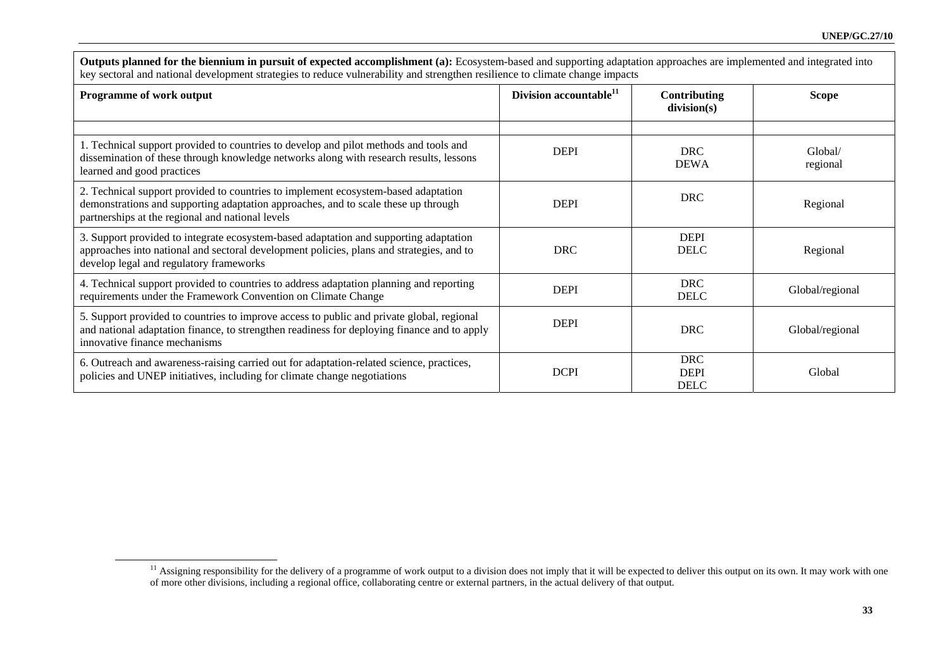| key sectoral and national development strategies to reduce vulnerability and strengthen resilience to climate change impacts                                                                                                 |                                    |                                          |                     |  |  |  |  |
|------------------------------------------------------------------------------------------------------------------------------------------------------------------------------------------------------------------------------|------------------------------------|------------------------------------------|---------------------|--|--|--|--|
| <b>Programme of work output</b>                                                                                                                                                                                              | Division accountable <sup>11</sup> | Contributing<br>division(s)              | Scope               |  |  |  |  |
|                                                                                                                                                                                                                              |                                    |                                          |                     |  |  |  |  |
| 1. Technical support provided to countries to develop and pilot methods and tools and<br>dissemination of these through knowledge networks along with research results, lessons<br>learned and good practices                | <b>DEPI</b>                        | <b>DRC</b><br><b>DEWA</b>                | Global/<br>regional |  |  |  |  |
| 2. Technical support provided to countries to implement ecosystem-based adaptation<br>demonstrations and supporting adaptation approaches, and to scale these up through<br>partnerships at the regional and national levels | <b>DEPI</b>                        | <b>DRC</b>                               | Regional            |  |  |  |  |
| 3. Support provided to integrate ecosystem-based adaptation and supporting adaptation<br>approaches into national and sectoral development policies, plans and strategies, and to<br>develop legal and regulatory frameworks | <b>DRC</b>                         | <b>DEPI</b><br><b>DELC</b>               | Regional            |  |  |  |  |
| 4. Technical support provided to countries to address adaptation planning and reporting<br>requirements under the Framework Convention on Climate Change                                                                     | <b>DEPI</b>                        | <b>DRC</b><br><b>DELC</b>                | Global/regional     |  |  |  |  |
| 5. Support provided to countries to improve access to public and private global, regional<br>and national adaptation finance, to strengthen readiness for deploying finance and to apply<br>innovative finance mechanisms    | <b>DEPI</b>                        | <b>DRC</b>                               | Global/regional     |  |  |  |  |
| 6. Outreach and awareness-raising carried out for adaptation-related science, practices,<br>policies and UNEP initiatives, including for climate change negotiations                                                         | <b>DCPI</b>                        | <b>DRC</b><br><b>DEPI</b><br><b>DELC</b> | Global              |  |  |  |  |

**Outputs planned for the biennium in pursuit of expected accomplishment (a):** Ecosystem-based and supporting adaptation approaches are implemented and integrated into

<sup>&</sup>lt;sup>11</sup> Assigning responsibility for the delivery of a programme of work output to a division does not imply that it will be expected to deliver this output on its own. It may work with one of more other divisions, including a regional office, collaborating centre or external partners, in the actual delivery of that output.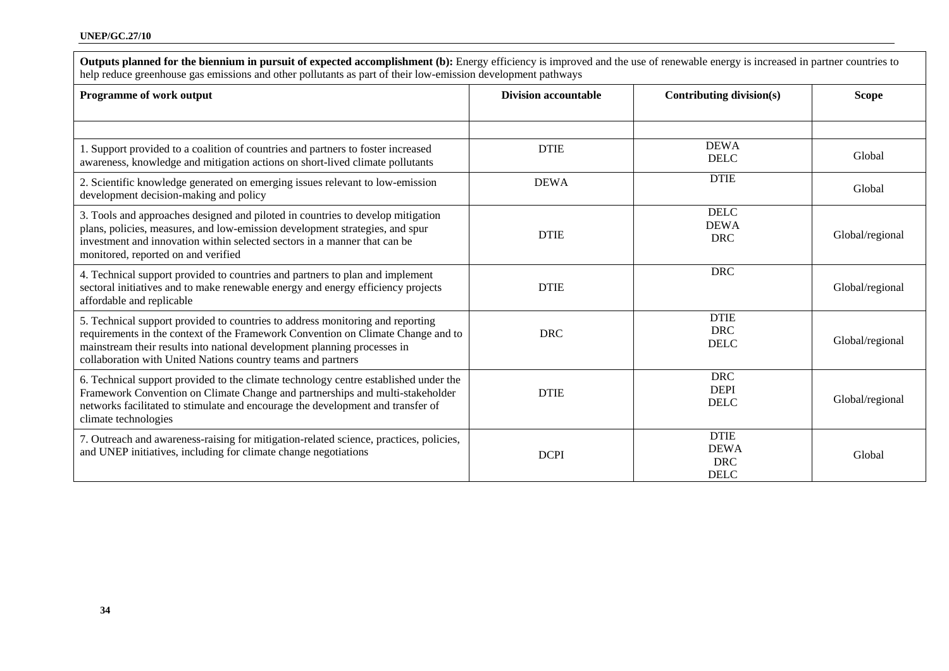| Programme of work output                                                                                                                                                                                                                                                                                       | <b>Division accountable</b> | Contributing division(s)                                | <b>Scope</b>    |  |
|----------------------------------------------------------------------------------------------------------------------------------------------------------------------------------------------------------------------------------------------------------------------------------------------------------------|-----------------------------|---------------------------------------------------------|-----------------|--|
| 1. Support provided to a coalition of countries and partners to foster increased                                                                                                                                                                                                                               | <b>DTIE</b>                 | <b>DEWA</b>                                             | Global          |  |
| awareness, knowledge and mitigation actions on short-lived climate pollutants                                                                                                                                                                                                                                  |                             | <b>DELC</b>                                             |                 |  |
| 2. Scientific knowledge generated on emerging issues relevant to low-emission<br>development decision-making and policy                                                                                                                                                                                        | <b>DEWA</b>                 | <b>DTIE</b>                                             | Global          |  |
| 3. Tools and approaches designed and piloted in countries to develop mitigation<br>plans, policies, measures, and low-emission development strategies, and spur<br>investment and innovation within selected sectors in a manner that can be<br>monitored, reported on and verified                            | <b>DTIE</b>                 | <b>DELC</b><br><b>DEWA</b><br><b>DRC</b>                | Global/regional |  |
| 4. Technical support provided to countries and partners to plan and implement<br>sectoral initiatives and to make renewable energy and energy efficiency projects<br>affordable and replicable                                                                                                                 | <b>DTIE</b>                 | <b>DRC</b>                                              | Global/regional |  |
| 5. Technical support provided to countries to address monitoring and reporting<br>requirements in the context of the Framework Convention on Climate Change and to<br>mainstream their results into national development planning processes in<br>collaboration with United Nations country teams and partners | <b>DRC</b>                  | <b>DTIE</b><br><b>DRC</b><br><b>DELC</b>                | Global/regional |  |
| 6. Technical support provided to the climate technology centre established under the<br>Framework Convention on Climate Change and partnerships and multi-stakeholder<br>networks facilitated to stimulate and encourage the development and transfer of<br>climate technologies                               | <b>DTIE</b>                 | <b>DRC</b><br><b>DEPI</b><br><b>DELC</b>                | Global/regional |  |
| 7. Outreach and awareness-raising for mitigation-related science, practices, policies,<br>and UNEP initiatives, including for climate change negotiations                                                                                                                                                      | <b>DCPI</b>                 | <b>DTIE</b><br><b>DEWA</b><br><b>DRC</b><br><b>DELC</b> | Global          |  |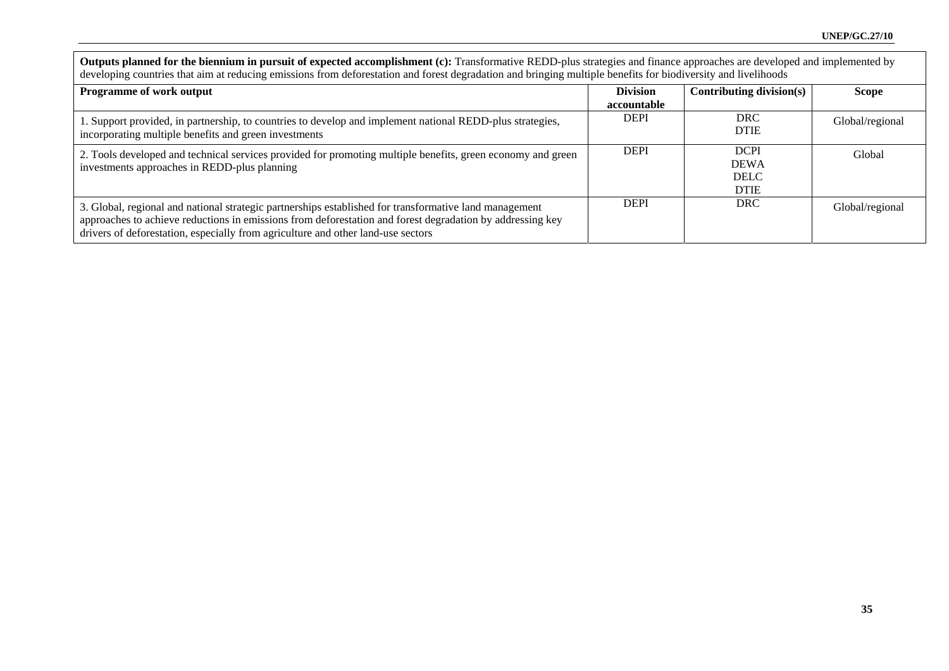| Outputs planned for the biennium in pursuit of expected accomplishment (c): Transformative REDD-plus strategies and finance approaches are developed and implemented by<br>developing countries that aim at reducing emissions from deforestation and forest degradation and bringing multiple benefits for biodiversity and livelihoods |                                |                                                          |                 |  |  |  |  |
|------------------------------------------------------------------------------------------------------------------------------------------------------------------------------------------------------------------------------------------------------------------------------------------------------------------------------------------|--------------------------------|----------------------------------------------------------|-----------------|--|--|--|--|
| <b>Programme of work output</b>                                                                                                                                                                                                                                                                                                          | <b>Division</b><br>accountable | Contributing division(s)                                 | Scope           |  |  |  |  |
| 1. Support provided, in partnership, to countries to develop and implement national REDD-plus strategies,<br>incorporating multiple benefits and green investments                                                                                                                                                                       | <b>DEPI</b>                    | <b>DRC</b><br><b>DTIE</b>                                | Global/regional |  |  |  |  |
| 2. Tools developed and technical services provided for promoting multiple benefits, green economy and green<br>investments approaches in REDD-plus planning                                                                                                                                                                              | <b>DEPI</b>                    | <b>DCPI</b><br><b>DEWA</b><br><b>DELC</b><br><b>DTIE</b> | Global          |  |  |  |  |
| 3. Global, regional and national strategic partnerships established for transformative land management<br>approaches to achieve reductions in emissions from deforestation and forest degradation by addressing key<br>drivers of deforestation, especially from agriculture and other land-use sectors                                  | <b>DEPI</b>                    | <b>DRC</b>                                               | Global/regional |  |  |  |  |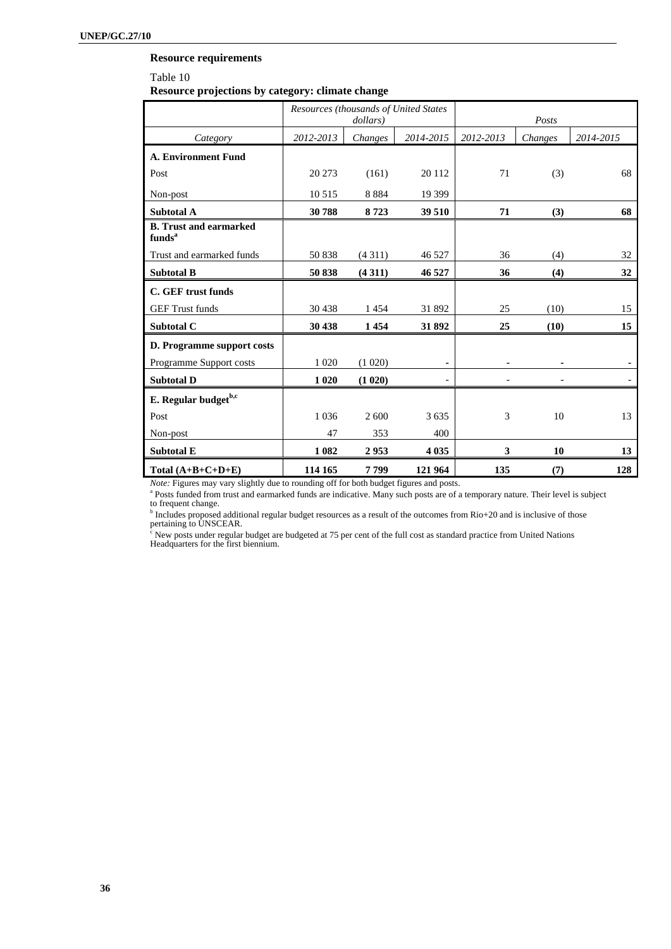### **Resource requirements**

#### Table 10

**Resource projections by category: climate change** 

|                                                     | Resources (thousands of United States<br>dollars) |         |           |           | Posts   |           |
|-----------------------------------------------------|---------------------------------------------------|---------|-----------|-----------|---------|-----------|
| Category                                            | 2012-2013                                         | Changes | 2014-2015 | 2012-2013 | Changes | 2014-2015 |
| <b>A. Environment Fund</b>                          |                                                   |         |           |           |         |           |
| Post                                                | 20 27 3                                           | (161)   | 20 112    | 71        | (3)     | 68        |
| Non-post                                            | 10 5 15                                           | 8884    | 19 399    |           |         |           |
| <b>Subtotal A</b>                                   | 30788                                             | 8723    | 39 510    | 71        | (3)     | 68        |
| <b>B.</b> Trust and earmarked<br>funds <sup>a</sup> |                                                   |         |           |           |         |           |
| Trust and earmarked funds                           | 50838                                             | (4311)  | 46 5 27   | 36        | (4)     | 32        |
| <b>Subtotal B</b>                                   | 50838                                             | (4311)  | 46 527    | 36        | (4)     | 32        |
| C. GEF trust funds                                  |                                                   |         |           |           |         |           |
| <b>GEF Trust funds</b>                              | 30 4 38                                           | 1454    | 31 892    | 25        | (10)    | 15        |
| Subtotal C                                          | 30 438                                            | 1454    | 31892     | 25        | (10)    | 15        |
| D. Programme support costs                          |                                                   |         |           |           |         |           |
| Programme Support costs                             | 1 0 20                                            | (1 020) | ۰         |           |         |           |
| <b>Subtotal D</b>                                   | 1 0 20                                            | (1 020) |           |           |         |           |
| E. Regular budget <sup>b,c</sup>                    |                                                   |         |           |           |         |           |
| Post                                                | 1 0 3 6                                           | 2 600   | 3635      | 3         | 10      | 13        |
| Non-post                                            | 47                                                | 353     | 400       |           |         |           |
| <b>Subtotal E</b>                                   | 1 0 8 2                                           | 2953    | 4 0 3 5   | 3         | 10      | 13        |
| Total $(A+B+C+D+E)$                                 | 114 165                                           | 7799    | 121 964   | 135       | (7)     | 128       |

*Note:* Figures may vary slightly due to rounding off for both budget figures and posts.

<sup>a</sup> Posts funded from trust and earmarked funds are indicative. Many such posts are of a temporary nature. Their level is subject to frequent change.

<sup>b</sup> Includes proposed additional regular budget resources as a result of the outcomes from Rio+20 and is inclusive of those pertaining to UNSCEAR.

<sup>c</sup> New posts under regular budget are budgeted at 75 per cent of the full cost as standard practice from United Nations Headquarters for the first biennium.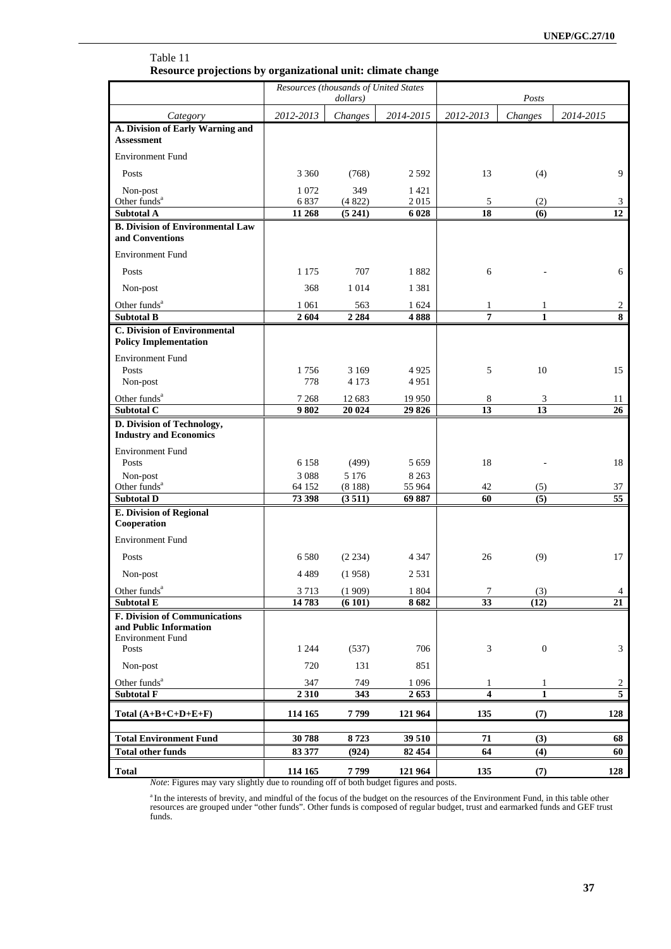| Table 11                                                    |
|-------------------------------------------------------------|
| Resource projections by organizational unit: climate change |

|                                                                     |                   | Resources (thousands of United States<br>dollars) |                    | Posts                   |                  |                                  |
|---------------------------------------------------------------------|-------------------|---------------------------------------------------|--------------------|-------------------------|------------------|----------------------------------|
| Category                                                            | 2012-2013         | Changes                                           | 2014-2015          | 2012-2013               | Changes          | 2014-2015                        |
| A. Division of Early Warning and                                    |                   |                                                   |                    |                         |                  |                                  |
| <b>Assessment</b>                                                   |                   |                                                   |                    |                         |                  |                                  |
| <b>Environment Fund</b>                                             |                   |                                                   |                    |                         |                  |                                  |
| Posts                                                               | 3 3 6 0           | (768)                                             | 2 5 9 2            | 13                      | (4)              | 9                                |
| Non-post                                                            | 1072              | 349                                               | 1 4 2 1            |                         |                  |                                  |
| Other funds <sup>a</sup><br><b>Subtotal A</b>                       | 6837<br>11 268    | (4822)<br>(5241)                                  | 2015<br>6 0 28     | 5<br>18                 | (2)<br>(6)       | 3<br>12                          |
| <b>B.</b> Division of Environmental Law                             |                   |                                                   |                    |                         |                  |                                  |
| and Conventions                                                     |                   |                                                   |                    |                         |                  |                                  |
| <b>Environment Fund</b>                                             |                   |                                                   |                    |                         |                  |                                  |
| Posts                                                               | 1 1 7 5           | 707                                               | 1882               | 6                       |                  | 6                                |
| Non-post                                                            | 368               | 1 0 1 4                                           | 1 3 8 1            |                         |                  |                                  |
| Other funds <sup>a</sup>                                            | 1 0 6 1           | 563                                               | 1 624              | 1                       | 1                | $\overline{c}$                   |
| <b>Subtotal B</b>                                                   | $\overline{2}604$ | 2 2 8 4                                           | 4888               | 7                       | 1                | 8                                |
| <b>C. Division of Environmental</b><br><b>Policy Implementation</b> |                   |                                                   |                    |                         |                  |                                  |
| <b>Environment Fund</b>                                             |                   |                                                   |                    |                         |                  |                                  |
| Posts                                                               | 1756              | 3 1 6 9                                           | 4925               | 5                       | 10               | 15                               |
| Non-post                                                            | 778               | 4 1 7 3                                           | 4951               |                         |                  |                                  |
| Other funds <sup>a</sup><br>Subtotal C                              | 7 2 6 8<br>9802   | 12 683<br>20 024                                  | 19 950<br>29 8 26  | 8<br>13                 | 3<br>13          | 11<br>26                         |
| D. Division of Technology,                                          |                   |                                                   |                    |                         |                  |                                  |
| <b>Industry and Economics</b>                                       |                   |                                                   |                    |                         |                  |                                  |
| <b>Environment Fund</b>                                             |                   |                                                   |                    |                         |                  |                                  |
| Posts                                                               | 6 1 5 8<br>3088   | (499)<br>5 1 7 6                                  | 5 6 5 9<br>8 2 6 3 | 18                      |                  | 18                               |
| Non-post<br>Other funds <sup>a</sup>                                | 64 152            | (8188)                                            | 55 964             | 42                      | (5)              | 37                               |
| <b>Subtotal D</b>                                                   | 73 398            | (3511)                                            | 69 887             | 60                      | (5)              | $\overline{55}$                  |
| <b>E. Division of Regional</b><br>Cooperation                       |                   |                                                   |                    |                         |                  |                                  |
| <b>Environment Fund</b>                                             |                   |                                                   |                    |                         |                  |                                  |
| Posts                                                               | 6580              | (2 234)                                           | 4 3 4 7            | 26                      | (9)              | 17                               |
| Non-post                                                            | 4489              | (1958)                                            | 2531               |                         |                  |                                  |
| Other funds <sup>a</sup>                                            | 3713              | (1909)                                            | 1 804              | 7                       | (3)              | $\overline{4}$                   |
| <b>Subtotal E</b>                                                   | 14783             | (6101)                                            | 8682               | 33                      | (12)             | 21                               |
| <b>F. Division of Communications</b><br>and Public Information      |                   |                                                   |                    |                         |                  |                                  |
| <b>Environment Fund</b>                                             |                   |                                                   |                    |                         |                  |                                  |
| Posts                                                               | 1 2 4 4           | (537)                                             | 706                | 3                       | $\boldsymbol{0}$ | 3                                |
| Non-post                                                            | 720               | 131                                               | 851                |                         |                  |                                  |
| Other funds <sup>a</sup>                                            | 347               | 749                                               | 1096               | 1                       | $\mathbf{1}$     | $\overline{2}$<br>$\overline{5}$ |
| <b>Subtotal F</b>                                                   | 2310              | 343                                               | 2653               | $\overline{\mathbf{4}}$ | $\mathbf{1}$     |                                  |
| Total $(A+B+C+D+E+F)$                                               | 114 165           | 7799                                              | 121 964            | 135                     | (7)              | 128                              |
| <b>Total Environment Fund</b>                                       | 30788             | 8723                                              | 39 510             | 71                      | (3)              | 68                               |
| <b>Total other funds</b>                                            | 83 377            | (924)                                             | 82 454             | 64                      | (4)              | 60                               |
| <b>Total</b>                                                        | 114 165           | 7799                                              | 121 964            | 135                     | (7)              | 128                              |

*Note*: Figures may vary slightly due to rounding off of both budget figures and posts.

<sup>a</sup> In the interests of brevity, and mindful of the focus of the budget on the resources of the Environment Fund, in this table other resources are grouped under "other funds". Other funds is composed of regular budget, tr funds.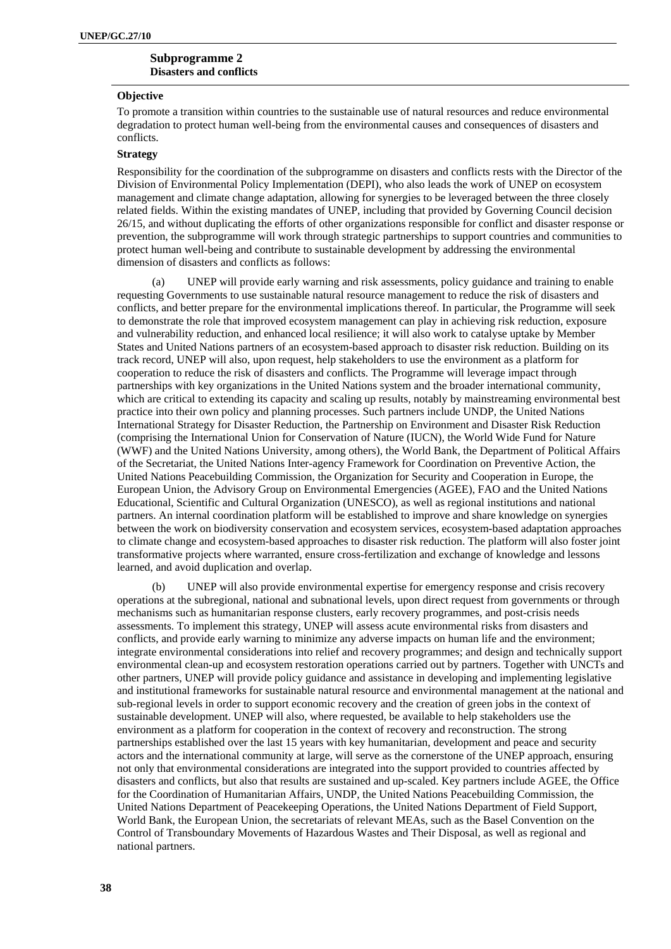### **Subprogramme 2 Disasters and conflicts**

#### **Objective**

To promote a transition within countries to the sustainable use of natural resources and reduce environmental degradation to protect human well-being from the environmental causes and consequences of disasters and conflicts.

#### **Strategy**

Responsibility for the coordination of the subprogramme on disasters and conflicts rests with the Director of the Division of Environmental Policy Implementation (DEPI), who also leads the work of UNEP on ecosystem management and climate change adaptation, allowing for synergies to be leveraged between the three closely related fields. Within the existing mandates of UNEP, including that provided by Governing Council decision 26/15, and without duplicating the efforts of other organizations responsible for conflict and disaster response or prevention, the subprogramme will work through strategic partnerships to support countries and communities to protect human well-being and contribute to sustainable development by addressing the environmental dimension of disasters and conflicts as follows:

(a) UNEP will provide early warning and risk assessments, policy guidance and training to enable requesting Governments to use sustainable natural resource management to reduce the risk of disasters and conflicts, and better prepare for the environmental implications thereof. In particular, the Programme will seek to demonstrate the role that improved ecosystem management can play in achieving risk reduction, exposure and vulnerability reduction, and enhanced local resilience; it will also work to catalyse uptake by Member States and United Nations partners of an ecosystem-based approach to disaster risk reduction. Building on its track record, UNEP will also, upon request, help stakeholders to use the environment as a platform for cooperation to reduce the risk of disasters and conflicts. The Programme will leverage impact through partnerships with key organizations in the United Nations system and the broader international community, which are critical to extending its capacity and scaling up results, notably by mainstreaming environmental best practice into their own policy and planning processes. Such partners include UNDP, the United Nations International Strategy for Disaster Reduction, the Partnership on Environment and Disaster Risk Reduction (comprising the International Union for Conservation of Nature (IUCN), the World Wide Fund for Nature (WWF) and the United Nations University, among others), the World Bank, the Department of Political Affairs of the Secretariat, the United Nations Inter-agency Framework for Coordination on Preventive Action, the United Nations Peacebuilding Commission, the Organization for Security and Cooperation in Europe, the European Union, the Advisory Group on Environmental Emergencies (AGEE), FAO and the United Nations Educational, Scientific and Cultural Organization (UNESCO), as well as regional institutions and national partners. An internal coordination platform will be established to improve and share knowledge on synergies between the work on biodiversity conservation and ecosystem services, ecosystem-based adaptation approaches to climate change and ecosystem-based approaches to disaster risk reduction. The platform will also foster joint transformative projects where warranted, ensure cross-fertilization and exchange of knowledge and lessons learned, and avoid duplication and overlap.

(b) UNEP will also provide environmental expertise for emergency response and crisis recovery operations at the subregional, national and subnational levels, upon direct request from governments or through mechanisms such as humanitarian response clusters, early recovery programmes, and post-crisis needs assessments. To implement this strategy, UNEP will assess acute environmental risks from disasters and conflicts, and provide early warning to minimize any adverse impacts on human life and the environment; integrate environmental considerations into relief and recovery programmes; and design and technically support environmental clean-up and ecosystem restoration operations carried out by partners. Together with UNCTs and other partners, UNEP will provide policy guidance and assistance in developing and implementing legislative and institutional frameworks for sustainable natural resource and environmental management at the national and sub-regional levels in order to support economic recovery and the creation of green jobs in the context of sustainable development. UNEP will also, where requested, be available to help stakeholders use the environment as a platform for cooperation in the context of recovery and reconstruction. The strong partnerships established over the last 15 years with key humanitarian, development and peace and security actors and the international community at large, will serve as the cornerstone of the UNEP approach, ensuring not only that environmental considerations are integrated into the support provided to countries affected by disasters and conflicts, but also that results are sustained and up-scaled. Key partners include AGEE, the Office for the Coordination of Humanitarian Affairs, UNDP, the United Nations Peacebuilding Commission, the United Nations Department of Peacekeeping Operations, the United Nations Department of Field Support, World Bank, the European Union, the secretariats of relevant MEAs, such as the Basel Convention on the Control of Transboundary Movements of Hazardous Wastes and Their Disposal, as well as regional and national partners.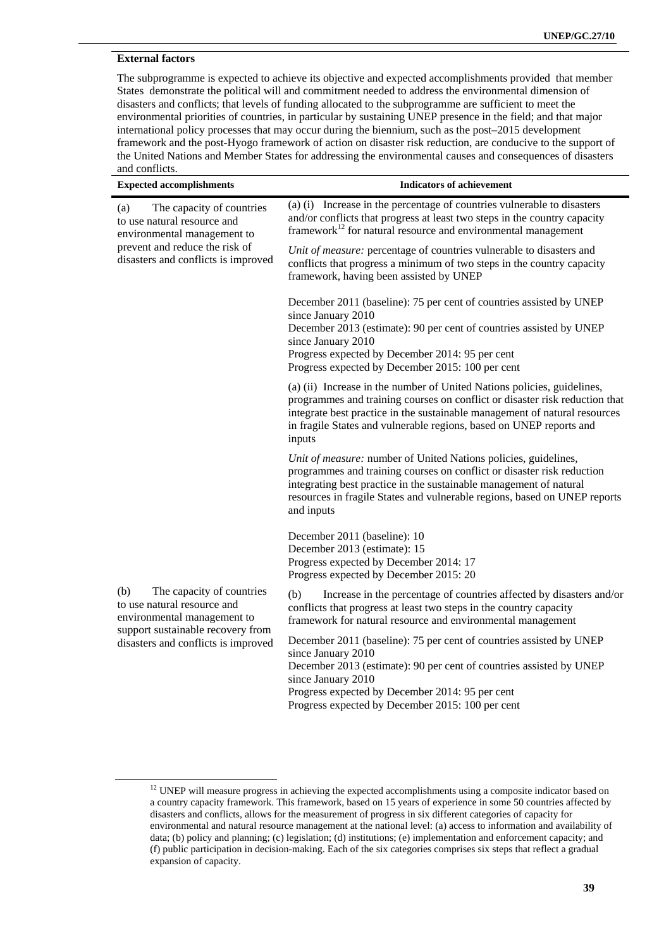# **External factors**

The subprogramme is expected to achieve its objective and expected accomplishments provided that member States demonstrate the political will and commitment needed to address the environmental dimension of disasters and conflicts; that levels of funding allocated to the subprogramme are sufficient to meet the environmental priorities of countries, in particular by sustaining UNEP presence in the field; and that major international policy processes that may occur during the biennium, such as the post–2015 development framework and the post-Hyogo framework of action on disaster risk reduction, are conducive to the support of the United Nations and Member States for addressing the environmental causes and consequences of disasters and conflicts.

| <b>Expected accomplishments</b>                                                                | <b>Indicators of achievement</b>                                                                                                                                                                                                                                                                                      |
|------------------------------------------------------------------------------------------------|-----------------------------------------------------------------------------------------------------------------------------------------------------------------------------------------------------------------------------------------------------------------------------------------------------------------------|
| The capacity of countries<br>(a)<br>to use natural resource and<br>environmental management to | (a) (i) Increase in the percentage of countries vulnerable to disasters<br>and/or conflicts that progress at least two steps in the country capacity<br>framework $^{12}$ for natural resource and environmental management                                                                                           |
| prevent and reduce the risk of<br>disasters and conflicts is improved                          | Unit of measure: percentage of countries vulnerable to disasters and<br>conflicts that progress a minimum of two steps in the country capacity<br>framework, having been assisted by UNEP                                                                                                                             |
|                                                                                                | December 2011 (baseline): 75 per cent of countries assisted by UNEP<br>since January 2010<br>December 2013 (estimate): 90 per cent of countries assisted by UNEP<br>since January 2010<br>Progress expected by December 2014: 95 per cent<br>Progress expected by December 2015: 100 per cent                         |
|                                                                                                | (a) (ii) Increase in the number of United Nations policies, guidelines,<br>programmes and training courses on conflict or disaster risk reduction that<br>integrate best practice in the sustainable management of natural resources<br>in fragile States and vulnerable regions, based on UNEP reports and<br>inputs |
|                                                                                                | Unit of measure: number of United Nations policies, guidelines,<br>programmes and training courses on conflict or disaster risk reduction<br>integrating best practice in the sustainable management of natural<br>resources in fragile States and vulnerable regions, based on UNEP reports<br>and inputs            |
|                                                                                                | December 2011 (baseline): 10<br>December 2013 (estimate): 15<br>Progress expected by December 2014: 17<br>Progress expected by December 2015: 20                                                                                                                                                                      |
| The capacity of countries<br>(b)<br>to use natural resource and<br>environmental management to | (b)<br>Increase in the percentage of countries affected by disasters and/or<br>conflicts that progress at least two steps in the country capacity<br>framework for natural resource and environmental management                                                                                                      |
| support sustainable recovery from<br>disasters and conflicts is improved                       | December 2011 (baseline): 75 per cent of countries assisted by UNEP<br>since January 2010<br>December 2013 (estimate): 90 per cent of countries assisted by UNEP<br>since January 2010<br>Progress expected by December 2014: 95 per cent<br>Progress expected by December 2015: 100 per cent                         |

<sup>&</sup>lt;sup>12</sup> UNEP will measure progress in achieving the expected accomplishments using a composite indicator based on a country capacity framework. This framework, based on 15 years of experience in some 50 countries affected by disasters and conflicts, allows for the measurement of progress in six different categories of capacity for environmental and natural resource management at the national level: (a) access to information and availability of data; (b) policy and planning; (c) legislation; (d) institutions; (e) implementation and enforcement capacity; and (f) public participation in decision-making. Each of the six categories comprises six steps that reflect a gradual expansion of capacity.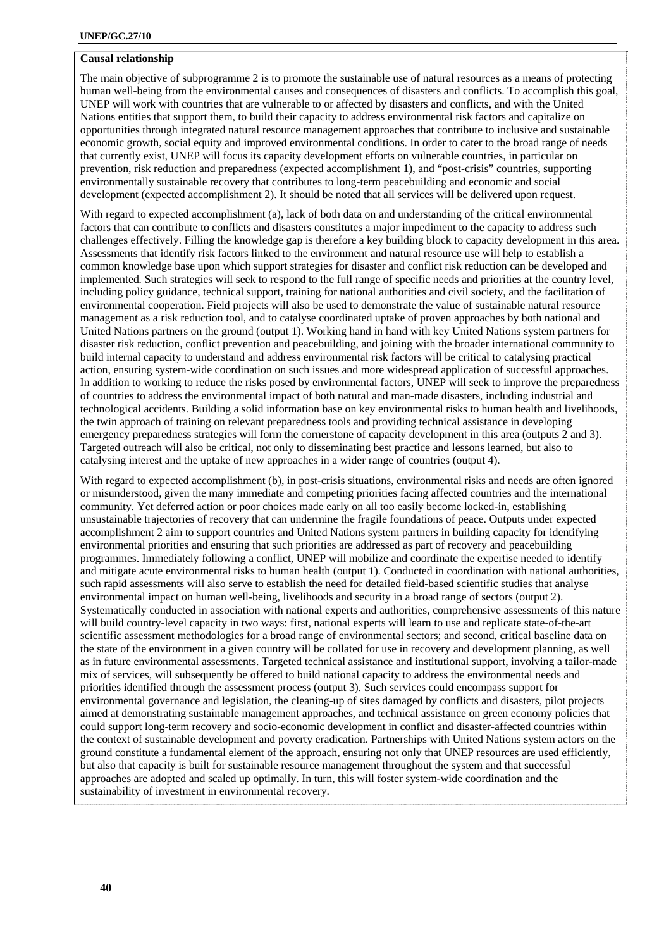# **Causal relationship**

The main objective of subprogramme 2 is to promote the sustainable use of natural resources as a means of protecting human well-being from the environmental causes and consequences of disasters and conflicts. To accomplish this goal, UNEP will work with countries that are vulnerable to or affected by disasters and conflicts, and with the United Nations entities that support them, to build their capacity to address environmental risk factors and capitalize on opportunities through integrated natural resource management approaches that contribute to inclusive and sustainable economic growth, social equity and improved environmental conditions. In order to cater to the broad range of needs that currently exist, UNEP will focus its capacity development efforts on vulnerable countries, in particular on prevention, risk reduction and preparedness (expected accomplishment 1), and "post-crisis" countries, supporting environmentally sustainable recovery that contributes to long-term peacebuilding and economic and social development (expected accomplishment 2). It should be noted that all services will be delivered upon request.

With regard to expected accomplishment (a), lack of both data on and understanding of the critical environmental factors that can contribute to conflicts and disasters constitutes a major impediment to the capacity to address such challenges effectively. Filling the knowledge gap is therefore a key building block to capacity development in this area. Assessments that identify risk factors linked to the environment and natural resource use will help to establish a common knowledge base upon which support strategies for disaster and conflict risk reduction can be developed and implemented*.* Such strategies will seek to respond to the full range of specific needs and priorities at the country level, including policy guidance, technical support, training for national authorities and civil society, and the facilitation of environmental cooperation. Field projects will also be used to demonstrate the value of sustainable natural resource management as a risk reduction tool, and to catalyse coordinated uptake of proven approaches by both national and United Nations partners on the ground (output 1). Working hand in hand with key United Nations system partners for disaster risk reduction, conflict prevention and peacebuilding, and joining with the broader international community to build internal capacity to understand and address environmental risk factors will be critical to catalysing practical action, ensuring system-wide coordination on such issues and more widespread application of successful approaches. In addition to working to reduce the risks posed by environmental factors, UNEP will seek to improve the preparedness of countries to address the environmental impact of both natural and man-made disasters, including industrial and technological accidents. Building a solid information base on key environmental risks to human health and livelihoods, the twin approach of training on relevant preparedness tools and providing technical assistance in developing emergency preparedness strategies will form the cornerstone of capacity development in this area (outputs 2 and 3). Targeted outreach will also be critical, not only to disseminating best practice and lessons learned, but also to catalysing interest and the uptake of new approaches in a wider range of countries (output 4).

With regard to expected accomplishment (b), in post-crisis situations, environmental risks and needs are often ignored or misunderstood, given the many immediate and competing priorities facing affected countries and the international community. Yet deferred action or poor choices made early on all too easily become locked-in, establishing unsustainable trajectories of recovery that can undermine the fragile foundations of peace. Outputs under expected accomplishment 2 aim to support countries and United Nations system partners in building capacity for identifying environmental priorities and ensuring that such priorities are addressed as part of recovery and peacebuilding programmes. Immediately following a conflict, UNEP will mobilize and coordinate the expertise needed to identify and mitigate acute environmental risks to human health (output 1). Conducted in coordination with national authorities, such rapid assessments will also serve to establish the need for detailed field-based scientific studies that analyse environmental impact on human well-being, livelihoods and security in a broad range of sectors (output 2). Systematically conducted in association with national experts and authorities, comprehensive assessments of this nature will build country-level capacity in two ways: first, national experts will learn to use and replicate state-of-the-art scientific assessment methodologies for a broad range of environmental sectors; and second, critical baseline data on the state of the environment in a given country will be collated for use in recovery and development planning, as well as in future environmental assessments. Targeted technical assistance and institutional support, involving a tailor-made mix of services, will subsequently be offered to build national capacity to address the environmental needs and priorities identified through the assessment process (output 3). Such services could encompass support for environmental governance and legislation, the cleaning-up of sites damaged by conflicts and disasters, pilot projects aimed at demonstrating sustainable management approaches, and technical assistance on green economy policies that could support long-term recovery and socio-economic development in conflict and disaster-affected countries within the context of sustainable development and poverty eradication. Partnerships with United Nations system actors on the ground constitute a fundamental element of the approach, ensuring not only that UNEP resources are used efficiently, but also that capacity is built for sustainable resource management throughout the system and that successful approaches are adopted and scaled up optimally. In turn, this will foster system-wide coordination and the sustainability of investment in environmental recovery.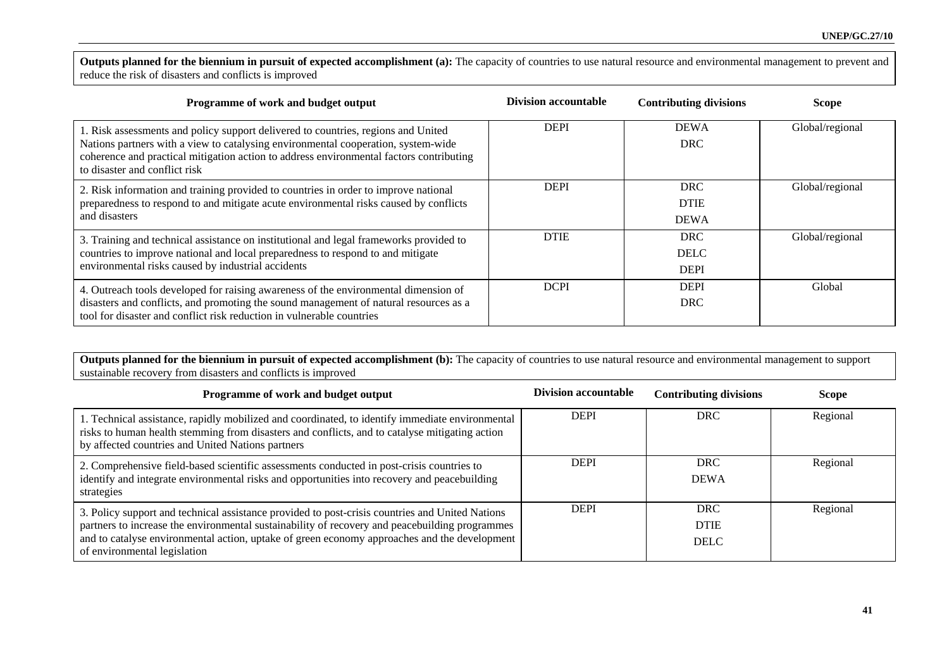Outputs planned for the biennium in pursuit of expected accomplishment (a): The capacity of countries to use natural resource and environmental management to prevent and reduce the risk of disasters and conflicts is improved

| Programme of work and budget output                                                                                                                                                                                                                                                                | <b>Division accountable</b> | <b>Contributing divisions</b>            | <b>Scope</b>    |
|----------------------------------------------------------------------------------------------------------------------------------------------------------------------------------------------------------------------------------------------------------------------------------------------------|-----------------------------|------------------------------------------|-----------------|
| 1. Risk assessments and policy support delivered to countries, regions and United<br>Nations partners with a view to catalysing environmental cooperation, system-wide<br>coherence and practical mitigation action to address environmental factors contributing<br>to disaster and conflict risk | <b>DEPI</b>                 | <b>DEWA</b><br><b>DRC</b>                | Global/regional |
| 2. Risk information and training provided to countries in order to improve national<br>preparedness to respond to and mitigate acute environmental risks caused by conflicts<br>and disasters                                                                                                      | <b>DEPI</b>                 | <b>DRC</b><br><b>DTIE</b><br><b>DEWA</b> | Global/regional |
| 3. Training and technical assistance on institutional and legal frameworks provided to<br>countries to improve national and local preparedness to respond to and mitigate<br>environmental risks caused by industrial accidents                                                                    | <b>DTIE</b>                 | <b>DRC</b><br><b>DELC</b><br><b>DEPI</b> | Global/regional |
| 4. Outreach tools developed for raising awareness of the environmental dimension of<br>disasters and conflicts, and promoting the sound management of natural resources as a<br>tool for disaster and conflict risk reduction in vulnerable countries                                              | <b>DCPI</b>                 | <b>DEPI</b><br><b>DRC</b>                | Global          |

Outputs planned for the biennium in pursuit of expected accomplishment (b): The capacity of countries to use natural resource and environmental management to support sustainable recovery from disasters and conflicts is improved

| Programme of work and budget output                                                                                                                                                                                                                                                                                               | <b>Division accountable</b> | <b>Contributing divisions</b>            | <b>Scope</b> |
|-----------------------------------------------------------------------------------------------------------------------------------------------------------------------------------------------------------------------------------------------------------------------------------------------------------------------------------|-----------------------------|------------------------------------------|--------------|
| 1. Technical assistance, rapidly mobilized and coordinated, to identify immediate environmental<br>risks to human health stemming from disasters and conflicts, and to catalyse mitigating action<br>by affected countries and United Nations partners                                                                            | <b>DEPI</b>                 | <b>DRC</b>                               | Regional     |
| 2. Comprehensive field-based scientific assessments conducted in post-crisis countries to<br>identify and integrate environmental risks and opportunities into recovery and peacebuilding<br>strategies                                                                                                                           | <b>DEPI</b>                 | <b>DRC</b><br><b>DEWA</b>                | Regional     |
| 3. Policy support and technical assistance provided to post-crisis countries and United Nations<br>partners to increase the environmental sustainability of recovery and peacebuilding programmes<br>and to catalyse environmental action, uptake of green economy approaches and the development<br>of environmental legislation | <b>DEPI</b>                 | <b>DRC</b><br><b>DTIE</b><br><b>DELC</b> | Regional     |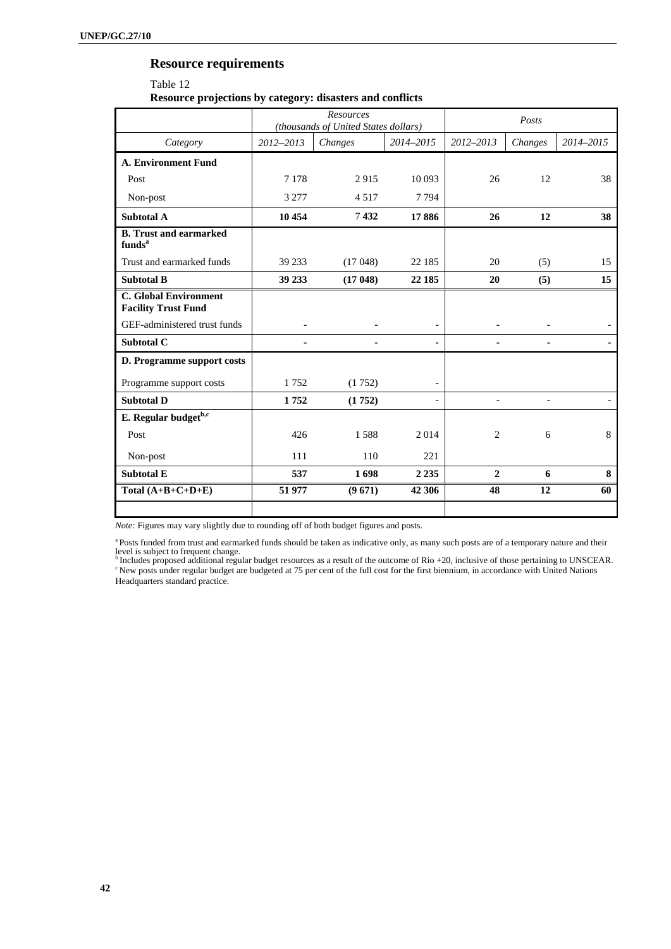# **Resource requirements**

# Table 12 **Resource projections by category: disasters and conflicts**

|                                                            | Resources<br>(thousands of United States dollars) |         |           |              | Posts   |           |
|------------------------------------------------------------|---------------------------------------------------|---------|-----------|--------------|---------|-----------|
| Category                                                   | 2012-2013                                         | Changes | 2014-2015 | 2012-2013    | Changes | 2014-2015 |
| <b>A. Environment Fund</b>                                 |                                                   |         |           |              |         |           |
| Post                                                       | 7 1 7 8                                           | 2915    | 10 093    | 26           | 12      | 38        |
| Non-post                                                   | 3 2 7 7                                           | 4517    | 7794      |              |         |           |
| <b>Subtotal A</b>                                          | 10 454                                            | 7432    | 17886     | 26           | 12      | 38        |
| <b>B.</b> Trust and earmarked<br>funds <sup>a</sup>        |                                                   |         |           |              |         |           |
| Trust and earmarked funds                                  | 39 233                                            | (17048) | 22 185    | 20           | (5)     | 15        |
| <b>Subtotal B</b>                                          | 39 233                                            | (17048) | 22 185    | 20           | (5)     | 15        |
| <b>C. Global Environment</b><br><b>Facility Trust Fund</b> |                                                   |         |           |              |         |           |
| GEF-administered trust funds                               |                                                   |         |           |              |         |           |
| <b>Subtotal C</b>                                          |                                                   |         |           |              |         |           |
| D. Programme support costs                                 |                                                   |         |           |              |         |           |
| Programme support costs                                    | 1752                                              | (1752)  |           |              |         |           |
| <b>Subtotal D</b>                                          | 1752                                              | (1752)  |           |              |         |           |
| E. Regular budget <sup>b,c</sup>                           |                                                   |         |           |              |         |           |
| Post                                                       | 426                                               | 1588    | 2014      | 2            | 6       | 8         |
| Non-post                                                   | 111                                               | 110     | 221       |              |         |           |
| <b>Subtotal E</b>                                          | 537                                               | 1698    | 2 2 3 5   | $\mathbf{2}$ | 6       | 8         |
| Total $(A+B+C+D+E)$                                        | 51 977                                            | (9671)  | 42 30 6   | 48           | 12      | 60        |
|                                                            |                                                   |         |           |              |         |           |

*Note:* Figures may vary slightly due to rounding off of both budget figures and posts.

<sup>a</sup> Posts funded from trust and earmarked funds should be taken as indicative only, as many such posts are of a temporary nature and their

level is subject to frequent change.<br><sup>b</sup> Includes proposed additional regular budget resources as a result of the outcome of Rio +20, inclusive of those pertaining to UNSCEAR.<br><sup>c</sup> New posts under regular budget are budgete Headquarters standard practice.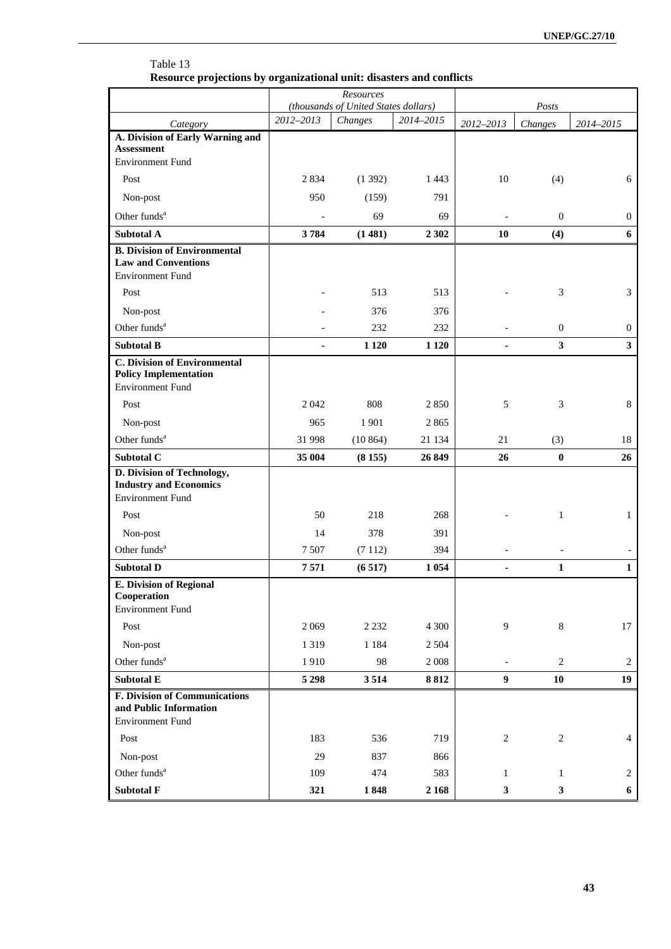|                                                                                                | Resources<br>(thousands of United States dollars) |         |           | Posts                    |                         |                         |
|------------------------------------------------------------------------------------------------|---------------------------------------------------|---------|-----------|--------------------------|-------------------------|-------------------------|
| Category                                                                                       | 2012-2013                                         | Changes | 2014-2015 | 2012-2013                | Changes                 | 2014-2015               |
| A. Division of Early Warning and<br><b>Assessment</b><br><b>Environment Fund</b>               |                                                   |         |           |                          |                         |                         |
| Post                                                                                           | 2 8 3 4                                           | (1392)  | 1443      | $10\,$                   | (4)                     | 6                       |
| Non-post                                                                                       | 950                                               | (159)   | 791       |                          |                         |                         |
| Other funds <sup>a</sup>                                                                       |                                                   | 69      | 69        |                          | $\mathbf{0}$            | $\boldsymbol{0}$        |
| <b>Subtotal A</b>                                                                              | 3784                                              | (1481)  | 2 3 0 2   | 10                       | (4)                     | 6                       |
| <b>B. Division of Environmental</b><br><b>Law and Conventions</b><br><b>Environment Fund</b>   |                                                   |         |           |                          |                         |                         |
| Post                                                                                           |                                                   | 513     | 513       |                          | 3                       | 3                       |
| Non-post                                                                                       |                                                   | 376     | 376       |                          |                         |                         |
| Other funds <sup>a</sup>                                                                       |                                                   | 232     | 232       |                          | $\mathbf{0}$            | $\boldsymbol{0}$        |
| <b>Subtotal B</b>                                                                              | $\blacksquare$                                    | 1 1 2 0 | 1 1 2 0   | $\blacksquare$           | $\overline{\mathbf{3}}$ | $\overline{\mathbf{3}}$ |
| <b>C. Division of Environmental</b><br><b>Policy Implementation</b><br><b>Environment Fund</b> |                                                   |         |           |                          |                         |                         |
| Post                                                                                           | 2 0 4 2                                           | 808     | 2850      | 5                        | 3                       | $\,8\,$                 |
| Non-post                                                                                       | 965                                               | 1901    | 2865      |                          |                         |                         |
| Other funds <sup>a</sup>                                                                       | 31 998                                            | (10864) | 21 134    | 21                       | (3)                     | 18                      |
| Subtotal C                                                                                     | 35 004                                            | (8155)  | 26 849    | 26                       | $\bf{0}$                | 26                      |
| D. Division of Technology,<br><b>Industry and Economics</b><br><b>Environment Fund</b>         |                                                   |         |           |                          |                         |                         |
| Post                                                                                           | 50                                                | 218     | 268       |                          | $\mathbf{1}$            | $\mathbf{1}$            |
| Non-post                                                                                       | 14                                                | 378     | 391       |                          |                         |                         |
| Other funds <sup>a</sup>                                                                       | 7 5 0 7                                           | (7112)  | 394       |                          |                         |                         |
| <b>Subtotal D</b>                                                                              | 7571                                              | (6517)  | 1 0 5 4   |                          | 1                       | $\mathbf{1}$            |
| <b>E. Division of Regional</b><br>Cooperation<br><b>Environment Fund</b>                       |                                                   |         |           |                          |                         |                         |
| Post                                                                                           | 2 0 6 9                                           | 2 2 3 2 | 4 300     | 9                        | $8\,$                   | 17                      |
| Non-post                                                                                       | 1319                                              | 1 1 8 4 | 2 5 0 4   |                          |                         |                         |
| Other funds <sup>a</sup>                                                                       | 1910                                              | 98      | $2\;008$  | $\overline{\phantom{a}}$ | $\overline{c}$          | $\overline{c}$          |
| Subtotal E                                                                                     | 5 2 9 8                                           | 3514    | 8812      | $\boldsymbol{9}$         | 10                      | 19                      |
| F. Division of Communications<br>and Public Information<br><b>Environment Fund</b>             |                                                   |         |           |                          |                         |                         |
| Post                                                                                           | 183                                               | 536     | 719       | $\sqrt{2}$               | $\sqrt{2}$              | $\overline{4}$          |
| Non-post                                                                                       | 29                                                | 837     | 866       |                          |                         |                         |
| Other funds <sup>a</sup>                                                                       | 109                                               | 474     | 583       | 1                        | $\mathbf{1}$            | 2                       |
| <b>Subtotal F</b>                                                                              | 321                                               | 1848    | 2 1 6 8   | $\mathbf{3}$             | $\mathbf{3}$            | 6                       |

# Table 13 **Resource projections by organizational unit: disasters and conflicts**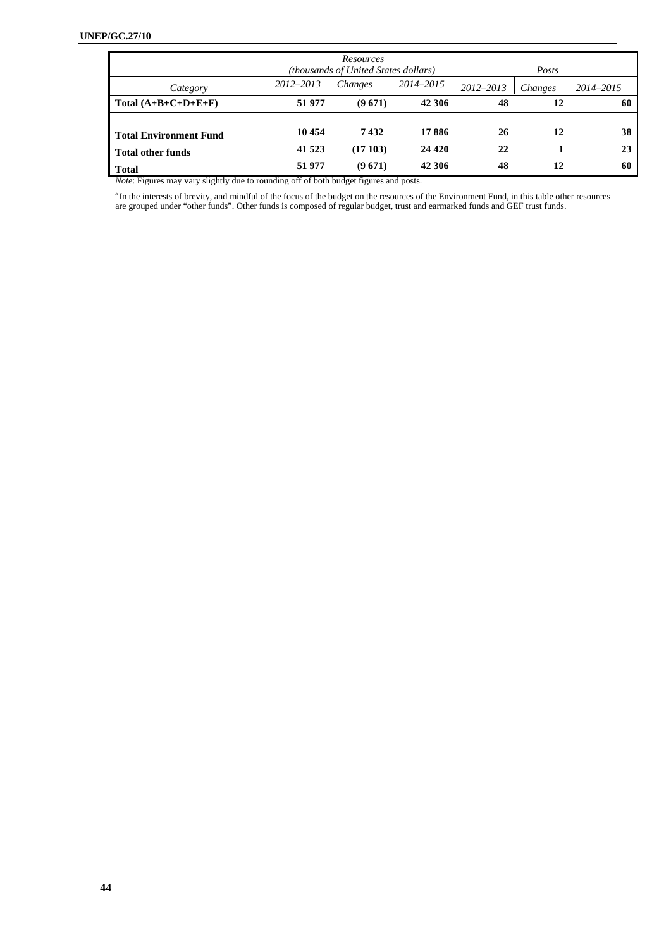|                                                                                                          |                                                            | Resources<br>(thousands of United States dollars) |                             |                | Posts    |                |
|----------------------------------------------------------------------------------------------------------|------------------------------------------------------------|---------------------------------------------------|-----------------------------|----------------|----------|----------------|
| Category                                                                                                 | 2012-2013                                                  | Changes                                           | 2014-2015                   | $2012 - 2013$  | Changes  | 2014-2015      |
| Total $(A+B+C+D+E+F)$                                                                                    | 51 977                                                     | (9671)                                            | 42 306                      | 48             | 12       | 60             |
| <b>Total Environment Fund</b><br><b>Total other funds</b><br><b>Total</b><br>$\mathbf{r}$ . $\mathbf{r}$ | 10454<br>41 523<br>51 977<br>$\mathbf{1}$<br>0.00001111100 | 7432<br>(17103)<br>(9671)                         | 17 886<br>24 4 20<br>42 306 | 26<br>22<br>48 | 12<br>12 | 38<br>23<br>60 |

*Note*: Figures may vary slightly due to rounding off of both budget figures and posts.

<sup>a</sup> In the interests of brevity, and mindful of the focus of the budget on the resources of the Environment Fund, in this table other resources are grouped under "other funds". Other funds is composed of regular budget, trust and earmarked funds and GEF trust funds.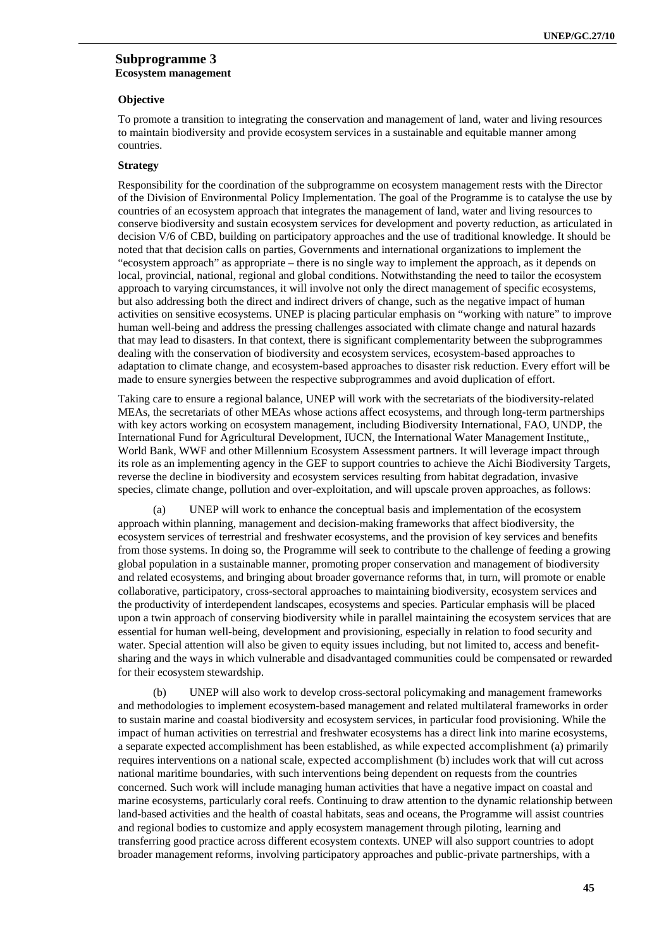#### **Subprogramme 3 Ecosystem management**

#### **Objective**

To promote a transition to integrating the conservation and management of land, water and living resources to maintain biodiversity and provide ecosystem services in a sustainable and equitable manner among countries.

#### **Strategy**

Responsibility for the coordination of the subprogramme on ecosystem management rests with the Director of the Division of Environmental Policy Implementation. The goal of the Programme is to catalyse the use by countries of an ecosystem approach that integrates the management of land, water and living resources to conserve biodiversity and sustain ecosystem services for development and poverty reduction, as articulated in decision V/6 of CBD, building on participatory approaches and the use of traditional knowledge. It should be noted that that decision calls on parties, Governments and international organizations to implement the "ecosystem approach" as appropriate – there is no single way to implement the approach, as it depends on local, provincial, national, regional and global conditions. Notwithstanding the need to tailor the ecosystem approach to varying circumstances, it will involve not only the direct management of specific ecosystems, but also addressing both the direct and indirect drivers of change, such as the negative impact of human activities on sensitive ecosystems. UNEP is placing particular emphasis on "working with nature" to improve human well-being and address the pressing challenges associated with climate change and natural hazards that may lead to disasters. In that context, there is significant complementarity between the subprogrammes dealing with the conservation of biodiversity and ecosystem services, ecosystem-based approaches to adaptation to climate change, and ecosystem-based approaches to disaster risk reduction. Every effort will be made to ensure synergies between the respective subprogrammes and avoid duplication of effort.

Taking care to ensure a regional balance, UNEP will work with the secretariats of the biodiversity-related MEAs, the secretariats of other MEAs whose actions affect ecosystems, and through long-term partnerships with key actors working on ecosystem management, including Biodiversity International, FAO, UNDP, the International Fund for Agricultural Development, IUCN, the International Water Management Institute,, World Bank, WWF and other Millennium Ecosystem Assessment partners. It will leverage impact through its role as an implementing agency in the GEF to support countries to achieve the Aichi Biodiversity Targets, reverse the decline in biodiversity and ecosystem services resulting from habitat degradation, invasive species, climate change, pollution and over-exploitation, and will upscale proven approaches, as follows:

(a) UNEP will work to enhance the conceptual basis and implementation of the ecosystem approach within planning, management and decision-making frameworks that affect biodiversity, the ecosystem services of terrestrial and freshwater ecosystems, and the provision of key services and benefits from those systems. In doing so, the Programme will seek to contribute to the challenge of feeding a growing global population in a sustainable manner, promoting proper conservation and management of biodiversity and related ecosystems, and bringing about broader governance reforms that, in turn, will promote or enable collaborative, participatory, cross-sectoral approaches to maintaining biodiversity, ecosystem services and the productivity of interdependent landscapes, ecosystems and species. Particular emphasis will be placed upon a twin approach of conserving biodiversity while in parallel maintaining the ecosystem services that are essential for human well-being, development and provisioning, especially in relation to food security and water. Special attention will also be given to equity issues including, but not limited to, access and benefitsharing and the ways in which vulnerable and disadvantaged communities could be compensated or rewarded for their ecosystem stewardship.

(b) UNEP will also work to develop cross-sectoral policymaking and management frameworks and methodologies to implement ecosystem-based management and related multilateral frameworks in order to sustain marine and coastal biodiversity and ecosystem services, in particular food provisioning. While the impact of human activities on terrestrial and freshwater ecosystems has a direct link into marine ecosystems, a separate expected accomplishment has been established, as while expected accomplishment (a) primarily requires interventions on a national scale, expected accomplishment (b) includes work that will cut across national maritime boundaries, with such interventions being dependent on requests from the countries concerned. Such work will include managing human activities that have a negative impact on coastal and marine ecosystems, particularly coral reefs. Continuing to draw attention to the dynamic relationship between land-based activities and the health of coastal habitats, seas and oceans, the Programme will assist countries and regional bodies to customize and apply ecosystem management through piloting, learning and transferring good practice across different ecosystem contexts. UNEP will also support countries to adopt broader management reforms, involving participatory approaches and public-private partnerships, with a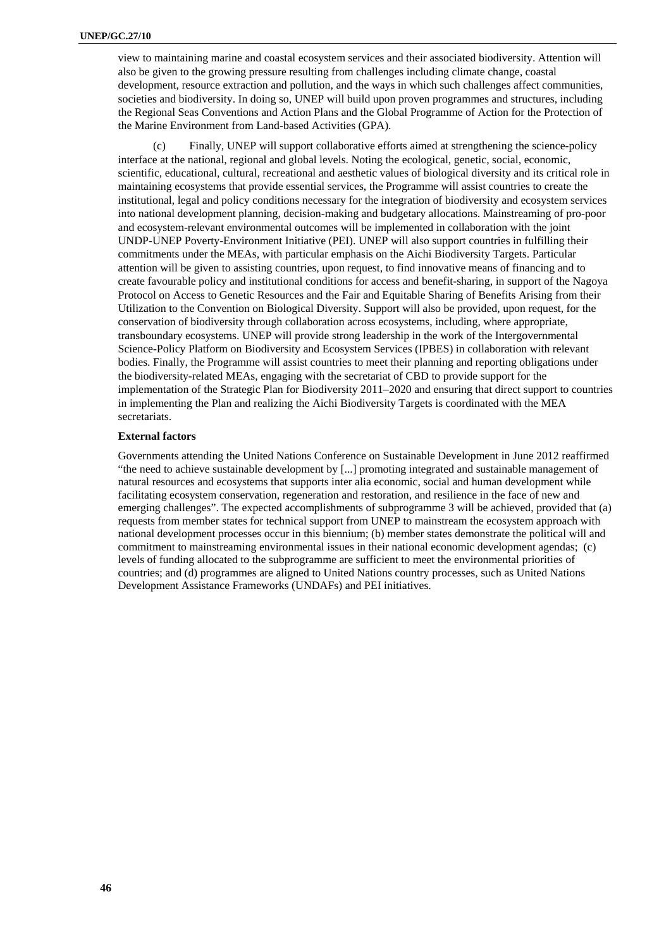view to maintaining marine and coastal ecosystem services and their associated biodiversity. Attention will also be given to the growing pressure resulting from challenges including climate change, coastal development, resource extraction and pollution, and the ways in which such challenges affect communities, societies and biodiversity. In doing so, UNEP will build upon proven programmes and structures, including the Regional Seas Conventions and Action Plans and the Global Programme of Action for the Protection of the Marine Environment from Land-based Activities (GPA).

(c) Finally, UNEP will support collaborative efforts aimed at strengthening the science-policy interface at the national, regional and global levels. Noting the ecological, genetic, social, economic, scientific, educational, cultural, recreational and aesthetic values of biological diversity and its critical role in maintaining ecosystems that provide essential services, the Programme will assist countries to create the institutional, legal and policy conditions necessary for the integration of biodiversity and ecosystem services into national development planning, decision-making and budgetary allocations. Mainstreaming of pro-poor and ecosystem-relevant environmental outcomes will be implemented in collaboration with the joint UNDP-UNEP Poverty-Environment Initiative (PEI). UNEP will also support countries in fulfilling their commitments under the MEAs, with particular emphasis on the Aichi Biodiversity Targets. Particular attention will be given to assisting countries, upon request, to find innovative means of financing and to create favourable policy and institutional conditions for access and benefit-sharing, in support of the Nagoya Protocol on Access to Genetic Resources and the Fair and Equitable Sharing of Benefits Arising from their Utilization to the Convention on Biological Diversity. Support will also be provided, upon request, for the conservation of biodiversity through collaboration across ecosystems, including, where appropriate, transboundary ecosystems. UNEP will provide strong leadership in the work of the Intergovernmental Science-Policy Platform on Biodiversity and Ecosystem Services (IPBES) in collaboration with relevant bodies. Finally, the Programme will assist countries to meet their planning and reporting obligations under the biodiversity-related MEAs, engaging with the secretariat of CBD to provide support for the implementation of the Strategic Plan for Biodiversity 2011–2020 and ensuring that direct support to countries in implementing the Plan and realizing the Aichi Biodiversity Targets is coordinated with the MEA secretariats.

## **External factors**

Governments attending the United Nations Conference on Sustainable Development in June 2012 reaffirmed "the need to achieve sustainable development by [...] promoting integrated and sustainable management of natural resources and ecosystems that supports inter alia economic, social and human development while facilitating ecosystem conservation, regeneration and restoration, and resilience in the face of new and emerging challenges". The expected accomplishments of subprogramme 3 will be achieved, provided that (a) requests from member states for technical support from UNEP to mainstream the ecosystem approach with national development processes occur in this biennium; (b) member states demonstrate the political will and commitment to mainstreaming environmental issues in their national economic development agendas; (c) levels of funding allocated to the subprogramme are sufficient to meet the environmental priorities of countries; and (d) programmes are aligned to United Nations country processes, such as United Nations Development Assistance Frameworks (UNDAFs) and PEI initiatives.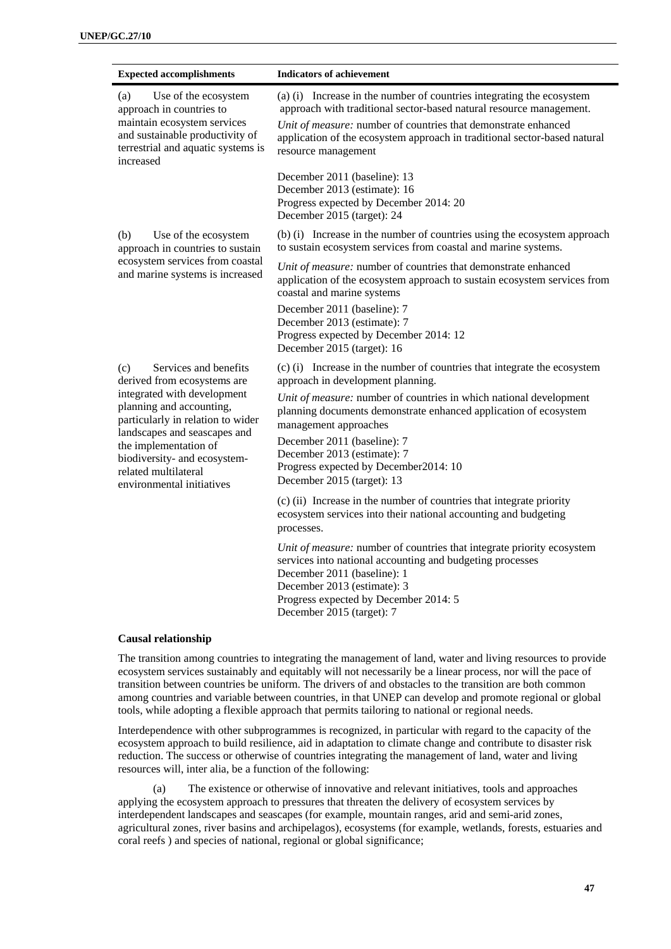Ĩ.

| <b>Expected accomplishments</b>                                                                                                                                                                                                                                                                           | <b>Indicators of achievement</b>                                                                                                                                                                                                                                                                                                                                                                                      |
|-----------------------------------------------------------------------------------------------------------------------------------------------------------------------------------------------------------------------------------------------------------------------------------------------------------|-----------------------------------------------------------------------------------------------------------------------------------------------------------------------------------------------------------------------------------------------------------------------------------------------------------------------------------------------------------------------------------------------------------------------|
| Use of the ecosystem<br>(a)<br>approach in countries to<br>maintain ecosystem services<br>and sustainable productivity of<br>terrestrial and aquatic systems is<br>increased                                                                                                                              | (a) (i) Increase in the number of countries integrating the ecosystem<br>approach with traditional sector-based natural resource management.<br>Unit of measure: number of countries that demonstrate enhanced<br>application of the ecosystem approach in traditional sector-based natural<br>resource management                                                                                                    |
|                                                                                                                                                                                                                                                                                                           | December 2011 (baseline): 13<br>December 2013 (estimate): 16<br>Progress expected by December 2014: 20<br>December 2015 (target): 24                                                                                                                                                                                                                                                                                  |
| Use of the ecosystem<br>(b)<br>approach in countries to sustain                                                                                                                                                                                                                                           | (b) (i) Increase in the number of countries using the ecosystem approach<br>to sustain ecosystem services from coastal and marine systems.                                                                                                                                                                                                                                                                            |
| ecosystem services from coastal<br>and marine systems is increased                                                                                                                                                                                                                                        | Unit of measure: number of countries that demonstrate enhanced<br>application of the ecosystem approach to sustain ecosystem services from<br>coastal and marine systems                                                                                                                                                                                                                                              |
|                                                                                                                                                                                                                                                                                                           | December 2011 (baseline): 7<br>December 2013 (estimate): 7<br>Progress expected by December 2014: 12<br>December 2015 (target): 16                                                                                                                                                                                                                                                                                    |
| Services and benefits<br>(c)<br>derived from ecosystems are<br>integrated with development<br>planning and accounting,<br>particularly in relation to wider<br>landscapes and seascapes and<br>the implementation of<br>biodiversity- and ecosystem-<br>related multilateral<br>environmental initiatives | (c) (i) Increase in the number of countries that integrate the ecosystem<br>approach in development planning.<br>Unit of measure: number of countries in which national development<br>planning documents demonstrate enhanced application of ecosystem<br>management approaches<br>December 2011 (baseline): 7<br>December 2013 (estimate): 7<br>Progress expected by December2014: 10<br>December 2015 (target): 13 |
|                                                                                                                                                                                                                                                                                                           | (c) (ii) Increase in the number of countries that integrate priority<br>ecosystem services into their national accounting and budgeting<br>processes.                                                                                                                                                                                                                                                                 |
|                                                                                                                                                                                                                                                                                                           | Unit of measure: number of countries that integrate priority ecosystem<br>services into national accounting and budgeting processes<br>December 2011 (baseline): 1<br>December 2013 (estimate): 3<br>Progress expected by December 2014: 5<br>December 2015 (target): 7                                                                                                                                               |

# **Causal relationship**

The transition among countries to integrating the management of land, water and living resources to provide ecosystem services sustainably and equitably will not necessarily be a linear process, nor will the pace of transition between countries be uniform. The drivers of and obstacles to the transition are both common among countries and variable between countries, in that UNEP can develop and promote regional or global tools, while adopting a flexible approach that permits tailoring to national or regional needs.

Interdependence with other subprogrammes is recognized, in particular with regard to the capacity of the ecosystem approach to build resilience, aid in adaptation to climate change and contribute to disaster risk reduction. The success or otherwise of countries integrating the management of land, water and living resources will, inter alia, be a function of the following:

(a) The existence or otherwise of innovative and relevant initiatives, tools and approaches applying the ecosystem approach to pressures that threaten the delivery of ecosystem services by interdependent landscapes and seascapes (for example, mountain ranges, arid and semi-arid zones, agricultural zones, river basins and archipelagos), ecosystems (for example, wetlands, forests, estuaries and coral reefs ) and species of national, regional or global significance;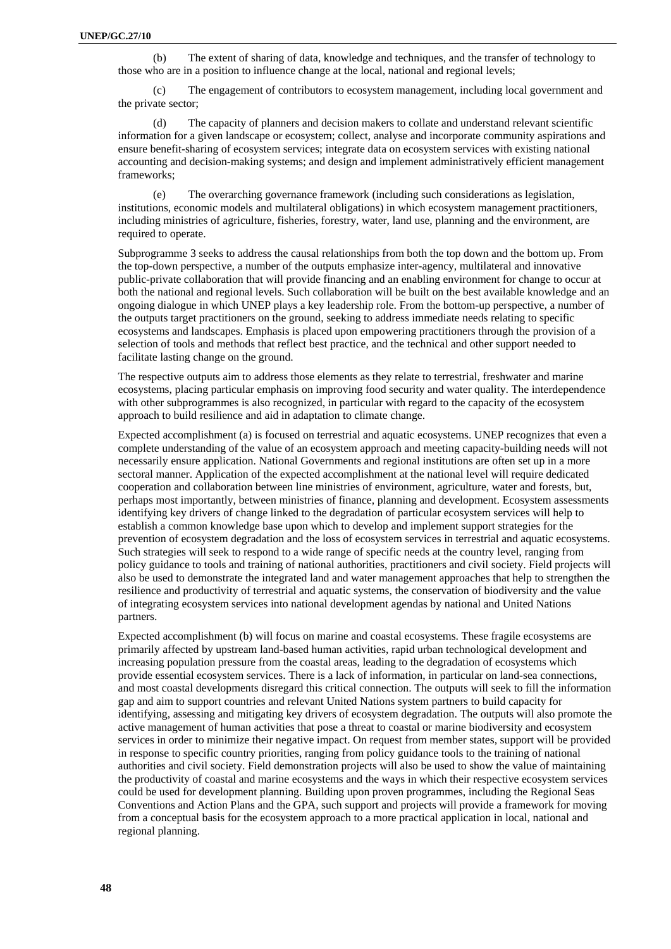(b) The extent of sharing of data, knowledge and techniques, and the transfer of technology to those who are in a position to influence change at the local, national and regional levels;

(c) The engagement of contributors to ecosystem management, including local government and the private sector;

(d) The capacity of planners and decision makers to collate and understand relevant scientific information for a given landscape or ecosystem; collect, analyse and incorporate community aspirations and ensure benefit-sharing of ecosystem services; integrate data on ecosystem services with existing national accounting and decision-making systems; and design and implement administratively efficient management frameworks;

(e) The overarching governance framework (including such considerations as legislation, institutions, economic models and multilateral obligations) in which ecosystem management practitioners, including ministries of agriculture, fisheries, forestry, water, land use, planning and the environment, are required to operate.

Subprogramme 3 seeks to address the causal relationships from both the top down and the bottom up. From the top-down perspective, a number of the outputs emphasize inter-agency, multilateral and innovative public-private collaboration that will provide financing and an enabling environment for change to occur at both the national and regional levels. Such collaboration will be built on the best available knowledge and an ongoing dialogue in which UNEP plays a key leadership role. From the bottom-up perspective, a number of the outputs target practitioners on the ground, seeking to address immediate needs relating to specific ecosystems and landscapes. Emphasis is placed upon empowering practitioners through the provision of a selection of tools and methods that reflect best practice, and the technical and other support needed to facilitate lasting change on the ground.

The respective outputs aim to address those elements as they relate to terrestrial, freshwater and marine ecosystems, placing particular emphasis on improving food security and water quality. The interdependence with other subprogrammes is also recognized, in particular with regard to the capacity of the ecosystem approach to build resilience and aid in adaptation to climate change.

Expected accomplishment (a) is focused on terrestrial and aquatic ecosystems. UNEP recognizes that even a complete understanding of the value of an ecosystem approach and meeting capacity-building needs will not necessarily ensure application. National Governments and regional institutions are often set up in a more sectoral manner. Application of the expected accomplishment at the national level will require dedicated cooperation and collaboration between line ministries of environment, agriculture, water and forests, but, perhaps most importantly, between ministries of finance, planning and development. Ecosystem assessments identifying key drivers of change linked to the degradation of particular ecosystem services will help to establish a common knowledge base upon which to develop and implement support strategies for the prevention of ecosystem degradation and the loss of ecosystem services in terrestrial and aquatic ecosystems. Such strategies will seek to respond to a wide range of specific needs at the country level, ranging from policy guidance to tools and training of national authorities, practitioners and civil society. Field projects will also be used to demonstrate the integrated land and water management approaches that help to strengthen the resilience and productivity of terrestrial and aquatic systems, the conservation of biodiversity and the value of integrating ecosystem services into national development agendas by national and United Nations partners.

Expected accomplishment (b) will focus on marine and coastal ecosystems. These fragile ecosystems are primarily affected by upstream land-based human activities, rapid urban technological development and increasing population pressure from the coastal areas, leading to the degradation of ecosystems which provide essential ecosystem services. There is a lack of information, in particular on land-sea connections, and most coastal developments disregard this critical connection. The outputs will seek to fill the information gap and aim to support countries and relevant United Nations system partners to build capacity for identifying, assessing and mitigating key drivers of ecosystem degradation. The outputs will also promote the active management of human activities that pose a threat to coastal or marine biodiversity and ecosystem services in order to minimize their negative impact. On request from member states, support will be provided in response to specific country priorities, ranging from policy guidance tools to the training of national authorities and civil society. Field demonstration projects will also be used to show the value of maintaining the productivity of coastal and marine ecosystems and the ways in which their respective ecosystem services could be used for development planning. Building upon proven programmes, including the Regional Seas Conventions and Action Plans and the GPA, such support and projects will provide a framework for moving from a conceptual basis for the ecosystem approach to a more practical application in local, national and regional planning.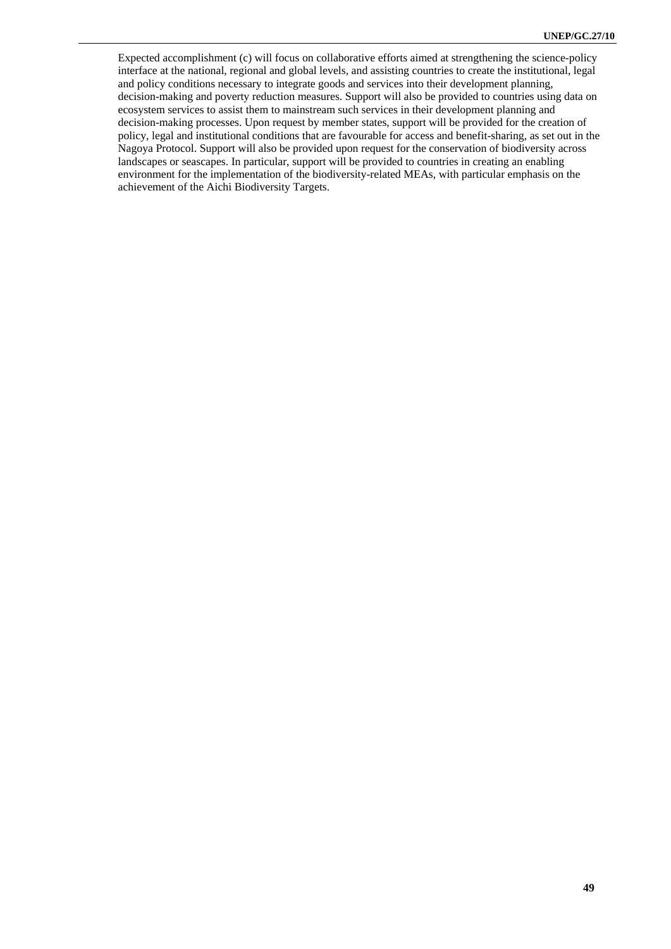Expected accomplishment (c) will focus on collaborative efforts aimed at strengthening the science-policy interface at the national, regional and global levels, and assisting countries to create the institutional, legal and policy conditions necessary to integrate goods and services into their development planning, decision-making and poverty reduction measures. Support will also be provided to countries using data on ecosystem services to assist them to mainstream such services in their development planning and decision-making processes. Upon request by member states, support will be provided for the creation of policy, legal and institutional conditions that are favourable for access and benefit-sharing, as set out in the Nagoya Protocol. Support will also be provided upon request for the conservation of biodiversity across landscapes or seascapes. In particular, support will be provided to countries in creating an enabling environment for the implementation of the biodiversity-related MEAs, with particular emphasis on the achievement of the Aichi Biodiversity Targets.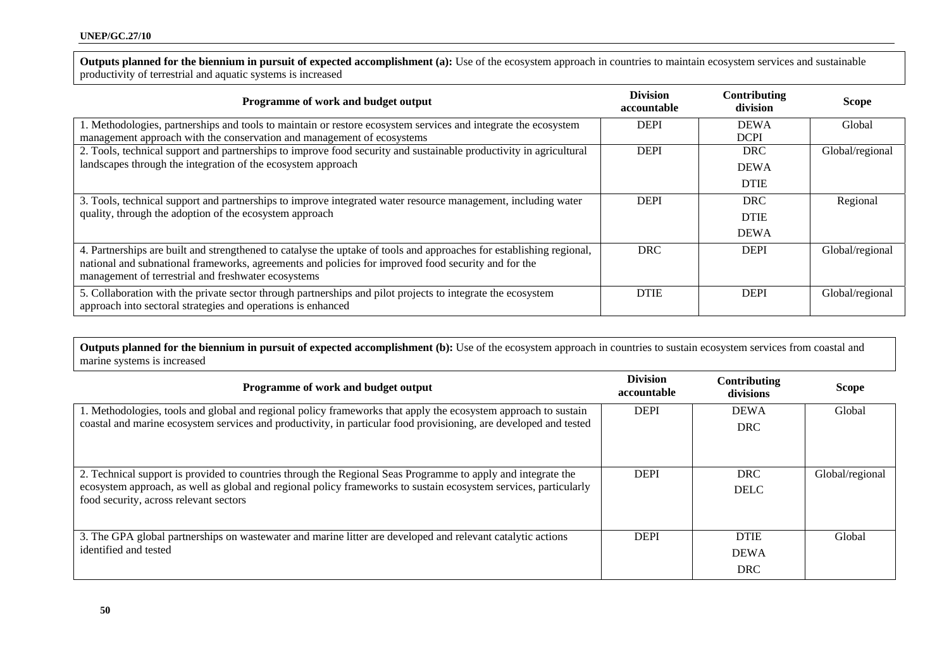**Outputs planned for the biennium in pursuit of expected accomplishment (a):** Use of the ecosystem approach in countries to maintain ecosystem services and sustainable productivity of terrestrial and aquatic systems is increased

| Programme of work and budget output                                                                                                                                                                                                                                                | <b>Division</b><br>accountable | Contributing<br>division | <b>Scope</b>    |
|------------------------------------------------------------------------------------------------------------------------------------------------------------------------------------------------------------------------------------------------------------------------------------|--------------------------------|--------------------------|-----------------|
| 1. Methodologies, partnerships and tools to maintain or restore ecosystem services and integrate the ecosystem                                                                                                                                                                     | <b>DEPI</b>                    | <b>DEWA</b>              | Global          |
| management approach with the conservation and management of ecosystems                                                                                                                                                                                                             |                                | <b>DCPI</b>              |                 |
| 2. Tools, technical support and partnerships to improve food security and sustainable productivity in agricultural                                                                                                                                                                 | <b>DEPI</b>                    | <b>DRC</b>               | Global/regional |
| landscapes through the integration of the ecosystem approach                                                                                                                                                                                                                       |                                | <b>DEWA</b>              |                 |
|                                                                                                                                                                                                                                                                                    |                                | <b>DTIE</b>              |                 |
| 3. Tools, technical support and partnerships to improve integrated water resource management, including water                                                                                                                                                                      | <b>DEPI</b>                    | <b>DRC</b>               | Regional        |
| quality, through the adoption of the ecosystem approach                                                                                                                                                                                                                            |                                | <b>DTIE</b>              |                 |
|                                                                                                                                                                                                                                                                                    |                                | <b>DEWA</b>              |                 |
| 4. Partnerships are built and strengthened to catalyse the uptake of tools and approaches for establishing regional,<br>national and subnational frameworks, agreements and policies for improved food security and for the<br>management of terrestrial and freshwater ecosystems | <b>DRC</b>                     | <b>DEPI</b>              | Global/regional |
| 5. Collaboration with the private sector through partnerships and pilot projects to integrate the ecosystem<br>approach into sectoral strategies and operations is enhanced                                                                                                        | <b>DTIE</b>                    | <b>DEPI</b>              | Global/regional |

Outputs planned for the biennium in pursuit of expected accomplishment (b): Use of the ecosystem approach in countries to sustain ecosystem services from coastal and marine systems is increased

| Programme of work and budget output                                                                                                                                                                                                                                        | <b>Division</b><br>accountable | Contributing<br>divisions                | <b>Scope</b>    |
|----------------------------------------------------------------------------------------------------------------------------------------------------------------------------------------------------------------------------------------------------------------------------|--------------------------------|------------------------------------------|-----------------|
| 1. Methodologies, tools and global and regional policy frameworks that apply the ecosystem approach to sustain<br>coastal and marine ecosystem services and productivity, in particular food provisioning, are developed and tested                                        | <b>DEPI</b>                    | <b>DEWA</b><br><b>DRC</b>                | Global          |
| 2. Technical support is provided to countries through the Regional Seas Programme to apply and integrate the<br>ecosystem approach, as well as global and regional policy frameworks to sustain ecosystem services, particularly<br>food security, across relevant sectors | <b>DEPI</b>                    | <b>DRC</b><br><b>DELC</b>                | Global/regional |
| 3. The GPA global partnerships on wastewater and marine litter are developed and relevant catalytic actions<br>identified and tested                                                                                                                                       | <b>DEPI</b>                    | <b>DTIE</b><br><b>DEWA</b><br><b>DRC</b> | Global          |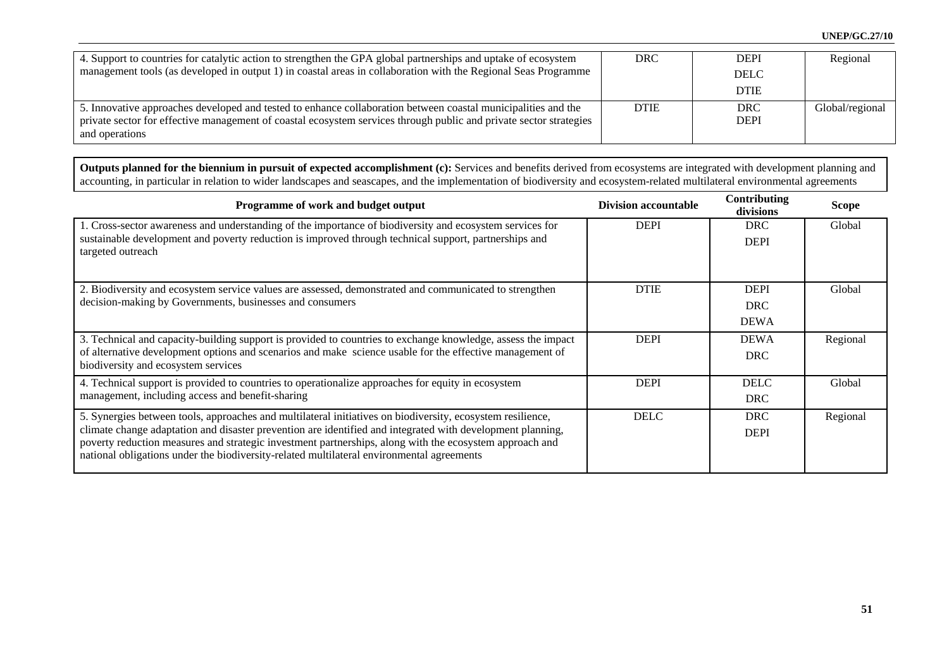| 4. Support to countries for catalytic action to strengthen the GPA global partnerships and uptake of ecosystem<br>management tools (as developed in output 1) in coastal areas in collaboration with the Regional Seas Programme                      | <b>DRC</b>  | <b>DEPI</b><br><b>DELC</b> | Regional        |
|-------------------------------------------------------------------------------------------------------------------------------------------------------------------------------------------------------------------------------------------------------|-------------|----------------------------|-----------------|
|                                                                                                                                                                                                                                                       |             | <b>DTIE</b>                |                 |
| 5. Innovative approaches developed and tested to enhance collaboration between coastal municipalities and the<br>private sector for effective management of coastal ecosystem services through public and private sector strategies<br>and operations | <b>DTIE</b> | <b>DRC</b><br><b>DEPI</b>  | Global/regional |

Outputs planned for the biennium in pursuit of expected accomplishment (c): Services and benefits derived from ecosystems are integrated with development planning and accounting, in particular in relation to wider landscapes and seascapes, and the implementation of biodiversity and ecosystem-related multilateral environmental agreements

| Programme of work and budget output                                                                                                                                                                                                                                                                                                                                                                                              | <b>Division accountable</b> | Contributing<br>divisions                | <b>Scope</b> |
|----------------------------------------------------------------------------------------------------------------------------------------------------------------------------------------------------------------------------------------------------------------------------------------------------------------------------------------------------------------------------------------------------------------------------------|-----------------------------|------------------------------------------|--------------|
| 1. Cross-sector awareness and understanding of the importance of biodiversity and ecosystem services for<br>sustainable development and poverty reduction is improved through technical support, partnerships and<br>targeted outreach                                                                                                                                                                                           | <b>DEPI</b>                 | <b>DRC</b><br><b>DEPI</b>                | Global       |
| 2. Biodiversity and ecosystem service values are assessed, demonstrated and communicated to strengthen<br>decision-making by Governments, businesses and consumers                                                                                                                                                                                                                                                               | <b>DTIE</b>                 | <b>DEPI</b><br><b>DRC</b><br><b>DEWA</b> | Global       |
| 3. Technical and capacity-building support is provided to countries to exchange knowledge, assess the impact<br>of alternative development options and scenarios and make science usable for the effective management of<br>biodiversity and ecosystem services                                                                                                                                                                  | <b>DEPI</b>                 | <b>DEWA</b><br><b>DRC</b>                | Regional     |
| 4. Technical support is provided to countries to operationalize approaches for equity in ecosystem<br>management, including access and benefit-sharing                                                                                                                                                                                                                                                                           | <b>DEPI</b>                 | <b>DELC</b><br><b>DRC</b>                | Global       |
| 5. Synergies between tools, approaches and multilateral initiatives on biodiversity, ecosystem resilience,<br>climate change adaptation and disaster prevention are identified and integrated with development planning,<br>poverty reduction measures and strategic investment partnerships, along with the ecosystem approach and<br>national obligations under the biodiversity-related multilateral environmental agreements | <b>DELC</b>                 | <b>DRC</b><br><b>DEPI</b>                | Regional     |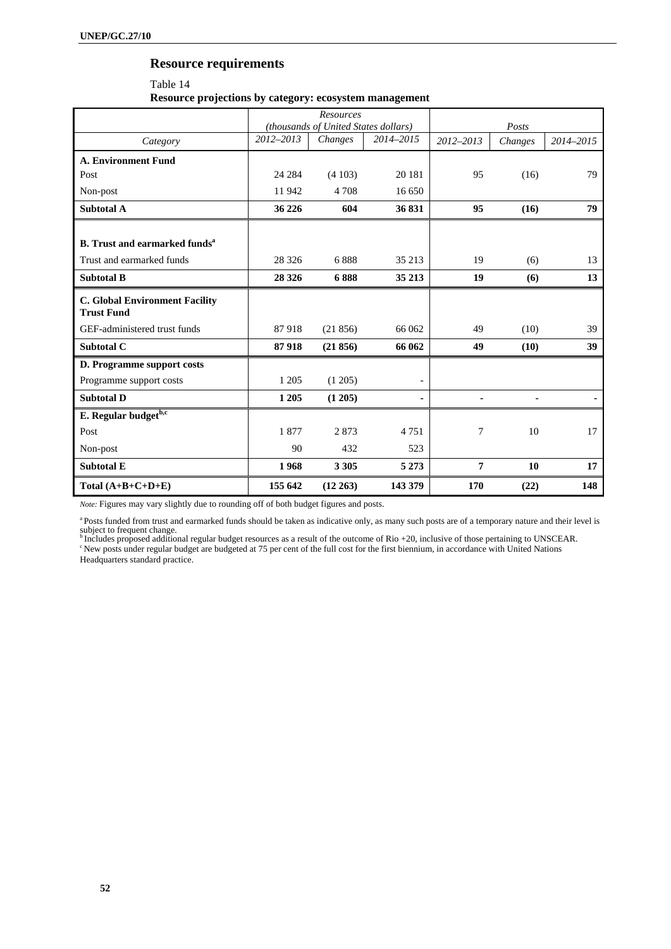# **Resource requirements**

Table 14 **Resource projections by category: ecosystem management** 

|                                                            | Resources<br>(thousands of United States dollars) |          |           |                | Posts   |           |
|------------------------------------------------------------|---------------------------------------------------|----------|-----------|----------------|---------|-----------|
| Category                                                   | 2012-2013                                         | Changes  | 2014-2015 | 2012-2013      | Changes | 2014-2015 |
| <b>A. Environment Fund</b>                                 |                                                   |          |           |                |         |           |
| Post                                                       | 24 28 4                                           | (4103)   | 20 18 1   | 95             | (16)    | 79        |
| Non-post                                                   | 11942                                             | 4 7 0 8  | 16 650    |                |         |           |
| Subtotal A                                                 | 36 226                                            | 604      | 36 831    | 95             | (16)    | 79        |
| <b>B.</b> Trust and earmarked funds <sup>a</sup>           |                                                   |          |           |                |         |           |
|                                                            |                                                   |          |           |                |         |           |
| Trust and earmarked funds                                  | 28 3 26                                           | 6888     | 35 213    | 19             | (6)     | 13        |
| <b>Subtotal B</b>                                          | 28 3 26                                           | 6888     | 35 213    | 19             | (6)     | 13        |
| <b>C. Global Environment Facility</b><br><b>Trust Fund</b> |                                                   |          |           |                |         |           |
| GEF-administered trust funds                               | 87918                                             | (21856)  | 66 062    | 49             | (10)    | 39        |
| Subtotal C                                                 | 87918                                             | (21856)  | 66 062    | 49             | (10)    | 39        |
| D. Programme support costs                                 |                                                   |          |           |                |         |           |
| Programme support costs                                    | 1 2 0 5                                           | (1205)   |           |                |         |           |
| <b>Subtotal D</b>                                          | 1 2 0 5                                           | (1 205)  |           | $\blacksquare$ |         |           |
| E. Regular budgetb,c                                       |                                                   |          |           |                |         |           |
| Post                                                       | 1877                                              | 2873     | 4 7 5 1   | 7              | 10      | 17        |
| Non-post                                                   | 90                                                | 432      | 523       |                |         |           |
| <b>Subtotal E</b>                                          | 1968                                              | 3 3 0 5  | 5 2 7 3   | 7              | 10      | 17        |
| Total $(A+B+C+D+E)$                                        | 155 642                                           | (12 263) | 143 379   | 170            | (22)    | 148       |

*Note:* Figures may vary slightly due to rounding off of both budget figures and posts.

<sup>a</sup> Posts funded from trust and earmarked funds should be taken as indicative only, as many such posts are of a temporary nature and their level is

subject to frequent change.<br><sup>b</sup> Includes proposed additional regular budget resources as a result of the outcome of Rio +20, inclusive of those pertaining to UNSCEAR.<br><sup>c</sup> New posts under regular budget are budgeted at 75 p

Headquarters standard practice.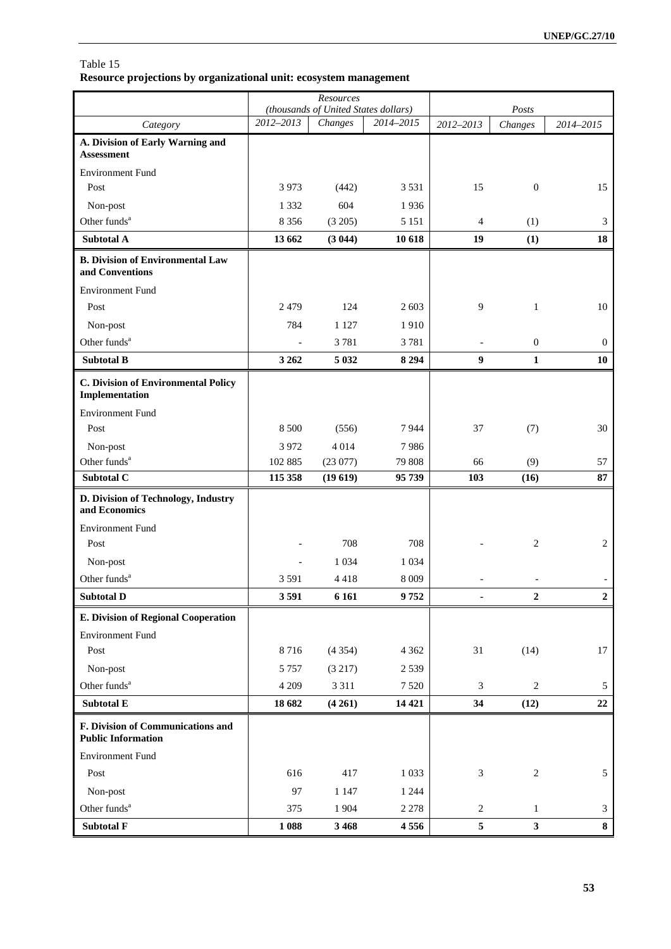Table 15 **Resource projections by organizational unit: ecosystem management** 

|                                                                |                | Resources                                       |           |                             |                  |                |
|----------------------------------------------------------------|----------------|-------------------------------------------------|-----------|-----------------------------|------------------|----------------|
| Category                                                       | 2012-2013      | (thousands of United States dollars)<br>Changes | 2014-2015 | 2012-2013                   | Posts<br>Changes | 2014-2015      |
| A. Division of Early Warning and                               |                |                                                 |           |                             |                  |                |
| <b>Assessment</b>                                              |                |                                                 |           |                             |                  |                |
| <b>Environment Fund</b>                                        |                |                                                 |           |                             |                  |                |
| Post                                                           | 3973           | (442)                                           | 3 5 3 1   | 15                          | $\boldsymbol{0}$ | 15             |
| Non-post                                                       | 1 3 3 2        | 604                                             | 1936      |                             |                  |                |
| Other funds <sup>a</sup>                                       | 8 3 5 6        | (3 205)                                         | 5 1 5 1   | $\overline{4}$              | (1)              | 3              |
| <b>Subtotal A</b>                                              | 13 662         | (3044)                                          | 10 618    | 19                          | (1)              | 18             |
| <b>B.</b> Division of Environmental Law<br>and Conventions     |                |                                                 |           |                             |                  |                |
| <b>Environment Fund</b>                                        |                |                                                 |           |                             |                  |                |
| Post                                                           | 2479           | 124                                             | 2 603     | 9                           | $\mathbf{1}$     | 10             |
| Non-post                                                       | 784            | 1 1 2 7                                         | 1910      |                             |                  |                |
| Other funds <sup>a</sup>                                       |                | 3781                                            | 3781      |                             | $\boldsymbol{0}$ | $\mathbf{0}$   |
| <b>Subtotal B</b>                                              | 3 2 6 2        | 5 0 3 2                                         | 8 2 9 4   | $\boldsymbol{9}$            | $\mathbf{1}$     | 10             |
| <b>C. Division of Environmental Policy</b><br>Implementation   |                |                                                 |           |                             |                  |                |
| <b>Environment Fund</b>                                        |                |                                                 |           |                             |                  |                |
| Post                                                           | 8 5 0 0        | (556)                                           | 7944      | 37                          | (7)              | 30             |
| Non-post                                                       | 3 9 7 2        | 4014                                            | 7986      |                             |                  |                |
| Other funds <sup>a</sup>                                       | 102 885        | (23077)                                         | 79 808    | 66                          | (9)              | 57             |
| Subtotal C                                                     | 115 358        | (19619)                                         | 95739     | 103                         | (16)             | 87             |
| D. Division of Technology, Industry<br>and Economics           |                |                                                 |           |                             |                  |                |
| <b>Environment Fund</b>                                        |                |                                                 |           |                             |                  |                |
| Post                                                           |                | 708                                             | 708       |                             | $\overline{c}$   | 2              |
| Non-post                                                       | $\overline{a}$ | 1 0 3 4                                         | 1 0 3 4   |                             |                  |                |
| Other funds <sup>a</sup>                                       | 3 5 9 1        | 4418                                            | 8 0 0 9   |                             |                  |                |
| <b>Subtotal D</b>                                              | 3591           | 6 1 6 1                                         | 9752      |                             | $\mathbf{2}$     | $\mathbf{2}$   |
| E. Division of Regional Cooperation                            |                |                                                 |           |                             |                  |                |
| <b>Environment Fund</b>                                        |                |                                                 |           |                             |                  |                |
| Post                                                           | 8716           | (4354)                                          | 4 3 6 2   | 31                          | (14)             | $17\,$         |
| Non-post                                                       | 5 7 5 7        | (3 217)                                         | 2539      |                             |                  |                |
| Other funds <sup>a</sup>                                       | 4 2 0 9        | 3 3 1 1                                         | 7 5 20    | $\ensuremath{\mathfrak{Z}}$ | $\overline{c}$   | $\mathfrak{S}$ |
| Subtotal E                                                     | 18 682         | (4261)                                          | 14 4 21   | 34                          | (12)             | $22\,$         |
| F. Division of Communications and<br><b>Public Information</b> |                |                                                 |           |                             |                  |                |
| <b>Environment Fund</b>                                        |                |                                                 |           |                             |                  |                |
| Post                                                           | 616            | 417                                             | 1 0 3 3   | $\sqrt{3}$                  | $\overline{c}$   | 5              |
| Non-post                                                       | 97             | 1 1 4 7                                         | 1 2 4 4   |                             |                  |                |
| Other funds <sup>a</sup>                                       | 375            | 1 904                                           | 2 2 7 8   | $\sqrt{2}$                  | $\mathbf{1}$     | $\mathfrak{Z}$ |
| Subtotal F                                                     | 1088           | 3 4 6 8                                         | 4556      | $\sqrt{5}$                  | $\mathbf{3}$     | ${\bf 8}$      |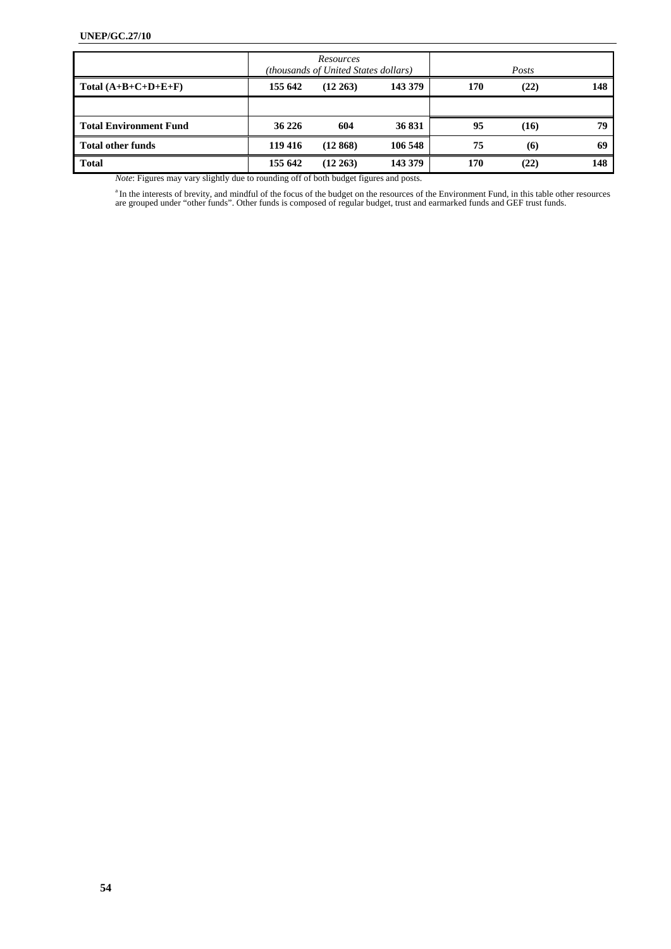|                               |         | Resources<br>(thousands of United States dollars) |         |     | Posts |     |
|-------------------------------|---------|---------------------------------------------------|---------|-----|-------|-----|
| Total $(A+B+C+D+E+F)$         | 155 642 | $(12\ 263)$                                       | 143 379 | 170 | (22)  | 148 |
|                               |         |                                                   |         |     |       |     |
| <b>Total Environment Fund</b> | 36 226  | 604                                               | 36 831  | 95  | (16)  | 79  |
| <b>Total other funds</b>      | 119 416 | (12868)                                           | 106 548 | 75  | (6)   | 69  |
| <b>Total</b>                  | 155 642 | $(12\,263)$                                       | 143 379 | 170 | (22)  | 148 |

*Note*: Figures may vary slightly due to rounding off of both budget figures and posts.

<sup>a</sup> In the interests of brevity, and mindful of the focus of the budget on the resources of the Environment Fund, in this table other resources are grouped under "other funds". Other funds is composed of regular budget, tr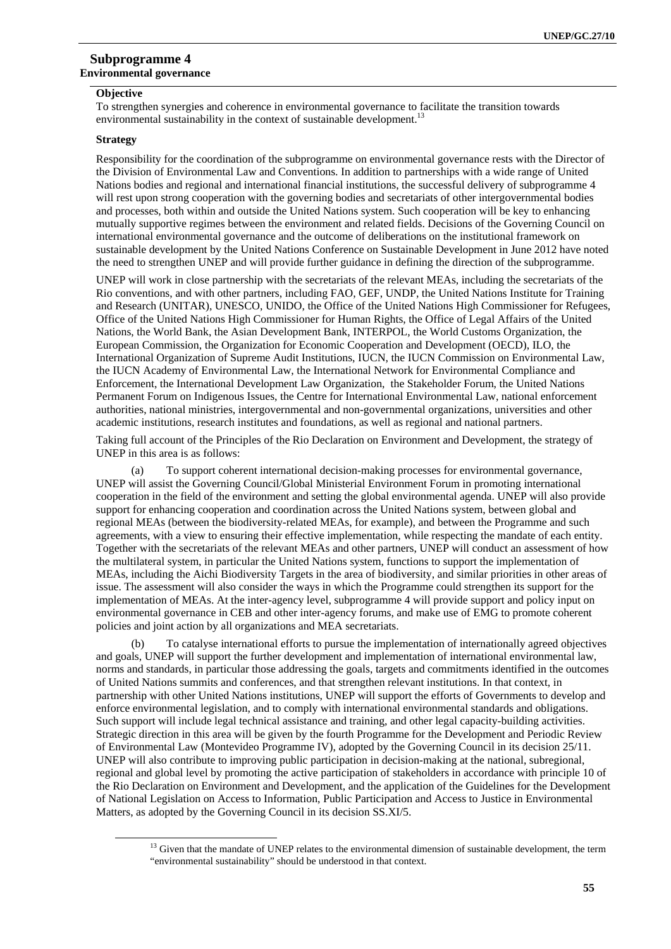## **Subprogramme 4 Environmental governance**

# **Objective**

To strengthen synergies and coherence in environmental governance to facilitate the transition towards environmental sustainability in the context of sustainable development.<sup>13</sup>

#### **Strategy**

Responsibility for the coordination of the subprogramme on environmental governance rests with the Director of the Division of Environmental Law and Conventions. In addition to partnerships with a wide range of United Nations bodies and regional and international financial institutions, the successful delivery of subprogramme 4 will rest upon strong cooperation with the governing bodies and secretariats of other intergovernmental bodies and processes, both within and outside the United Nations system. Such cooperation will be key to enhancing mutually supportive regimes between the environment and related fields. Decisions of the Governing Council on international environmental governance and the outcome of deliberations on the institutional framework on sustainable development by the United Nations Conference on Sustainable Development in June 2012 have noted the need to strengthen UNEP and will provide further guidance in defining the direction of the subprogramme.

UNEP will work in close partnership with the secretariats of the relevant MEAs, including the secretariats of the Rio conventions, and with other partners, including FAO, GEF, UNDP, the United Nations Institute for Training and Research (UNITAR), UNESCO, UNIDO, the Office of the United Nations High Commissioner for Refugees, Office of the United Nations High Commissioner for Human Rights, the Office of Legal Affairs of the United Nations, the World Bank, the Asian Development Bank, INTERPOL, the World Customs Organization, the European Commission, the Organization for Economic Cooperation and Development (OECD), ILO, the International Organization of Supreme Audit Institutions, IUCN, the IUCN Commission on Environmental Law, the IUCN Academy of Environmental Law, the International Network for Environmental Compliance and Enforcement, the International Development Law Organization, the Stakeholder Forum, the United Nations Permanent Forum on Indigenous Issues, the Centre for International Environmental Law, national enforcement authorities, national ministries, intergovernmental and non-governmental organizations, universities and other academic institutions, research institutes and foundations, as well as regional and national partners.

Taking full account of the Principles of the Rio Declaration on Environment and Development, the strategy of UNEP in this area is as follows:

(a) To support coherent international decision-making processes for environmental governance, UNEP will assist the Governing Council/Global Ministerial Environment Forum in promoting international cooperation in the field of the environment and setting the global environmental agenda. UNEP will also provide support for enhancing cooperation and coordination across the United Nations system, between global and regional MEAs (between the biodiversity-related MEAs, for example), and between the Programme and such agreements, with a view to ensuring their effective implementation, while respecting the mandate of each entity. Together with the secretariats of the relevant MEAs and other partners, UNEP will conduct an assessment of how the multilateral system, in particular the United Nations system, functions to support the implementation of MEAs, including the Aichi Biodiversity Targets in the area of biodiversity, and similar priorities in other areas of issue. The assessment will also consider the ways in which the Programme could strengthen its support for the implementation of MEAs. At the inter-agency level, subprogramme 4 will provide support and policy input on environmental governance in CEB and other inter-agency forums, and make use of EMG to promote coherent policies and joint action by all organizations and MEA secretariats.

(b) To catalyse international efforts to pursue the implementation of internationally agreed objectives and goals, UNEP will support the further development and implementation of international environmental law, norms and standards, in particular those addressing the goals, targets and commitments identified in the outcomes of United Nations summits and conferences, and that strengthen relevant institutions. In that context, in partnership with other United Nations institutions, UNEP will support the efforts of Governments to develop and enforce environmental legislation, and to comply with international environmental standards and obligations. Such support will include legal technical assistance and training, and other legal capacity-building activities. Strategic direction in this area will be given by the fourth Programme for the Development and Periodic Review of Environmental Law (Montevideo Programme IV), adopted by the Governing Council in its decision 25/11. UNEP will also contribute to improving public participation in decision-making at the national, subregional, regional and global level by promoting the active participation of stakeholders in accordance with principle 10 of the Rio Declaration on Environment and Development, and the application of the Guidelines for the Development of National Legislation on Access to Information, Public Participation and Access to Justice in Environmental Matters, as adopted by the Governing Council in its decision SS.XI/5.

<sup>&</sup>lt;sup>13</sup> Given that the mandate of UNEP relates to the environmental dimension of sustainable development, the term "environmental sustainability" should be understood in that context.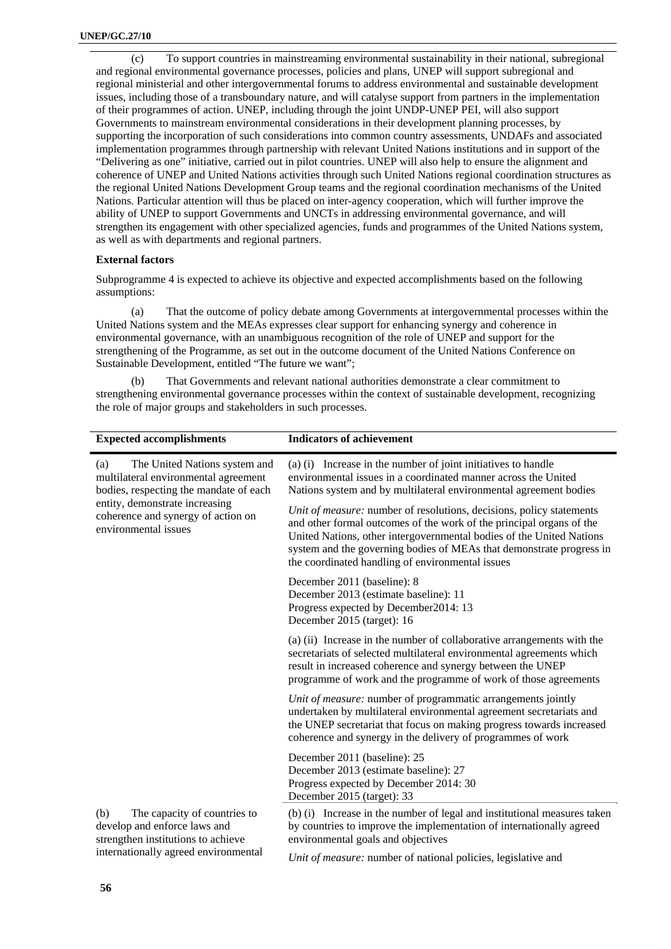(c) To support countries in mainstreaming environmental sustainability in their national, subregional and regional environmental governance processes, policies and plans, UNEP will support subregional and regional ministerial and other intergovernmental forums to address environmental and sustainable development issues, including those of a transboundary nature, and will catalyse support from partners in the implementation of their programmes of action. UNEP, including through the joint UNDP-UNEP PEI, will also support Governments to mainstream environmental considerations in their development planning processes, by supporting the incorporation of such considerations into common country assessments, UNDAFs and associated implementation programmes through partnership with relevant United Nations institutions and in support of the "Delivering as one" initiative, carried out in pilot countries. UNEP will also help to ensure the alignment and coherence of UNEP and United Nations activities through such United Nations regional coordination structures as the regional United Nations Development Group teams and the regional coordination mechanisms of the United Nations. Particular attention will thus be placed on inter-agency cooperation, which will further improve the ability of UNEP to support Governments and UNCTs in addressing environmental governance, and will strengthen its engagement with other specialized agencies, funds and programmes of the United Nations system, as well as with departments and regional partners.

#### **External factors**

Subprogramme 4 is expected to achieve its objective and expected accomplishments based on the following assumptions:

(a) That the outcome of policy debate among Governments at intergovernmental processes within the United Nations system and the MEAs expresses clear support for enhancing synergy and coherence in environmental governance, with an unambiguous recognition of the role of UNEP and support for the strengthening of the Programme, as set out in the outcome document of the United Nations Conference on Sustainable Development, entitled "The future we want";

(b) That Governments and relevant national authorities demonstrate a clear commitment to strengthening environmental governance processes within the context of sustainable development, recognizing the role of major groups and stakeholders in such processes.

| <b>Expected accomplishments</b>                                                                                                                                                                                        | <b>Indicators of achievement</b>                                                                                                                                                                                                                                                                                                                 |
|------------------------------------------------------------------------------------------------------------------------------------------------------------------------------------------------------------------------|--------------------------------------------------------------------------------------------------------------------------------------------------------------------------------------------------------------------------------------------------------------------------------------------------------------------------------------------------|
| The United Nations system and<br>(a)<br>multilateral environmental agreement<br>bodies, respecting the mandate of each<br>entity, demonstrate increasing<br>coherence and synergy of action on<br>environmental issues | (a) (i) Increase in the number of joint initiatives to handle<br>environmental issues in a coordinated manner across the United<br>Nations system and by multilateral environmental agreement bodies                                                                                                                                             |
|                                                                                                                                                                                                                        | Unit of measure: number of resolutions, decisions, policy statements<br>and other formal outcomes of the work of the principal organs of the<br>United Nations, other intergovernmental bodies of the United Nations<br>system and the governing bodies of MEAs that demonstrate progress in<br>the coordinated handling of environmental issues |
|                                                                                                                                                                                                                        | December 2011 (baseline): 8<br>December 2013 (estimate baseline): 11<br>Progress expected by December2014: 13<br>December 2015 (target): 16                                                                                                                                                                                                      |
|                                                                                                                                                                                                                        | (a) (ii) Increase in the number of collaborative arrangements with the<br>secretariats of selected multilateral environmental agreements which<br>result in increased coherence and synergy between the UNEP<br>programme of work and the programme of work of those agreements                                                                  |
|                                                                                                                                                                                                                        | Unit of measure: number of programmatic arrangements jointly<br>undertaken by multilateral environmental agreement secretariats and<br>the UNEP secretariat that focus on making progress towards increased<br>coherence and synergy in the delivery of programmes of work                                                                       |
|                                                                                                                                                                                                                        | December 2011 (baseline): 25<br>December 2013 (estimate baseline): 27<br>Progress expected by December 2014: 30<br>December 2015 (target): 33                                                                                                                                                                                                    |
| (b)<br>The capacity of countries to<br>develop and enforce laws and<br>strengthen institutions to achieve                                                                                                              | (b) (i) Increase in the number of legal and institutional measures taken<br>by countries to improve the implementation of internationally agreed<br>environmental goals and objectives                                                                                                                                                           |

internationally agreed environmental

*Unit of measure:* number of national policies, legislative and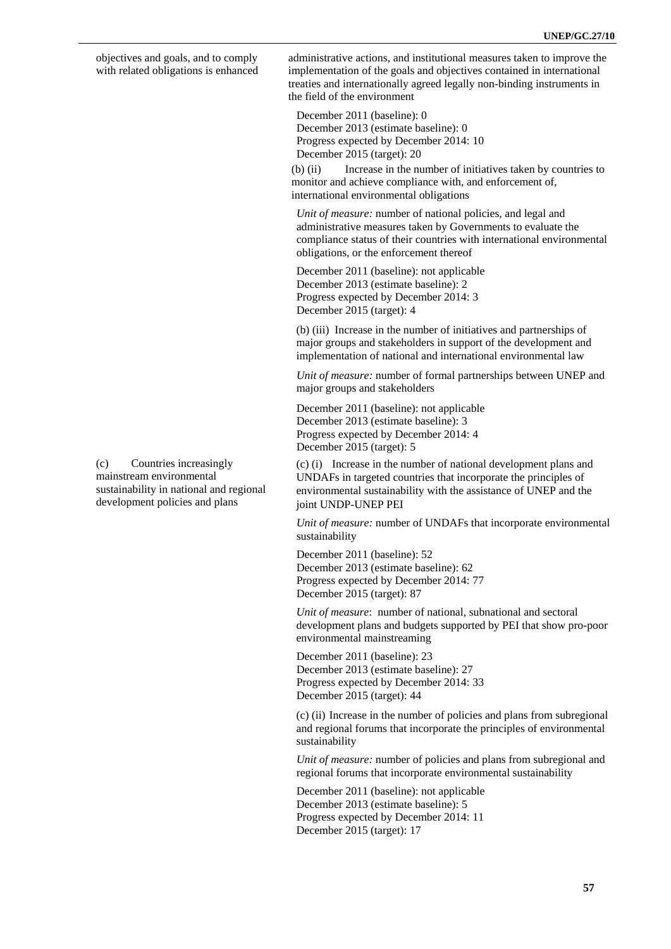objectives and goals, and to comply with related obligations is enhanced

(c) Countries increasingly mainstream environmental sustainability in national and regional development policies and plans

administrative actions, and institutional measures taken to improve the implementation of the goals and objectives contained in international treaties and internationally agreed legally non-binding instruments in the field of the environment

December 2011 (baseline): 0 December 2013 (estimate baseline): 0 Progress expected by December 2014: 10 December 2015 (target): 20

(b) (ii) Increase in the number of initiatives taken by countries to monitor and achieve compliance with, and enforcement of, international environmental obligations

*Unit of measure:* number of national policies, and legal and administrative measures taken by Governments to evaluate the compliance status of their countries with international environmental obligations, or the enforcement thereof

December 2011 (baseline): not applicable December 2013 (estimate baseline): 2 Progress expected by December 2014: 3 December 2015 (target): 4

(b) (iii) Increase in the number of initiatives and partnerships of major groups and stakeholders in support of the development and implementation of national and international environmental law

*Unit of measure:* number of formal partnerships between UNEP and major groups and stakeholders

December 2011 (baseline): not applicable December 2013 (estimate baseline): 3 Progress expected by December 2014: 4 December 2015 (target): 5

(c) (i) Increase in the number of national development plans and UNDAFs in targeted countries that incorporate the principles of environmental sustainability with the assistance of UNEP and the joint UNDP-UNEP PEI

*Unit of measure:* number of UNDAFs that incorporate environmental sustainability

December 2011 (baseline): 52 December 2013 (estimate baseline): 62 Progress expected by December 2014: 77 December 2015 (target): 87

*Unit of measure*: number of national, subnational and sectoral development plans and budgets supported by PEI that show pro-poor environmental mainstreaming

December 2011 (baseline): 23 December 2013 (estimate baseline): 27 Progress expected by December 2014: 33 December 2015 (target): 44

(c) (ii) Increase in the number of policies and plans from subregional and regional forums that incorporate the principles of environmental sustainability

*Unit of measure:* number of policies and plans from subregional and regional forums that incorporate environmental sustainability

December 2011 (baseline): not applicable December 2013 (estimate baseline): 5 Progress expected by December 2014: 11 December 2015 (target): 17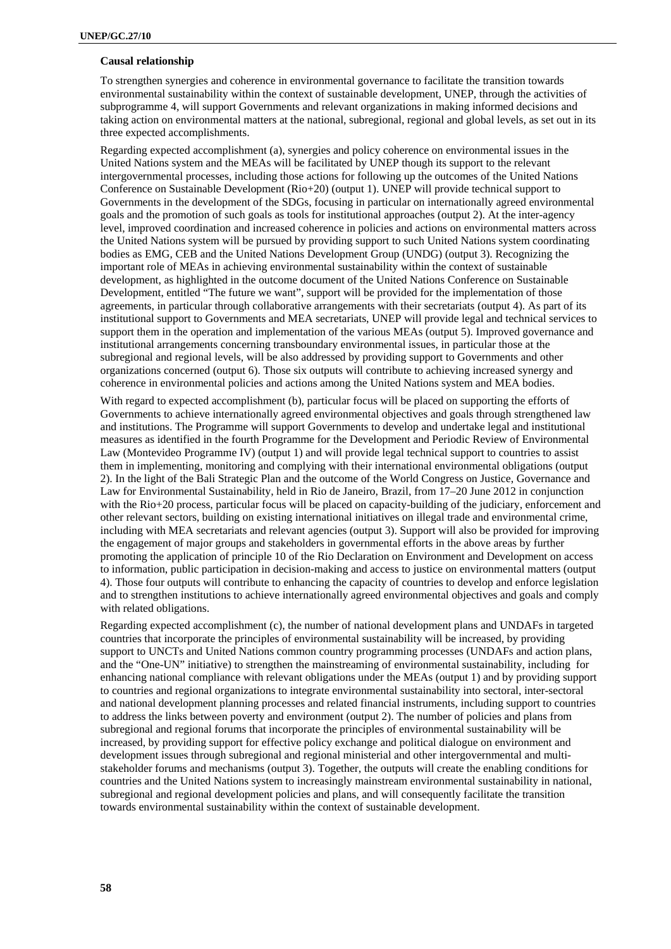## **Causal relationship**

To strengthen synergies and coherence in environmental governance to facilitate the transition towards environmental sustainability within the context of sustainable development, UNEP, through the activities of subprogramme 4, will support Governments and relevant organizations in making informed decisions and taking action on environmental matters at the national, subregional, regional and global levels, as set out in its three expected accomplishments.

Regarding expected accomplishment (a), synergies and policy coherence on environmental issues in the United Nations system and the MEAs will be facilitated by UNEP though its support to the relevant intergovernmental processes, including those actions for following up the outcomes of the United Nations Conference on Sustainable Development (Rio+20) (output 1). UNEP will provide technical support to Governments in the development of the SDGs, focusing in particular on internationally agreed environmental goals and the promotion of such goals as tools for institutional approaches (output 2). At the inter-agency level, improved coordination and increased coherence in policies and actions on environmental matters across the United Nations system will be pursued by providing support to such United Nations system coordinating bodies as EMG, CEB and the United Nations Development Group (UNDG) (output 3). Recognizing the important role of MEAs in achieving environmental sustainability within the context of sustainable development, as highlighted in the outcome document of the United Nations Conference on Sustainable Development, entitled "The future we want", support will be provided for the implementation of those agreements, in particular through collaborative arrangements with their secretariats (output 4). As part of its institutional support to Governments and MEA secretariats, UNEP will provide legal and technical services to support them in the operation and implementation of the various MEAs (output 5). Improved governance and institutional arrangements concerning transboundary environmental issues, in particular those at the subregional and regional levels, will be also addressed by providing support to Governments and other organizations concerned (output 6). Those six outputs will contribute to achieving increased synergy and coherence in environmental policies and actions among the United Nations system and MEA bodies.

With regard to expected accomplishment (b), particular focus will be placed on supporting the efforts of Governments to achieve internationally agreed environmental objectives and goals through strengthened law and institutions. The Programme will support Governments to develop and undertake legal and institutional measures as identified in the fourth Programme for the Development and Periodic Review of Environmental Law (Montevideo Programme IV) (output 1) and will provide legal technical support to countries to assist them in implementing, monitoring and complying with their international environmental obligations (output 2). In the light of the Bali Strategic Plan and the outcome of the World Congress on Justice, Governance and Law for Environmental Sustainability, held in Rio de Janeiro, Brazil, from 17–20 June 2012 in conjunction with the Rio+20 process, particular focus will be placed on capacity-building of the judiciary, enforcement and other relevant sectors, building on existing international initiatives on illegal trade and environmental crime, including with MEA secretariats and relevant agencies (output 3). Support will also be provided for improving the engagement of major groups and stakeholders in governmental efforts in the above areas by further promoting the application of principle 10 of the Rio Declaration on Environment and Development on access to information, public participation in decision-making and access to justice on environmental matters (output 4). Those four outputs will contribute to enhancing the capacity of countries to develop and enforce legislation and to strengthen institutions to achieve internationally agreed environmental objectives and goals and comply with related obligations.

Regarding expected accomplishment (c), the number of national development plans and UNDAFs in targeted countries that incorporate the principles of environmental sustainability will be increased, by providing support to UNCTs and United Nations common country programming processes (UNDAFs and action plans, and the "One-UN" initiative) to strengthen the mainstreaming of environmental sustainability, including for enhancing national compliance with relevant obligations under the MEAs (output 1) and by providing support to countries and regional organizations to integrate environmental sustainability into sectoral, inter-sectoral and national development planning processes and related financial instruments, including support to countries to address the links between poverty and environment (output 2). The number of policies and plans from subregional and regional forums that incorporate the principles of environmental sustainability will be increased, by providing support for effective policy exchange and political dialogue on environment and development issues through subregional and regional ministerial and other intergovernmental and multistakeholder forums and mechanisms (output 3). Together, the outputs will create the enabling conditions for countries and the United Nations system to increasingly mainstream environmental sustainability in national, subregional and regional development policies and plans, and will consequently facilitate the transition towards environmental sustainability within the context of sustainable development.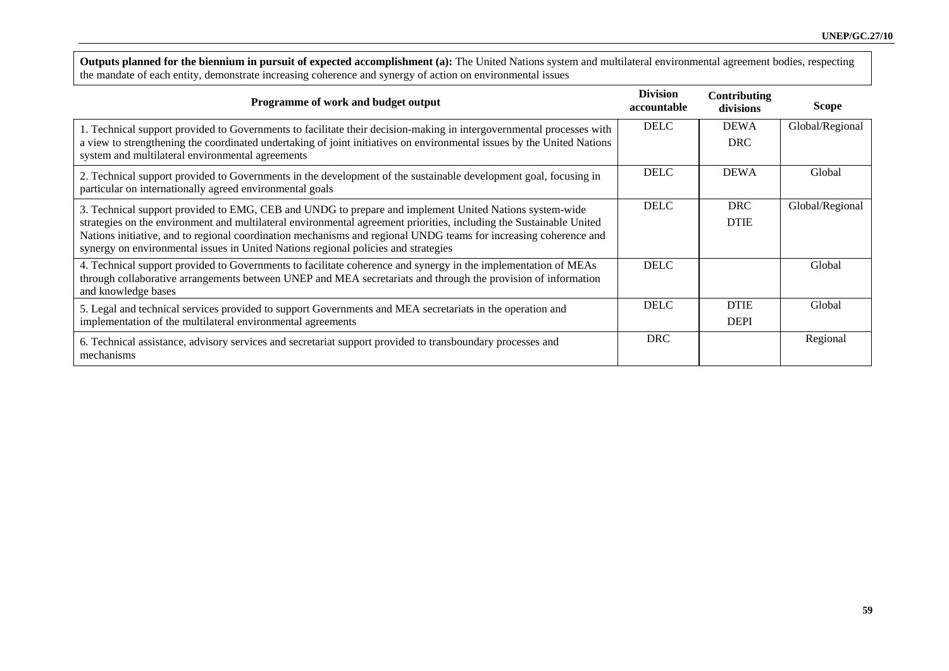**Outputs planned for the biennium in pursuit of expected accomplishment (a):** The United Nations system and multilateral environmental agreement bodies, respecting the mandate of each entity, demonstrate increasing coherence and synergy of action on environmental issues

| Programme of work and budget output                                                                                                                                                                                                                                                                                                                                                                                                     | <b>Division</b><br>accountable | Contributing<br>divisions  | <b>Scope</b>    |
|-----------------------------------------------------------------------------------------------------------------------------------------------------------------------------------------------------------------------------------------------------------------------------------------------------------------------------------------------------------------------------------------------------------------------------------------|--------------------------------|----------------------------|-----------------|
| 1. Technical support provided to Governments to facilitate their decision-making in intergovernmental processes with<br>a view to strengthening the coordinated undertaking of joint initiatives on environmental issues by the United Nations<br>system and multilateral environmental agreements                                                                                                                                      | <b>DELC</b>                    | <b>DEWA</b><br><b>DRC</b>  | Global/Regional |
| 2. Technical support provided to Governments in the development of the sustainable development goal, focusing in<br>particular on internationally agreed environmental goals                                                                                                                                                                                                                                                            | <b>DELC</b>                    | <b>DEWA</b>                | Global          |
| 3. Technical support provided to EMG, CEB and UNDG to prepare and implement United Nations system-wide<br>strategies on the environment and multilateral environmental agreement priorities, including the Sustainable United<br>Nations initiative, and to regional coordination mechanisms and regional UNDG teams for increasing coherence and<br>synergy on environmental issues in United Nations regional policies and strategies | <b>DELC</b>                    | <b>DRC</b><br><b>DTIE</b>  | Global/Regional |
| 4. Technical support provided to Governments to facilitate coherence and synergy in the implementation of MEAs<br>through collaborative arrangements between UNEP and MEA secretariats and through the provision of information<br>and knowledge bases                                                                                                                                                                                  | <b>DELC</b>                    |                            | Global          |
| 5. Legal and technical services provided to support Governments and MEA secretariats in the operation and<br>implementation of the multilateral environmental agreements                                                                                                                                                                                                                                                                | <b>DELC</b>                    | <b>DTIE</b><br><b>DEPI</b> | Global          |
| 6. Technical assistance, advisory services and secretariat support provided to transboundary processes and<br>mechanisms                                                                                                                                                                                                                                                                                                                | <b>DRC</b>                     |                            | Regional        |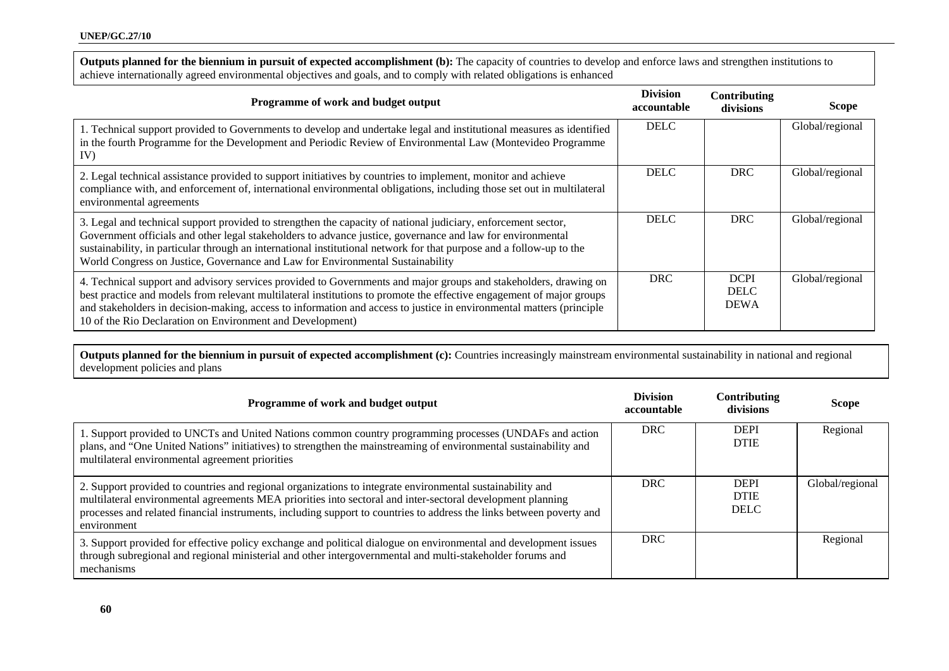Outputs planned for the biennium in pursuit of expected accomplishment (b): The capacity of countries to develop and enforce laws and strengthen institutions to achieve internationally agreed environmental objectives and goals, and to comply with related obligations is enhanced

| Programme of work and budget output                                                                                                                                                                                                                                                                                                                                                                                                   | <b>Division</b><br>accountable | Contributing<br>divisions                 | <b>Scope</b>    |
|---------------------------------------------------------------------------------------------------------------------------------------------------------------------------------------------------------------------------------------------------------------------------------------------------------------------------------------------------------------------------------------------------------------------------------------|--------------------------------|-------------------------------------------|-----------------|
| 1. Technical support provided to Governments to develop and undertake legal and institutional measures as identified<br>in the fourth Programme for the Development and Periodic Review of Environmental Law (Montevideo Programme<br>IV)                                                                                                                                                                                             | <b>DELC</b>                    |                                           | Global/regional |
| 2. Legal technical assistance provided to support initiatives by countries to implement, monitor and achieve<br>compliance with, and enforcement of, international environmental obligations, including those set out in multilateral<br>environmental agreements                                                                                                                                                                     | <b>DELC</b>                    | <b>DRC</b>                                | Global/regional |
| 3. Legal and technical support provided to strengthen the capacity of national judiciary, enforcement sector,<br>Government officials and other legal stakeholders to advance justice, governance and law for environmental<br>sustainability, in particular through an international institutional network for that purpose and a follow-up to the<br>World Congress on Justice, Governance and Law for Environmental Sustainability | <b>DELC</b>                    | <b>DRC</b>                                | Global/regional |
| 4. Technical support and advisory services provided to Governments and major groups and stakeholders, drawing on<br>best practice and models from relevant multilateral institutions to promote the effective engagement of major groups<br>and stakeholders in decision-making, access to information and access to justice in environmental matters (principle<br>10 of the Rio Declaration on Environment and Development)         | <b>DRC</b>                     | <b>DCPI</b><br><b>DELC</b><br><b>DEWA</b> | Global/regional |

**Outputs planned for the biennium in pursuit of expected accomplishment (c):** Countries increasingly mainstream environmental sustainability in national and regional development policies and plans

| Programme of work and budget output                                                                                                                                                                                                                                                                                                                            | <b>Division</b><br>accountable | Contributing<br>divisions                 | <b>Scope</b>    |
|----------------------------------------------------------------------------------------------------------------------------------------------------------------------------------------------------------------------------------------------------------------------------------------------------------------------------------------------------------------|--------------------------------|-------------------------------------------|-----------------|
| 1. Support provided to UNCTs and United Nations common country programming processes (UNDAFs and action<br>plans, and "One United Nations" initiatives) to strengthen the mainstreaming of environmental sustainability and<br>multilateral environmental agreement priorities                                                                                 | <b>DRC</b>                     | <b>DEPI</b><br><b>DTIE</b>                | Regional        |
| 2. Support provided to countries and regional organizations to integrate environmental sustainability and<br>multilateral environmental agreements MEA priorities into sectoral and inter-sectoral development planning<br>processes and related financial instruments, including support to countries to address the links between poverty and<br>environment | <b>DRC</b>                     | <b>DEPI</b><br><b>DTIE</b><br><b>DELC</b> | Global/regional |
| 3. Support provided for effective policy exchange and political dialogue on environmental and development issues<br>through subregional and regional ministerial and other intergovernmental and multi-stakeholder forums and<br>mechanisms                                                                                                                    | <b>DRC</b>                     |                                           | Regional        |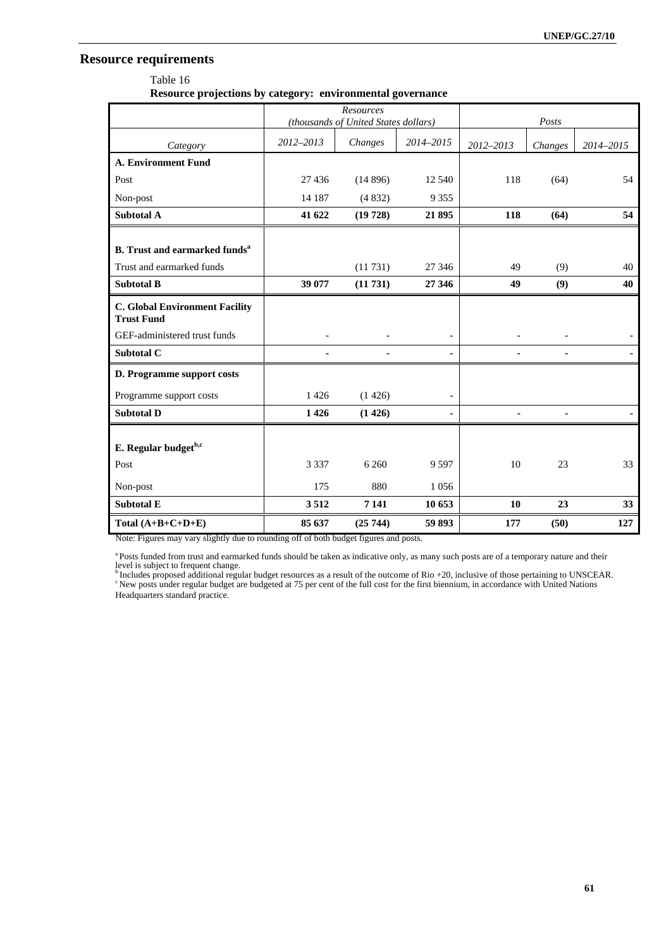# **Resource requirements**

Table 16 **Resource projections by category: environmental governance** 

|                                                            |                          | Resources<br>(thousands of United States dollars) |                          |           | Posts                    |           |
|------------------------------------------------------------|--------------------------|---------------------------------------------------|--------------------------|-----------|--------------------------|-----------|
| Category                                                   | 2012-2013                | Changes                                           | 2014-2015                | 2012-2013 | Changes                  | 2014-2015 |
| <b>A. Environment Fund</b>                                 |                          |                                                   |                          |           |                          |           |
| Post                                                       | 27 436                   | (14896)                                           | 12 540                   | 118       | (64)                     | 54        |
| Non-post                                                   | 14 187                   | (4832)                                            | 9 3 5 5                  |           |                          |           |
| Subtotal A                                                 | 41 622                   | (19728)                                           | 21 895                   | 118       | (64)                     | 54        |
| <b>B.</b> Trust and earmarked funds <sup>a</sup>           |                          |                                                   |                          |           |                          |           |
| Trust and earmarked funds                                  |                          | (11731)                                           | 27 34 6                  | 49        | (9)                      | 40        |
| <b>Subtotal B</b>                                          | 39 077                   | (11731)                                           | 27 346                   | 49        | (9)                      | 40        |
| <b>C. Global Environment Facility</b><br><b>Trust Fund</b> |                          |                                                   |                          |           |                          |           |
| GEF-administered trust funds                               | $\overline{\phantom{0}}$ | $\qquad \qquad -$                                 | $\overline{\phantom{0}}$ |           | $\overline{\phantom{a}}$ |           |
| Subtotal C                                                 | ä,                       | ×,                                                | ä,                       | ۰         | $\blacksquare$           |           |
| D. Programme support costs                                 |                          |                                                   |                          |           |                          |           |
| Programme support costs                                    | 1426                     | (1426)                                            | $\overline{\phantom{0}}$ |           |                          |           |
| <b>Subtotal D</b>                                          | 1426                     | (1426)                                            | ۰                        | ٠         | ٠                        |           |
| E. Regular budget <sup>b,c</sup>                           |                          |                                                   |                          |           |                          |           |
| Post                                                       | 3 3 3 7                  | 6 2 6 0                                           | 9 5 9 7                  | 10        | 23                       | 33        |
| Non-post                                                   | 175                      | 880                                               | 1 0 5 6                  |           |                          |           |
| <b>Subtotal E</b>                                          | 3512                     | 7 1 4 1                                           | 10 653                   | 10        | 23                       | 33        |
| Total $(A+B+C+D+E)$                                        | 85 637                   | (25744)                                           | 59 893                   | 177       | (50)                     | 127       |

Note: Figures may vary slightly due to rounding off of both budget figures and posts.

a Posts funded from trust and earmarked funds should be taken as indicative only, as many such posts are of a temporary nature and their

level is subject to frequent change.<br><sup>b</sup> Includes proposed additional regular budget resources as a result of the outcome of Rio +20, inclusive of those pertaining to UNSCEAR.<br><sup>c</sup> New posts under regular budget are budgete Headquarters standard practice.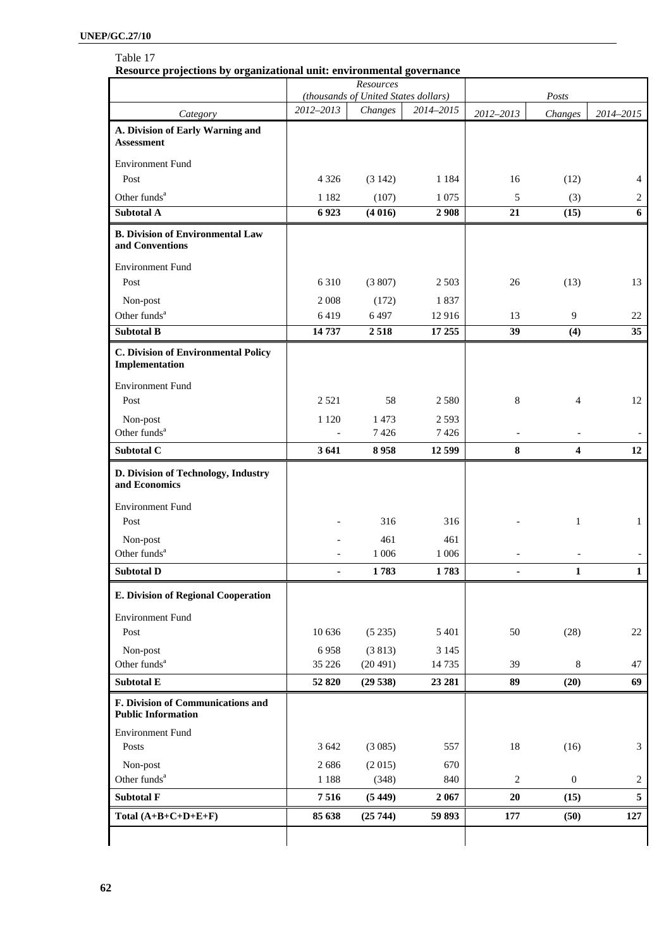# Table 17

**Resource projections by organizational unit: environmental governance** 

|                                                                | Resources<br>(thousands of United States dollars) |          |           |            |                  |                |
|----------------------------------------------------------------|---------------------------------------------------|----------|-----------|------------|------------------|----------------|
|                                                                | 2012-2013                                         | Changes  | 2014-2015 |            | Posts            |                |
| Category                                                       |                                                   |          |           | 2012-2013  | Changes          | 2014-2015      |
| A. Division of Early Warning and<br><b>Assessment</b>          |                                                   |          |           |            |                  |                |
| <b>Environment Fund</b>                                        |                                                   |          |           |            |                  |                |
| Post                                                           | 4 3 2 6                                           | (3 142)  | 1 1 8 4   | 16         | (12)             | 4              |
| Other funds <sup>a</sup>                                       | 1 1 8 2                                           | (107)    | 1 0 7 5   | 5          | (3)              | $\overline{2}$ |
| <b>Subtotal A</b>                                              | 6923                                              | (4016)   | 2908      | 21         | (15)             | 6              |
| <b>B. Division of Environmental Law</b><br>and Conventions     |                                                   |          |           |            |                  |                |
| <b>Environment Fund</b>                                        |                                                   |          |           |            |                  |                |
| Post                                                           | 6310                                              | (3807)   | 2 5 0 3   | 26         | (13)             | 13             |
| Non-post                                                       | 2 0 0 8                                           | (172)    | 1837      |            |                  |                |
| Other funds <sup>a</sup>                                       | 6419                                              | 6497     | 12916     | 13         | 9                | 22             |
| <b>Subtotal B</b>                                              | 14737                                             | 2518     | 17 25 5   | 39         | (4)              | 35             |
| <b>C. Division of Environmental Policy</b><br>Implementation   |                                                   |          |           |            |                  |                |
| <b>Environment Fund</b>                                        |                                                   |          |           |            |                  |                |
| Post                                                           | 2 5 2 1                                           | 58       | 2 5 8 0   | 8          | $\overline{4}$   | 12             |
| Non-post                                                       | 1 1 2 0                                           | 1 4 7 3  | 2 5 9 3   |            |                  |                |
| Other funds <sup>a</sup>                                       |                                                   | 7426     | 7426      |            |                  |                |
| Subtotal C                                                     | 3641                                              | 8958     | 12 599    | 8          | 4                | 12             |
| D. Division of Technology, Industry<br>and Economics           |                                                   |          |           |            |                  |                |
| <b>Environment Fund</b>                                        |                                                   |          |           |            |                  |                |
| Post                                                           |                                                   | 316      | 316       |            | $\mathbf{1}$     | $\mathbf{1}$   |
| Non-post                                                       |                                                   | 461      | 461       |            |                  |                |
| Other funds <sup>a</sup>                                       |                                                   | 1 0 0 6  | 1 0 0 6   |            |                  |                |
| <b>Subtotal D</b>                                              |                                                   | 1783     | 1783      |            | $\mathbf{1}$     | $\mathbf{1}$   |
| E. Division of Regional Cooperation                            |                                                   |          |           |            |                  |                |
| <b>Environment Fund</b>                                        |                                                   |          |           |            |                  |                |
| Post                                                           | 10 636                                            | (5235)   | 5 4 0 1   | 50         | (28)             | 22             |
| Non-post                                                       | 6958                                              | (3813)   | 3 1 4 5   |            |                  |                |
| Other funds <sup>a</sup>                                       | 35 226                                            | (20 491) | 14735     | 39         | 8                | 47             |
| Subtotal E                                                     | 52 820                                            | (29538)  | 23 28 1   | 89         | (20)             | 69             |
| F. Division of Communications and<br><b>Public Information</b> |                                                   |          |           |            |                  |                |
| <b>Environment Fund</b>                                        |                                                   |          |           |            |                  |                |
| Posts                                                          | 3 6 4 2                                           | (3085)   | 557       | 18         | (16)             | 3              |
| Non-post                                                       | 2686                                              | (2015)   | 670       |            |                  |                |
| Other funds <sup>a</sup>                                       | 1 1 8 8                                           | (348)    | 840       | $\sqrt{2}$ | $\boldsymbol{0}$ | $\overline{c}$ |
| <b>Subtotal F</b>                                              | 7516                                              | (5449)   | 2 0 6 7   | $20\,$     | (15)             | 5              |
| Total $(A+B+C+D+E+F)$                                          | 85 638                                            | (25744)  | 59 893    | 177        | (50)             | 127            |
|                                                                |                                                   |          |           |            |                  |                |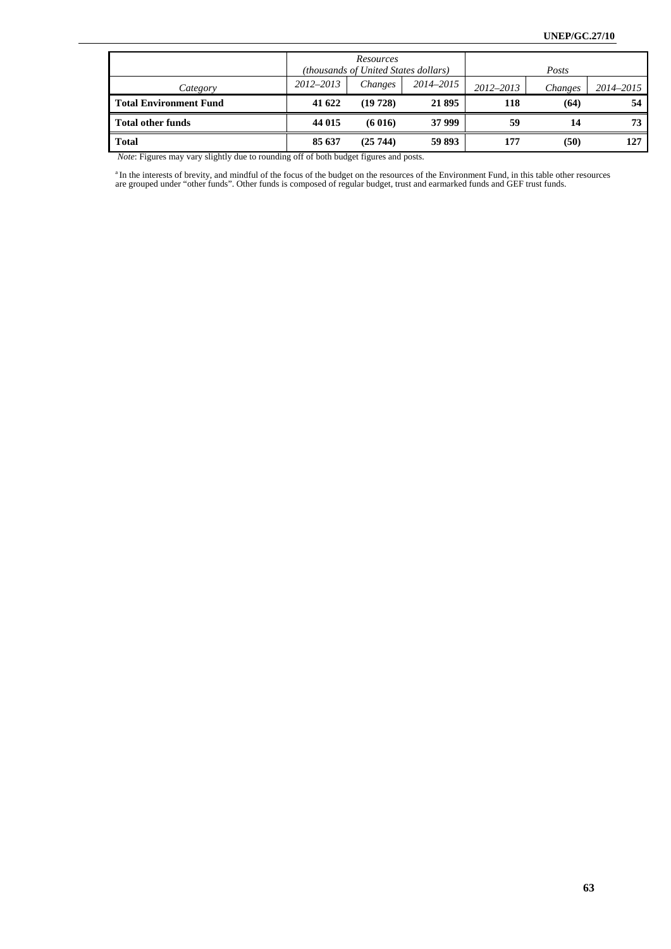|                               |           | Resources<br>(thousands of United States dollars) |           |               | Posts   |           |
|-------------------------------|-----------|---------------------------------------------------|-----------|---------------|---------|-----------|
| Category                      | 2012-2013 | Changes                                           | 2014–2015 | $2012 - 2013$ | Changes | 2014-2015 |
| <b>Total Environment Fund</b> | 41 622    | (19 728)                                          | 21 895    | 118           | (64)    | 54        |
| <b>Total other funds</b>      | 44 015    | (6016)                                            | 37 999    | 59            | 14      | 73        |
| <b>Total</b>                  | 85 637    | (25744)                                           | 59 893    | 177           | (50)    | 127       |

 *Note*: Figures may vary slightly due to rounding off of both budget figures and posts.

<sup>a</sup> In the interests of brevity, and mindful of the focus of the budget on the resources of the Environment Fund, in this table other resources are grouped under "other funds". Other funds is composed of regular budget, tr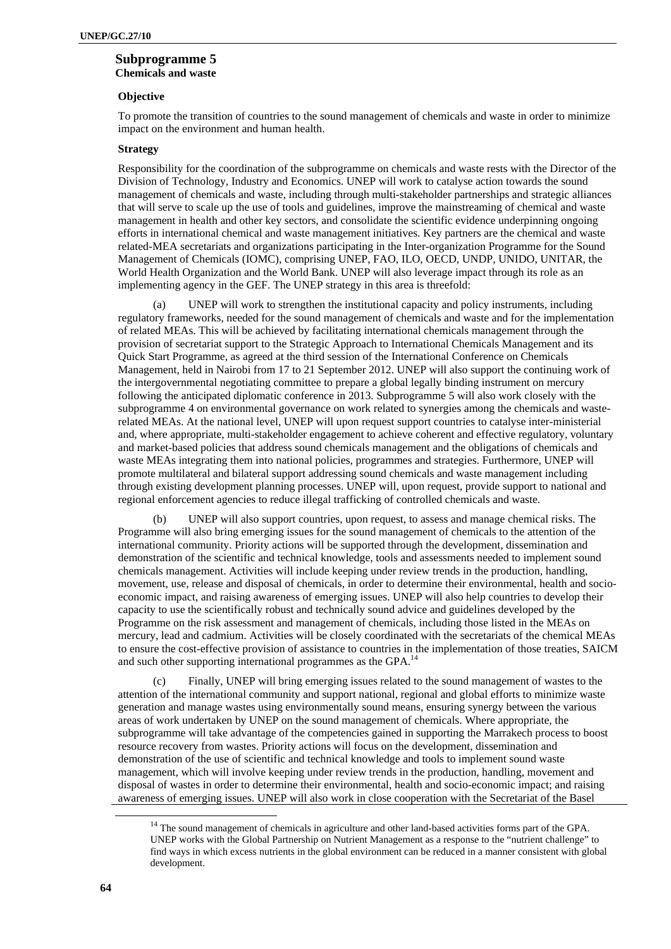# **Subprogramme 5 Chemicals and waste**

#### **Objective**

To promote the transition of countries to the sound management of chemicals and waste in order to minimize impact on the environment and human health.

#### **Strategy**

Responsibility for the coordination of the subprogramme on chemicals and waste rests with the Director of the Division of Technology, Industry and Economics. UNEP will work to catalyse action towards the sound management of chemicals and waste, including through multi-stakeholder partnerships and strategic alliances that will serve to scale up the use of tools and guidelines, improve the mainstreaming of chemical and waste management in health and other key sectors, and consolidate the scientific evidence underpinning ongoing efforts in international chemical and waste management initiatives. Key partners are the chemical and waste related-MEA secretariats and organizations participating in the Inter-organization Programme for the Sound Management of Chemicals (IOMC), comprising UNEP, FAO, ILO, OECD, UNDP, UNIDO, UNITAR, the World Health Organization and the World Bank. UNEP will also leverage impact through its role as an implementing agency in the GEF. The UNEP strategy in this area is threefold:

(a) UNEP will work to strengthen the institutional capacity and policy instruments, including regulatory frameworks, needed for the sound management of chemicals and waste and for the implementation of related MEAs. This will be achieved by facilitating international chemicals management through the provision of secretariat support to the Strategic Approach to International Chemicals Management and its Quick Start Programme, as agreed at the third session of the International Conference on Chemicals Management, held in Nairobi from 17 to 21 September 2012. UNEP will also support the continuing work of the intergovernmental negotiating committee to prepare a global legally binding instrument on mercury following the anticipated diplomatic conference in 2013. Subprogramme 5 will also work closely with the subprogramme 4 on environmental governance on work related to synergies among the chemicals and wasterelated MEAs. At the national level, UNEP will upon request support countries to catalyse inter-ministerial and, where appropriate, multi-stakeholder engagement to achieve coherent and effective regulatory, voluntary and market-based policies that address sound chemicals management and the obligations of chemicals and waste MEAs integrating them into national policies, programmes and strategies. Furthermore, UNEP will promote multilateral and bilateral support addressing sound chemicals and waste management including through existing development planning processes. UNEP will, upon request, provide support to national and regional enforcement agencies to reduce illegal trafficking of controlled chemicals and waste.

(b) UNEP will also support countries, upon request, to assess and manage chemical risks. The Programme will also bring emerging issues for the sound management of chemicals to the attention of the international community. Priority actions will be supported through the development, dissemination and demonstration of the scientific and technical knowledge, tools and assessments needed to implement sound chemicals management. Activities will include keeping under review trends in the production, handling, movement, use, release and disposal of chemicals, in order to determine their environmental, health and socioeconomic impact, and raising awareness of emerging issues. UNEP will also help countries to develop their capacity to use the scientifically robust and technically sound advice and guidelines developed by the Programme on the risk assessment and management of chemicals, including those listed in the MEAs on mercury, lead and cadmium. Activities will be closely coordinated with the secretariats of the chemical MEAs to ensure the cost-effective provision of assistance to countries in the implementation of those treaties, SAICM and such other supporting international programmes as the GPA.<sup>14</sup>

Finally, UNEP will bring emerging issues related to the sound management of wastes to the attention of the international community and support national, regional and global efforts to minimize waste generation and manage wastes using environmentally sound means, ensuring synergy between the various areas of work undertaken by UNEP on the sound management of chemicals. Where appropriate, the subprogramme will take advantage of the competencies gained in supporting the Marrakech process to boost resource recovery from wastes. Priority actions will focus on the development, dissemination and demonstration of the use of scientific and technical knowledge and tools to implement sound waste management, which will involve keeping under review trends in the production, handling, movement and disposal of wastes in order to determine their environmental, health and socio-economic impact; and raising awareness of emerging issues. UNEP will also work in close cooperation with the Secretariat of the Basel

<sup>&</sup>lt;sup>14</sup> The sound management of chemicals in agriculture and other land-based activities forms part of the GPA. UNEP works with the Global Partnership on Nutrient Management as a response to the "nutrient challenge" to find ways in which excess nutrients in the global environment can be reduced in a manner consistent with global development.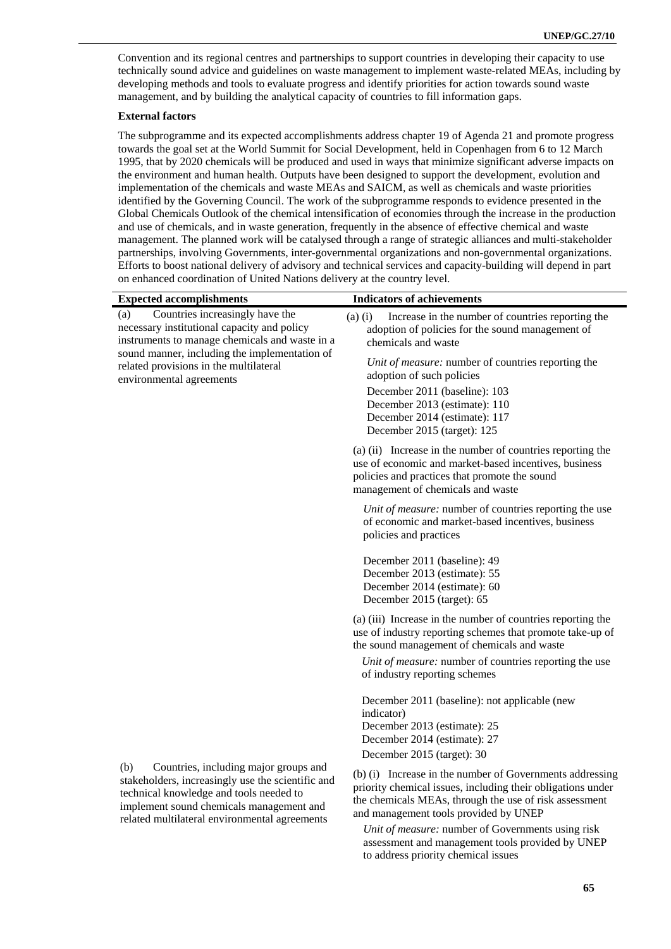Convention and its regional centres and partnerships to support countries in developing their capacity to use technically sound advice and guidelines on waste management to implement waste-related MEAs, including by developing methods and tools to evaluate progress and identify priorities for action towards sound waste management, and by building the analytical capacity of countries to fill information gaps.

#### **External factors**

The subprogramme and its expected accomplishments address chapter 19 of Agenda 21 and promote progress towards the goal set at the World Summit for Social Development, held in Copenhagen from 6 to 12 March 1995, that by 2020 chemicals will be produced and used in ways that minimize significant adverse impacts on the environment and human health. Outputs have been designed to support the development, evolution and implementation of the chemicals and waste MEAs and SAICM, as well as chemicals and waste priorities identified by the Governing Council. The work of the subprogramme responds to evidence presented in the Global Chemicals Outlook of the chemical intensification of economies through the increase in the production and use of chemicals, and in waste generation, frequently in the absence of effective chemical and waste management. The planned work will be catalysed through a range of strategic alliances and multi-stakeholder partnerships, involving Governments, inter-governmental organizations and non-governmental organizations. Efforts to boost national delivery of advisory and technical services and capacity-building will depend in part on enhanced coordination of United Nations delivery at the country level.

| <b>Expected accomplishments</b>                                                                                                          | <b>Indicators of achievements</b>                                                                                                                                                                         |
|------------------------------------------------------------------------------------------------------------------------------------------|-----------------------------------------------------------------------------------------------------------------------------------------------------------------------------------------------------------|
| Countries increasingly have the<br>(a)<br>necessary institutional capacity and policy<br>instruments to manage chemicals and waste in a  | $(a)$ $(i)$<br>Increase in the number of countries reporting the<br>adoption of policies for the sound management of<br>chemicals and waste                                                               |
| sound manner, including the implementation of<br>related provisions in the multilateral<br>environmental agreements                      | Unit of measure: number of countries reporting the<br>adoption of such policies                                                                                                                           |
|                                                                                                                                          | December 2011 (baseline): 103<br>December 2013 (estimate): 110<br>December 2014 (estimate): 117<br>December 2015 (target): 125                                                                            |
|                                                                                                                                          | (a) (ii) Increase in the number of countries reporting the<br>use of economic and market-based incentives, business<br>policies and practices that promote the sound<br>management of chemicals and waste |
|                                                                                                                                          | Unit of measure: number of countries reporting the use<br>of economic and market-based incentives, business<br>policies and practices                                                                     |
|                                                                                                                                          | December 2011 (baseline): 49<br>December 2013 (estimate): 55<br>December 2014 (estimate): 60<br>December 2015 (target): 65                                                                                |
|                                                                                                                                          | (a) (iii) Increase in the number of countries reporting the<br>use of industry reporting schemes that promote take-up of<br>the sound management of chemicals and waste                                   |
|                                                                                                                                          | Unit of measure: number of countries reporting the use<br>of industry reporting schemes                                                                                                                   |
|                                                                                                                                          | December 2011 (baseline): not applicable (new<br>indicator)<br>December 2013 (estimate): 25                                                                                                               |
|                                                                                                                                          | December 2014 (estimate): 27                                                                                                                                                                              |
| (b)<br>Countries, including major groups and                                                                                             | December 2015 (target): 30<br>(b) (i) Increase in the number of Governments addressing                                                                                                                    |
| stakeholders, increasingly use the scientific and<br>technical knowledge and tools needed to<br>implement sound chemicals management and | priority chemical issues, including their obligations under<br>the chemicals MEAs, through the use of risk assessment<br>and management tools provided by UNEP                                            |
| related multilateral environmental agreements                                                                                            | Unit of measure: number of Governments using risk<br>assessment and management tools provided by UNEP                                                                                                     |

to address priority chemical issues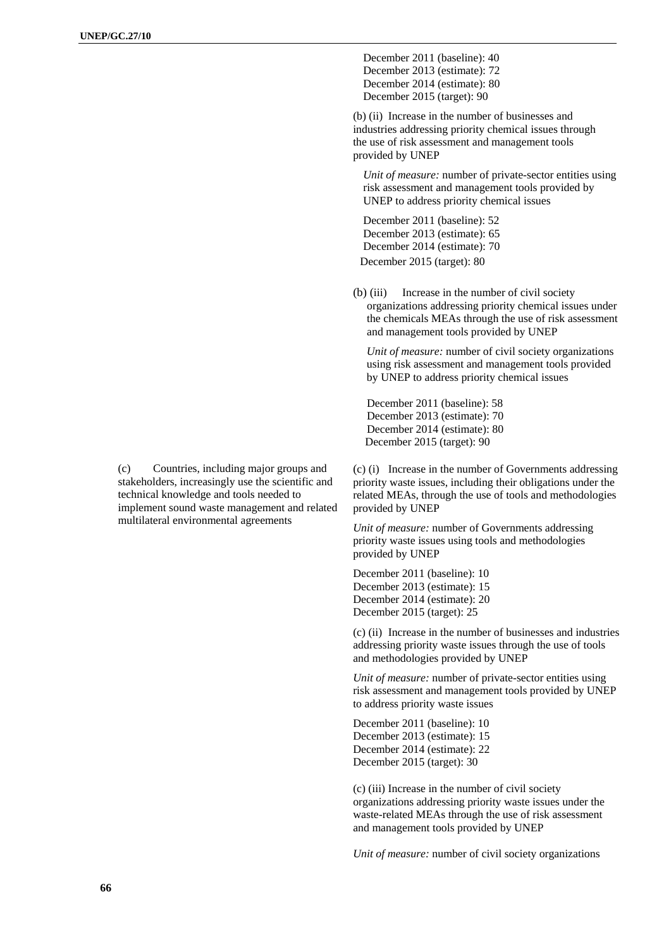(c) Countries, including major groups and stakeholders, increasingly use the scientific and technical knowledge and tools needed to implement sound waste management and related multilateral environmental agreements

December 2011 (baseline): 40 December 2013 (estimate): 72 December 2014 (estimate): 80 December 2015 (target): 90

(b) (ii) Increase in the number of businesses and industries addressing priority chemical issues through the use of risk assessment and management tools provided by UNEP

*Unit of measure:* number of private-sector entities using risk assessment and management tools provided by UNEP to address priority chemical issues

December 2011 (baseline): 52 December 2013 (estimate): 65 December 2014 (estimate): 70 December 2015 (target): 80

(b) (iii) Increase in the number of civil society organizations addressing priority chemical issues under the chemicals MEAs through the use of risk assessment and management tools provided by UNEP

*Unit of measure:* number of civil society organizations using risk assessment and management tools provided by UNEP to address priority chemical issues

December 2011 (baseline): 58 December 2013 (estimate): 70 December 2014 (estimate): 80 December 2015 (target): 90

(c) (i) Increase in the number of Governments addressing priority waste issues, including their obligations under the related MEAs, through the use of tools and methodologies provided by UNEP

*Unit of measure:* number of Governments addressing priority waste issues using tools and methodologies provided by UNEP

December 2011 (baseline): 10 December 2013 (estimate): 15 December 2014 (estimate): 20 December 2015 (target): 25

(c) (ii) Increase in the number of businesses and industries addressing priority waste issues through the use of tools and methodologies provided by UNEP

*Unit of measure:* number of private-sector entities using risk assessment and management tools provided by UNEP to address priority waste issues

December 2011 (baseline): 10 December 2013 (estimate): 15 December 2014 (estimate): 22 December 2015 (target): 30

(c) (iii) Increase in the number of civil society organizations addressing priority waste issues under the waste-related MEAs through the use of risk assessment and management tools provided by UNEP

*Unit of measure:* number of civil society organizations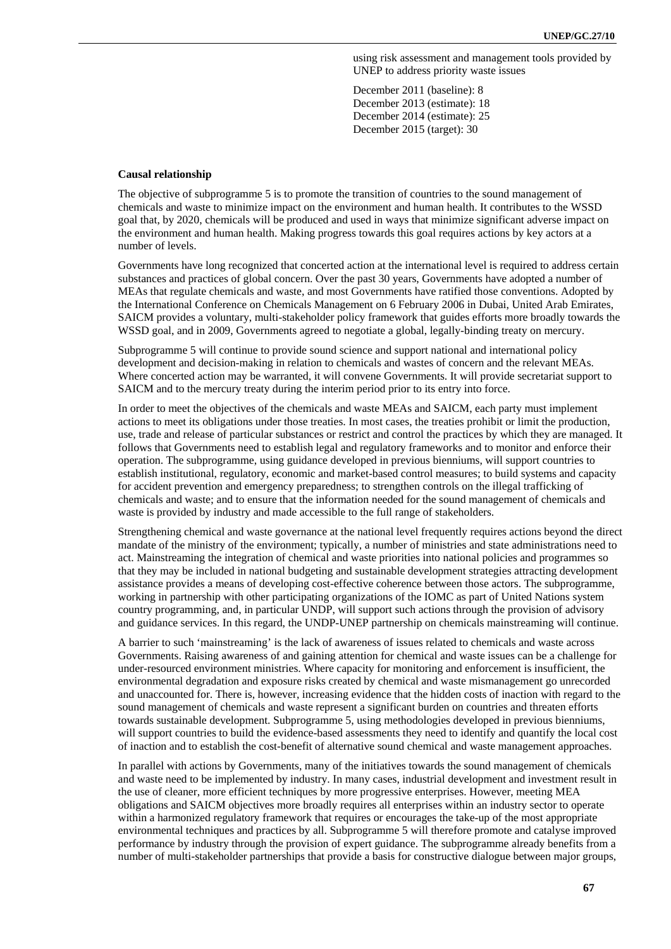using risk assessment and management tools provided by UNEP to address priority waste issues

December 2011 (baseline): 8 December 2013 (estimate): 18 December 2014 (estimate): 25 December 2015 (target): 30

#### **Causal relationship**

The objective of subprogramme 5 is to promote the transition of countries to the sound management of chemicals and waste to minimize impact on the environment and human health. It contributes to the WSSD goal that, by 2020, chemicals will be produced and used in ways that minimize significant adverse impact on the environment and human health. Making progress towards this goal requires actions by key actors at a number of levels.

Governments have long recognized that concerted action at the international level is required to address certain substances and practices of global concern. Over the past 30 years, Governments have adopted a number of MEAs that regulate chemicals and waste, and most Governments have ratified those conventions. Adopted by the International Conference on Chemicals Management on 6 February 2006 in Dubai, United Arab Emirates, SAICM provides a voluntary, multi-stakeholder policy framework that guides efforts more broadly towards the WSSD goal, and in 2009, Governments agreed to negotiate a global, legally-binding treaty on mercury.

Subprogramme 5 will continue to provide sound science and support national and international policy development and decision-making in relation to chemicals and wastes of concern and the relevant MEAs. Where concerted action may be warranted, it will convene Governments. It will provide secretariat support to SAICM and to the mercury treaty during the interim period prior to its entry into force.

In order to meet the objectives of the chemicals and waste MEAs and SAICM, each party must implement actions to meet its obligations under those treaties. In most cases, the treaties prohibit or limit the production, use, trade and release of particular substances or restrict and control the practices by which they are managed. It follows that Governments need to establish legal and regulatory frameworks and to monitor and enforce their operation. The subprogramme, using guidance developed in previous bienniums, will support countries to establish institutional, regulatory, economic and market-based control measures; to build systems and capacity for accident prevention and emergency preparedness; to strengthen controls on the illegal trafficking of chemicals and waste; and to ensure that the information needed for the sound management of chemicals and waste is provided by industry and made accessible to the full range of stakeholders.

Strengthening chemical and waste governance at the national level frequently requires actions beyond the direct mandate of the ministry of the environment; typically, a number of ministries and state administrations need to act. Mainstreaming the integration of chemical and waste priorities into national policies and programmes so that they may be included in national budgeting and sustainable development strategies attracting development assistance provides a means of developing cost-effective coherence between those actors. The subprogramme, working in partnership with other participating organizations of the IOMC as part of United Nations system country programming, and, in particular UNDP, will support such actions through the provision of advisory and guidance services. In this regard, the UNDP-UNEP partnership on chemicals mainstreaming will continue.

A barrier to such 'mainstreaming' is the lack of awareness of issues related to chemicals and waste across Governments. Raising awareness of and gaining attention for chemical and waste issues can be a challenge for under-resourced environment ministries. Where capacity for monitoring and enforcement is insufficient, the environmental degradation and exposure risks created by chemical and waste mismanagement go unrecorded and unaccounted for. There is, however, increasing evidence that the hidden costs of inaction with regard to the sound management of chemicals and waste represent a significant burden on countries and threaten efforts towards sustainable development. Subprogramme 5, using methodologies developed in previous bienniums, will support countries to build the evidence-based assessments they need to identify and quantify the local cost of inaction and to establish the cost-benefit of alternative sound chemical and waste management approaches.

In parallel with actions by Governments, many of the initiatives towards the sound management of chemicals and waste need to be implemented by industry. In many cases, industrial development and investment result in the use of cleaner, more efficient techniques by more progressive enterprises. However, meeting MEA obligations and SAICM objectives more broadly requires all enterprises within an industry sector to operate within a harmonized regulatory framework that requires or encourages the take-up of the most appropriate environmental techniques and practices by all. Subprogramme 5 will therefore promote and catalyse improved performance by industry through the provision of expert guidance. The subprogramme already benefits from a number of multi-stakeholder partnerships that provide a basis for constructive dialogue between major groups,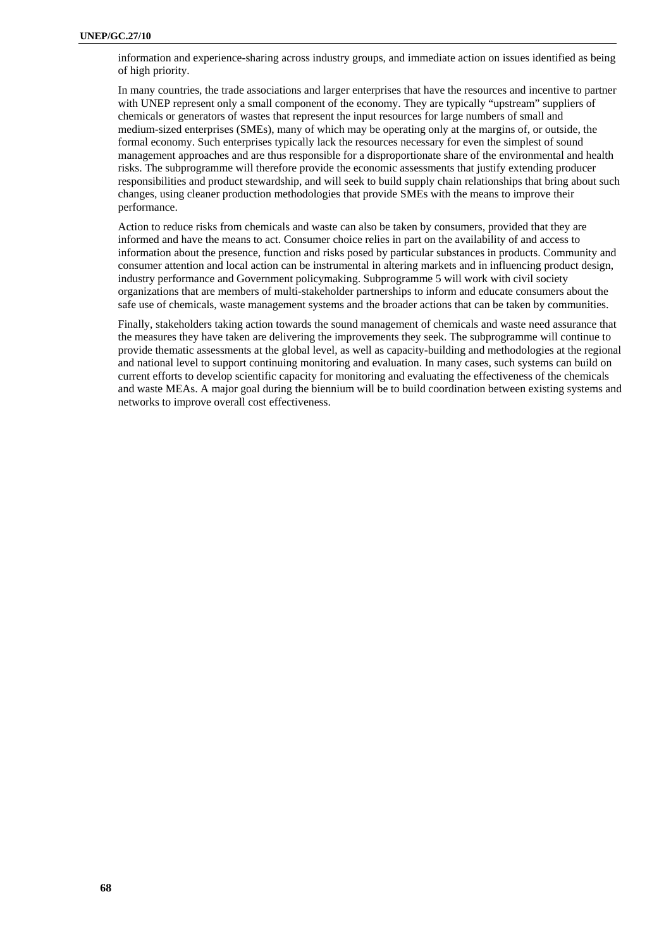information and experience-sharing across industry groups, and immediate action on issues identified as being of high priority.

In many countries, the trade associations and larger enterprises that have the resources and incentive to partner with UNEP represent only a small component of the economy. They are typically "upstream" suppliers of chemicals or generators of wastes that represent the input resources for large numbers of small and medium-sized enterprises (SMEs), many of which may be operating only at the margins of, or outside, the formal economy. Such enterprises typically lack the resources necessary for even the simplest of sound management approaches and are thus responsible for a disproportionate share of the environmental and health risks. The subprogramme will therefore provide the economic assessments that justify extending producer responsibilities and product stewardship, and will seek to build supply chain relationships that bring about such changes, using cleaner production methodologies that provide SMEs with the means to improve their performance.

Action to reduce risks from chemicals and waste can also be taken by consumers, provided that they are informed and have the means to act. Consumer choice relies in part on the availability of and access to information about the presence, function and risks posed by particular substances in products. Community and consumer attention and local action can be instrumental in altering markets and in influencing product design, industry performance and Government policymaking. Subprogramme 5 will work with civil society organizations that are members of multi-stakeholder partnerships to inform and educate consumers about the safe use of chemicals, waste management systems and the broader actions that can be taken by communities.

Finally, stakeholders taking action towards the sound management of chemicals and waste need assurance that the measures they have taken are delivering the improvements they seek. The subprogramme will continue to provide thematic assessments at the global level, as well as capacity-building and methodologies at the regional and national level to support continuing monitoring and evaluation. In many cases, such systems can build on current efforts to develop scientific capacity for monitoring and evaluating the effectiveness of the chemicals and waste MEAs. A major goal during the biennium will be to build coordination between existing systems and networks to improve overall cost effectiveness.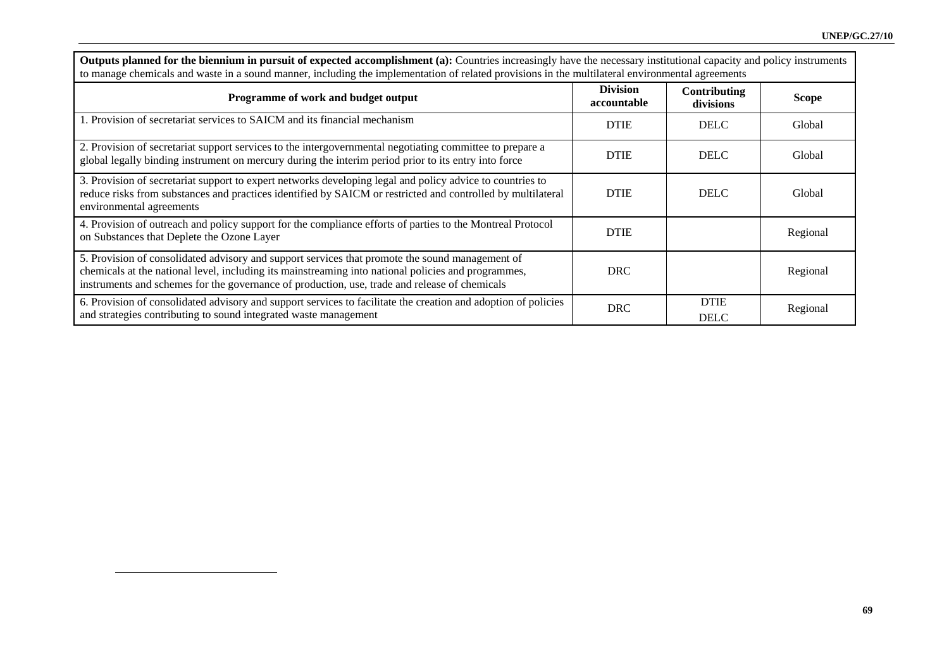| to manage chemicals and waste in a sound manner, including the implementation of related provisions in the multilateral environmental agreements                                                                                                                                                        |                                |                            |              |  |
|---------------------------------------------------------------------------------------------------------------------------------------------------------------------------------------------------------------------------------------------------------------------------------------------------------|--------------------------------|----------------------------|--------------|--|
| Programme of work and budget output                                                                                                                                                                                                                                                                     | <b>Division</b><br>accountable | Contributing<br>divisions  | <b>Scope</b> |  |
| 1. Provision of secretariat services to SAICM and its financial mechanism                                                                                                                                                                                                                               | <b>DTIE</b>                    | <b>DELC</b>                | Global       |  |
| 2. Provision of secretariat support services to the intergovernmental negotiating committee to prepare a<br>global legally binding instrument on mercury during the interim period prior to its entry into force                                                                                        | <b>DTIE</b>                    | <b>DELC</b>                | Global       |  |
| 3. Provision of secretariat support to expert networks developing legal and policy advice to countries to<br>reduce risks from substances and practices identified by SAICM or restricted and controlled by multilateral<br>environmental agreements                                                    | <b>DTIE</b>                    | <b>DELC</b>                | Global       |  |
| 4. Provision of outreach and policy support for the compliance efforts of parties to the Montreal Protocol<br>on Substances that Deplete the Ozone Layer                                                                                                                                                | <b>DTIE</b>                    |                            | Regional     |  |
| 5. Provision of consolidated advisory and support services that promote the sound management of<br>chemicals at the national level, including its mainstreaming into national policies and programmes,<br>instruments and schemes for the governance of production, use, trade and release of chemicals | <b>DRC</b>                     |                            | Regional     |  |
| 6. Provision of consolidated advisory and support services to facilitate the creation and adoption of policies<br>and strategies contributing to sound integrated waste management                                                                                                                      | <b>DRC</b>                     | <b>DTIE</b><br><b>DELC</b> | Regional     |  |

**Outputs planned for the biennium in pursuit of expected accomplishment (a):** Countries increasingly have the necessary institutional capacity and policy instruments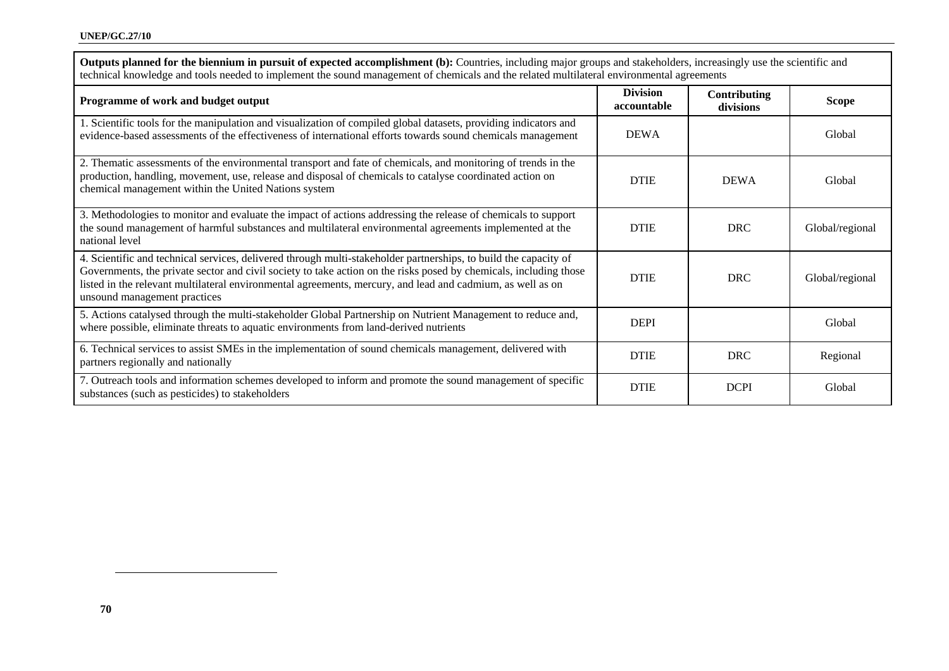| technical knowledge and tools needed to implement the sound management of chemicals and the related multilateral environmental agreements                                                                                                                                                                                                                                           |                                |                           |                 |  |
|-------------------------------------------------------------------------------------------------------------------------------------------------------------------------------------------------------------------------------------------------------------------------------------------------------------------------------------------------------------------------------------|--------------------------------|---------------------------|-----------------|--|
| Programme of work and budget output                                                                                                                                                                                                                                                                                                                                                 | <b>Division</b><br>accountable | Contributing<br>divisions | <b>Scope</b>    |  |
| 1. Scientific tools for the manipulation and visualization of compiled global datasets, providing indicators and<br>evidence-based assessments of the effectiveness of international efforts towards sound chemicals management                                                                                                                                                     | <b>DEWA</b>                    |                           | Global          |  |
| 2. Thematic assessments of the environmental transport and fate of chemicals, and monitoring of trends in the<br>production, handling, movement, use, release and disposal of chemicals to catalyse coordinated action on<br>chemical management within the United Nations system                                                                                                   | <b>DTIE</b>                    | <b>DEWA</b>               | Global          |  |
| 3. Methodologies to monitor and evaluate the impact of actions addressing the release of chemicals to support<br>the sound management of harmful substances and multilateral environmental agreements implemented at the<br>national level                                                                                                                                          | <b>DTIE</b>                    | <b>DRC</b>                | Global/regional |  |
| 4. Scientific and technical services, delivered through multi-stakeholder partnerships, to build the capacity of<br>Governments, the private sector and civil society to take action on the risks posed by chemicals, including those<br>listed in the relevant multilateral environmental agreements, mercury, and lead and cadmium, as well as on<br>unsound management practices | <b>DTIE</b>                    | <b>DRC</b>                | Global/regional |  |
| 5. Actions catalysed through the multi-stakeholder Global Partnership on Nutrient Management to reduce and,<br>where possible, eliminate threats to aquatic environments from land-derived nutrients                                                                                                                                                                                | <b>DEPI</b>                    |                           | Global          |  |
| 6. Technical services to assist SMEs in the implementation of sound chemicals management, delivered with<br>partners regionally and nationally                                                                                                                                                                                                                                      | <b>DTIE</b>                    | <b>DRC</b>                | Regional        |  |
| 7. Outreach tools and information schemes developed to inform and promote the sound management of specific<br>substances (such as pesticides) to stakeholders                                                                                                                                                                                                                       | <b>DTIE</b>                    | <b>DCPI</b>               | Global          |  |

**Outputs planned for the biennium in pursuit of expected accomplishment (b):** Countries, including major groups and stakeholders, increasingly use the scientific and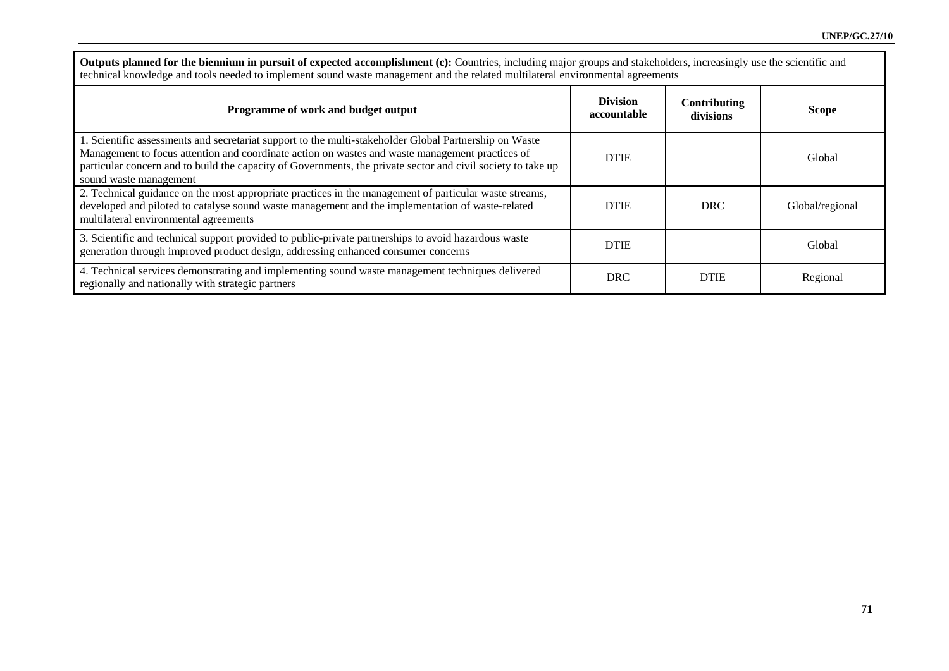**Outputs planned for the biennium in pursuit of expected accomplishment (c):** Countries, including major groups and stakeholders, increasingly use the scientific and technical knowledge and tools needed to implement sound waste management and the related multilateral environmental agreements

| Programme of work and budget output                                                                                                                                                                                                                                                                                                                 | <b>Division</b><br>accountable | <b>Contributing</b><br>divisions | <b>Scope</b>    |
|-----------------------------------------------------------------------------------------------------------------------------------------------------------------------------------------------------------------------------------------------------------------------------------------------------------------------------------------------------|--------------------------------|----------------------------------|-----------------|
| 1. Scientific assessments and secretariat support to the multi-stakeholder Global Partnership on Waste<br>Management to focus attention and coordinate action on wastes and waste management practices of<br>particular concern and to build the capacity of Governments, the private sector and civil society to take up<br>sound waste management | <b>DTIE</b>                    |                                  | Global          |
| 2. Technical guidance on the most appropriate practices in the management of particular waste streams,<br>developed and piloted to catalyse sound waste management and the implementation of waste-related<br>multilateral environmental agreements                                                                                                 | <b>DTIE</b>                    | <b>DRC</b>                       | Global/regional |
| 3. Scientific and technical support provided to public-private partnerships to avoid hazardous waste<br>generation through improved product design, addressing enhanced consumer concerns                                                                                                                                                           | <b>DTIE</b>                    |                                  | Global          |
| 4. Technical services demonstrating and implementing sound waste management techniques delivered<br>regionally and nationally with strategic partners                                                                                                                                                                                               | <b>DRC</b>                     | <b>DTIE</b>                      | Regional        |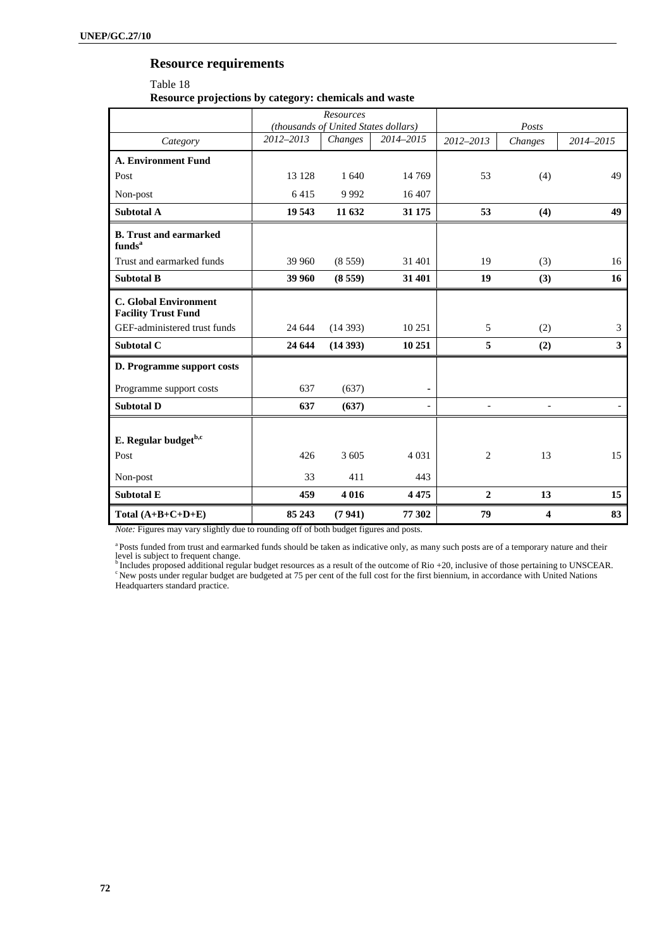# **Resource requirements**

| Resource projections by category: chemicals and waste |
|-------------------------------------------------------|
| Table 18                                              |

|                                                            | Resources<br>(thousands of United States dollars) |         | Posts                    |                |                |           |
|------------------------------------------------------------|---------------------------------------------------|---------|--------------------------|----------------|----------------|-----------|
| Category                                                   | 2012-2013                                         | Changes | 2014-2015                | $2012 - 2013$  | Changes        | 2014-2015 |
| <b>A. Environment Fund</b>                                 |                                                   |         |                          |                |                |           |
| Post                                                       | 13 128                                            | 1 640   | 14 7 69                  | 53             | (4)            | 49        |
| Non-post                                                   | 6415                                              | 9992    | 16 407                   |                |                |           |
| <b>Subtotal A</b>                                          | 19 543                                            | 11 632  | 31 175                   | 53             | (4)            | 49        |
| <b>B.</b> Trust and earmarked<br>funds <sup>a</sup>        |                                                   |         |                          |                |                |           |
| Trust and earmarked funds                                  | 39 960                                            | (8559)  | 31 401                   | 19             | (3)            | 16        |
| <b>Subtotal B</b>                                          | 39 960                                            | (8559)  | 31 401                   | 19             | (3)            | 16        |
| <b>C.</b> Global Environment<br><b>Facility Trust Fund</b> |                                                   |         |                          |                |                |           |
| GEF-administered trust funds                               | 24 644                                            | (14393) | 10 25 1                  | 5              | (2)            | 3         |
| <b>Subtotal C</b>                                          | 24 644                                            | (14393) | 10 251                   | 5              | (2)            | 3         |
| D. Programme support costs                                 |                                                   |         |                          |                |                |           |
| Programme support costs                                    | 637                                               | (637)   | ٠                        |                |                |           |
| <b>Subtotal D</b>                                          | 637                                               | (637)   | $\overline{\phantom{a}}$ |                | $\overline{a}$ |           |
| E. Regular budget <sup>b,c</sup>                           |                                                   |         |                          |                |                |           |
| Post                                                       | 426                                               | 3 605   | 4 0 3 1                  | 2              | 13             | 15        |
| Non-post                                                   | 33                                                | 411     | 443                      |                |                |           |
| <b>Subtotal E</b>                                          | 459                                               | 4016    | 4 4 7 5                  | $\overline{2}$ | 13             | 15        |
| Total $(A+B+C+D+E)$                                        | 85 243                                            | (7941)  | 77 302                   | 79             | 4              | 83        |

*Note:* Figures may vary slightly due to rounding off of both budget figures and posts.

a Posts funded from trust and earmarked funds should be taken as indicative only, as many such posts are of a temporary nature and their

level is subject to frequent change.<br><sup>b</sup> Includes proposed additional regular budget resources as a result of the outcome of Rio +20, inclusive of those pertaining to UNSCEAR.<br><sup>c</sup> New posts under regular budget are budgete Headquarters standard practice.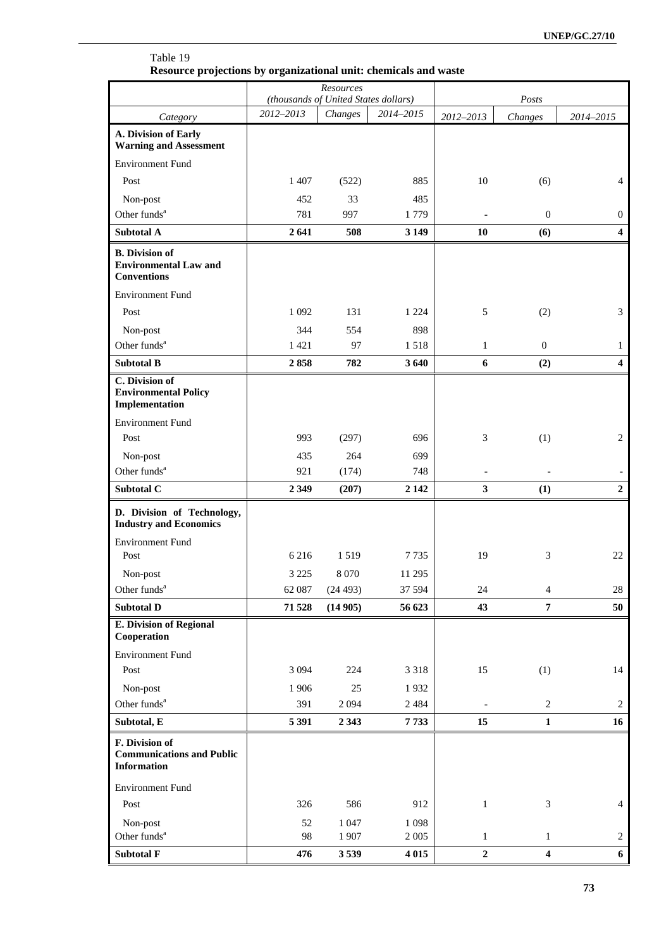|                                                                             |                   | Resources                                       |                  |                  |                  |                  |
|-----------------------------------------------------------------------------|-------------------|-------------------------------------------------|------------------|------------------|------------------|------------------|
|                                                                             | 2012-2013         | (thousands of United States dollars)<br>Changes | 2014-2015        |                  | Posts            |                  |
| Category                                                                    |                   |                                                 |                  | 2012-2013        | Changes          | 2014-2015        |
| A. Division of Early<br><b>Warning and Assessment</b>                       |                   |                                                 |                  |                  |                  |                  |
| <b>Environment Fund</b>                                                     |                   |                                                 |                  |                  |                  |                  |
| Post                                                                        | 1 407             | (522)                                           | 885              | 10               | (6)              | $\overline{4}$   |
| Non-post                                                                    | 452               | 33                                              | 485              |                  |                  |                  |
| Other funds <sup>a</sup>                                                    | 781               | 997                                             | 1779             |                  | $\boldsymbol{0}$ | $\overline{0}$   |
| Subtotal A                                                                  | 2641              | 508                                             | 3 1 4 9          | 10               | (6)              | $\boldsymbol{4}$ |
| <b>B.</b> Division of<br><b>Environmental Law and</b><br><b>Conventions</b> |                   |                                                 |                  |                  |                  |                  |
| <b>Environment Fund</b>                                                     |                   |                                                 |                  |                  |                  |                  |
| Post                                                                        | 1 0 9 2           | 131                                             | 1 2 2 4          | $\sqrt{5}$       | (2)              | 3                |
| Non-post                                                                    | 344               | 554                                             | 898              |                  |                  |                  |
| Other funds <sup>a</sup>                                                    | 1421              | 97                                              | 1518             | $\mathbf{1}$     | $\mathbf{0}$     | $\mathbf{1}$     |
| <b>Subtotal B</b>                                                           | 2858              | 782                                             | 3 6 4 0          | 6                | (2)              | $\overline{4}$   |
| C. Division of<br><b>Environmental Policy</b><br>Implementation             |                   |                                                 |                  |                  |                  |                  |
| <b>Environment Fund</b>                                                     |                   |                                                 |                  |                  |                  |                  |
| Post                                                                        | 993               | (297)                                           | 696              | $\mathfrak{Z}$   | (1)              | 2                |
| Non-post                                                                    | 435               | 264                                             | 699              |                  |                  |                  |
| Other funds <sup>a</sup>                                                    | 921               | (174)                                           | 748              |                  |                  |                  |
| Subtotal C                                                                  | 2 3 4 9           | (207)                                           | 2 1 4 2          | $\mathbf{3}$     | (1)              | $\boldsymbol{2}$ |
| D. Division of Technology,<br><b>Industry and Economics</b>                 |                   |                                                 |                  |                  |                  |                  |
| <b>Environment Fund</b>                                                     |                   |                                                 |                  |                  |                  |                  |
| Post                                                                        | 6216              | 1519                                            | 7735             | 19               | 3                | 22               |
| Non-post<br>Other funds <sup>a</sup>                                        | 3 2 2 5<br>62 087 | 8 0 7 0<br>(24493)                              | 11 295<br>37 594 | 24               | $\overline{4}$   | $28\,$           |
| <b>Subtotal D</b>                                                           | 71 528            | (14905)                                         | 56 623           | 43               | $\overline{7}$   | 50               |
| <b>E. Division of Regional</b>                                              |                   |                                                 |                  |                  |                  |                  |
| Cooperation                                                                 |                   |                                                 |                  |                  |                  |                  |
| <b>Environment Fund</b>                                                     |                   |                                                 |                  |                  |                  |                  |
| Post                                                                        | 3 0 9 4           | 224                                             | 3 3 1 8          | 15               | (1)              | 14               |
| Non-post                                                                    | 1906              | $25\,$                                          | 1932             |                  |                  |                  |
| Other funds <sup>a</sup>                                                    | 391               | 2 0 9 4                                         | 2484             |                  | $\sqrt{2}$       | 2                |
| Subtotal, E                                                                 | 5 3 9 1           | 2 3 4 3                                         | 7733             | 15               | $\mathbf{1}$     | 16               |
| F. Division of<br><b>Communications and Public</b><br><b>Information</b>    |                   |                                                 |                  |                  |                  |                  |
| <b>Environment Fund</b>                                                     |                   |                                                 |                  |                  |                  |                  |
| Post                                                                        | 326               | 586                                             | 912              | $\mathbf{1}$     | 3                | $\overline{4}$   |
| Non-post                                                                    | 52                | 1 0 47                                          | 1 0 9 8          |                  |                  |                  |
| Other funds <sup>a</sup>                                                    | 98                | 1907                                            | 2 0 0 5          | $\mathbf{1}$     | $\mathbf{1}$     | 2                |
| Subtotal F                                                                  | 476               | 3539                                            | 4 0 15           | $\boldsymbol{2}$ | $\boldsymbol{4}$ | 6                |

### Table 19 **Resource projections by organizational unit: chemicals and waste**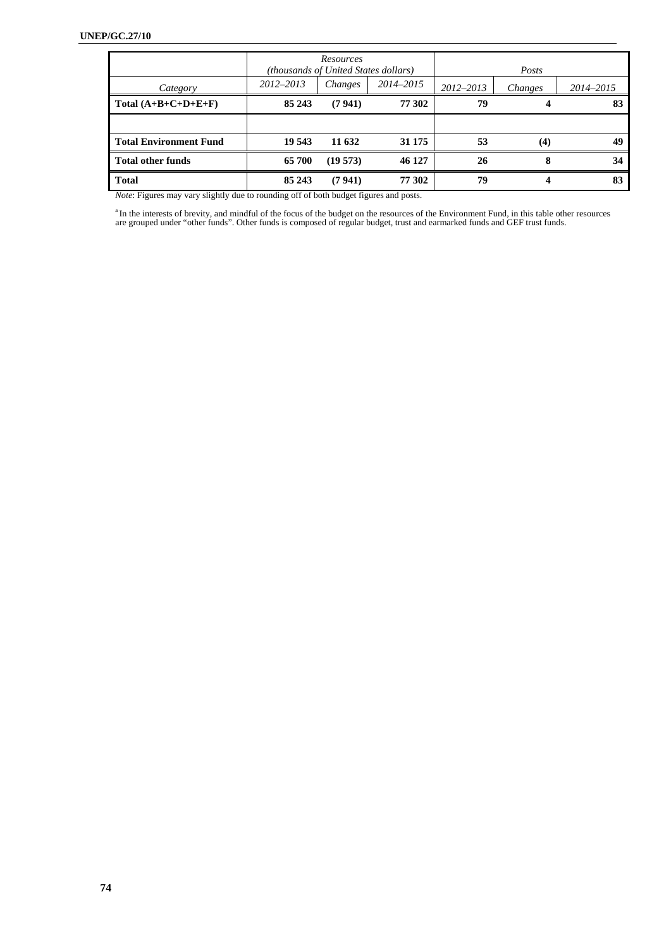|                               | (thousands of United States dollars) | Resources |           |           | Posts   |           |
|-------------------------------|--------------------------------------|-----------|-----------|-----------|---------|-----------|
| Category                      | 2012-2013                            | Changes   | 2014–2015 | 2012-2013 | Changes | 2014-2015 |
| Total $(A+B+C+D+E+F)$         | 85 243                               | (7941)    | 77 302    | 79        |         | 83        |
|                               |                                      |           |           |           |         |           |
| <b>Total Environment Fund</b> | 19 543                               | 11 632    | 31 175    | 53        | (4)     | 49        |
| <b>Total other funds</b>      | 65 700                               | (19573)   | 46 127    | 26        | 8       | 34        |
| <b>Total</b>                  | 85 243                               | (7941)    | 77 302    | 79        |         | 83        |

*Note*: Figures may vary slightly due to rounding off of both budget figures and posts.

<sup>a</sup> In the interests of brevity, and mindful of the focus of the budget on the resources of the Environment Fund, in this table other resources are grouped under "other funds". Other funds is composed of regular budget, tr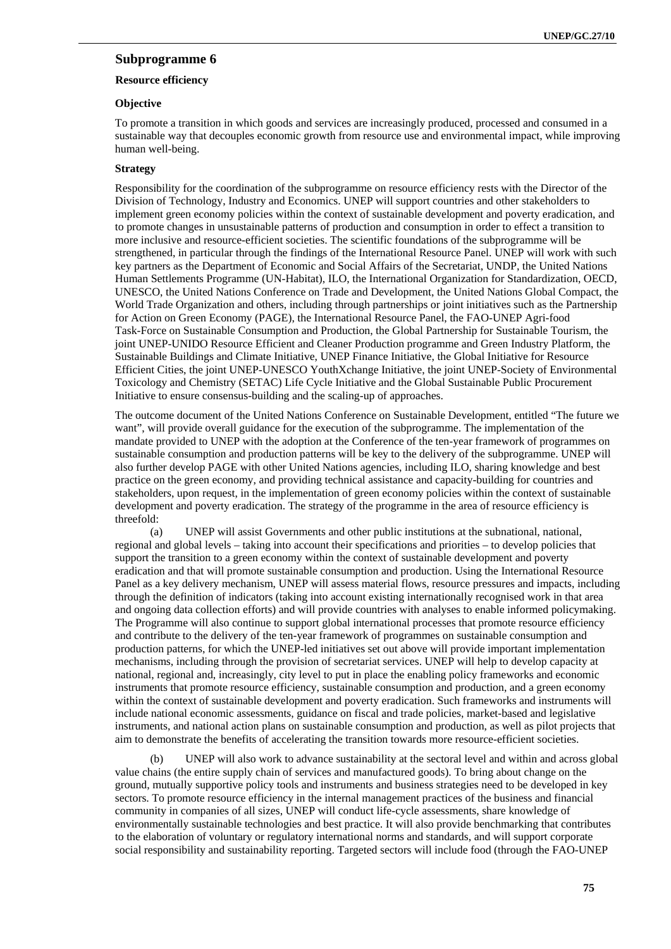### **Subprogramme 6**

### **Resource efficiency**

#### **Objective**

To promote a transition in which goods and services are increasingly produced, processed and consumed in a sustainable way that decouples economic growth from resource use and environmental impact, while improving human well-being.

#### **Strategy**

Responsibility for the coordination of the subprogramme on resource efficiency rests with the Director of the Division of Technology, Industry and Economics. UNEP will support countries and other stakeholders to implement green economy policies within the context of sustainable development and poverty eradication, and to promote changes in unsustainable patterns of production and consumption in order to effect a transition to more inclusive and resource-efficient societies. The scientific foundations of the subprogramme will be strengthened, in particular through the findings of the International Resource Panel. UNEP will work with such key partners as the Department of Economic and Social Affairs of the Secretariat, UNDP, the United Nations Human Settlements Programme (UN-Habitat), ILO, the International Organization for Standardization, OECD, UNESCO, the United Nations Conference on Trade and Development, the United Nations Global Compact, the World Trade Organization and others, including through partnerships or joint initiatives such as the Partnership for Action on Green Economy (PAGE), the International Resource Panel, the FAO-UNEP Agri-food Task-Force on Sustainable Consumption and Production, the Global Partnership for Sustainable Tourism, the joint UNEP-UNIDO Resource Efficient and Cleaner Production programme and Green Industry Platform, the Sustainable Buildings and Climate Initiative, UNEP Finance Initiative, the Global Initiative for Resource Efficient Cities, the joint UNEP-UNESCO YouthXchange Initiative, the joint UNEP-Society of Environmental Toxicology and Chemistry (SETAC) Life Cycle Initiative and the Global Sustainable Public Procurement Initiative to ensure consensus-building and the scaling-up of approaches.

The outcome document of the United Nations Conference on Sustainable Development, entitled "The future we want", will provide overall guidance for the execution of the subprogramme. The implementation of the mandate provided to UNEP with the adoption at the Conference of the ten-year framework of programmes on sustainable consumption and production patterns will be key to the delivery of the subprogramme. UNEP will also further develop PAGE with other United Nations agencies, including ILO, sharing knowledge and best practice on the green economy, and providing technical assistance and capacity-building for countries and stakeholders, upon request, in the implementation of green economy policies within the context of sustainable development and poverty eradication. The strategy of the programme in the area of resource efficiency is threefold:

(a) UNEP will assist Governments and other public institutions at the subnational, national, regional and global levels – taking into account their specifications and priorities – to develop policies that support the transition to a green economy within the context of sustainable development and poverty eradication and that will promote sustainable consumption and production. Using the International Resource Panel as a key delivery mechanism, UNEP will assess material flows, resource pressures and impacts, including through the definition of indicators (taking into account existing internationally recognised work in that area and ongoing data collection efforts) and will provide countries with analyses to enable informed policymaking. The Programme will also continue to support global international processes that promote resource efficiency and contribute to the delivery of the ten-year framework of programmes on sustainable consumption and production patterns, for which the UNEP-led initiatives set out above will provide important implementation mechanisms, including through the provision of secretariat services. UNEP will help to develop capacity at national, regional and, increasingly, city level to put in place the enabling policy frameworks and economic instruments that promote resource efficiency, sustainable consumption and production, and a green economy within the context of sustainable development and poverty eradication. Such frameworks and instruments will include national economic assessments, guidance on fiscal and trade policies, market-based and legislative instruments, and national action plans on sustainable consumption and production, as well as pilot projects that aim to demonstrate the benefits of accelerating the transition towards more resource-efficient societies.

(b) UNEP will also work to advance sustainability at the sectoral level and within and across global value chains (the entire supply chain of services and manufactured goods). To bring about change on the ground, mutually supportive policy tools and instruments and business strategies need to be developed in key sectors. To promote resource efficiency in the internal management practices of the business and financial community in companies of all sizes, UNEP will conduct life-cycle assessments, share knowledge of environmentally sustainable technologies and best practice. It will also provide benchmarking that contributes to the elaboration of voluntary or regulatory international norms and standards, and will support corporate social responsibility and sustainability reporting. Targeted sectors will include food (through the FAO-UNEP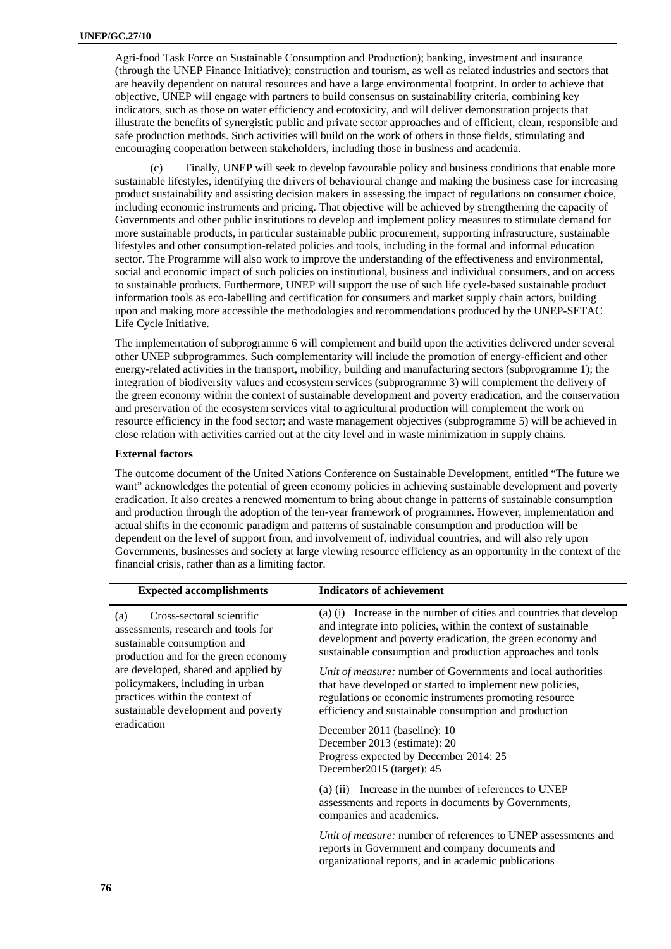Agri-food Task Force on Sustainable Consumption and Production); banking, investment and insurance (through the UNEP Finance Initiative); construction and tourism, as well as related industries and sectors that are heavily dependent on natural resources and have a large environmental footprint. In order to achieve that objective, UNEP will engage with partners to build consensus on sustainability criteria, combining key indicators, such as those on water efficiency and ecotoxicity, and will deliver demonstration projects that illustrate the benefits of synergistic public and private sector approaches and of efficient, clean, responsible and safe production methods. Such activities will build on the work of others in those fields, stimulating and encouraging cooperation between stakeholders, including those in business and academia.

Finally, UNEP will seek to develop favourable policy and business conditions that enable more sustainable lifestyles, identifying the drivers of behavioural change and making the business case for increasing product sustainability and assisting decision makers in assessing the impact of regulations on consumer choice, including economic instruments and pricing. That objective will be achieved by strengthening the capacity of Governments and other public institutions to develop and implement policy measures to stimulate demand for more sustainable products, in particular sustainable public procurement, supporting infrastructure, sustainable lifestyles and other consumption-related policies and tools, including in the formal and informal education sector. The Programme will also work to improve the understanding of the effectiveness and environmental, social and economic impact of such policies on institutional, business and individual consumers, and on access to sustainable products. Furthermore, UNEP will support the use of such life cycle-based sustainable product information tools as eco-labelling and certification for consumers and market supply chain actors, building upon and making more accessible the methodologies and recommendations produced by the UNEP-SETAC Life Cycle Initiative.

The implementation of subprogramme 6 will complement and build upon the activities delivered under several other UNEP subprogrammes. Such complementarity will include the promotion of energy-efficient and other energy-related activities in the transport, mobility, building and manufacturing sectors (subprogramme 1); the integration of biodiversity values and ecosystem services (subprogramme 3) will complement the delivery of the green economy within the context of sustainable development and poverty eradication, and the conservation and preservation of the ecosystem services vital to agricultural production will complement the work on resource efficiency in the food sector; and waste management objectives (subprogramme 5) will be achieved in close relation with activities carried out at the city level and in waste minimization in supply chains.

### **External factors**

The outcome document of the United Nations Conference on Sustainable Development, entitled "The future we want" acknowledges the potential of green economy policies in achieving sustainable development and poverty eradication. It also creates a renewed momentum to bring about change in patterns of sustainable consumption and production through the adoption of the ten-year framework of programmes. However, implementation and actual shifts in the economic paradigm and patterns of sustainable consumption and production will be dependent on the level of support from, and involvement of, individual countries, and will also rely upon Governments, businesses and society at large viewing resource efficiency as an opportunity in the context of the financial crisis, rather than as a limiting factor.

| <b>Expected accomplishments</b>                                                                                                                    | <b>Indicators of achievement</b>                                                                                                                                                                                                                                   |
|----------------------------------------------------------------------------------------------------------------------------------------------------|--------------------------------------------------------------------------------------------------------------------------------------------------------------------------------------------------------------------------------------------------------------------|
| Cross-sectoral scientific<br>(a)<br>assessments, research and tools for<br>sustainable consumption and<br>production and for the green economy     | (a) (i) Increase in the number of cities and countries that develop<br>and integrate into policies, within the context of sustainable<br>development and poverty eradication, the green economy and<br>sustainable consumption and production approaches and tools |
| are developed, shared and applied by<br>policymakers, including in urban<br>practices within the context of<br>sustainable development and poverty | Unit of measure: number of Governments and local authorities<br>that have developed or started to implement new policies,<br>regulations or economic instruments promoting resource<br>efficiency and sustainable consumption and production                       |
| eradication                                                                                                                                        | December 2011 (baseline): 10<br>December 2013 (estimate): 20<br>Progress expected by December 2014: 25<br>December2015 (target): 45                                                                                                                                |
|                                                                                                                                                    | (a) (ii) Increase in the number of references to UNEP<br>assessments and reports in documents by Governments,<br>companies and academics.                                                                                                                          |
|                                                                                                                                                    | Unit of measure: number of references to UNEP assessments and<br>reports in Government and company documents and<br>organizational reports, and in academic publications                                                                                           |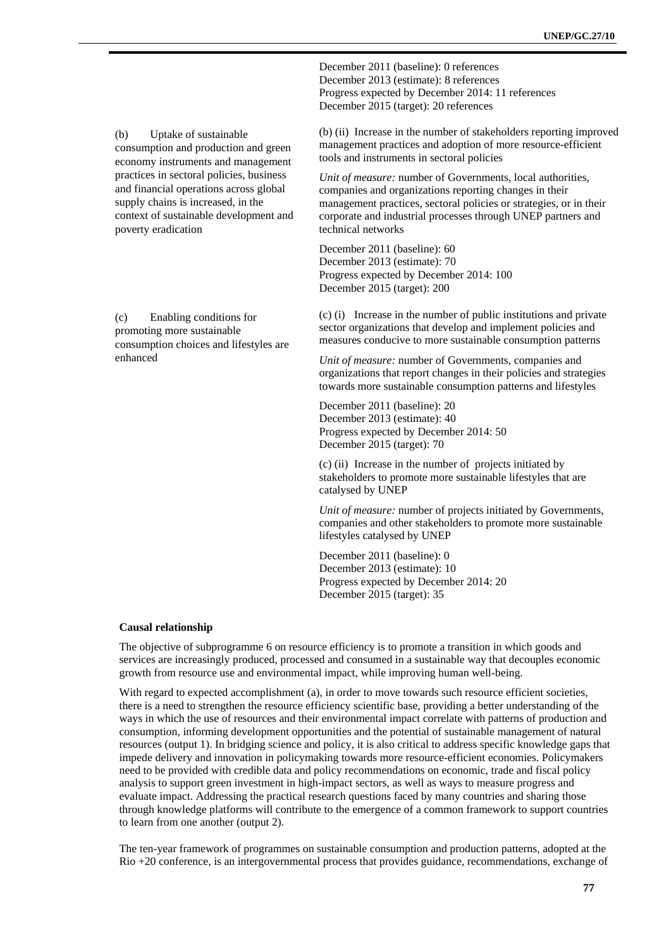December 2011 (baseline): 0 references December 2013 (estimate): 8 references Progress expected by December 2014: 11 references December 2015 (target): 20 references

(b) (ii) Increase in the number of stakeholders reporting improved management practices and adoption of more resource-efficient tools and instruments in sectoral policies

*Unit of measure:* number of Governments, local authorities, companies and organizations reporting changes in their management practices, sectoral policies or strategies, or in their corporate and industrial processes through UNEP partners and technical networks

December 2011 (baseline): 60 December 2013 (estimate): 70 Progress expected by December 2014: 100 December 2015 (target): 200

(c) (i) Increase in the number of public institutions and private sector organizations that develop and implement policies and measures conducive to more sustainable consumption patterns

*Unit of measure:* number of Governments, companies and organizations that report changes in their policies and strategies towards more sustainable consumption patterns and lifestyles

December 2011 (baseline): 20 December 2013 (estimate): 40 Progress expected by December 2014: 50 December 2015 (target): 70

(c) (ii) Increase in the number of projects initiated by stakeholders to promote more sustainable lifestyles that are catalysed by UNEP

*Unit of measure:* number of projects initiated by Governments, companies and other stakeholders to promote more sustainable lifestyles catalysed by UNEP

December 2011 (baseline): 0 December 2013 (estimate): 10 Progress expected by December 2014: 20 December 2015 (target): 35

#### **Causal relationship**

The objective of subprogramme 6 on resource efficiency is to promote a transition in which goods and services are increasingly produced, processed and consumed in a sustainable way that decouples economic growth from resource use and environmental impact, while improving human well-being.

With regard to expected accomplishment (a), in order to move towards such resource efficient societies, there is a need to strengthen the resource efficiency scientific base, providing a better understanding of the ways in which the use of resources and their environmental impact correlate with patterns of production and consumption, informing development opportunities and the potential of sustainable management of natural resources (output 1). In bridging science and policy, it is also critical to address specific knowledge gaps that impede delivery and innovation in policymaking towards more resource-efficient economies. Policymakers need to be provided with credible data and policy recommendations on economic, trade and fiscal policy analysis to support green investment in high-impact sectors, as well as ways to measure progress and evaluate impact. Addressing the practical research questions faced by many countries and sharing those through knowledge platforms will contribute to the emergence of a common framework to support countries to learn from one another (output 2).

The ten-year framework of programmes on sustainable consumption and production patterns, adopted at the Rio +20 conference, is an intergovernmental process that provides guidance, recommendations, exchange of

(b) Uptake of sustainable consumption and production and green economy instruments and management practices in sectoral policies, business and financial operations across global supply chains is increased, in the context of sustainable development and poverty eradication

(c) Enabling conditions for promoting more sustainable consumption choices and lifestyles are enhanced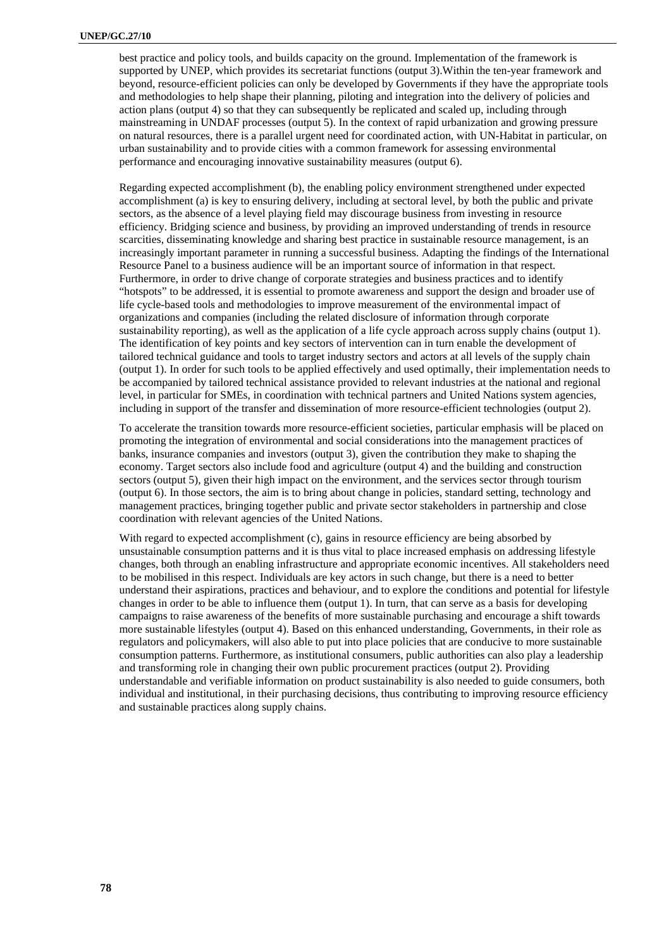best practice and policy tools, and builds capacity on the ground. Implementation of the framework is supported by UNEP, which provides its secretariat functions (output 3).Within the ten-year framework and beyond, resource-efficient policies can only be developed by Governments if they have the appropriate tools and methodologies to help shape their planning, piloting and integration into the delivery of policies and action plans (output 4) so that they can subsequently be replicated and scaled up, including through mainstreaming in UNDAF processes (output 5). In the context of rapid urbanization and growing pressure on natural resources, there is a parallel urgent need for coordinated action, with UN-Habitat in particular, on urban sustainability and to provide cities with a common framework for assessing environmental performance and encouraging innovative sustainability measures (output 6).

Regarding expected accomplishment (b), the enabling policy environment strengthened under expected accomplishment (a) is key to ensuring delivery, including at sectoral level, by both the public and private sectors, as the absence of a level playing field may discourage business from investing in resource efficiency. Bridging science and business, by providing an improved understanding of trends in resource scarcities, disseminating knowledge and sharing best practice in sustainable resource management, is an increasingly important parameter in running a successful business. Adapting the findings of the International Resource Panel to a business audience will be an important source of information in that respect. Furthermore, in order to drive change of corporate strategies and business practices and to identify "hotspots" to be addressed, it is essential to promote awareness and support the design and broader use of life cycle-based tools and methodologies to improve measurement of the environmental impact of organizations and companies (including the related disclosure of information through corporate sustainability reporting), as well as the application of a life cycle approach across supply chains (output 1). The identification of key points and key sectors of intervention can in turn enable the development of tailored technical guidance and tools to target industry sectors and actors at all levels of the supply chain (output 1). In order for such tools to be applied effectively and used optimally, their implementation needs to be accompanied by tailored technical assistance provided to relevant industries at the national and regional level, in particular for SMEs, in coordination with technical partners and United Nations system agencies, including in support of the transfer and dissemination of more resource-efficient technologies (output 2).

To accelerate the transition towards more resource-efficient societies, particular emphasis will be placed on promoting the integration of environmental and social considerations into the management practices of banks, insurance companies and investors (output 3), given the contribution they make to shaping the economy. Target sectors also include food and agriculture (output 4) and the building and construction sectors (output 5), given their high impact on the environment, and the services sector through tourism (output 6). In those sectors, the aim is to bring about change in policies, standard setting, technology and management practices, bringing together public and private sector stakeholders in partnership and close coordination with relevant agencies of the United Nations.

With regard to expected accomplishment (c), gains in resource efficiency are being absorbed by unsustainable consumption patterns and it is thus vital to place increased emphasis on addressing lifestyle changes, both through an enabling infrastructure and appropriate economic incentives. All stakeholders need to be mobilised in this respect. Individuals are key actors in such change, but there is a need to better understand their aspirations, practices and behaviour, and to explore the conditions and potential for lifestyle changes in order to be able to influence them (output 1). In turn, that can serve as a basis for developing campaigns to raise awareness of the benefits of more sustainable purchasing and encourage a shift towards more sustainable lifestyles (output 4). Based on this enhanced understanding, Governments, in their role as regulators and policymakers, will also able to put into place policies that are conducive to more sustainable consumption patterns. Furthermore, as institutional consumers, public authorities can also play a leadership and transforming role in changing their own public procurement practices (output 2). Providing understandable and verifiable information on product sustainability is also needed to guide consumers, both individual and institutional, in their purchasing decisions, thus contributing to improving resource efficiency and sustainable practices along supply chains.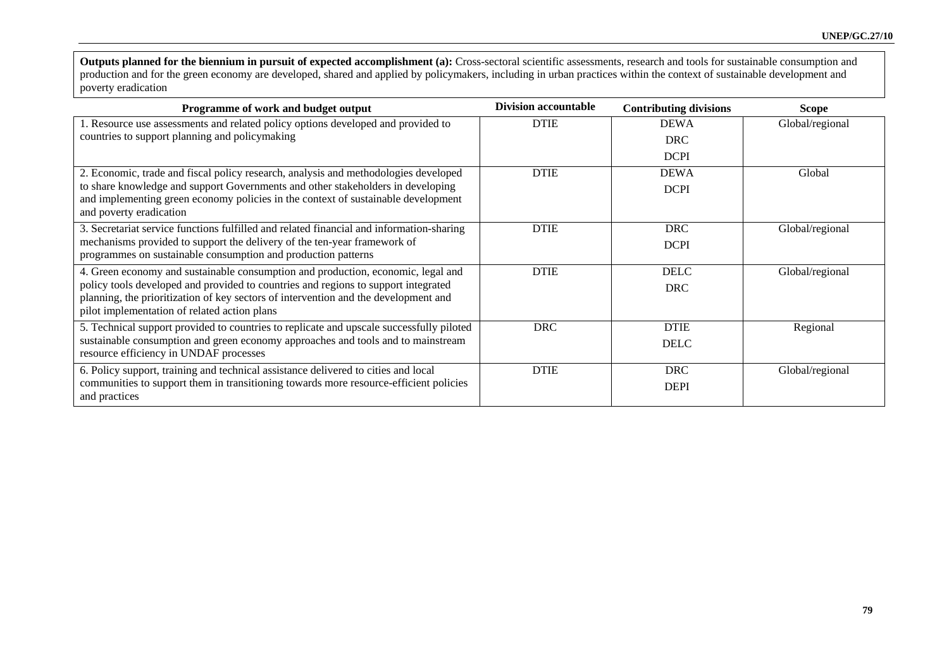**Outputs planned for the biennium in pursuit of expected accomplishment (a):** Cross-sectoral scientific assessments, research and tools for sustainable consumption and production and for the green economy are developed, shared and applied by policymakers, including in urban practices within the context of sustainable development and poverty eradication

| Programme of work and budget output                                                                                                                                    | <b>Division accountable</b> | <b>Contributing divisions</b> | <b>Scope</b>    |
|------------------------------------------------------------------------------------------------------------------------------------------------------------------------|-----------------------------|-------------------------------|-----------------|
| 1. Resource use assessments and related policy options developed and provided to                                                                                       | <b>DTIE</b>                 | <b>DEWA</b>                   | Global/regional |
| countries to support planning and policymaking                                                                                                                         |                             | <b>DRC</b>                    |                 |
|                                                                                                                                                                        |                             | <b>DCPI</b>                   |                 |
| 2. Economic, trade and fiscal policy research, analysis and methodologies developed                                                                                    | <b>DTIE</b>                 | <b>DEWA</b>                   | Global          |
| to share knowledge and support Governments and other stakeholders in developing<br>and implementing green economy policies in the context of sustainable development   |                             | <b>DCPI</b>                   |                 |
| and poverty eradication                                                                                                                                                |                             |                               |                 |
| 3. Secretariat service functions fulfilled and related financial and information-sharing                                                                               | <b>DTIE</b>                 | <b>DRC</b>                    | Global/regional |
| mechanisms provided to support the delivery of the ten-year framework of<br>programmes on sustainable consumption and production patterns                              |                             | <b>DCPI</b>                   |                 |
|                                                                                                                                                                        |                             |                               |                 |
| 4. Green economy and sustainable consumption and production, economic, legal and<br>policy tools developed and provided to countries and regions to support integrated | <b>DTIE</b>                 | <b>DELC</b>                   | Global/regional |
| planning, the prioritization of key sectors of intervention and the development and                                                                                    |                             | <b>DRC</b>                    |                 |
| pilot implementation of related action plans                                                                                                                           |                             |                               |                 |
| 5. Technical support provided to countries to replicate and upscale successfully piloted                                                                               | <b>DRC</b>                  | <b>DTIE</b>                   | Regional        |
| sustainable consumption and green economy approaches and tools and to mainstream                                                                                       |                             | <b>DELC</b>                   |                 |
| resource efficiency in UNDAF processes                                                                                                                                 |                             |                               |                 |
| 6. Policy support, training and technical assistance delivered to cities and local                                                                                     | <b>DTIE</b>                 | <b>DRC</b>                    | Global/regional |
| communities to support them in transitioning towards more resource-efficient policies                                                                                  |                             | <b>DEPI</b>                   |                 |
| and practices                                                                                                                                                          |                             |                               |                 |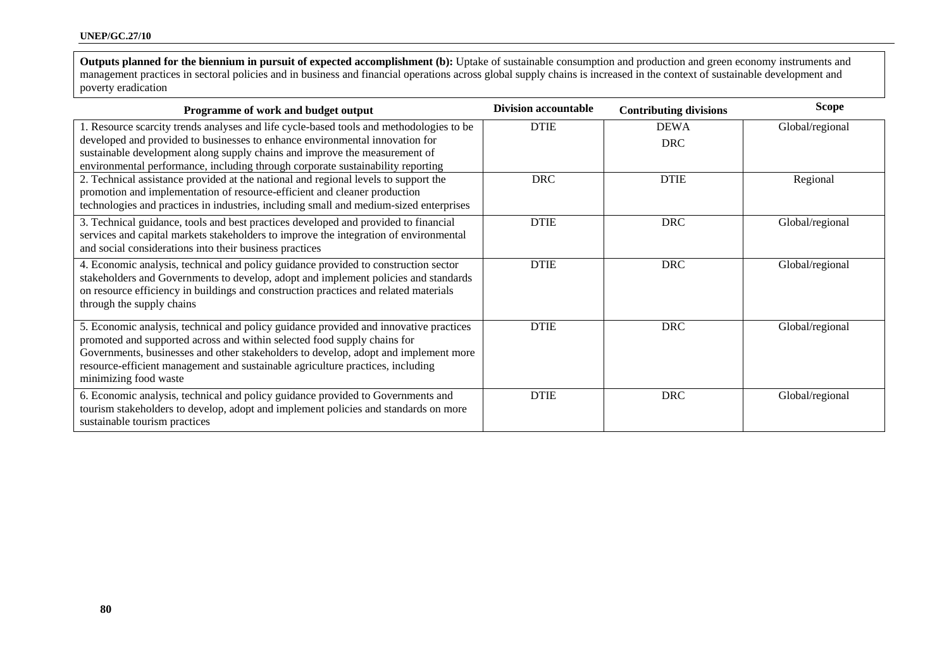**Outputs planned for the biennium in pursuit of expected accomplishment (b):** Uptake of sustainable consumption and production and green economy instruments and management practices in sectoral policies and in business and financial operations across global supply chains is increased in the context of sustainable development and poverty eradication

| Programme of work and budget output                                                                                                                                                                                                                                                                                                                                 | <b>Division accountable</b> | <b>Contributing divisions</b> | <b>Scope</b>    |
|---------------------------------------------------------------------------------------------------------------------------------------------------------------------------------------------------------------------------------------------------------------------------------------------------------------------------------------------------------------------|-----------------------------|-------------------------------|-----------------|
| 1. Resource scarcity trends analyses and life cycle-based tools and methodologies to be<br>developed and provided to businesses to enhance environmental innovation for<br>sustainable development along supply chains and improve the measurement of<br>environmental performance, including through corporate sustainability reporting                            | <b>DTIE</b>                 | <b>DEWA</b><br><b>DRC</b>     | Global/regional |
| 2. Technical assistance provided at the national and regional levels to support the<br>promotion and implementation of resource-efficient and cleaner production<br>technologies and practices in industries, including small and medium-sized enterprises                                                                                                          | <b>DRC</b>                  | <b>DTIE</b>                   | Regional        |
| 3. Technical guidance, tools and best practices developed and provided to financial<br>services and capital markets stakeholders to improve the integration of environmental<br>and social considerations into their business practices                                                                                                                             | <b>DTIE</b>                 | <b>DRC</b>                    | Global/regional |
| 4. Economic analysis, technical and policy guidance provided to construction sector<br>stakeholders and Governments to develop, adopt and implement policies and standards<br>on resource efficiency in buildings and construction practices and related materials<br>through the supply chains                                                                     | <b>DTIE</b>                 | <b>DRC</b>                    | Global/regional |
| 5. Economic analysis, technical and policy guidance provided and innovative practices<br>promoted and supported across and within selected food supply chains for<br>Governments, businesses and other stakeholders to develop, adopt and implement more<br>resource-efficient management and sustainable agriculture practices, including<br>minimizing food waste | <b>DTIE</b>                 | <b>DRC</b>                    | Global/regional |
| 6. Economic analysis, technical and policy guidance provided to Governments and<br>tourism stakeholders to develop, adopt and implement policies and standards on more<br>sustainable tourism practices                                                                                                                                                             | <b>DTIE</b>                 | <b>DRC</b>                    | Global/regional |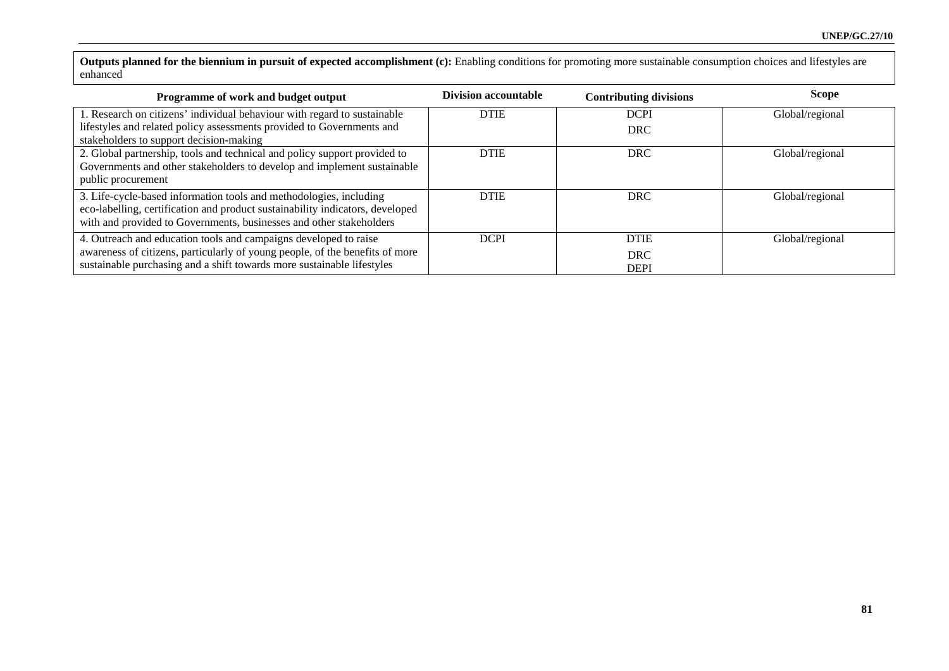**Outputs planned for the biennium in pursuit of expected accomplishment (c):** Enabling conditions for promoting more sustainable consumption choices and lifestyles are enhanced

| Programme of work and budget output                                           | Division accountable | <b>Contributing divisions</b> | <b>Scope</b>    |
|-------------------------------------------------------------------------------|----------------------|-------------------------------|-----------------|
| 1. Research on citizens' individual behaviour with regard to sustainable      | <b>DTIE</b>          | <b>DCPI</b>                   | Global/regional |
| lifestyles and related policy assessments provided to Governments and         |                      | <b>DRC</b>                    |                 |
| stakeholders to support decision-making                                       |                      |                               |                 |
| 2. Global partnership, tools and technical and policy support provided to     | <b>DTIE</b>          | <b>DRC</b>                    | Global/regional |
| Governments and other stakeholders to develop and implement sustainable       |                      |                               |                 |
| public procurement                                                            |                      |                               |                 |
| 3. Life-cycle-based information tools and methodologies, including            | <b>DTIE</b>          | <b>DRC</b>                    | Global/regional |
| eco-labelling, certification and product sustainability indicators, developed |                      |                               |                 |
| with and provided to Governments, businesses and other stakeholders           |                      |                               |                 |
| 4. Outreach and education tools and campaigns developed to raise              | <b>DCPI</b>          | <b>DTIE</b>                   | Global/regional |
| awareness of citizens, particularly of young people, of the benefits of more  |                      | <b>DRC</b>                    |                 |
| sustainable purchasing and a shift towards more sustainable lifestyles        |                      | <b>DEPI</b>                   |                 |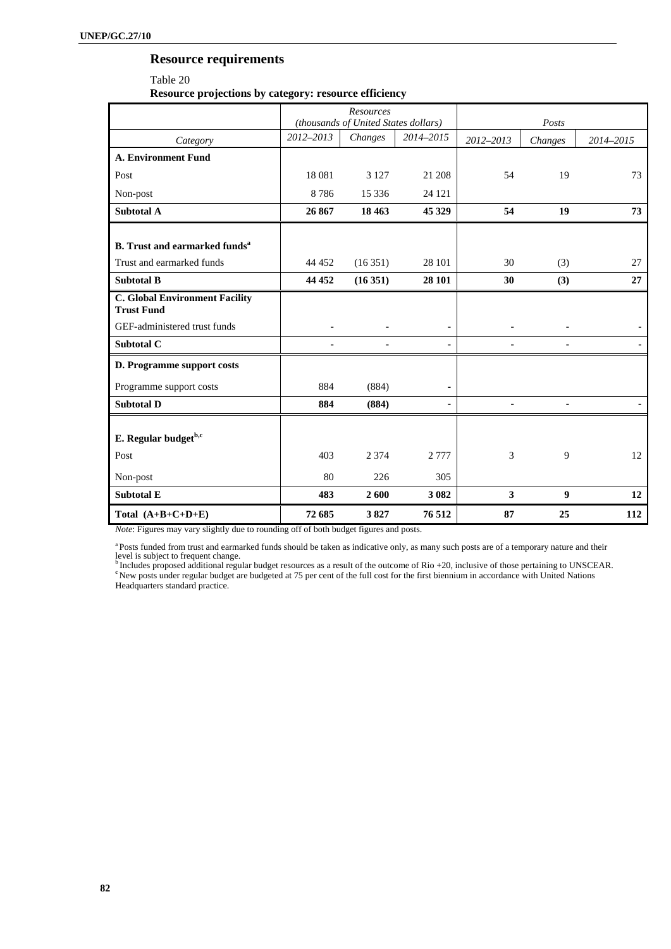# **Resource requirements**

Table 20 **Resource projections by category: resource efficiency** 

|                                                            |           | Resources                            |                          |                          |                          |           |
|------------------------------------------------------------|-----------|--------------------------------------|--------------------------|--------------------------|--------------------------|-----------|
|                                                            |           | (thousands of United States dollars) |                          |                          | Posts                    |           |
| Category                                                   | 2012-2013 | Changes                              | 2014-2015                | 2012-2013                | Changes                  | 2014-2015 |
| <b>A. Environment Fund</b>                                 |           |                                      |                          |                          |                          |           |
| Post                                                       | 18 08 1   | 3 1 2 7                              | 21 208                   | 54                       | 19                       | 73        |
| Non-post                                                   | 8786      | 15 3 36                              | 24 121                   |                          |                          |           |
| <b>Subtotal A</b>                                          | 26 867    | 18 4 63                              | 45 329                   | 54                       | 19                       | 73        |
|                                                            |           |                                      |                          |                          |                          |           |
| <b>B.</b> Trust and earmarked funds <sup>a</sup>           |           |                                      |                          |                          |                          |           |
| Trust and earmarked funds                                  | 44 452    | (16351)                              | 28 101                   | 30                       | (3)                      | 27        |
| <b>Subtotal B</b>                                          | 44 452    | (16351)                              | 28 101                   | 30                       | (3)                      | 27        |
| <b>C. Global Environment Facility</b><br><b>Trust Fund</b> |           |                                      |                          |                          |                          |           |
| GEF-administered trust funds                               |           |                                      |                          |                          |                          |           |
| Subtotal C                                                 |           |                                      | ۰                        |                          |                          |           |
| D. Programme support costs                                 |           |                                      |                          |                          |                          |           |
| Programme support costs                                    | 884       | (884)                                | ٠                        |                          |                          |           |
| <b>Subtotal D</b>                                          | 884       | (884)                                | $\overline{\phantom{a}}$ | $\overline{\phantom{a}}$ | $\overline{\phantom{a}}$ |           |
| E. Regular budget <sup>b,c</sup>                           |           |                                      |                          |                          |                          |           |
| Post                                                       | 403       | 2 3 7 4                              | 2 7 7 7                  | 3                        | 9                        | 12        |
| Non-post                                                   | 80        | 226                                  | 305                      |                          |                          |           |
| <b>Subtotal E</b>                                          | 483       | 2600                                 | 3 0 8 2                  | 3                        | 9                        | 12        |
| Total $(A+B+C+D+E)$                                        | 72 685    | 3827                                 | 76 512                   | 87                       | 25                       | 112       |

*Note*: Figures may vary slightly due to rounding off of both budget figures and posts.

a Posts funded from trust and earmarked funds should be taken as indicative only, as many such posts are of a temporary nature and their

level is subject to frequent change.<br><sup>b</sup> Includes proposed additional regular budget resources as a result of the outcome of Rio +20, inclusive of those pertaining to UNSCEAR.<br><sup>e</sup> New posts under regular budget are budgete Headquarters standard practice.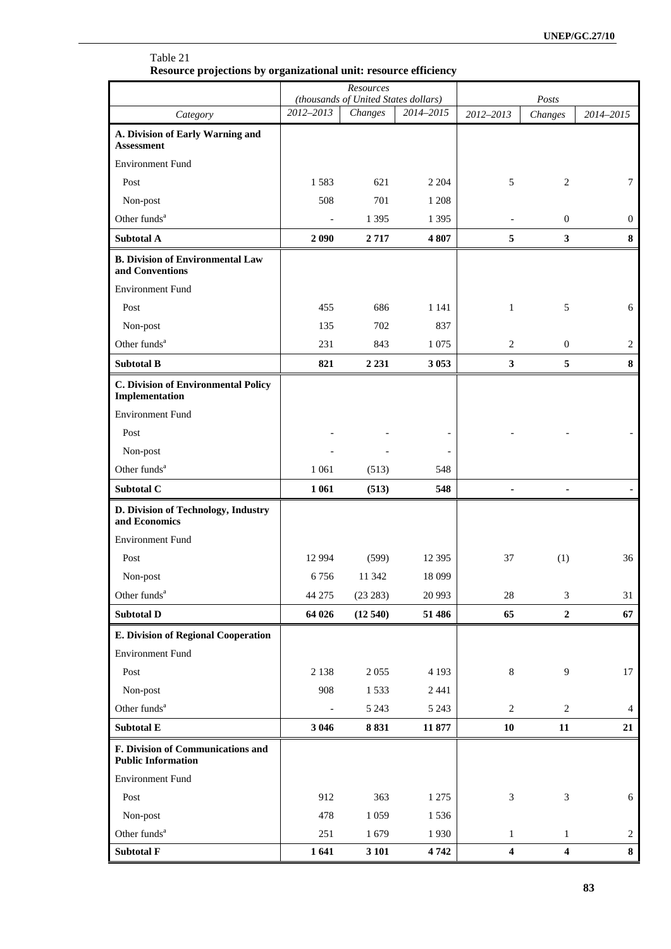|                                                                | Resource projections by organizational unit: resource efficiency<br><b>Resources</b> |                                      |           |                             |                         |              |
|----------------------------------------------------------------|--------------------------------------------------------------------------------------|--------------------------------------|-----------|-----------------------------|-------------------------|--------------|
|                                                                |                                                                                      | (thousands of United States dollars) |           |                             |                         |              |
| Category                                                       | 2012-2013                                                                            | Changes                              | 2014-2015 | 2012-2013                   | Changes                 | 2014-2015    |
| A. Division of Early Warning and<br><b>Assessment</b>          |                                                                                      |                                      |           |                             |                         |              |
| <b>Environment Fund</b>                                        |                                                                                      |                                      |           |                             |                         |              |
| Post                                                           | 1583                                                                                 | 621                                  | 2 2 0 4   | 5                           | 2                       | 7            |
| Non-post                                                       | 508                                                                                  | 701                                  | 1 2 0 8   |                             |                         |              |
| Other funds <sup>a</sup>                                       |                                                                                      | 1 3 9 5                              | 1 3 9 5   |                             | $\overline{0}$          | $\mathbf{0}$ |
| <b>Subtotal A</b>                                              | 2 0 9 0                                                                              | 2717                                 | 4807      | 5                           | $\mathbf{3}$            | 8            |
| <b>B. Division of Environmental Law</b><br>and Conventions     |                                                                                      |                                      |           |                             |                         |              |
| <b>Environment Fund</b>                                        |                                                                                      |                                      |           |                             |                         |              |
| Post                                                           | 455                                                                                  | 686                                  | 1 1 4 1   | $\mathbf{1}$                | 5                       | 6            |
| Non-post                                                       | 135                                                                                  | 702                                  | 837       |                             |                         |              |
| Other funds <sup>a</sup>                                       | 231                                                                                  | 843                                  | 1 0 7 5   | 2                           | $\overline{0}$          | 2            |
| <b>Subtotal B</b>                                              | 821                                                                                  | 2 2 3 1                              | 3 0 5 3   | $\overline{\mathbf{3}}$     | 5                       | 8            |
| <b>C. Division of Environmental Policy</b><br>Implementation   |                                                                                      |                                      |           |                             |                         |              |
| <b>Environment Fund</b>                                        |                                                                                      |                                      |           |                             |                         |              |
| Post                                                           |                                                                                      |                                      |           |                             |                         |              |
| Non-post                                                       |                                                                                      |                                      |           |                             |                         |              |
| Other funds <sup>a</sup>                                       | 1 0 6 1                                                                              | (513)                                | 548       |                             |                         |              |
| Subtotal C                                                     | 1 0 6 1                                                                              | (513)                                | 548       | ä,                          |                         |              |
| D. Division of Technology, Industry<br>and Economics           |                                                                                      |                                      |           |                             |                         |              |
| <b>Environment Fund</b>                                        |                                                                                      |                                      |           |                             |                         |              |
| Post                                                           | 12 9 94                                                                              | (599)                                | 12 3 95   | 37                          | (1)                     | 36           |
| Non-post                                                       |                                                                                      | 6 756 11 342                         | 18 0 99   |                             |                         |              |
| Other funds <sup>a</sup>                                       | 44 275                                                                               | (23 283)                             | 20 993    | $28\,$                      | 3                       | 31           |
| <b>Subtotal D</b>                                              | 64 026                                                                               | (12540)                              | 51 486    | 65                          | $\boldsymbol{2}$        | 67           |
| <b>E. Division of Regional Cooperation</b>                     |                                                                                      |                                      |           |                             |                         |              |
| <b>Environment Fund</b>                                        |                                                                                      |                                      |           |                             |                         |              |
| Post                                                           | 2 1 3 8                                                                              | 2055                                 | 4 1 9 3   | $\,8\,$                     | 9                       | 17           |
| Non-post                                                       | 908                                                                                  | 1533                                 | 2 4 4 1   |                             |                         |              |
| Other funds <sup>a</sup>                                       | $\blacksquare$                                                                       | 5 2 4 3                              | 5 2 4 3   | 2                           | 2                       | 4            |
| Subtotal E                                                     | 3 0 4 6                                                                              | 8831                                 | 11 877    | 10                          | 11                      | 21           |
| F. Division of Communications and<br><b>Public Information</b> |                                                                                      |                                      |           |                             |                         |              |
| <b>Environment Fund</b>                                        |                                                                                      |                                      |           |                             |                         |              |
| Post                                                           | 912                                                                                  | 363                                  | 1 2 7 5   | $\ensuremath{\mathfrak{Z}}$ | 3                       | 6            |
| Non-post                                                       | 478                                                                                  | 1 0 5 9                              | 1536      |                             |                         |              |
| Other funds <sup>a</sup>                                       | 251                                                                                  | 1679                                 | 1930      | $\mathbf{1}$                | $\mathbf{1}$            | 2            |
| <b>Subtotal F</b>                                              | 1641                                                                                 | 3 10 1                               | 4742      | $\overline{\mathbf{4}}$     | $\overline{\mathbf{4}}$ | 8            |

# Table 21 **Resource projections by organizational unit: resource efficiency**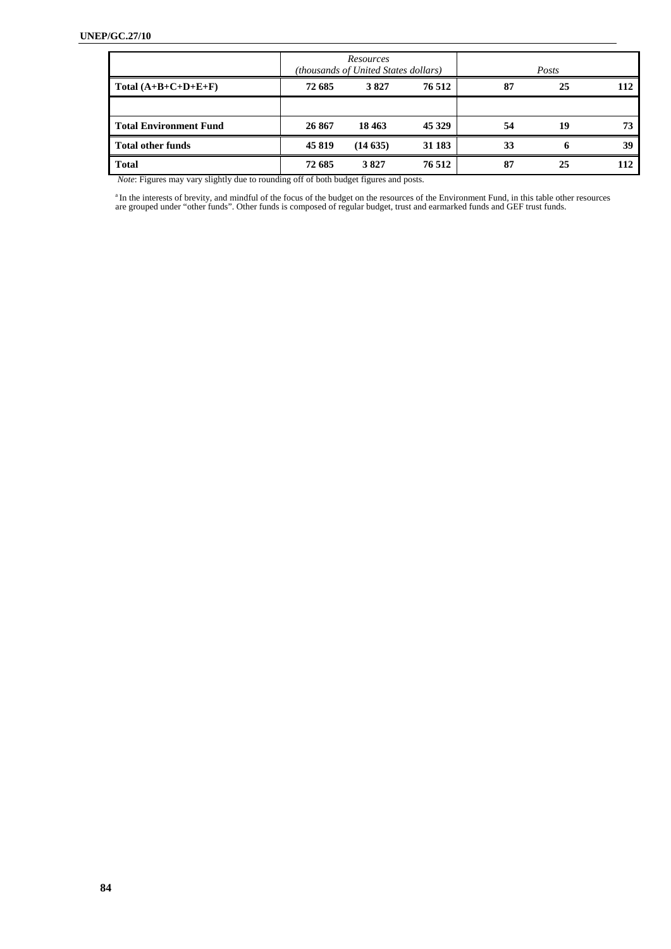|                               |        | Resources<br>(thousands of United States dollars) |         |    | Posts |     |
|-------------------------------|--------|---------------------------------------------------|---------|----|-------|-----|
| Total $(A+B+C+D+E+F)$         | 72 685 | 3827                                              | 76 512  | 87 | 25    | 112 |
|                               |        |                                                   |         |    |       |     |
| <b>Total Environment Fund</b> | 26 867 | 18 4 63                                           | 45 3 29 | 54 | 19    | 73  |
| <b>Total other funds</b>      | 45819  | (14635)                                           | 31 183  | 33 | 6     | 39  |
| <b>Total</b>                  | 72 685 | 3827                                              | 76 512  | 87 | 25    | 112 |

 *Note*: Figures may vary slightly due to rounding off of both budget figures and posts.

<sup>a</sup>In the interests of brevity, and mindful of the focus of the budget on the resources of the Environment Fund, in this table other resources are grouped under "other funds". Other funds is composed of regular budget, tru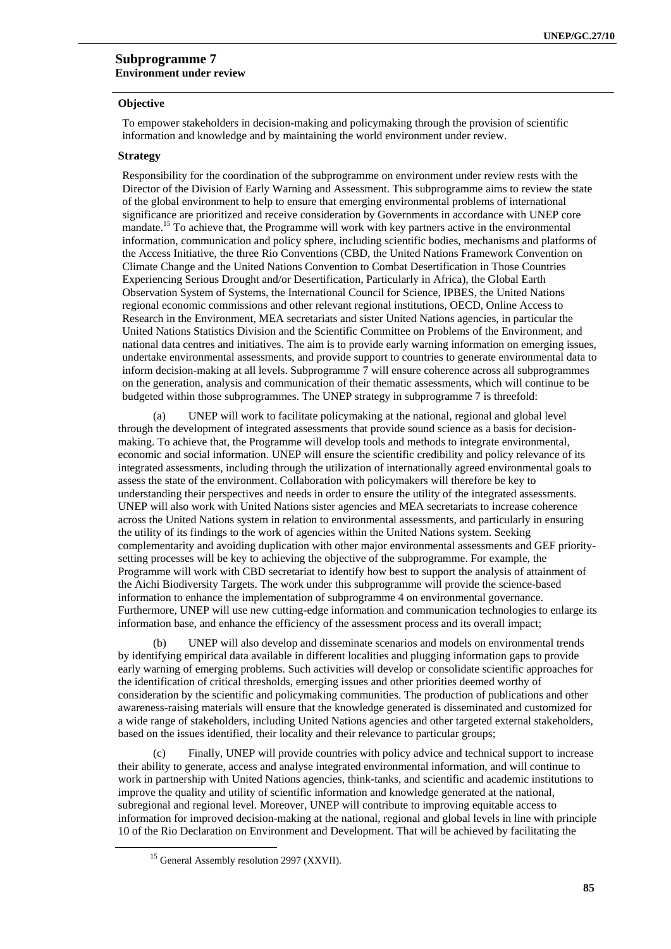### **Subprogramme 7 Environment under review**

#### **Objective**

To empower stakeholders in decision-making and policymaking through the provision of scientific information and knowledge and by maintaining the world environment under review.

### **Strategy**

Responsibility for the coordination of the subprogramme on environment under review rests with the Director of the Division of Early Warning and Assessment. This subprogramme aims to review the state of the global environment to help to ensure that emerging environmental problems of international significance are prioritized and receive consideration by Governments in accordance with UNEP core mandate.<sup>15</sup> To achieve that, the Programme will work with key partners active in the environmental information, communication and policy sphere, including scientific bodies, mechanisms and platforms of the Access Initiative, the three Rio Conventions (CBD, the United Nations Framework Convention on Climate Change and the United Nations Convention to Combat Desertification in Those Countries Experiencing Serious Drought and/or Desertification, Particularly in Africa), the Global Earth Observation System of Systems, the International Council for Science, IPBES, the United Nations regional economic commissions and other relevant regional institutions, OECD, Online Access to Research in the Environment, MEA secretariats and sister United Nations agencies, in particular the United Nations Statistics Division and the Scientific Committee on Problems of the Environment, and national data centres and initiatives. The aim is to provide early warning information on emerging issues, undertake environmental assessments, and provide support to countries to generate environmental data to inform decision-making at all levels. Subprogramme 7 will ensure coherence across all subprogrammes on the generation, analysis and communication of their thematic assessments, which will continue to be budgeted within those subprogrammes. The UNEP strategy in subprogramme 7 is threefold:

(a) UNEP will work to facilitate policymaking at the national, regional and global level through the development of integrated assessments that provide sound science as a basis for decisionmaking. To achieve that, the Programme will develop tools and methods to integrate environmental, economic and social information. UNEP will ensure the scientific credibility and policy relevance of its integrated assessments, including through the utilization of internationally agreed environmental goals to assess the state of the environment. Collaboration with policymakers will therefore be key to understanding their perspectives and needs in order to ensure the utility of the integrated assessments. UNEP will also work with United Nations sister agencies and MEA secretariats to increase coherence across the United Nations system in relation to environmental assessments, and particularly in ensuring the utility of its findings to the work of agencies within the United Nations system. Seeking complementarity and avoiding duplication with other major environmental assessments and GEF prioritysetting processes will be key to achieving the objective of the subprogramme. For example, the Programme will work with CBD secretariat to identify how best to support the analysis of attainment of the Aichi Biodiversity Targets. The work under this subprogramme will provide the science-based information to enhance the implementation of subprogramme 4 on environmental governance. Furthermore, UNEP will use new cutting-edge information and communication technologies to enlarge its information base, and enhance the efficiency of the assessment process and its overall impact;

UNEP will also develop and disseminate scenarios and models on environmental trends by identifying empirical data available in different localities and plugging information gaps to provide early warning of emerging problems. Such activities will develop or consolidate scientific approaches for the identification of critical thresholds, emerging issues and other priorities deemed worthy of consideration by the scientific and policymaking communities. The production of publications and other awareness-raising materials will ensure that the knowledge generated is disseminated and customized for a wide range of stakeholders, including United Nations agencies and other targeted external stakeholders, based on the issues identified, their locality and their relevance to particular groups;

(c) Finally, UNEP will provide countries with policy advice and technical support to increase their ability to generate, access and analyse integrated environmental information, and will continue to work in partnership with United Nations agencies, think-tanks, and scientific and academic institutions to improve the quality and utility of scientific information and knowledge generated at the national, subregional and regional level. Moreover, UNEP will contribute to improving equitable access to information for improved decision-making at the national, regional and global levels in line with principle 10 of the Rio Declaration on Environment and Development. That will be achieved by facilitating the

<sup>&</sup>lt;sup>15</sup> General Assembly resolution 2997 (XXVII).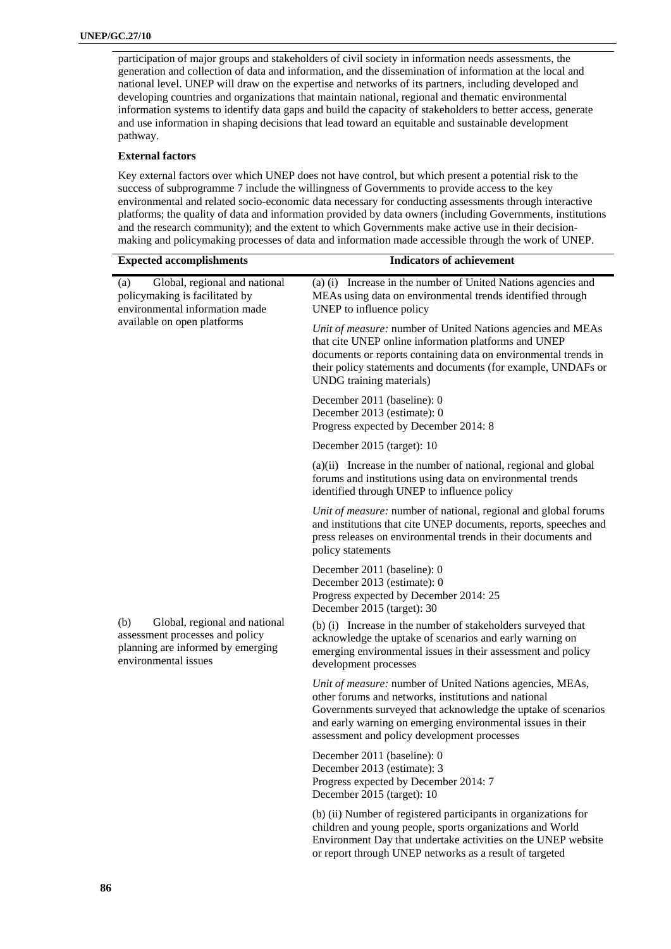participation of major groups and stakeholders of civil society in information needs assessments, the generation and collection of data and information, and the dissemination of information at the local and national level. UNEP will draw on the expertise and networks of its partners, including developed and developing countries and organizations that maintain national, regional and thematic environmental information systems to identify data gaps and build the capacity of stakeholders to better access, generate and use information in shaping decisions that lead toward an equitable and sustainable development pathway.

#### **External factors**

Key external factors over which UNEP does not have control, but which present a potential risk to the success of subprogramme 7 include the willingness of Governments to provide access to the key environmental and related socio-economic data necessary for conducting assessments through interactive platforms; the quality of data and information provided by data owners (including Governments, institutions and the research community); and the extent to which Governments make active use in their decisionmaking and policymaking processes of data and information made accessible through the work of UNEP.

| <b>Expected accomplishments</b>                                                                                                      | <b>Indicators of achievement</b>                                                                                                                                                                                                                                                                 |
|--------------------------------------------------------------------------------------------------------------------------------------|--------------------------------------------------------------------------------------------------------------------------------------------------------------------------------------------------------------------------------------------------------------------------------------------------|
| Global, regional and national<br>(a)<br>policymaking is facilitated by<br>environmental information made                             | (a) (i) Increase in the number of United Nations agencies and<br>MEAs using data on environmental trends identified through<br>UNEP to influence policy                                                                                                                                          |
| available on open platforms                                                                                                          | Unit of measure: number of United Nations agencies and MEAs<br>that cite UNEP online information platforms and UNEP<br>documents or reports containing data on environmental trends in<br>their policy statements and documents (for example, UNDAFs or<br>UNDG training materials)              |
|                                                                                                                                      | December 2011 (baseline): 0<br>December 2013 (estimate): 0<br>Progress expected by December 2014: 8                                                                                                                                                                                              |
|                                                                                                                                      | December 2015 (target): 10                                                                                                                                                                                                                                                                       |
|                                                                                                                                      | (a)(ii) Increase in the number of national, regional and global<br>forums and institutions using data on environmental trends<br>identified through UNEP to influence policy                                                                                                                     |
|                                                                                                                                      | Unit of measure: number of national, regional and global forums<br>and institutions that cite UNEP documents, reports, speeches and<br>press releases on environmental trends in their documents and<br>policy statements                                                                        |
|                                                                                                                                      | December 2011 (baseline): 0<br>December 2013 (estimate): 0<br>Progress expected by December 2014: 25<br>December 2015 (target): 30                                                                                                                                                               |
| Global, regional and national<br>(b)<br>assessment processes and policy<br>planning are informed by emerging<br>environmental issues | (b) (i) Increase in the number of stakeholders surveyed that<br>acknowledge the uptake of scenarios and early warning on<br>emerging environmental issues in their assessment and policy<br>development processes                                                                                |
|                                                                                                                                      | Unit of measure: number of United Nations agencies, MEAs,<br>other forums and networks, institutions and national<br>Governments surveyed that acknowledge the uptake of scenarios<br>and early warning on emerging environmental issues in their<br>assessment and policy development processes |
|                                                                                                                                      | December 2011 (baseline): 0<br>December 2013 (estimate): 3<br>Progress expected by December 2014: 7<br>December 2015 (target): 10                                                                                                                                                                |
|                                                                                                                                      | (b) (ii) Number of registered participants in organizations for<br>children and young people, sports organizations and World                                                                                                                                                                     |

Environment Day that undertake activities on the UNEP website

or report through UNEP networks as a result of targeted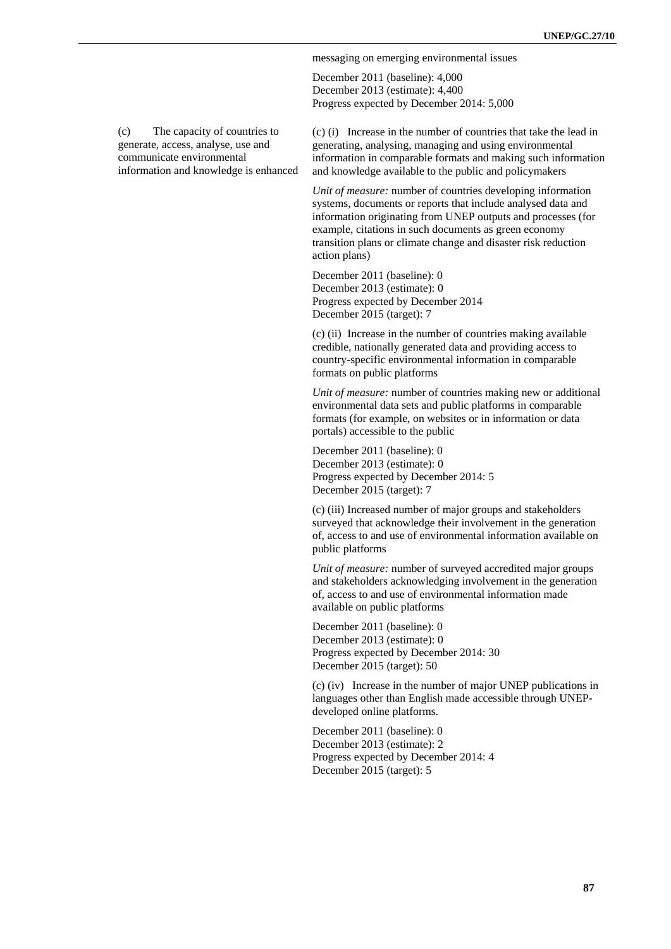messaging on emerging environmental issues

December 2011 (baseline): 4,000 December 2013 (estimate): 4,400 Progress expected by December 2014: 5,000

(c) The capacity of countries to generate, access, analyse, use and communicate environmental information and knowledge is enhanced

(c) (i) Increase in the number of countries that take the lead in generating, analysing, managing and using environmental information in comparable formats and making such information and knowledge available to the public and policymakers

*Unit of measure:* number of countries developing information systems, documents or reports that include analysed data and information originating from UNEP outputs and processes (for example, citations in such documents as green economy transition plans or climate change and disaster risk reduction action plans)

December 2011 (baseline): 0 December 2013 (estimate): 0 Progress expected by December 2014 December 2015 (target): 7

(c) (ii) Increase in the number of countries making available credible, nationally generated data and providing access to country-specific environmental information in comparable formats on public platforms

*Unit of measure:* number of countries making new or additional environmental data sets and public platforms in comparable formats (for example, on websites or in information or data portals) accessible to the public

December 2011 (baseline): 0 December 2013 (estimate): 0 Progress expected by December 2014: 5 December 2015 (target): 7

(c) (iii) Increased number of major groups and stakeholders surveyed that acknowledge their involvement in the generation of, access to and use of environmental information available on public platforms

*Unit of measure:* number of surveyed accredited major groups and stakeholders acknowledging involvement in the generation of, access to and use of environmental information made available on public platforms

December 2011 (baseline): 0 December 2013 (estimate): 0 Progress expected by December 2014: 30 December 2015 (target): 50

(c) (iv) Increase in the number of major UNEP publications in languages other than English made accessible through UNEPdeveloped online platforms.

December 2011 (baseline): 0 December 2013 (estimate): 2 Progress expected by December 2014: 4 December 2015 (target): 5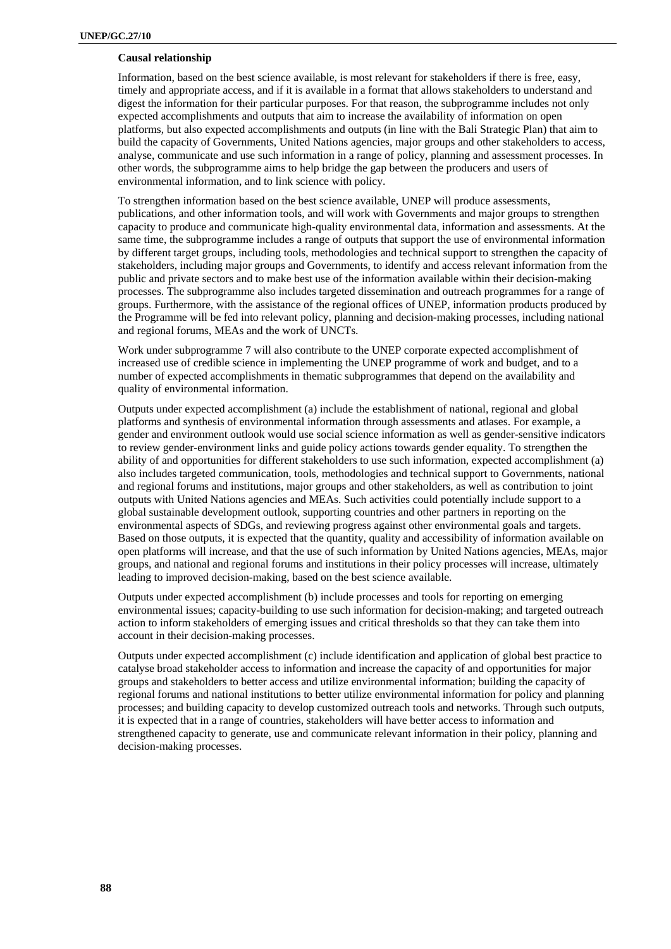### **Causal relationship**

Information, based on the best science available, is most relevant for stakeholders if there is free, easy, timely and appropriate access, and if it is available in a format that allows stakeholders to understand and digest the information for their particular purposes. For that reason, the subprogramme includes not only expected accomplishments and outputs that aim to increase the availability of information on open platforms, but also expected accomplishments and outputs (in line with the Bali Strategic Plan) that aim to build the capacity of Governments, United Nations agencies, major groups and other stakeholders to access, analyse, communicate and use such information in a range of policy, planning and assessment processes. In other words, the subprogramme aims to help bridge the gap between the producers and users of environmental information, and to link science with policy.

To strengthen information based on the best science available, UNEP will produce assessments, publications, and other information tools, and will work with Governments and major groups to strengthen capacity to produce and communicate high-quality environmental data, information and assessments. At the same time, the subprogramme includes a range of outputs that support the use of environmental information by different target groups, including tools, methodologies and technical support to strengthen the capacity of stakeholders, including major groups and Governments, to identify and access relevant information from the public and private sectors and to make best use of the information available within their decision-making processes. The subprogramme also includes targeted dissemination and outreach programmes for a range of groups. Furthermore, with the assistance of the regional offices of UNEP, information products produced by the Programme will be fed into relevant policy, planning and decision-making processes, including national and regional forums, MEAs and the work of UNCTs.

Work under subprogramme 7 will also contribute to the UNEP corporate expected accomplishment of increased use of credible science in implementing the UNEP programme of work and budget, and to a number of expected accomplishments in thematic subprogrammes that depend on the availability and quality of environmental information.

Outputs under expected accomplishment (a) include the establishment of national, regional and global platforms and synthesis of environmental information through assessments and atlases. For example, a gender and environment outlook would use social science information as well as gender-sensitive indicators to review gender-environment links and guide policy actions towards gender equality. To strengthen the ability of and opportunities for different stakeholders to use such information, expected accomplishment (a) also includes targeted communication, tools, methodologies and technical support to Governments, national and regional forums and institutions, major groups and other stakeholders, as well as contribution to joint outputs with United Nations agencies and MEAs. Such activities could potentially include support to a global sustainable development outlook, supporting countries and other partners in reporting on the environmental aspects of SDGs, and reviewing progress against other environmental goals and targets. Based on those outputs, it is expected that the quantity, quality and accessibility of information available on open platforms will increase, and that the use of such information by United Nations agencies, MEAs, major groups, and national and regional forums and institutions in their policy processes will increase, ultimately leading to improved decision-making, based on the best science available.

Outputs under expected accomplishment (b) include processes and tools for reporting on emerging environmental issues; capacity-building to use such information for decision-making; and targeted outreach action to inform stakeholders of emerging issues and critical thresholds so that they can take them into account in their decision-making processes.

Outputs under expected accomplishment (c) include identification and application of global best practice to catalyse broad stakeholder access to information and increase the capacity of and opportunities for major groups and stakeholders to better access and utilize environmental information; building the capacity of regional forums and national institutions to better utilize environmental information for policy and planning processes; and building capacity to develop customized outreach tools and networks. Through such outputs, it is expected that in a range of countries, stakeholders will have better access to information and strengthened capacity to generate, use and communicate relevant information in their policy, planning and decision-making processes.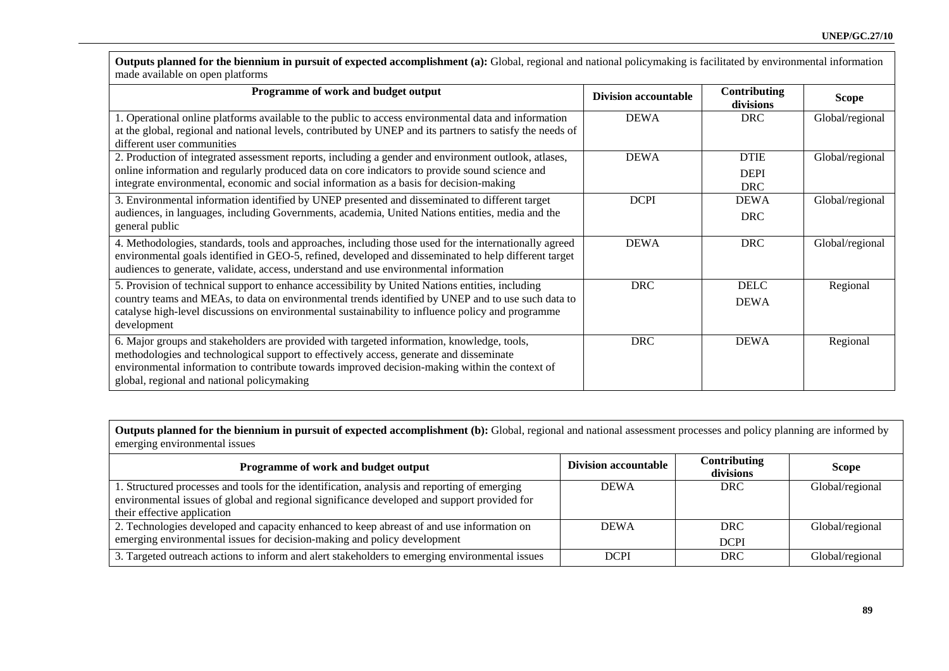**Outputs planned for the biennium in pursuit of expected accomplishment (a):** Global, regional and national policymaking is facilitated by environmental information made available on open platforms

| Programme of work and budget output                                                                                                                                                                                                                                                                                                   | <b>Division accountable</b> | Contributing<br>divisions                | <b>Scope</b>    |
|---------------------------------------------------------------------------------------------------------------------------------------------------------------------------------------------------------------------------------------------------------------------------------------------------------------------------------------|-----------------------------|------------------------------------------|-----------------|
| 1. Operational online platforms available to the public to access environmental data and information<br>at the global, regional and national levels, contributed by UNEP and its partners to satisfy the needs of<br>different user communities                                                                                       | <b>DEWA</b>                 | <b>DRC</b>                               | Global/regional |
| 2. Production of integrated assessment reports, including a gender and environment outlook, atlases,<br>online information and regularly produced data on core indicators to provide sound science and<br>integrate environmental, economic and social information as a basis for decision-making                                     | <b>DEWA</b>                 | <b>DTIE</b><br><b>DEPI</b><br><b>DRC</b> | Global/regional |
| 3. Environmental information identified by UNEP presented and disseminated to different target<br>audiences, in languages, including Governments, academia, United Nations entities, media and the<br>general public                                                                                                                  | <b>DCPI</b>                 | <b>DEWA</b><br><b>DRC</b>                | Global/regional |
| 4. Methodologies, standards, tools and approaches, including those used for the internationally agreed<br>environmental goals identified in GEO-5, refined, developed and disseminated to help different target<br>audiences to generate, validate, access, understand and use environmental information                              | <b>DEWA</b>                 | <b>DRC</b>                               | Global/regional |
| 5. Provision of technical support to enhance accessibility by United Nations entities, including<br>country teams and MEAs, to data on environmental trends identified by UNEP and to use such data to<br>catalyse high-level discussions on environmental sustainability to influence policy and programme<br>development            | <b>DRC</b>                  | <b>DELC</b><br><b>DEWA</b>               | Regional        |
| 6. Major groups and stakeholders are provided with targeted information, knowledge, tools,<br>methodologies and technological support to effectively access, generate and disseminate<br>environmental information to contribute towards improved decision-making within the context of<br>global, regional and national policymaking | <b>DRC</b>                  | <b>DEWA</b>                              | Regional        |

**Outputs planned for the biennium in pursuit of expected accomplishment (b):** Global, regional and national assessment processes and policy planning are informed by emerging environmental issues

| Programme of work and budget output                                                                                                                                                                                        | <b>Division accountable</b> | Contributing<br>divisions | <b>Scope</b>    |
|----------------------------------------------------------------------------------------------------------------------------------------------------------------------------------------------------------------------------|-----------------------------|---------------------------|-----------------|
| 1. Structured processes and tools for the identification, analysis and reporting of emerging<br>environmental issues of global and regional significance developed and support provided for<br>their effective application | <b>DEWA</b>                 | <b>DRC</b>                | Global/regional |
| 2. Technologies developed and capacity enhanced to keep abreast of and use information on<br>emerging environmental issues for decision-making and policy development                                                      | <b>DEWA</b>                 | <b>DRC</b><br><b>DCPI</b> | Global/regional |
| 3. Targeted outreach actions to inform and alert stakeholders to emerging environmental issues                                                                                                                             | <b>DCPI</b>                 | DRC                       | Global/regional |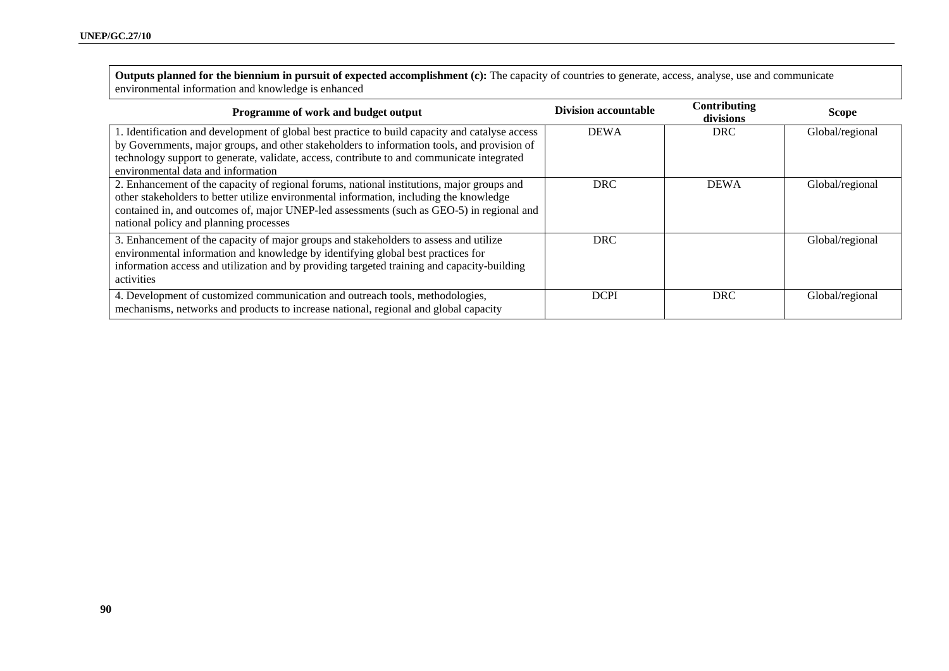**Outputs planned for the biennium in pursuit of expected accomplishment (c):** The capacity of countries to generate, access, analyse, use and communicate environmental information and knowledge is enhanced

| <b>Programme of work and budget output</b>                                                      | <b>Division accountable</b> | Contributing<br>divisions | <b>Scope</b>    |
|-------------------------------------------------------------------------------------------------|-----------------------------|---------------------------|-----------------|
| 1. Identification and development of global best practice to build capacity and catalyse access | <b>DEWA</b>                 | DRC.                      | Global/regional |
| by Governments, major groups, and other stakeholders to information tools, and provision of     |                             |                           |                 |
| technology support to generate, validate, access, contribute to and communicate integrated      |                             |                           |                 |
| environmental data and information                                                              |                             |                           |                 |
| 2. Enhancement of the capacity of regional forums, national institutions, major groups and      | <b>DRC</b>                  | <b>DEWA</b>               | Global/regional |
| other stakeholders to better utilize environmental information, including the knowledge         |                             |                           |                 |
| contained in, and outcomes of, major UNEP-led assessments (such as GEO-5) in regional and       |                             |                           |                 |
| national policy and planning processes                                                          |                             |                           |                 |
| 3. Enhancement of the capacity of major groups and stakeholders to assess and utilize           | <b>DRC</b>                  |                           | Global/regional |
| environmental information and knowledge by identifying global best practices for                |                             |                           |                 |
| information access and utilization and by providing targeted training and capacity-building     |                             |                           |                 |
| activities                                                                                      |                             |                           |                 |
| 4. Development of customized communication and outreach tools, methodologies,                   | <b>DCPI</b>                 | <b>DRC</b>                | Global/regional |
| mechanisms, networks and products to increase national, regional and global capacity            |                             |                           |                 |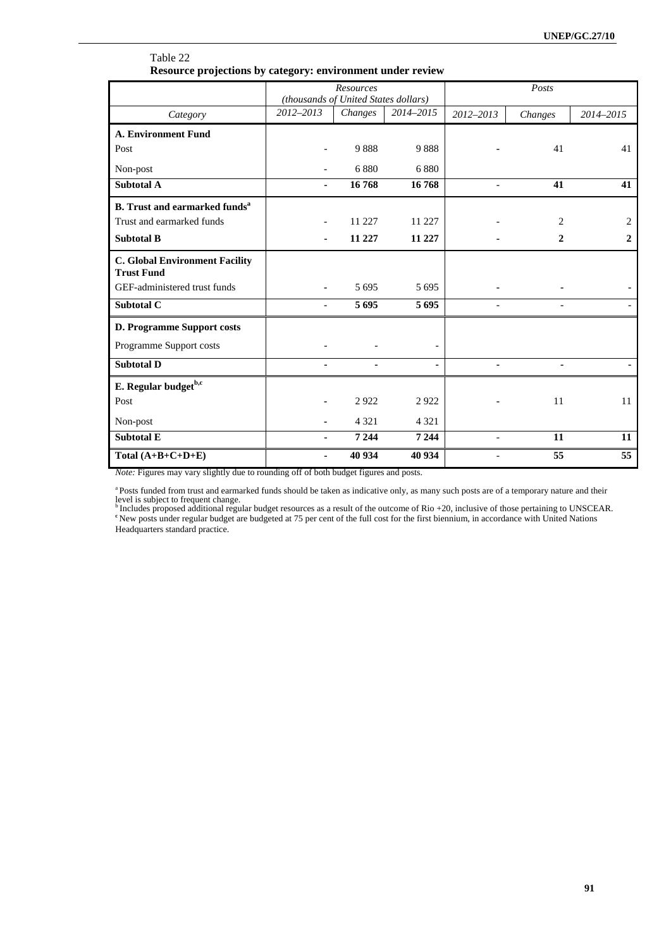|                                                            | (thousands of United States dollars) | Resources            |         | Posts                    |                   |              |
|------------------------------------------------------------|--------------------------------------|----------------------|---------|--------------------------|-------------------|--------------|
| Category                                                   | 2012-2013                            | 2014-2015<br>Changes |         | 2012-2013                | Changes           | 2014-2015    |
| <b>A. Environment Fund</b>                                 |                                      |                      |         |                          |                   |              |
| Post                                                       |                                      | 9888                 | 9888    |                          | 41                | 41           |
| Non-post                                                   |                                      | 6880                 | 6880    |                          |                   |              |
| Subtotal A                                                 | ٠                                    | 16768                | 16768   | $\overline{\phantom{a}}$ | 41                | 41           |
| <b>B.</b> Trust and earmarked funds <sup>a</sup>           |                                      |                      |         |                          |                   |              |
| Trust and earmarked funds                                  |                                      | 11 227               | 11 227  |                          | 2                 | 2            |
| <b>Subtotal B</b>                                          |                                      | 11 227               | 11 227  |                          | $\mathbf{2}$      | $\mathbf{2}$ |
| <b>C. Global Environment Facility</b><br><b>Trust Fund</b> |                                      |                      |         |                          |                   |              |
| GEF-administered trust funds                               |                                      | 5 6 9 5              | 5 6 9 5 |                          |                   |              |
| Subtotal C                                                 | $\overline{\phantom{a}}$             | 5695                 | 5 6 9 5 | $\overline{\phantom{0}}$ | $\qquad \qquad -$ |              |
| D. Programme Support costs                                 |                                      |                      |         |                          |                   |              |
| Programme Support costs                                    |                                      |                      |         |                          |                   |              |
| <b>Subtotal D</b>                                          |                                      |                      |         |                          | ٠                 |              |
| E. Regular budget <sup>b,c</sup>                           |                                      |                      |         |                          |                   |              |
| Post                                                       |                                      | 2922                 | 2922    |                          | 11                | 11           |
| Non-post                                                   |                                      | 4 3 2 1              | 4 3 2 1 |                          |                   |              |
| <b>Subtotal E</b>                                          |                                      | 7 2 4 4              | 7 2 4 4 | $\overline{a}$           | 11                | 11           |
| Total $(A+B+C+D+E)$                                        | ٠                                    | 40 934               | 40 934  |                          | 55                | 55           |

### Table 22 **Resource projections by category: environment under review**

*Note:* Figures may vary slightly due to rounding off of both budget figures and posts.

<sup>a</sup> Posts funded from trust and earmarked funds should be taken as indicative only, as many such posts are of a temporary nature and their

level is subject to frequent change.<br><sup>b</sup> Includes proposed additional regular budget resources as a result of the outcome of Rio +20, inclusive of those pertaining to UNSCEAR.<br><sup>e</sup> New posts under regular budget are budgete

Headquarters standard practice.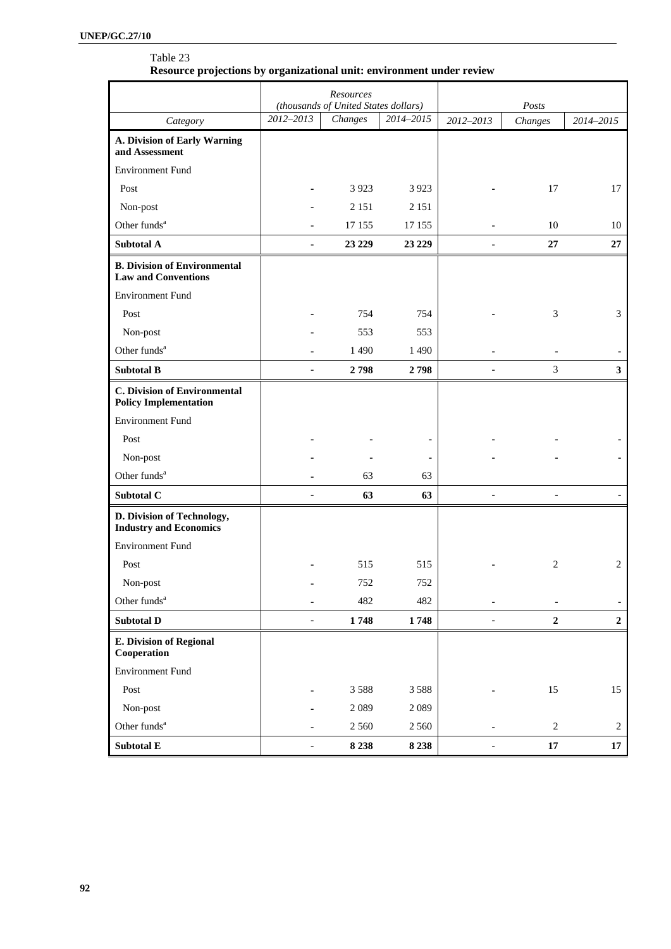### Table 23 **Resource projections by organizational unit: environment under review**

|                                                                     | Resources<br>(thousands of United States dollars) |         | Posts          |                          |                |                |
|---------------------------------------------------------------------|---------------------------------------------------|---------|----------------|--------------------------|----------------|----------------|
| Category                                                            | 2012-2013                                         | Changes | 2014-2015      | 2012-2013                | Changes        | 2014-2015      |
| A. Division of Early Warning<br>and Assessment                      |                                                   |         |                |                          |                |                |
| <b>Environment Fund</b>                                             |                                                   |         |                |                          |                |                |
| Post                                                                |                                                   | 3 9 2 3 | 3 9 2 3        |                          | 17             | 17             |
| Non-post                                                            |                                                   | 2 1 5 1 | 2 1 5 1        |                          |                |                |
| Other funds <sup>a</sup>                                            |                                                   | 17 155  | 17 155         |                          | 10             | 10             |
| <b>Subtotal A</b>                                                   | ä,                                                | 23 229  | 23 229         |                          | 27             | 27             |
| <b>B. Division of Environmental</b><br><b>Law and Conventions</b>   |                                                   |         |                |                          |                |                |
| <b>Environment Fund</b>                                             |                                                   |         |                |                          |                |                |
| Post                                                                |                                                   | 754     | 754            |                          | 3              | 3              |
| Non-post                                                            |                                                   | 553     | 553            |                          |                |                |
| Other funds <sup>a</sup>                                            |                                                   | 1 4 9 0 | 1 4 9 0        |                          |                |                |
| <b>Subtotal B</b>                                                   |                                                   | 2798    | 2798           |                          | 3              | 3 <sup>1</sup> |
| <b>C. Division of Environmental</b><br><b>Policy Implementation</b> |                                                   |         |                |                          |                |                |
| <b>Environment Fund</b>                                             |                                                   |         |                |                          |                |                |
| Post                                                                |                                                   |         | $\blacksquare$ |                          |                |                |
| Non-post                                                            |                                                   |         |                |                          |                |                |
| Other funds <sup>a</sup>                                            |                                                   | 63      | 63             |                          |                |                |
| Subtotal C                                                          | $\overline{a}$                                    | 63      | 63             | $\overline{\phantom{0}}$ |                |                |
| D. Division of Technology,<br><b>Industry and Economics</b>         |                                                   |         |                |                          |                |                |
| <b>Environment Fund</b>                                             |                                                   |         |                |                          |                |                |
| Post                                                                |                                                   | 515     | 515            |                          | 2              | 2              |
| Non-post                                                            |                                                   | 752     | 752            |                          |                |                |
| Other funds <sup>a</sup>                                            |                                                   | 482     | 482            |                          |                |                |
| <b>Subtotal D</b>                                                   | $\blacksquare$                                    | 1748    | 1748           |                          | $\overline{2}$ | $\overline{2}$ |
| <b>E. Division of Regional</b><br>Cooperation                       |                                                   |         |                |                          |                |                |
| <b>Environment Fund</b>                                             |                                                   |         |                |                          |                |                |
| Post                                                                |                                                   | 3588    | 3588           |                          | 15             | 15             |
| Non-post                                                            |                                                   | 2089    | 2089           |                          |                |                |
| Other funds <sup>a</sup>                                            |                                                   | 2 5 6 0 | 2 5 6 0        |                          | $\sqrt{2}$     | 2              |
| Subtotal E                                                          | $\overline{\phantom{a}}$                          | 8 2 3 8 | 8 2 3 8        | $\overline{\phantom{0}}$ | $17\,$         | 17             |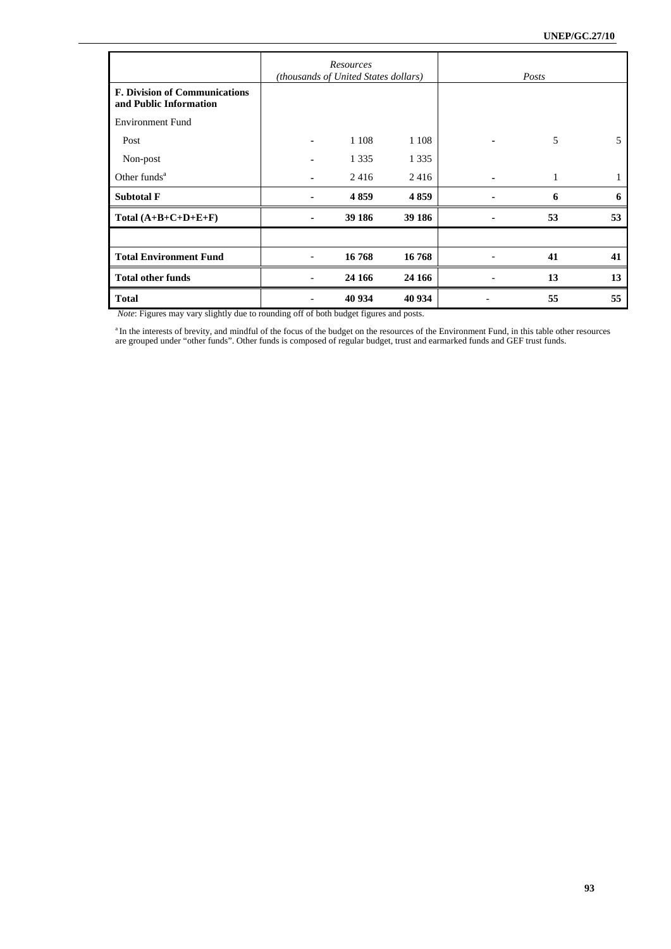|                                                                |                          | Resources<br>(thousands of United States dollars) |         | Posts |    |
|----------------------------------------------------------------|--------------------------|---------------------------------------------------|---------|-------|----|
| <b>F. Division of Communications</b><br>and Public Information |                          |                                                   |         |       |    |
| <b>Environment Fund</b>                                        |                          |                                                   |         |       |    |
| Post                                                           |                          | 1 1 0 8                                           | 1 1 0 8 | 5     | 5  |
| Non-post                                                       |                          | 1 3 3 5                                           | 1 3 3 5 |       |    |
| Other funds $a$                                                |                          | 2416                                              | 2416    |       |    |
| <b>Subtotal F</b>                                              |                          | 4859                                              | 4859    | 6     | 6  |
| Total $(A+B+C+D+E+F)$                                          |                          | 39 186                                            | 39 186  | 53    | 53 |
|                                                                |                          |                                                   |         |       |    |
| <b>Total Environment Fund</b>                                  | $\overline{\phantom{a}}$ | 16768                                             | 16768   | 41    | 41 |
| <b>Total other funds</b>                                       |                          | 24 16 6                                           | 24 16 6 | 13    | 13 |
| <b>Total</b>                                                   |                          | 40 934                                            | 40 934  | 55    | 55 |

 *Note*: Figures may vary slightly due to rounding off of both budget figures and posts.

<sup>a</sup> In the interests of brevity, and mindful of the focus of the budget on the resources of the Environment Fund, in this table other resources are grouped under "other funds". Other funds is composed of regular budget, trust and earmarked funds and GEF trust funds.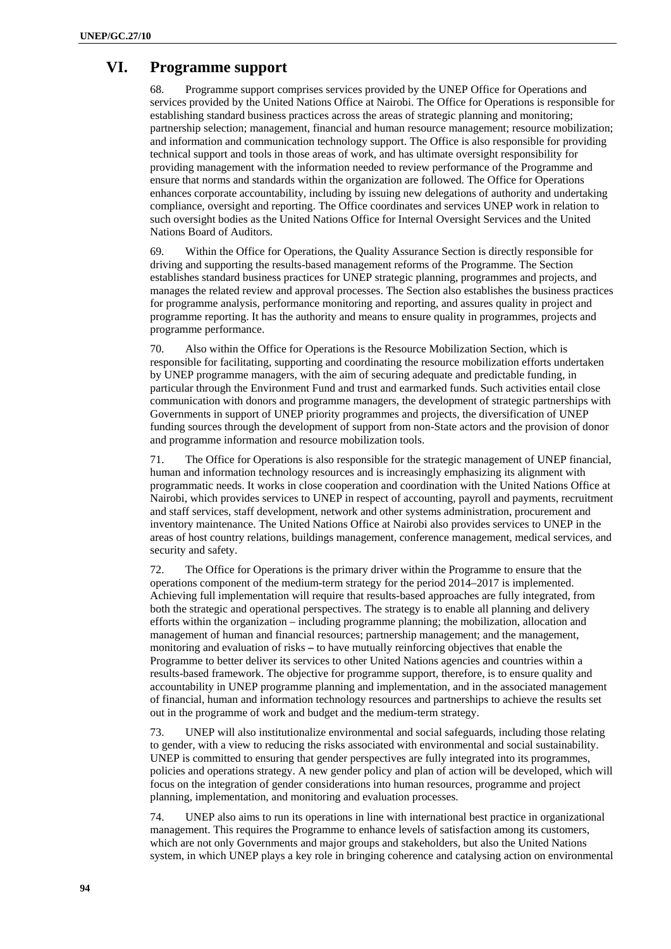# **VI. Programme support**

68. Programme support comprises services provided by the UNEP Office for Operations and services provided by the United Nations Office at Nairobi. The Office for Operations is responsible for establishing standard business practices across the areas of strategic planning and monitoring; partnership selection; management, financial and human resource management; resource mobilization; and information and communication technology support. The Office is also responsible for providing technical support and tools in those areas of work, and has ultimate oversight responsibility for providing management with the information needed to review performance of the Programme and ensure that norms and standards within the organization are followed. The Office for Operations enhances corporate accountability, including by issuing new delegations of authority and undertaking compliance, oversight and reporting. The Office coordinates and services UNEP work in relation to such oversight bodies as the United Nations Office for Internal Oversight Services and the United Nations Board of Auditors.

69. Within the Office for Operations, the Quality Assurance Section is directly responsible for driving and supporting the results-based management reforms of the Programme. The Section establishes standard business practices for UNEP strategic planning, programmes and projects, and manages the related review and approval processes. The Section also establishes the business practices for programme analysis, performance monitoring and reporting, and assures quality in project and programme reporting. It has the authority and means to ensure quality in programmes, projects and programme performance.

70. Also within the Office for Operations is the Resource Mobilization Section, which is responsible for facilitating, supporting and coordinating the resource mobilization efforts undertaken by UNEP programme managers, with the aim of securing adequate and predictable funding, in particular through the Environment Fund and trust and earmarked funds. Such activities entail close communication with donors and programme managers, the development of strategic partnerships with Governments in support of UNEP priority programmes and projects, the diversification of UNEP funding sources through the development of support from non-State actors and the provision of donor and programme information and resource mobilization tools.

71. The Office for Operations is also responsible for the strategic management of UNEP financial, human and information technology resources and is increasingly emphasizing its alignment with programmatic needs. It works in close cooperation and coordination with the United Nations Office at Nairobi, which provides services to UNEP in respect of accounting, payroll and payments, recruitment and staff services, staff development, network and other systems administration, procurement and inventory maintenance. The United Nations Office at Nairobi also provides services to UNEP in the areas of host country relations, buildings management, conference management, medical services, and security and safety.

72. The Office for Operations is the primary driver within the Programme to ensure that the operations component of the medium-term strategy for the period 2014–2017 is implemented. Achieving full implementation will require that results-based approaches are fully integrated, from both the strategic and operational perspectives. The strategy is to enable all planning and delivery efforts within the organization – including programme planning; the mobilization, allocation and management of human and financial resources; partnership management; and the management, monitoring and evaluation of risks **–** to have mutually reinforcing objectives that enable the Programme to better deliver its services to other United Nations agencies and countries within a results-based framework. The objective for programme support, therefore, is to ensure quality and accountability in UNEP programme planning and implementation, and in the associated management of financial, human and information technology resources and partnerships to achieve the results set out in the programme of work and budget and the medium-term strategy.

73. UNEP will also institutionalize environmental and social safeguards, including those relating to gender, with a view to reducing the risks associated with environmental and social sustainability. UNEP is committed to ensuring that gender perspectives are fully integrated into its programmes, policies and operations strategy. A new gender policy and plan of action will be developed, which will focus on the integration of gender considerations into human resources, programme and project planning, implementation, and monitoring and evaluation processes.

74. UNEP also aims to run its operations in line with international best practice in organizational management. This requires the Programme to enhance levels of satisfaction among its customers, which are not only Governments and major groups and stakeholders, but also the United Nations system, in which UNEP plays a key role in bringing coherence and catalysing action on environmental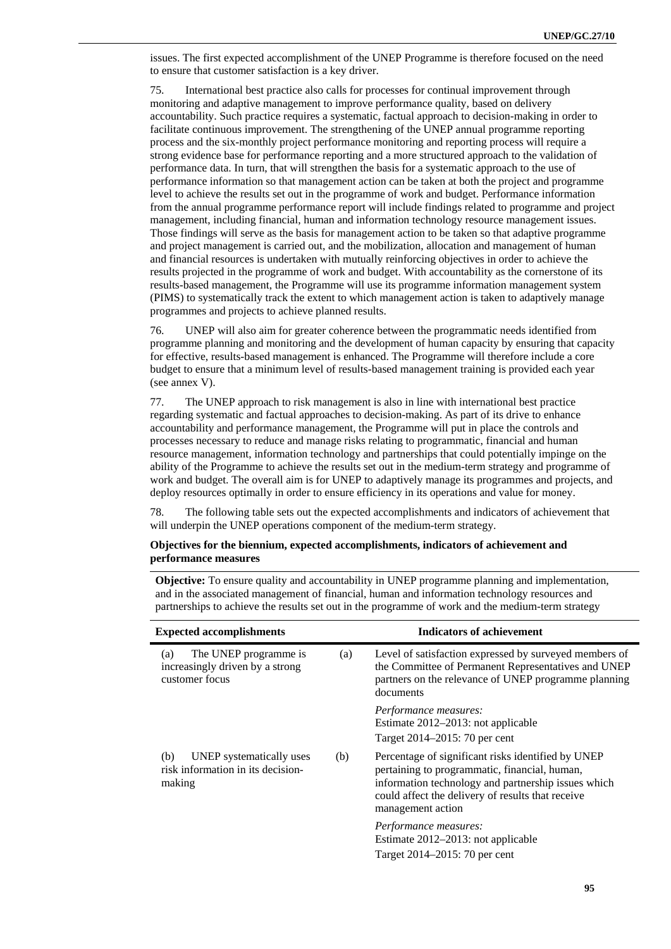issues. The first expected accomplishment of the UNEP Programme is therefore focused on the need to ensure that customer satisfaction is a key driver.

75. International best practice also calls for processes for continual improvement through monitoring and adaptive management to improve performance quality, based on delivery accountability. Such practice requires a systematic, factual approach to decision-making in order to facilitate continuous improvement. The strengthening of the UNEP annual programme reporting process and the six-monthly project performance monitoring and reporting process will require a strong evidence base for performance reporting and a more structured approach to the validation of performance data. In turn, that will strengthen the basis for a systematic approach to the use of performance information so that management action can be taken at both the project and programme level to achieve the results set out in the programme of work and budget. Performance information from the annual programme performance report will include findings related to programme and project management, including financial, human and information technology resource management issues. Those findings will serve as the basis for management action to be taken so that adaptive programme and project management is carried out, and the mobilization, allocation and management of human and financial resources is undertaken with mutually reinforcing objectives in order to achieve the results projected in the programme of work and budget. With accountability as the cornerstone of its results-based management, the Programme will use its programme information management system (PIMS) to systematically track the extent to which management action is taken to adaptively manage programmes and projects to achieve planned results.

76. UNEP will also aim for greater coherence between the programmatic needs identified from programme planning and monitoring and the development of human capacity by ensuring that capacity for effective, results-based management is enhanced. The Programme will therefore include a core budget to ensure that a minimum level of results-based management training is provided each year (see annex V).

77. The UNEP approach to risk management is also in line with international best practice regarding systematic and factual approaches to decision-making. As part of its drive to enhance accountability and performance management, the Programme will put in place the controls and processes necessary to reduce and manage risks relating to programmatic, financial and human resource management, information technology and partnerships that could potentially impinge on the ability of the Programme to achieve the results set out in the medium-term strategy and programme of work and budget. The overall aim is for UNEP to adaptively manage its programmes and projects, and deploy resources optimally in order to ensure efficiency in its operations and value for money.

78. The following table sets out the expected accomplishments and indicators of achievement that will underpin the UNEP operations component of the medium-term strategy.

| Objectives for the biennium, expected accomplishments, indicators of achievement and |
|--------------------------------------------------------------------------------------|
| performance measures                                                                 |

**Objective:** To ensure quality and accountability in UNEP programme planning and implementation, and in the associated management of financial, human and information technology resources and partnerships to achieve the results set out in the programme of work and the medium-term strategy

| <b>Expected accomplishments</b>                                                   |     | <b>Indicators of achievement</b>                                                                                                                                                                                                     |
|-----------------------------------------------------------------------------------|-----|--------------------------------------------------------------------------------------------------------------------------------------------------------------------------------------------------------------------------------------|
| The UNEP programme is<br>(a)<br>increasingly driven by a strong<br>customer focus | (a) | Level of satisfaction expressed by surveyed members of<br>the Committee of Permanent Representatives and UNEP<br>partners on the relevance of UNEP programme planning<br>documents                                                   |
|                                                                                   |     | <i>Performance measures:</i><br>Estimate 2012–2013: not applicable<br>Target 2014–2015: 70 per cent                                                                                                                                  |
| UNEP systematically uses<br>(b)<br>risk information in its decision-<br>making    | (b) | Percentage of significant risks identified by UNEP<br>pertaining to programmatic, financial, human,<br>information technology and partnership issues which<br>could affect the delivery of results that receive<br>management action |
|                                                                                   |     | <i>Performance measures:</i><br>Estimate 2012–2013: not applicable<br>Target 2014–2015: 70 per cent                                                                                                                                  |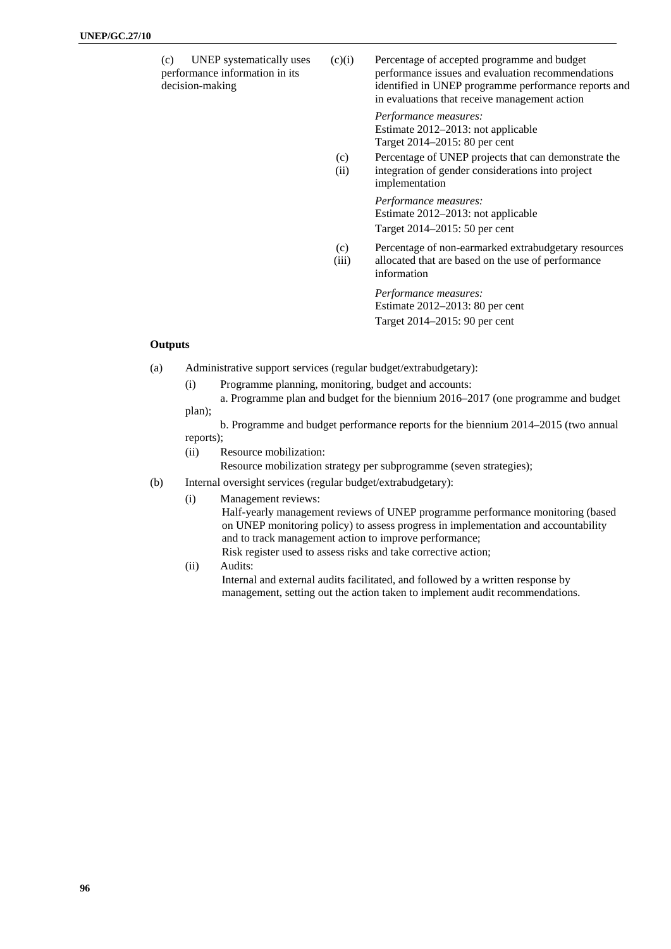| UNEP systematically uses<br>(c)<br>performance information in its<br>decision-making | (c)(i) | Percentage of accepted programme and budget<br>performance issues and evaluation recommendations<br>identified in UNEP programme performance reports and<br>in evaluations that receive management action |
|--------------------------------------------------------------------------------------|--------|-----------------------------------------------------------------------------------------------------------------------------------------------------------------------------------------------------------|
|                                                                                      |        | Performance measures:                                                                                                                                                                                     |

Estimate 2012–2013: not applicable Target 2014–2015: 80 per cent

 $(c)$ (ii) Percentage of UNEP projects that can demonstrate the integration of gender considerations into project implementation

> *Performance measures:*  Estimate 2012–2013: not applicable Target 2014–2015: 50 per cent

- $(c)$ Percentage of non-earmarked extrabudgetary resources
	- (iii) allocated that are based on the use of performance information

*Performance measures:*  Estimate 2012–2013: 80 per cent Target 2014–2015: 90 per cent

#### **Outputs**

(a) Administrative support services (regular budget/extrabudgetary):

- (i) Programme planning, monitoring, budget and accounts:
- a. Programme plan and budget for the biennium 2016–2017 (one programme and budget plan);

 b. Programme and budget performance reports for the biennium 2014–2015 (two annual reports);

(ii) Resource mobilization:

Resource mobilization strategy per subprogramme (seven strategies);

- (b) Internal oversight services (regular budget/extrabudgetary):
	- (i) Management reviews:

 Half-yearly management reviews of UNEP programme performance monitoring (based on UNEP monitoring policy) to assess progress in implementation and accountability and to track management action to improve performance;

- Risk register used to assess risks and take corrective action;
- (ii) Audits:

 Internal and external audits facilitated, and followed by a written response by management, setting out the action taken to implement audit recommendations.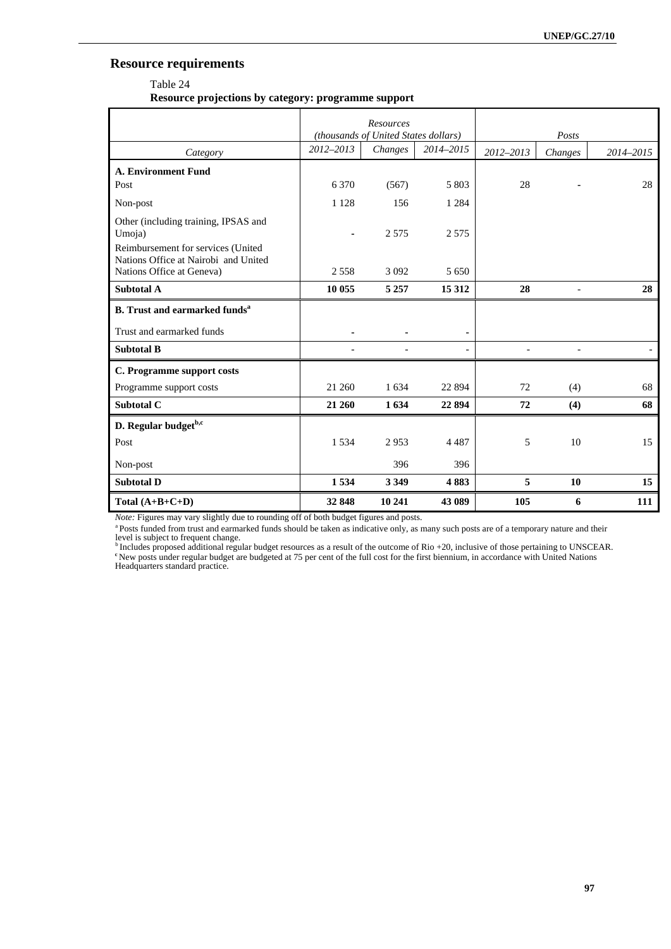## **Resource requirements**

### Table 24

**Resource projections by category: programme support** 

|                                                                                                         | Resources<br>(thousands of United States dollars) |         |           |           | Posts          |           |
|---------------------------------------------------------------------------------------------------------|---------------------------------------------------|---------|-----------|-----------|----------------|-----------|
| Category                                                                                                | $2012 - 2013$                                     | Changes | 2014-2015 | 2012-2013 | Changes        | 2014-2015 |
| <b>A. Environment Fund</b>                                                                              |                                                   |         |           |           |                |           |
| Post                                                                                                    | 6 3 7 0                                           | (567)   | 5 803     | 28        |                | 28        |
| Non-post                                                                                                | 1 1 2 8                                           | 156     | 1 2 8 4   |           |                |           |
| Other (including training, IPSAS and<br>Umoja)                                                          | ä,                                                | 2.575   | 2 5 7 5   |           |                |           |
| Reimbursement for services (United<br>Nations Office at Nairobi and United<br>Nations Office at Geneva) | 2 5 5 8                                           | 3 0 9 2 | 5 6 5 0   |           |                |           |
|                                                                                                         |                                                   |         |           |           |                |           |
| Subtotal A                                                                                              | 10 055                                            | 5 2 5 7 | 15 3 12   | 28        | $\overline{a}$ | 28        |
| <b>B.</b> Trust and earmarked funds <sup>a</sup>                                                        |                                                   |         |           |           |                |           |
| Trust and earmarked funds                                                                               |                                                   |         |           |           |                |           |
| <b>Subtotal B</b>                                                                                       |                                                   |         |           |           |                |           |
| C. Programme support costs                                                                              |                                                   |         |           |           |                |           |
| Programme support costs                                                                                 | 21 260                                            | 1634    | 22 8 94   | 72        | (4)            | 68        |
| Subtotal C                                                                                              | 21 260                                            | 1634    | 22 894    | 72        | (4)            | 68        |
| D. Regular budget <sup>b,c</sup>                                                                        |                                                   |         |           |           |                |           |
| Post                                                                                                    | 1534                                              | 2953    | 4 4 8 7   | 5         | 10             | 15        |
| Non-post                                                                                                |                                                   | 396     | 396       |           |                |           |
| <b>Subtotal D</b>                                                                                       | 1534                                              | 3 3 4 9 | 4883      | 5         | 10             | 15        |
| Total $(A+B+C+D)$                                                                                       | 32848                                             | 10 241  | 43 089    | 105       | 6              | 111       |

*Note:* Figures may vary slightly due to rounding off of both budget figures and posts.

<sup>a</sup> Posts funded from trust and earmarked funds should be taken as indicative only, as many such posts are of a temporary nature and their level is subject to frequent change.<br>
<sup>b</sup> Includes proposed additional regular budget resources as a result of the outcome of Rio +20, inclusive of those pertaining to UNSCEAR.

<sup>b</sup> Includes proposed additional regular budget resources as a result of the outcome of Rio +20, inclusive of those pertaining to UNSCEAR.<br><sup>e</sup>New posts under regular budget are budgeted at 75 per cent of the full cost for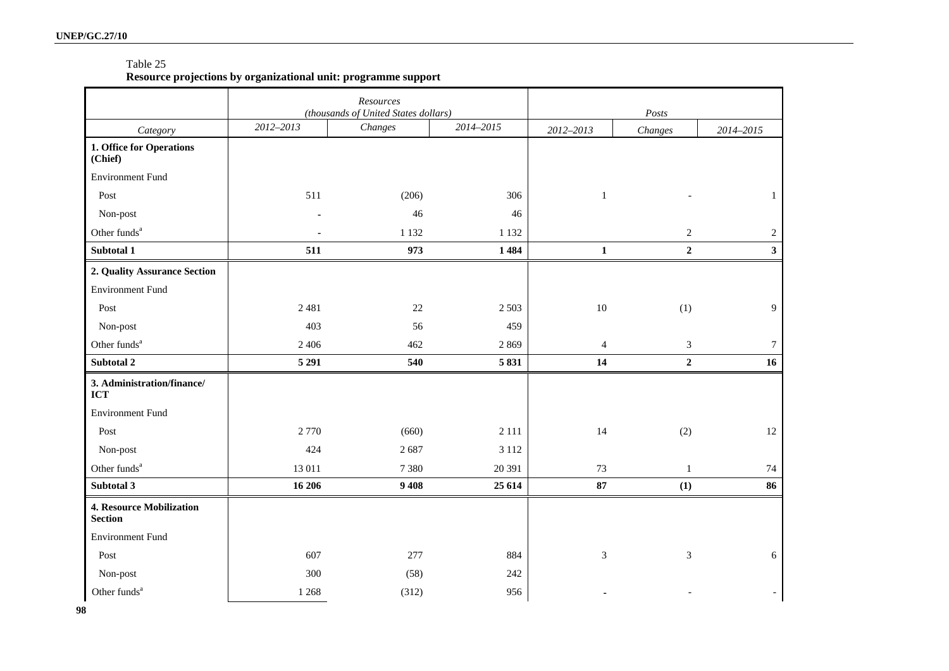#### Table 25

### **Resource projections by organizational unit: programme support**

|                                                   |           | Resources<br>(thousands of United States dollars) |           | Posts          |                  |                |
|---------------------------------------------------|-----------|---------------------------------------------------|-----------|----------------|------------------|----------------|
| Category                                          | 2012-2013 | Changes                                           | 2014-2015 | 2012-2013      | Changes          | 2014-2015      |
| 1. Office for Operations<br>(Chief)               |           |                                                   |           |                |                  |                |
| <b>Environment Fund</b>                           |           |                                                   |           |                |                  |                |
| Post                                              | 511       | (206)                                             | 306       | $\mathbf{1}$   |                  | $\mathbf{1}$   |
| Non-post                                          |           | 46                                                | 46        |                |                  |                |
| Other funds <sup>a</sup>                          |           | 1 1 3 2                                           | 1 1 3 2   |                | $\sqrt{2}$       | $\overline{2}$ |
| Subtotal 1                                        | 511       | 973                                               | 1484      | $\mathbf 1$    | $\boldsymbol{2}$ | $\mathbf{3}$   |
| 2. Quality Assurance Section                      |           |                                                   |           |                |                  |                |
| <b>Environment Fund</b>                           |           |                                                   |           |                |                  |                |
| Post                                              | 2481      | $22\,$                                            | 2 5 0 3   | $10\,$         | (1)              | 9              |
| Non-post                                          | 403       | 56                                                | 459       |                |                  |                |
| Other funds <sup>a</sup>                          | 2 4 0 6   | 462                                               | 2869      | $\overline{4}$ | 3                | $\tau$         |
| Subtotal 2                                        | 5 2 9 1   | 540                                               | 5831      | 14             | $\mathbf 2$      | 16             |
| 3. Administration/finance/<br><b>ICT</b>          |           |                                                   |           |                |                  |                |
| <b>Environment Fund</b>                           |           |                                                   |           |                |                  |                |
| Post                                              | 2 7 7 0   | (660)                                             | 2 1 1 1   | 14             | (2)              | 12             |
| Non-post                                          | 424       | 2687                                              | 3 1 1 2   |                |                  |                |
| Other funds <sup>a</sup>                          | 13 011    | 7 3 8 0                                           | 20 391    | 73             | $\mathbf{1}$     | 74             |
| Subtotal 3                                        | 16 20 6   | 9 4 0 8                                           | 25 6 14   | 87             | (1)              | 86             |
| <b>4. Resource Mobilization</b><br><b>Section</b> |           |                                                   |           |                |                  |                |
| <b>Environment Fund</b>                           |           |                                                   |           |                |                  |                |
| Post                                              | 607       | 277                                               | 884       | 3              | $\sqrt{3}$       | 6              |
| Non-post                                          | 300       | (58)                                              | 242       |                |                  |                |
| Other funds <sup>a</sup>                          | 1 2 6 8   | (312)                                             | 956       |                |                  |                |

**98**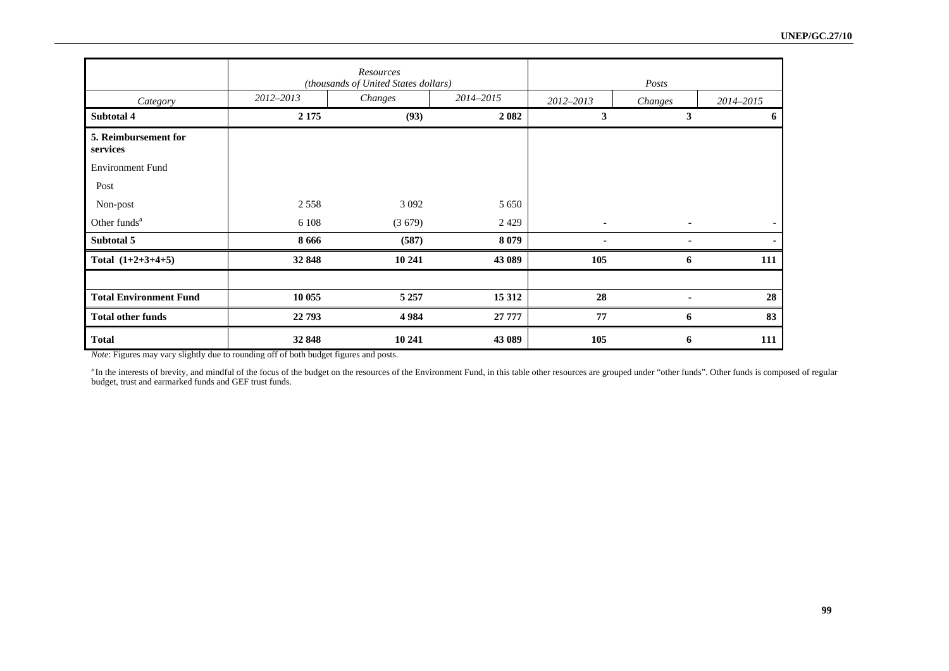|                                  |           | Resources<br>(thousands of United States dollars) |           | Posts          |         |           |
|----------------------------------|-----------|---------------------------------------------------|-----------|----------------|---------|-----------|
| Category                         | 2012-2013 | Changes                                           | 2014-2015 | 2012-2013      | Changes | 2014-2015 |
| Subtotal 4                       | 2 1 7 5   | (93)                                              | 2 0 8 2   | 3              | 3       | 6         |
| 5. Reimbursement for<br>services |           |                                                   |           |                |         |           |
| <b>Environment Fund</b>          |           |                                                   |           |                |         |           |
| Post                             |           |                                                   |           |                |         |           |
| Non-post                         | 2558      | 3 0 9 2                                           | 5 6 5 0   |                |         |           |
| Other funds <sup>a</sup>         | 6 1 0 8   | (3679)                                            | 2429      | $\blacksquare$ |         |           |
| Subtotal 5                       | 8 6 6 6   | (587)                                             | 8 0 7 9   |                |         |           |
| Total $(1+2+3+4+5)$              | 32 848    | 10 241                                            | 43 089    | 105            | 6       | 111       |
|                                  |           |                                                   |           |                |         |           |
| <b>Total Environment Fund</b>    | 10 055    | 5 2 5 7                                           | 15 3 12   | 28             |         | 28        |
| <b>Total other funds</b>         | 22 793    | 4984                                              | 27 777    | 77             | 6       | 83        |
| <b>Total</b>                     | 32 848    | 10 241                                            | 43 089    | 105            | 6       | 111       |

*Note*: Figures may vary slightly due to rounding off of both budget figures and posts.

an the interests of brevity, and mindful of the focus of the budget on the resources of the Environment Fund, in this table other resources are grouped under "other funds". Other funds is composed of regular budget, trust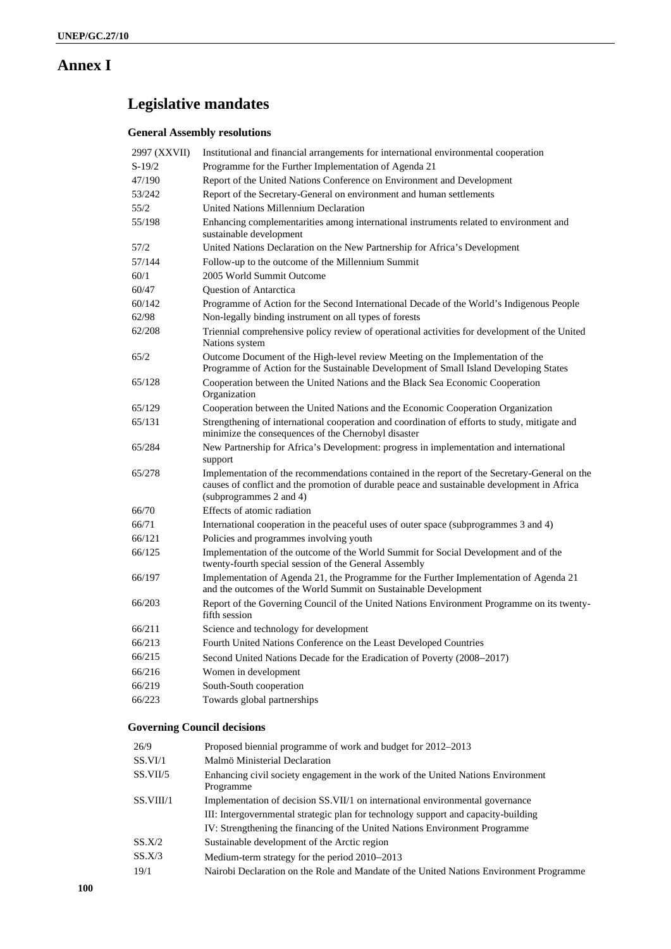# **Annex I**

# **Legislative mandates**

## **General Assembly resolutions**

| 2997 (XXVII) | Institutional and financial arrangements for international environmental cooperation                                                                                                                                    |
|--------------|-------------------------------------------------------------------------------------------------------------------------------------------------------------------------------------------------------------------------|
| $S-19/2$     | Programme for the Further Implementation of Agenda 21                                                                                                                                                                   |
| 47/190       | Report of the United Nations Conference on Environment and Development                                                                                                                                                  |
| 53/242       | Report of the Secretary-General on environment and human settlements                                                                                                                                                    |
| 55/2         | United Nations Millennium Declaration                                                                                                                                                                                   |
| 55/198       | Enhancing complementarities among international instruments related to environment and<br>sustainable development                                                                                                       |
| 57/2         | United Nations Declaration on the New Partnership for Africa's Development                                                                                                                                              |
| 57/144       | Follow-up to the outcome of the Millennium Summit                                                                                                                                                                       |
| 60/1         | 2005 World Summit Outcome                                                                                                                                                                                               |
| 60/47        | Question of Antarctica                                                                                                                                                                                                  |
| 60/142       | Programme of Action for the Second International Decade of the World's Indigenous People                                                                                                                                |
| 62/98        | Non-legally binding instrument on all types of forests                                                                                                                                                                  |
| 62/208       | Triennial comprehensive policy review of operational activities for development of the United<br>Nations system                                                                                                         |
| 65/2         | Outcome Document of the High-level review Meeting on the Implementation of the<br>Programme of Action for the Sustainable Development of Small Island Developing States                                                 |
| 65/128       | Cooperation between the United Nations and the Black Sea Economic Cooperation<br>Organization                                                                                                                           |
| 65/129       | Cooperation between the United Nations and the Economic Cooperation Organization                                                                                                                                        |
| 65/131       | Strengthening of international cooperation and coordination of efforts to study, mitigate and<br>minimize the consequences of the Chernobyl disaster                                                                    |
| 65/284       | New Partnership for Africa's Development: progress in implementation and international<br>support                                                                                                                       |
| 65/278       | Implementation of the recommendations contained in the report of the Secretary-General on the<br>causes of conflict and the promotion of durable peace and sustainable development in Africa<br>(subprogrammes 2 and 4) |
| 66/70        | Effects of atomic radiation                                                                                                                                                                                             |
| 66/71        | International cooperation in the peaceful uses of outer space (subprogrammes 3 and 4)                                                                                                                                   |
| 66/121       | Policies and programmes involving youth                                                                                                                                                                                 |
| 66/125       | Implementation of the outcome of the World Summit for Social Development and of the<br>twenty-fourth special session of the General Assembly                                                                            |
| 66/197       | Implementation of Agenda 21, the Programme for the Further Implementation of Agenda 21<br>and the outcomes of the World Summit on Sustainable Development                                                               |
| 66/203       | Report of the Governing Council of the United Nations Environment Programme on its twenty-<br>fifth session                                                                                                             |
| 66/211       | Science and technology for development                                                                                                                                                                                  |
| 66/213       | Fourth United Nations Conference on the Least Developed Countries                                                                                                                                                       |
| 66/215       | Second United Nations Decade for the Eradication of Poverty (2008-2017)                                                                                                                                                 |
| 66/216       | Women in development                                                                                                                                                                                                    |
| 66/219       | South-South cooperation                                                                                                                                                                                                 |
| 66/223       | Towards global partnerships                                                                                                                                                                                             |
|              |                                                                                                                                                                                                                         |

# **Governing Council decisions**

| 26/9      | Proposed biennial programme of work and budget for 2012–2013                                  |
|-----------|-----------------------------------------------------------------------------------------------|
| SS.VI/1   | Malmö Ministerial Declaration                                                                 |
| SS.VII/5  | Enhancing civil society engagement in the work of the United Nations Environment<br>Programme |
| SS.VIII/1 | Implementation of decision SS.VII/1 on international environmental governance                 |
|           | III: Intergovernmental strategic plan for technology support and capacity-building            |
|           | IV: Strengthening the financing of the United Nations Environment Programme                   |
| SS.X/2    | Sustainable development of the Arctic region                                                  |
| SS.X/3    | Medium-term strategy for the period 2010–2013                                                 |
| 19/1      | Nairobi Declaration on the Role and Mandate of the United Nations Environment Programme       |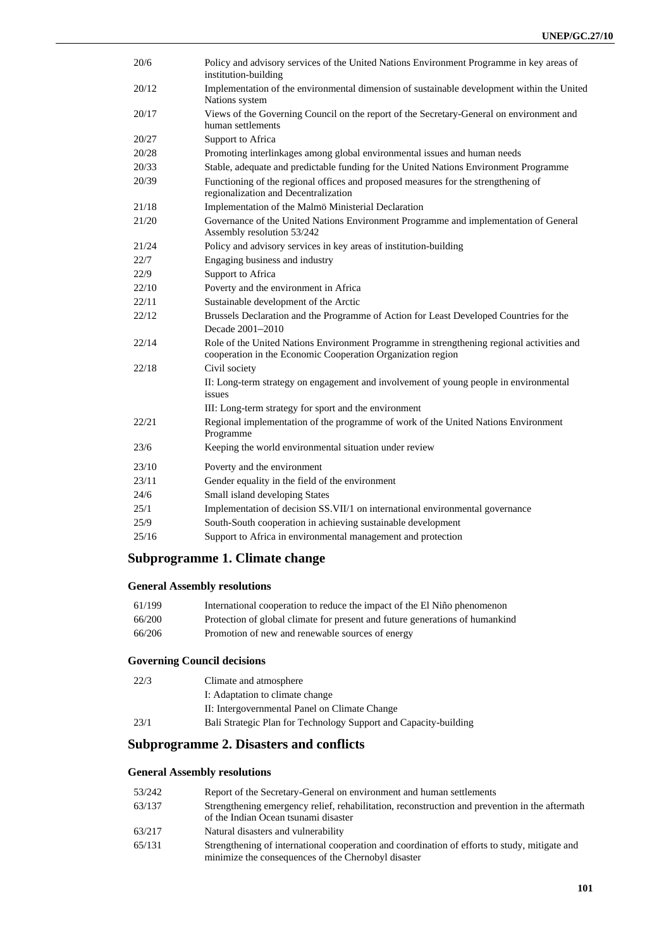| 20/6           | Policy and advisory services of the United Nations Environment Programme in key areas of<br>institution-building                                         |  |
|----------------|----------------------------------------------------------------------------------------------------------------------------------------------------------|--|
| 20/12          | Implementation of the environmental dimension of sustainable development within the United<br>Nations system                                             |  |
| 20/17          | Views of the Governing Council on the report of the Secretary-General on environment and<br>human settlements                                            |  |
| 20/27          | Support to Africa                                                                                                                                        |  |
| 20/28          | Promoting interlinkages among global environmental issues and human needs                                                                                |  |
| 20/33          | Stable, adequate and predictable funding for the United Nations Environment Programme                                                                    |  |
| 20/39          | Functioning of the regional offices and proposed measures for the strengthening of<br>regionalization and Decentralization                               |  |
| 21/18          | Implementation of the Malmö Ministerial Declaration                                                                                                      |  |
| 21/20          | Governance of the United Nations Environment Programme and implementation of General<br>Assembly resolution 53/242                                       |  |
| 21/24          | Policy and advisory services in key areas of institution-building                                                                                        |  |
| 22/7           | Engaging business and industry                                                                                                                           |  |
| 22/9           | Support to Africa                                                                                                                                        |  |
| 22/10          | Poverty and the environment in Africa                                                                                                                    |  |
| 22/11          | Sustainable development of the Arctic                                                                                                                    |  |
| 22/12          | Brussels Declaration and the Programme of Action for Least Developed Countries for the<br>Decade 2001-2010                                               |  |
| 22/14          | Role of the United Nations Environment Programme in strengthening regional activities and<br>cooperation in the Economic Cooperation Organization region |  |
| 22/18          | Civil society                                                                                                                                            |  |
|                | II: Long-term strategy on engagement and involvement of young people in environmental<br>issues                                                          |  |
|                | III: Long-term strategy for sport and the environment                                                                                                    |  |
| 22/21          | Regional implementation of the programme of work of the United Nations Environment<br>Programme                                                          |  |
| 23/6           | Keeping the world environmental situation under review                                                                                                   |  |
| 23/10<br>23/11 | Poverty and the environment<br>Gender equality in the field of the environment                                                                           |  |
| 24/6           | Small island developing States                                                                                                                           |  |
| 25/1           | Implementation of decision SS.VII/1 on international environmental governance                                                                            |  |
| 25/9           | South-South cooperation in achieving sustainable development                                                                                             |  |
| 25/16          | Support to Africa in environmental management and protection                                                                                             |  |
|                |                                                                                                                                                          |  |

# **Subprogramme 1. Climate change**

# **General Assembly resolutions**

| 61/199 | International cooperation to reduce the impact of the El Niño phenomenon     |
|--------|------------------------------------------------------------------------------|
| 66/200 | Protection of global climate for present and future generations of humankind |
| 66/206 | Promotion of new and renewable sources of energy                             |

## **Governing Council decisions**

| Climate and atmosphere                                           |
|------------------------------------------------------------------|
| I: Adaptation to climate change                                  |
| II: Intergovernmental Panel on Climate Change                    |
| Bali Strategic Plan for Technology Support and Capacity-building |
|                                                                  |

# **Subprogramme 2. Disasters and conflicts**

### **General Assembly resolutions**

| 53/242 | Report of the Secretary-General on environment and human settlements                                                                                 |
|--------|------------------------------------------------------------------------------------------------------------------------------------------------------|
| 63/137 | Strengthening emergency relief, rehabilitation, reconstruction and prevention in the aftermath<br>of the Indian Ocean tsunami disaster               |
| 63/217 | Natural disasters and vulnerability                                                                                                                  |
| 65/131 | Strengthening of international cooperation and coordination of efforts to study, mitigate and<br>minimize the consequences of the Chernobyl disaster |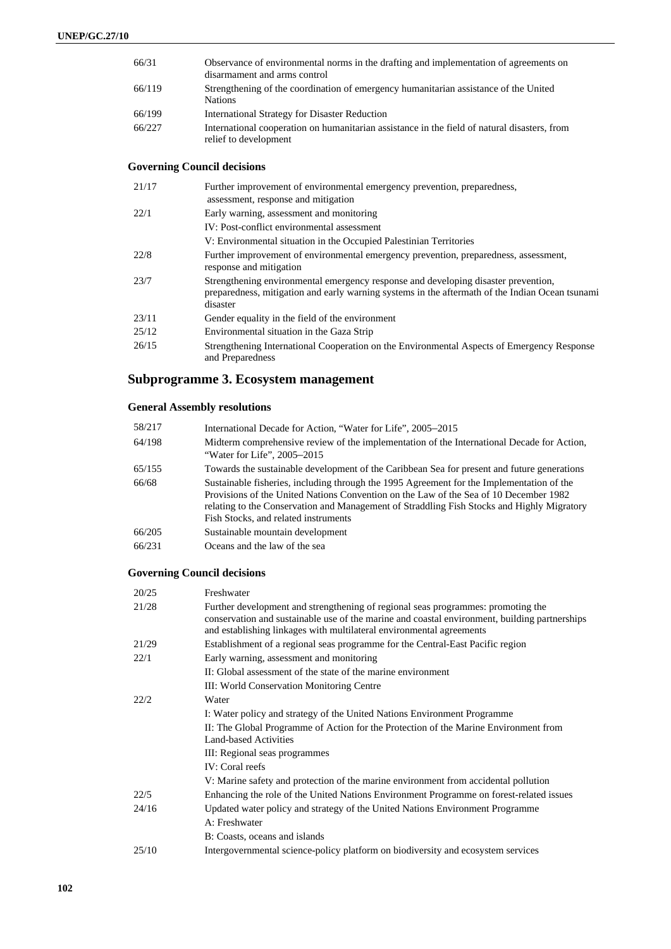| 66/31  | Observance of environmental norms in the drafting and implementation of agreements on<br>disarmament and arms control                                                                 |
|--------|---------------------------------------------------------------------------------------------------------------------------------------------------------------------------------------|
| 66/119 | Strengthening of the coordination of emergency humanitarian assistance of the United<br><b>Nations</b>                                                                                |
| 66/199 | <b>International Strategy for Disaster Reduction</b>                                                                                                                                  |
| 66/227 | International cooperation on humanitarian assistance in the field of natural disasters, from<br>relief to development                                                                 |
|        | <b>Governing Council decisions</b>                                                                                                                                                    |
| 21/17  | Further improvement of environmental emergency prevention, preparedness,<br>assessment, response and mitigation                                                                       |
| 22/1   | Early warning, assessment and monitoring                                                                                                                                              |
|        | IV: Post-conflict environmental assessment                                                                                                                                            |
|        | V: Environmental situation in the Occupied Palestinian Territories                                                                                                                    |
| 22/8   | Further improvement of environmental emergency prevention, preparedness, assessment,<br>response and mitigation                                                                       |
| 23/7   | Strengthening environmental emergency response and developing disaster prevention,<br>preparedness, mitigation and early warning systems in the aftermath of the Indian Ocean tsunami |

|       | disaster                                                                                                       |
|-------|----------------------------------------------------------------------------------------------------------------|
| 23/11 | Gender equality in the field of the environment                                                                |
| 25/12 | Environmental situation in the Gaza Strip                                                                      |
| 26/15 | Strengthening International Cooperation on the Environmental Aspects of Emergency Response<br>and Preparedness |

# **Subprogramme 3. Ecosystem management**

# **General Assembly resolutions**

| 58/217 | International Decade for Action, "Water for Life", 2005–2015                                                                                                                                                                                                                                                             |
|--------|--------------------------------------------------------------------------------------------------------------------------------------------------------------------------------------------------------------------------------------------------------------------------------------------------------------------------|
| 64/198 | Midterm comprehensive review of the implementation of the International Decade for Action,<br>"Water for Life", 2005–2015                                                                                                                                                                                                |
| 65/155 | Towards the sustainable development of the Caribbean Sea for present and future generations                                                                                                                                                                                                                              |
| 66/68  | Sustainable fisheries, including through the 1995 Agreement for the Implementation of the<br>Provisions of the United Nations Convention on the Law of the Sea of 10 December 1982<br>relating to the Conservation and Management of Straddling Fish Stocks and Highly Migratory<br>Fish Stocks, and related instruments |
| 66/205 | Sustainable mountain development                                                                                                                                                                                                                                                                                         |
| 66/231 | Oceans and the law of the sea                                                                                                                                                                                                                                                                                            |

# **Governing Council decisions**

| 20/25 | Freshwater                                                                                                                                                                                                                                                |
|-------|-----------------------------------------------------------------------------------------------------------------------------------------------------------------------------------------------------------------------------------------------------------|
| 21/28 | Further development and strengthening of regional seas programmes: promoting the<br>conservation and sustainable use of the marine and coastal environment, building partnerships<br>and establishing linkages with multilateral environmental agreements |
| 21/29 | Establishment of a regional seas programme for the Central-East Pacific region                                                                                                                                                                            |
| 22/1  | Early warning, assessment and monitoring                                                                                                                                                                                                                  |
|       | II: Global assessment of the state of the marine environment                                                                                                                                                                                              |
|       | III: World Conservation Monitoring Centre                                                                                                                                                                                                                 |
| 22/2  | Water                                                                                                                                                                                                                                                     |
|       | I: Water policy and strategy of the United Nations Environment Programme                                                                                                                                                                                  |
|       | II: The Global Programme of Action for the Protection of the Marine Environment from<br>Land-based Activities                                                                                                                                             |
|       | III: Regional seas programmes                                                                                                                                                                                                                             |
|       | IV: Coral reefs                                                                                                                                                                                                                                           |
|       | V: Marine safety and protection of the marine environment from accidental pollution                                                                                                                                                                       |
| 22/5  | Enhancing the role of the United Nations Environment Programme on forest-related issues                                                                                                                                                                   |
| 24/16 | Updated water policy and strategy of the United Nations Environment Programme                                                                                                                                                                             |
|       | A: Freshwater                                                                                                                                                                                                                                             |
|       | B: Coasts, oceans and islands                                                                                                                                                                                                                             |
| 25/10 | Intergovernmental science-policy platform on biodiversity and ecosystem services                                                                                                                                                                          |
|       |                                                                                                                                                                                                                                                           |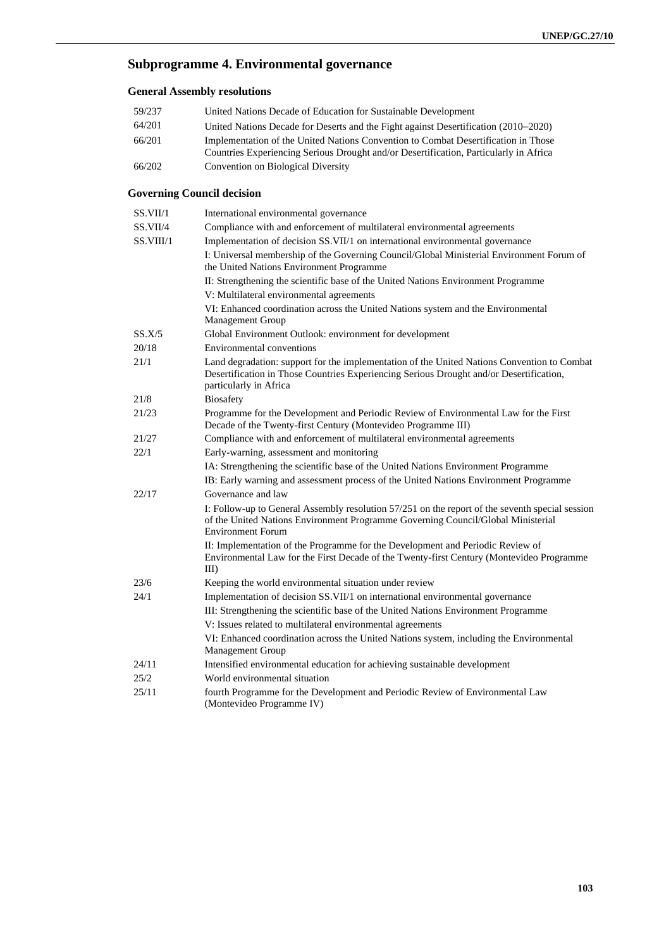# **Subprogramme 4. Environmental governance**

### **General Assembly resolutions**

| 59/237 | United Nations Decade of Education for Sustainable Development                                                                                                              |
|--------|-----------------------------------------------------------------------------------------------------------------------------------------------------------------------------|
| 64/201 | United Nations Decade for Deserts and the Fight against Desertification (2010–2020)                                                                                         |
| 66/201 | Implementation of the United Nations Convention to Combat Desertification in Those<br>Countries Experiencing Serious Drought and/or Desertification, Particularly in Africa |
| 66/202 | Convention on Biological Diversity                                                                                                                                          |

## **Governing Council decision**

| SS.VII/1  | International environmental governance                                                                                                                                                                           |  |
|-----------|------------------------------------------------------------------------------------------------------------------------------------------------------------------------------------------------------------------|--|
| SS.VII/4  | Compliance with and enforcement of multilateral environmental agreements                                                                                                                                         |  |
| SS.VIII/1 | Implementation of decision SS.VII/1 on international environmental governance                                                                                                                                    |  |
|           | I: Universal membership of the Governing Council/Global Ministerial Environment Forum of<br>the United Nations Environment Programme                                                                             |  |
|           | II: Strengthening the scientific base of the United Nations Environment Programme                                                                                                                                |  |
|           | V: Multilateral environmental agreements                                                                                                                                                                         |  |
|           | VI: Enhanced coordination across the United Nations system and the Environmental<br>Management Group                                                                                                             |  |
| SS.X/5    | Global Environment Outlook: environment for development                                                                                                                                                          |  |
| 20/18     | <b>Environmental conventions</b>                                                                                                                                                                                 |  |
| 21/1      | Land degradation: support for the implementation of the United Nations Convention to Combat<br>Desertification in Those Countries Experiencing Serious Drought and/or Desertification,<br>particularly in Africa |  |
| 21/8      | <b>Biosafety</b>                                                                                                                                                                                                 |  |
| 21/23     | Programme for the Development and Periodic Review of Environmental Law for the First<br>Decade of the Twenty-first Century (Montevideo Programme III)                                                            |  |
| 21/27     | Compliance with and enforcement of multilateral environmental agreements                                                                                                                                         |  |
| 22/1      | Early-warning, assessment and monitoring                                                                                                                                                                         |  |
|           | IA: Strengthening the scientific base of the United Nations Environment Programme                                                                                                                                |  |
|           | IB: Early warning and assessment process of the United Nations Environment Programme                                                                                                                             |  |
| 22/17     | Governance and law                                                                                                                                                                                               |  |
|           | I: Follow-up to General Assembly resolution 57/251 on the report of the seventh special session<br>of the United Nations Environment Programme Governing Council/Global Ministerial<br><b>Environment Forum</b>  |  |
|           | II: Implementation of the Programme for the Development and Periodic Review of<br>Environmental Law for the First Decade of the Twenty-first Century (Montevideo Programme<br>III                                |  |
| 23/6      | Keeping the world environmental situation under review                                                                                                                                                           |  |
| 24/1      | Implementation of decision SS.VII/1 on international environmental governance                                                                                                                                    |  |
|           | III: Strengthening the scientific base of the United Nations Environment Programme                                                                                                                               |  |
|           | V: Issues related to multilateral environmental agreements                                                                                                                                                       |  |
|           | VI: Enhanced coordination across the United Nations system, including the Environmental<br>Management Group                                                                                                      |  |
| 24/11     | Intensified environmental education for achieving sustainable development                                                                                                                                        |  |
| 25/2      | World environmental situation                                                                                                                                                                                    |  |
| 25/11     | fourth Programme for the Development and Periodic Review of Environmental Law<br>(Montevideo Programme IV)                                                                                                       |  |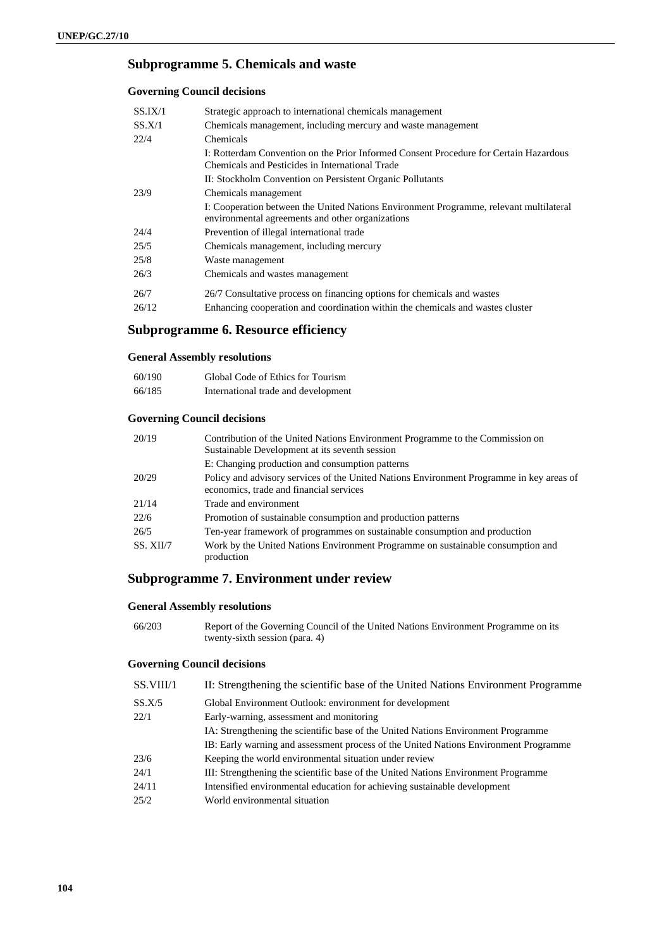## **Subprogramme 5. Chemicals and waste**

#### **Governing Council decisions**

| SS.IX/1 | Strategic approach to international chemicals management                                                                                   |  |
|---------|--------------------------------------------------------------------------------------------------------------------------------------------|--|
| SS.X/1  | Chemicals management, including mercury and waste management                                                                               |  |
| 22/4    | Chemicals                                                                                                                                  |  |
|         | I: Rotterdam Convention on the Prior Informed Consent Procedure for Certain Hazardous<br>Chemicals and Pesticides in International Trade   |  |
|         | II: Stockholm Convention on Persistent Organic Pollutants                                                                                  |  |
| 23/9    | Chemicals management                                                                                                                       |  |
|         | I: Cooperation between the United Nations Environment Programme, relevant multilateral<br>environmental agreements and other organizations |  |
| 24/4    | Prevention of illegal international trade                                                                                                  |  |
| 25/5    | Chemicals management, including mercury                                                                                                    |  |
| 25/8    | Waste management                                                                                                                           |  |
| 26/3    | Chemicals and wastes management                                                                                                            |  |
| 26/7    | 26/7 Consultative process on financing options for chemicals and wastes                                                                    |  |
| 26/12   | Enhancing cooperation and coordination within the chemicals and wastes cluster                                                             |  |

# **Subprogramme 6. Resource efficiency**

### **General Assembly resolutions**

| 60/190 | Global Code of Ethics for Tourism   |
|--------|-------------------------------------|
| 66/185 | International trade and development |

### **Governing Council decisions**

| 20/19     | Contribution of the United Nations Environment Programme to the Commission on<br>Sustainable Development at its seventh session     |
|-----------|-------------------------------------------------------------------------------------------------------------------------------------|
|           | E: Changing production and consumption patterns                                                                                     |
| 20/29     | Policy and advisory services of the United Nations Environment Programme in key areas of<br>economics, trade and financial services |
| 21/14     | Trade and environment                                                                                                               |
| 22/6      | Promotion of sustainable consumption and production patterns                                                                        |
| 26/5      | Ten-year framework of programmes on sustainable consumption and production                                                          |
| SS. XII/7 | Work by the United Nations Environment Programme on sustainable consumption and<br>production                                       |

# **Subprogramme 7. Environment under review**

### **General Assembly resolutions**

| 66/203 | Report of the Governing Council of the United Nations Environment Programme on its |
|--------|------------------------------------------------------------------------------------|
|        | twenty-sixth session (para. 4)                                                     |

### **Governing Council decisions**

| SS.VIII/1 | II: Strengthening the scientific base of the United Nations Environment Programme    |
|-----------|--------------------------------------------------------------------------------------|
| SS.X/5    | Global Environment Outlook: environment for development                              |
| 22/1      | Early-warning, assessment and monitoring                                             |
|           | IA: Strengthening the scientific base of the United Nations Environment Programme    |
|           | IB: Early warning and assessment process of the United Nations Environment Programme |
| 23/6      | Keeping the world environmental situation under review                               |
| 24/1      | III: Strengthening the scientific base of the United Nations Environment Programme   |
| 24/11     | Intensified environmental education for achieving sustainable development            |
| 25/2      | World environmental situation                                                        |
|           |                                                                                      |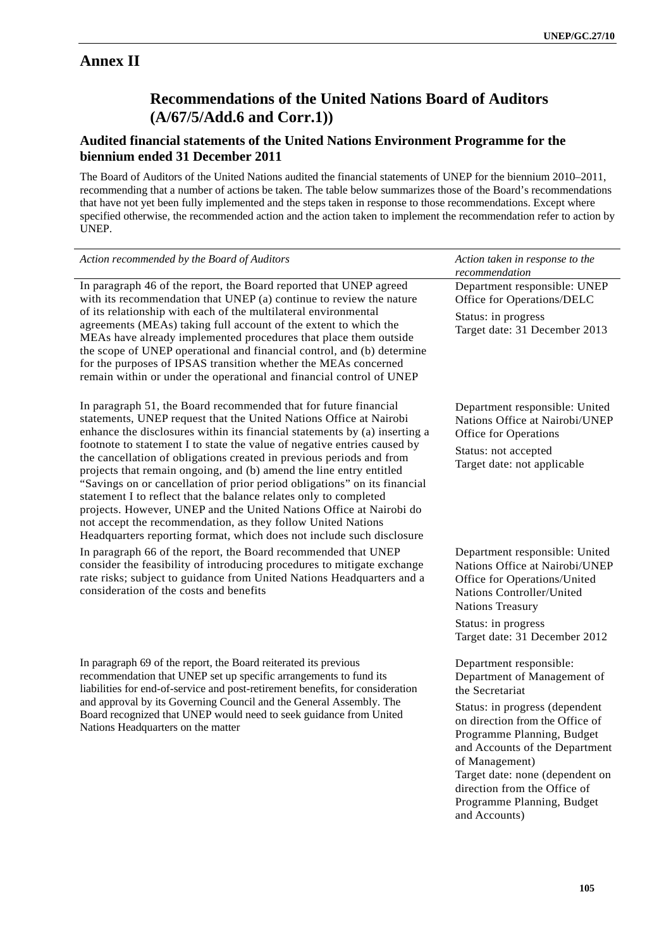# **Annex II**

# **Recommendations of the United Nations Board of Auditors (A/67/5/Add.6 and Corr.1))**

# **Audited financial statements of the United Nations Environment Programme for the biennium ended 31 December 2011**

The Board of Auditors of the United Nations audited the financial statements of UNEP for the biennium 2010–2011, recommending that a number of actions be taken. The table below summarizes those of the Board's recommendations that have not yet been fully implemented and the steps taken in response to those recommendations. Except where specified otherwise, the recommended action and the action taken to implement the recommendation refer to action by UNEP.

| Action recommended by the Board of Auditors                                                                                                                                                                                                                                                                                                                                                                                                                                                                                                                                                                                                                                                                                                                                                                       | Action taken in response to the<br>recommendation                                                                                                                                                                                                                                                                                                  |
|-------------------------------------------------------------------------------------------------------------------------------------------------------------------------------------------------------------------------------------------------------------------------------------------------------------------------------------------------------------------------------------------------------------------------------------------------------------------------------------------------------------------------------------------------------------------------------------------------------------------------------------------------------------------------------------------------------------------------------------------------------------------------------------------------------------------|----------------------------------------------------------------------------------------------------------------------------------------------------------------------------------------------------------------------------------------------------------------------------------------------------------------------------------------------------|
| In paragraph 46 of the report, the Board reported that UNEP agreed<br>with its recommendation that UNEP (a) continue to review the nature<br>of its relationship with each of the multilateral environmental<br>agreements (MEAs) taking full account of the extent to which the<br>MEAs have already implemented procedures that place them outside<br>the scope of UNEP operational and financial control, and (b) determine<br>for the purposes of IPSAS transition whether the MEAs concerned<br>remain within or under the operational and financial control of UNEP                                                                                                                                                                                                                                         | Department responsible: UNEP<br>Office for Operations/DELC<br>Status: in progress<br>Target date: 31 December 2013                                                                                                                                                                                                                                 |
| In paragraph 51, the Board recommended that for future financial<br>statements, UNEP request that the United Nations Office at Nairobi<br>enhance the disclosures within its financial statements by (a) inserting a<br>footnote to statement I to state the value of negative entries caused by<br>the cancellation of obligations created in previous periods and from<br>projects that remain ongoing, and (b) amend the line entry entitled<br>"Savings on or cancellation of prior period obligations" on its financial<br>statement I to reflect that the balance relates only to completed<br>projects. However, UNEP and the United Nations Office at Nairobi do<br>not accept the recommendation, as they follow United Nations<br>Headquarters reporting format, which does not include such disclosure | Department responsible: United<br>Nations Office at Nairobi/UNEP<br>Office for Operations<br>Status: not accepted<br>Target date: not applicable                                                                                                                                                                                                   |
| In paragraph 66 of the report, the Board recommended that UNEP<br>consider the feasibility of introducing procedures to mitigate exchange<br>rate risks; subject to guidance from United Nations Headquarters and a<br>consideration of the costs and benefits                                                                                                                                                                                                                                                                                                                                                                                                                                                                                                                                                    | Department responsible: United<br>Nations Office at Nairobi/UNEP<br>Office for Operations/United<br>Nations Controller/United<br><b>Nations Treasury</b><br>Status: in progress<br>Target date: 31 December 2012                                                                                                                                   |
| In paragraph 69 of the report, the Board reiterated its previous<br>recommendation that UNEP set up specific arrangements to fund its<br>liabilities for end-of-service and post-retirement benefits, for consideration<br>and approval by its Governing Council and the General Assembly. The<br>Board recognized that UNEP would need to seek guidance from United<br>Nations Headquarters on the matter                                                                                                                                                                                                                                                                                                                                                                                                        | Department responsible:<br>Department of Management of<br>the Secretariat<br>Status: in progress (dependent<br>on direction from the Office of<br>Programme Planning, Budget<br>and Accounts of the Department<br>of Management)<br>Target date: none (dependent on<br>direction from the Office of<br>Programme Planning, Budget<br>and Accounts) |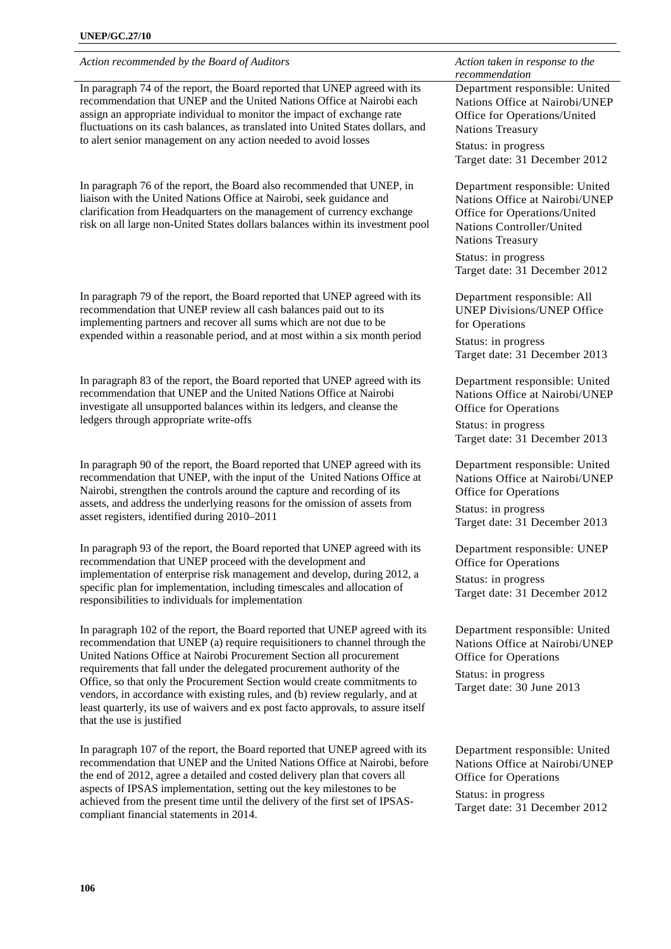*Action recommended by the Board of Auditors* Action taken in response to the **Action** taken in response to the

In paragraph 74 of the report, the Board reported that UNEP agreed with its recommendation that UNEP and the United Nations Office at Nairobi each assign an appropriate individual to monitor the impact of exchange rate fluctuations on its cash balances, as translated into United States dollars, and to alert senior management on any action needed to avoid losses

In paragraph 76 of the report, the Board also recommended that UNEP, in liaison with the United Nations Office at Nairobi, seek guidance and clarification from Headquarters on the management of currency exchange risk on all large non-United States dollars balances within its investment pool

In paragraph 79 of the report, the Board reported that UNEP agreed with its recommendation that UNEP review all cash balances paid out to its implementing partners and recover all sums which are not due to be expended within a reasonable period, and at most within a six month period

In paragraph 83 of the report, the Board reported that UNEP agreed with its recommendation that UNEP and the United Nations Office at Nairobi investigate all unsupported balances within its ledgers, and cleanse the ledgers through appropriate write-offs

In paragraph 90 of the report, the Board reported that UNEP agreed with its recommendation that UNEP, with the input of the United Nations Office at Nairobi, strengthen the controls around the capture and recording of its assets, and address the underlying reasons for the omission of assets from asset registers, identified during 2010–2011

In paragraph 93 of the report, the Board reported that UNEP agreed with its recommendation that UNEP proceed with the development and implementation of enterprise risk management and develop, during 2012, a specific plan for implementation, including timescales and allocation of responsibilities to individuals for implementation

In paragraph 102 of the report, the Board reported that UNEP agreed with its recommendation that UNEP (a) require requisitioners to channel through the United Nations Office at Nairobi Procurement Section all procurement requirements that fall under the delegated procurement authority of the Office, so that only the Procurement Section would create commitments to vendors, in accordance with existing rules, and (b) review regularly, and at least quarterly, its use of waivers and ex post facto approvals, to assure itself that the use is justified

In paragraph 107 of the report, the Board reported that UNEP agreed with its recommendation that UNEP and the United Nations Office at Nairobi, before the end of 2012, agree a detailed and costed delivery plan that covers all aspects of IPSAS implementation, setting out the key milestones to be achieved from the present time until the delivery of the first set of IPSAScompliant financial statements in 2014.

*recommendation* 

Department responsible: United Nations Office at Nairobi/UNEP Office for Operations/United Nations Treasury

Status: in progress Target date: 31 December 2012

Department responsible: United Nations Office at Nairobi/UNEP Office for Operations/United Nations Controller/United Nations Treasury Status: in progress Target date: 31 December 2012

Department responsible: All UNEP Divisions/UNEP Office for Operations

Status: in progress Target date: 31 December 2013

Department responsible: United Nations Office at Nairobi/UNEP Office for Operations

Status: in progress Target date: 31 December 2013

Department responsible: United Nations Office at Nairobi/UNEP Office for Operations

Status: in progress Target date: 31 December 2013

Department responsible: UNEP Office for Operations

Status: in progress Target date: 31 December 2012

Department responsible: United Nations Office at Nairobi/UNEP Office for Operations

Status: in progress Target date: 30 June 2013

Department responsible: United Nations Office at Nairobi/UNEP Office for Operations

Status: in progress Target date: 31 December 2012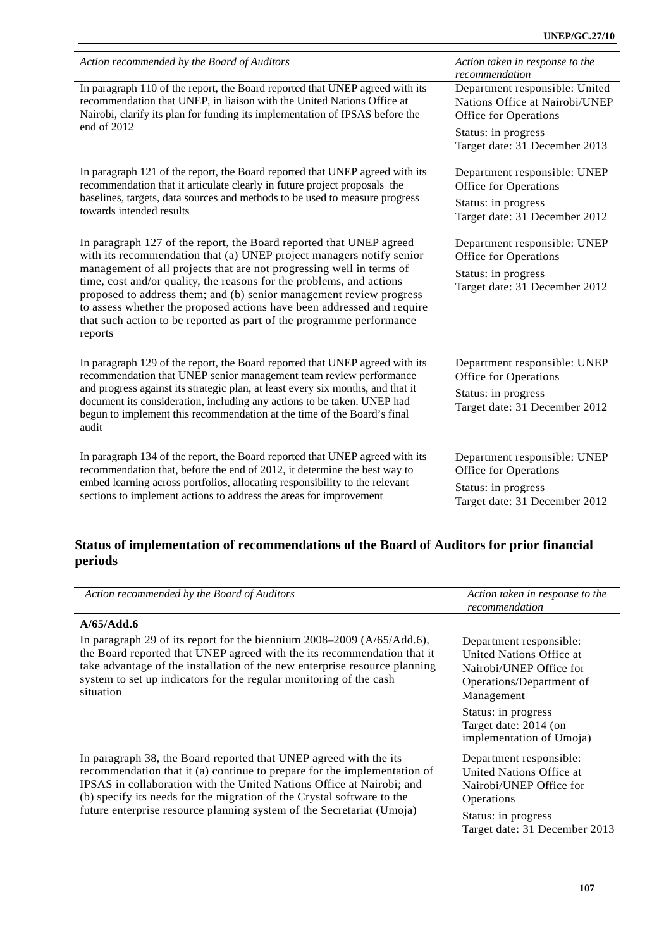| Action recommended by the Board of Auditors                                                                                                                                                                                                                                                                                                                                      | Action taken in response to the<br>recommendation    |
|----------------------------------------------------------------------------------------------------------------------------------------------------------------------------------------------------------------------------------------------------------------------------------------------------------------------------------------------------------------------------------|------------------------------------------------------|
| In paragraph 110 of the report, the Board reported that UNEP agreed with its                                                                                                                                                                                                                                                                                                     | Department responsible: United                       |
| recommendation that UNEP, in liaison with the United Nations Office at                                                                                                                                                                                                                                                                                                           | Nations Office at Nairobi/UNEP                       |
| Nairobi, clarify its plan for funding its implementation of IPSAS before the                                                                                                                                                                                                                                                                                                     | Office for Operations                                |
| end of 2012                                                                                                                                                                                                                                                                                                                                                                      | Status: in progress<br>Target date: 31 December 2013 |
| In paragraph 121 of the report, the Board reported that UNEP agreed with its                                                                                                                                                                                                                                                                                                     | Department responsible: UNEP                         |
| recommendation that it articulate clearly in future project proposals the                                                                                                                                                                                                                                                                                                        | Office for Operations                                |
| baselines, targets, data sources and methods to be used to measure progress                                                                                                                                                                                                                                                                                                      | Status: in progress                                  |
| towards intended results                                                                                                                                                                                                                                                                                                                                                         | Target date: 31 December 2012                        |
| In paragraph 127 of the report, the Board reported that UNEP agreed                                                                                                                                                                                                                                                                                                              | Department responsible: UNEP                         |
| with its recommendation that (a) UNEP project managers notify senior                                                                                                                                                                                                                                                                                                             | Office for Operations                                |
| management of all projects that are not progressing well in terms of<br>time, cost and/or quality, the reasons for the problems, and actions<br>proposed to address them; and (b) senior management review progress<br>to assess whether the proposed actions have been addressed and require<br>that such action to be reported as part of the programme performance<br>reports | Status: in progress<br>Target date: 31 December 2012 |
| In paragraph 129 of the report, the Board reported that UNEP agreed with its                                                                                                                                                                                                                                                                                                     | Department responsible: UNEP                         |
| recommendation that UNEP senior management team review performance                                                                                                                                                                                                                                                                                                               | Office for Operations                                |
| and progress against its strategic plan, at least every six months, and that it<br>document its consideration, including any actions to be taken. UNEP had<br>begun to implement this recommendation at the time of the Board's final<br>audit                                                                                                                                   | Status: in progress<br>Target date: 31 December 2012 |
| In paragraph 134 of the report, the Board reported that UNEP agreed with its                                                                                                                                                                                                                                                                                                     | Department responsible: UNEP                         |
| recommendation that, before the end of 2012, it determine the best way to                                                                                                                                                                                                                                                                                                        | Office for Operations                                |
| embed learning across portfolios, allocating responsibility to the relevant                                                                                                                                                                                                                                                                                                      | Status: in progress                                  |
| sections to implement actions to address the areas for improvement                                                                                                                                                                                                                                                                                                               | Target date: 31 December 2012                        |

# **Status of implementation of recommendations of the Board of Auditors for prior financial periods**

| Action recommended by the Board of Auditors                                                                                                                                                                                                                                                                                                                               | Action taken in response to the<br>recommendation                                                                                                                                                    |
|---------------------------------------------------------------------------------------------------------------------------------------------------------------------------------------------------------------------------------------------------------------------------------------------------------------------------------------------------------------------------|------------------------------------------------------------------------------------------------------------------------------------------------------------------------------------------------------|
| A/65/Add.6                                                                                                                                                                                                                                                                                                                                                                |                                                                                                                                                                                                      |
| In paragraph 29 of its report for the biennium $2008-2009$ (A/65/Add.6),<br>the Board reported that UNEP agreed with the its recommendation that it<br>take advantage of the installation of the new enterprise resource planning<br>system to set up indicators for the regular monitoring of the cash<br>situation                                                      | Department responsible:<br>United Nations Office at<br>Nairobi/UNEP Office for<br>Operations/Department of<br>Management<br>Status: in progress<br>Target date: 2014 (on<br>implementation of Umoja) |
| In paragraph 38, the Board reported that UNEP agreed with the its<br>recommendation that it (a) continue to prepare for the implementation of<br>IPSAS in collaboration with the United Nations Office at Nairobi; and<br>(b) specify its needs for the migration of the Crystal software to the<br>future enterprise resource planning system of the Secretariat (Umoja) | Department responsible:<br>United Nations Office at<br>Nairobi/UNEP Office for<br>Operations<br>Status: in progress<br>Target date: 31 December 2013                                                 |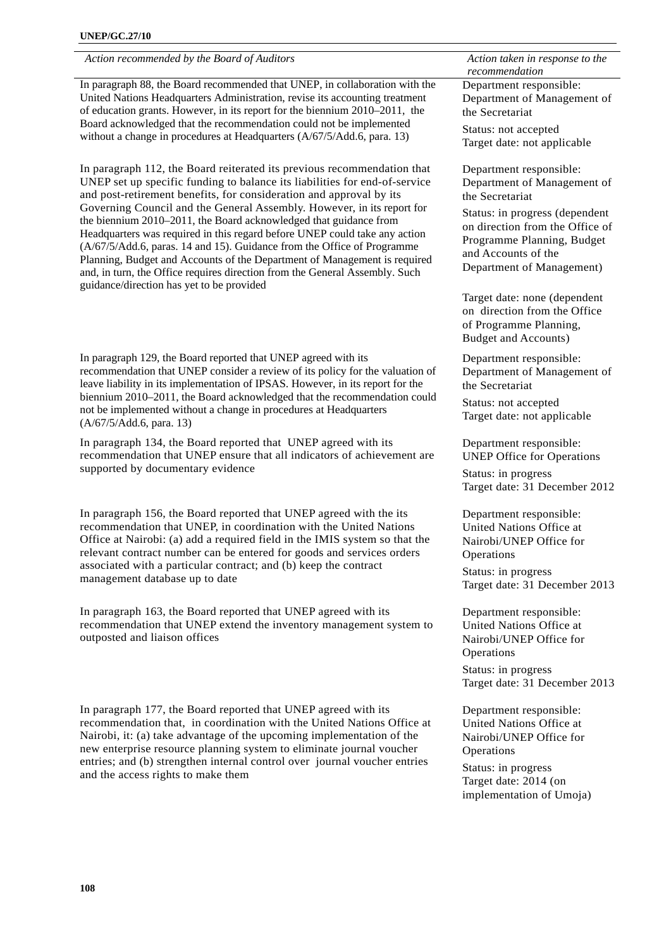*Action recommended by the Board of Auditors* Action taken in response to the **Action** taken in response to the

In paragraph 88, the Board recommended that UNEP, in collaboration with the United Nations Headquarters Administration, revise its accounting treatment of education grants. However, in its report for the biennium 2010–2011, the Board acknowledged that the recommendation could not be implemented without a change in procedures at Headquarters ( $A/67/5/Add.6$ , para. 13)

In paragraph 112, the Board reiterated its previous recommendation that UNEP set up specific funding to balance its liabilities for end-of-service and post-retirement benefits, for consideration and approval by its Governing Council and the General Assembly. However, in its report for the biennium 2010–2011, the Board acknowledged that guidance from Headquarters was required in this regard before UNEP could take any action (A/67/5/Add.6, paras. 14 and 15). Guidance from the Office of Programme Planning, Budget and Accounts of the Department of Management is required and, in turn, the Office requires direction from the General Assembly. Such guidance/direction has yet to be provided

In paragraph 129, the Board reported that UNEP agreed with its recommendation that UNEP consider a review of its policy for the valuation of leave liability in its implementation of IPSAS. However, in its report for the biennium 2010–2011, the Board acknowledged that the recommendation could not be implemented without a change in procedures at Headquarters (A/67/5/Add.6, para. 13)

In paragraph 134, the Board reported that UNEP agreed with its recommendation that UNEP ensure that all indicators of achievement are supported by documentary evidence

In paragraph 156, the Board reported that UNEP agreed with the its recommendation that UNEP, in coordination with the United Nations Office at Nairobi: (a) add a required field in the IMIS system so that the relevant contract number can be entered for goods and services orders associated with a particular contract; and (b) keep the contract management database up to date

In paragraph 163, the Board reported that UNEP agreed with its recommendation that UNEP extend the inventory management system to outposted and liaison offices

In paragraph 177, the Board reported that UNEP agreed with its recommendation that, in coordination with the United Nations Office at Nairobi, it: (a) take advantage of the upcoming implementation of the new enterprise resource planning system to eliminate journal voucher entries; and (b) strengthen internal control over journal voucher entries and the access rights to make them

*recommendation*  Department responsible: Department of Management of the Secretariat Status: not accepted Target date: not applicable

Department responsible: Department of Management of the Secretariat

Status: in progress (dependent on direction from the Office of Programme Planning, Budget and Accounts of the Department of Management)

Target date: none (dependent on direction from the Office of Programme Planning, Budget and Accounts)

Department responsible: Department of Management of the Secretariat

Status: not accepted Target date: not applicable

Department responsible: UNEP Office for Operations

Status: in progress Target date: 31 December 2012

Department responsible: United Nations Office at Nairobi/UNEP Office for **Operations** Status: in progress Target date: 31 December 2013

Department responsible: United Nations Office at Nairobi/UNEP Office for **Operations** 

Status: in progress Target date: 31 December 2013

Department responsible: United Nations Office at Nairobi/UNEP Office for **Operations** Status: in progress Target date: 2014 (on implementation of Umoja)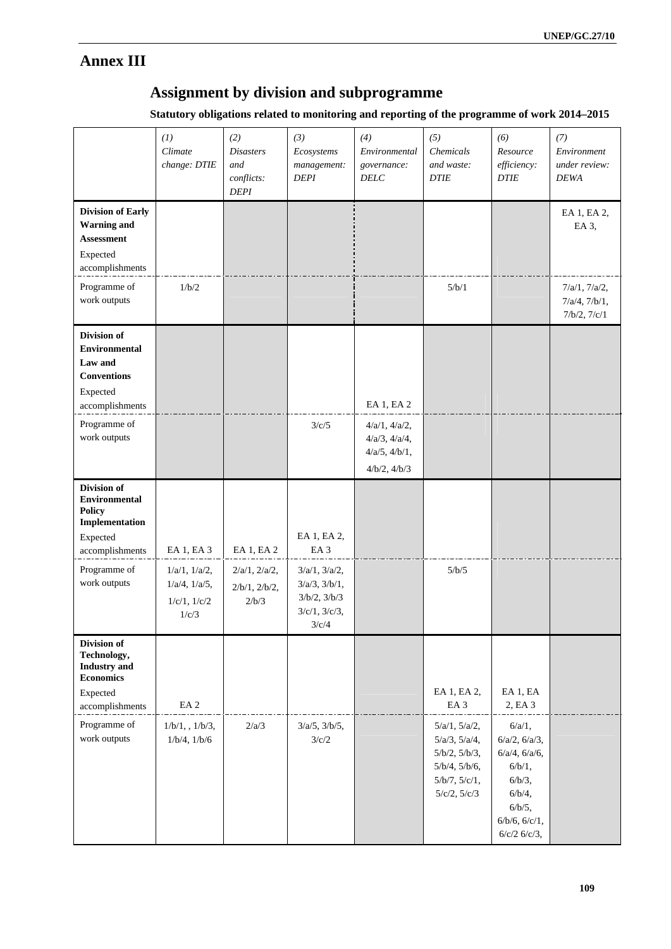# **Annex III**

## **Assignment by division and subprogramme**

**Statutory obligations related to monitoring and reporting of the programme of work 2014–2015** 

|                                                                                                                                            | (I)<br>Climate<br>change: DTIE                                                         | (2)<br><b>Disasters</b><br>and<br>conflicts:<br><b>DEPI</b> | (3)<br>Ecosystems<br>management:<br><b>DEPI</b>                                                                              | (4)<br>Environmental<br>governance:<br><b>DELC</b>                                        | (5)<br>Chemicals<br>and waste:<br><b>DTIE</b>                                                                | (6)<br>Resource<br>efficiency:<br><b>DTIE</b>                                                                                         | (7)<br>Environment<br>under review:<br><b>DEWA</b>   |
|--------------------------------------------------------------------------------------------------------------------------------------------|----------------------------------------------------------------------------------------|-------------------------------------------------------------|------------------------------------------------------------------------------------------------------------------------------|-------------------------------------------------------------------------------------------|--------------------------------------------------------------------------------------------------------------|---------------------------------------------------------------------------------------------------------------------------------------|------------------------------------------------------|
| <b>Division of Early</b><br><b>Warning</b> and<br><b>Assessment</b><br>Expected<br>accomplishments                                         |                                                                                        |                                                             |                                                                                                                              |                                                                                           |                                                                                                              |                                                                                                                                       | EA 1, EA 2,<br>EA 3,                                 |
| Programme of<br>work outputs                                                                                                               | 1/b/2                                                                                  |                                                             |                                                                                                                              |                                                                                           | 5/b/1                                                                                                        |                                                                                                                                       | 7/a/1, 7/a/2,<br>$7/a/4$ , $7/b/1$ ,<br>7/b/2, 7/c/1 |
| <b>Division of</b><br><b>Environmental</b><br>Law and<br><b>Conventions</b><br>Expected<br>accomplishments<br>Programme of<br>work outputs |                                                                                        |                                                             | 3/c/5                                                                                                                        | EA 1, EA 2<br>4/a/1, 4/a/2,<br>$4/a/3$ , $4/a/4$ ,<br>$4/a/5$ , $4/b/1$ ,<br>4/b/2, 4/b/3 |                                                                                                              |                                                                                                                                       |                                                      |
| Division of<br><b>Environmental</b><br><b>Policy</b><br>Implementation<br>Expected<br>accomplishments<br>Programme of<br>work outputs      | EA 1, EA 3<br>$1/a/1$ , $1/a/2$ ,<br>$1/a/4$ , $1/a/5$ ,<br>$1/c/1$ , $1/c/2$<br>1/c/3 | EA 1, EA 2<br>$2/a/1$ , $2/a/2$ ,<br>2/b/1, 2/b/2,<br>2/b/3 | EA 1, EA 2,<br>EA <sub>3</sub><br>$3/a/1$ , $3/a/2$ ,<br>$3/a/3$ , $3/b/1$ ,<br>3/b/2, 3/b/3<br>$3/c/1$ , $3/c/3$ ,<br>3/c/4 |                                                                                           | 5/b/5                                                                                                        |                                                                                                                                       |                                                      |
| Division of<br>Technology,<br><b>Industry</b> and<br><b>Economics</b><br>Expected<br>accomplishments                                       | EA <sub>2</sub>                                                                        |                                                             |                                                                                                                              |                                                                                           | EA 1, EA 2,<br>EA <sub>3</sub>                                                                               | EA 1, EA<br>2, EA 3                                                                                                                   |                                                      |
| Programme of<br>work outputs                                                                                                               | 1/b/1, 1/b/3,<br>$1/b/4$ , $1/b/6$                                                     | 2/a/3                                                       | $3/a/5$ , $3/b/5$ ,<br>3/c/2                                                                                                 |                                                                                           | 5/a/1, 5/a/2,<br>$5/a/3$ , $5/a/4$ ,<br>5/b/2, 5/b/3,<br>5/b/4, 5/b/6,<br>5/b/7, 5/c/1,<br>$5/c/2$ , $5/c/3$ | $6/a/1$ ,<br>$6/a/2$ , $6/a/3$ ,<br>$6/a/4$ , $6/a/6$ ,<br>6/b/1,<br>6/b/3,<br>6/b/4,<br>6/b/5,<br>6/b/6, 6/c/1,<br>$6/c/2$ $6/c/3$ , |                                                      |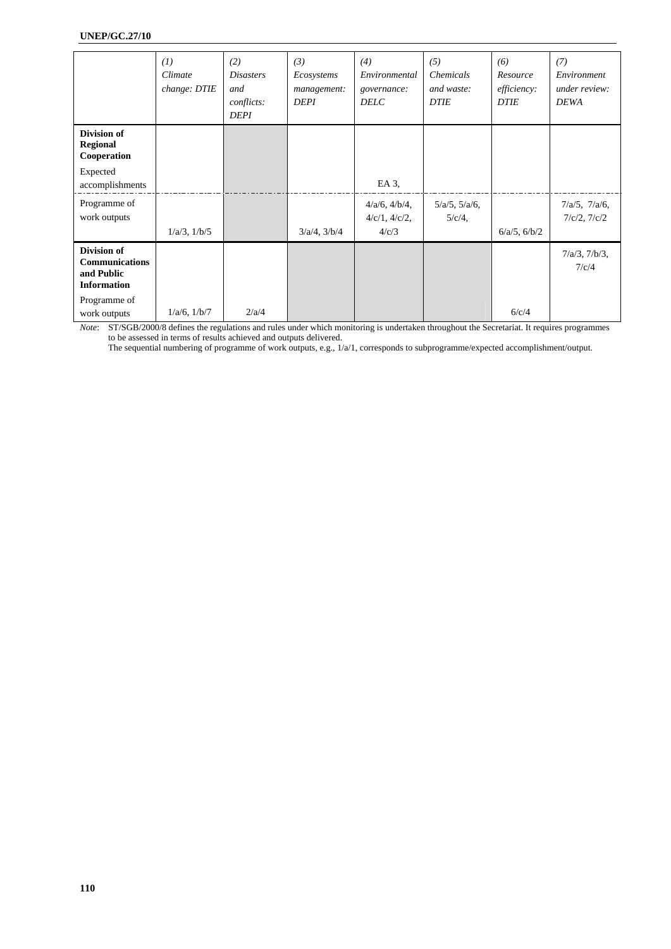#### **UNEP/GC.27/10**

|                                                                          | (1)<br>Climate<br>change: DTIE | (2)<br><i>Disasters</i><br>and<br>conflicts:<br><b>DEPI</b> | (3)<br>Ecosystems<br>management:<br><b>DEPI</b> | (4)<br>Environmental<br>governance:<br><b>DELC</b>  | (5)<br>Chemicals<br>and waste:<br><b>DTIE</b> | (6)<br>Resource<br>efficiency:<br><b>DTIE</b> | (7)<br>Environment<br>under review:<br><b>DEWA</b> |
|--------------------------------------------------------------------------|--------------------------------|-------------------------------------------------------------|-------------------------------------------------|-----------------------------------------------------|-----------------------------------------------|-----------------------------------------------|----------------------------------------------------|
| Division of<br><b>Regional</b><br>Cooperation                            |                                |                                                             |                                                 |                                                     |                                               |                                               |                                                    |
| Expected<br>accomplishments                                              |                                |                                                             |                                                 | EA 3,                                               |                                               |                                               |                                                    |
| Programme of<br>work outputs                                             | $1/a/3$ , $1/b/5$              |                                                             | $3/a/4$ , $3/b/4$                               | $4/a/6$ , $4/b/4$ ,<br>$4/c/1$ , $4/c/2$ ,<br>4/c/3 | $5/a/5$ , $5/a/6$ ,<br>$5/c/4$ ,              | $6/a/5$ , $6/b/2$                             | $7/a/5$ , $7/a/6$ ,<br>$7/c/2$ , $7/c/2$           |
| Division of<br><b>Communications</b><br>and Public<br><b>Information</b> |                                |                                                             |                                                 |                                                     |                                               |                                               | $7/a/3$ , $7/b/3$ ,<br>7/c/4                       |
| Programme of<br>work outputs                                             | $1/a/6$ , $1/b/7$              | 2/a/4                                                       |                                                 |                                                     |                                               | 6/c/4                                         |                                                    |

*Note*: ST/SGB/2000/8 defines the regulations and rules under which monitoring is undertaken throughout the Secretariat. It requires programmes to be assessed in terms of results achieved and outputs delivered.

The sequential numbering of programme of work outputs, e.g., 1/a/1, corresponds to subprogramme/expected accomplishment/output.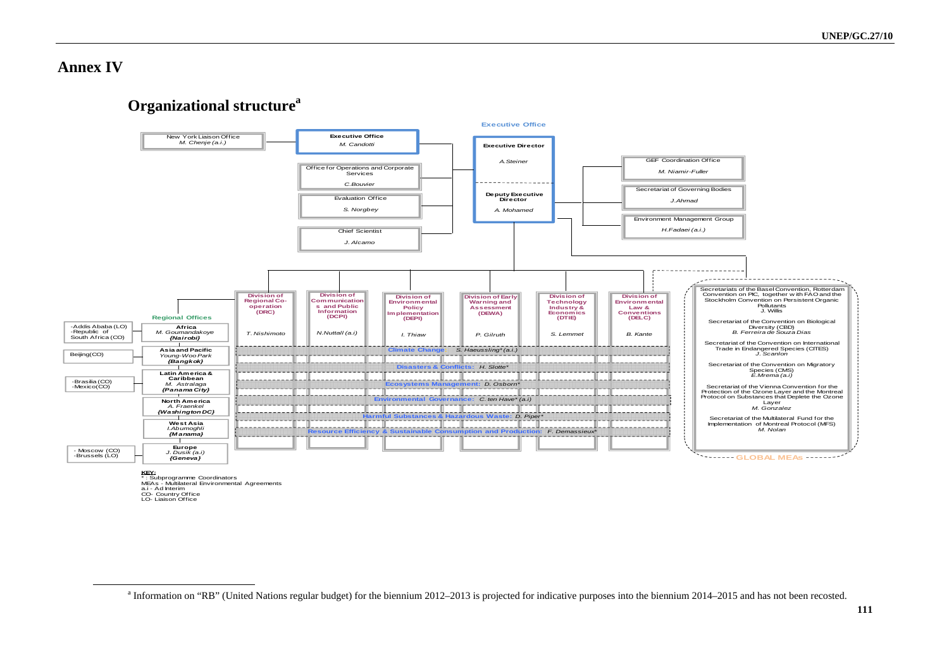**Annex IV** 

## **Organizational structure**<sup>a</sup>



a.i - Ad Interim CO- Country Office LO- Liaison Office

<sup>&</sup>lt;sup>a</sup> Information on "RB" (United Nations regular budget) for the biennium 2012–2013 is projected for indicative purposes into the biennium 2014–2015 and has not been recosted.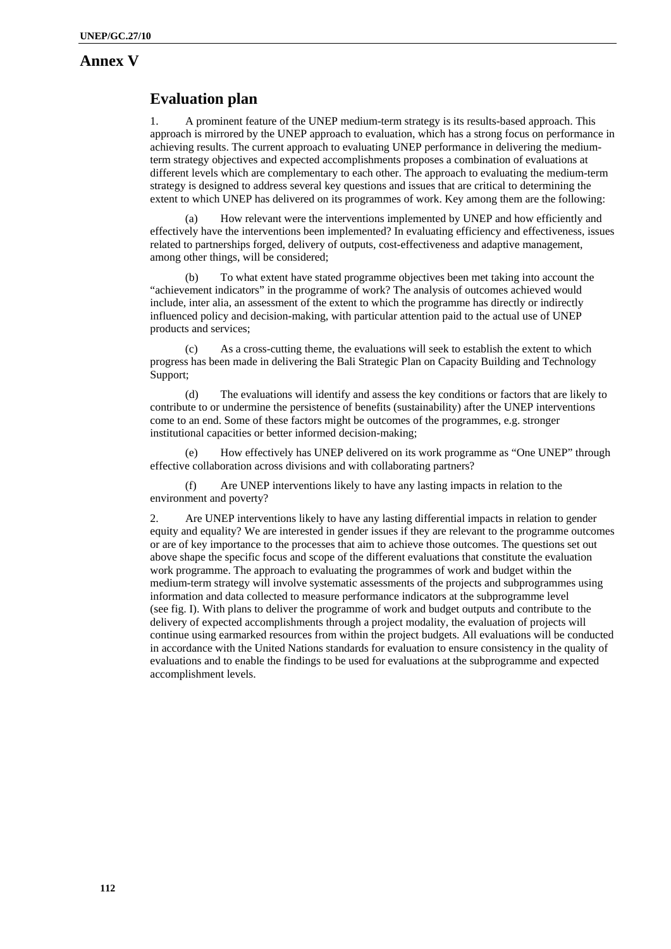### **Annex V**

## **Evaluation plan**

1. A prominent feature of the UNEP medium-term strategy is its results-based approach. This approach is mirrored by the UNEP approach to evaluation, which has a strong focus on performance in achieving results. The current approach to evaluating UNEP performance in delivering the mediumterm strategy objectives and expected accomplishments proposes a combination of evaluations at different levels which are complementary to each other. The approach to evaluating the medium-term strategy is designed to address several key questions and issues that are critical to determining the extent to which UNEP has delivered on its programmes of work. Key among them are the following:

(a) How relevant were the interventions implemented by UNEP and how efficiently and effectively have the interventions been implemented? In evaluating efficiency and effectiveness, issues related to partnerships forged, delivery of outputs, cost-effectiveness and adaptive management, among other things, will be considered;

(b) To what extent have stated programme objectives been met taking into account the "achievement indicators" in the programme of work? The analysis of outcomes achieved would include, inter alia, an assessment of the extent to which the programme has directly or indirectly influenced policy and decision-making, with particular attention paid to the actual use of UNEP products and services;

(c) As a cross-cutting theme, the evaluations will seek to establish the extent to which progress has been made in delivering the Bali Strategic Plan on Capacity Building and Technology Support;

(d) The evaluations will identify and assess the key conditions or factors that are likely to contribute to or undermine the persistence of benefits (sustainability) after the UNEP interventions come to an end. Some of these factors might be outcomes of the programmes, e.g. stronger institutional capacities or better informed decision-making;

How effectively has UNEP delivered on its work programme as "One UNEP" through effective collaboration across divisions and with collaborating partners?

(f) Are UNEP interventions likely to have any lasting impacts in relation to the environment and poverty?

2. Are UNEP interventions likely to have any lasting differential impacts in relation to gender equity and equality? We are interested in gender issues if they are relevant to the programme outcomes or are of key importance to the processes that aim to achieve those outcomes. The questions set out above shape the specific focus and scope of the different evaluations that constitute the evaluation work programme. The approach to evaluating the programmes of work and budget within the medium-term strategy will involve systematic assessments of the projects and subprogrammes using information and data collected to measure performance indicators at the subprogramme level (see fig. I). With plans to deliver the programme of work and budget outputs and contribute to the delivery of expected accomplishments through a project modality, the evaluation of projects will continue using earmarked resources from within the project budgets. All evaluations will be conducted in accordance with the United Nations standards for evaluation to ensure consistency in the quality of evaluations and to enable the findings to be used for evaluations at the subprogramme and expected accomplishment levels.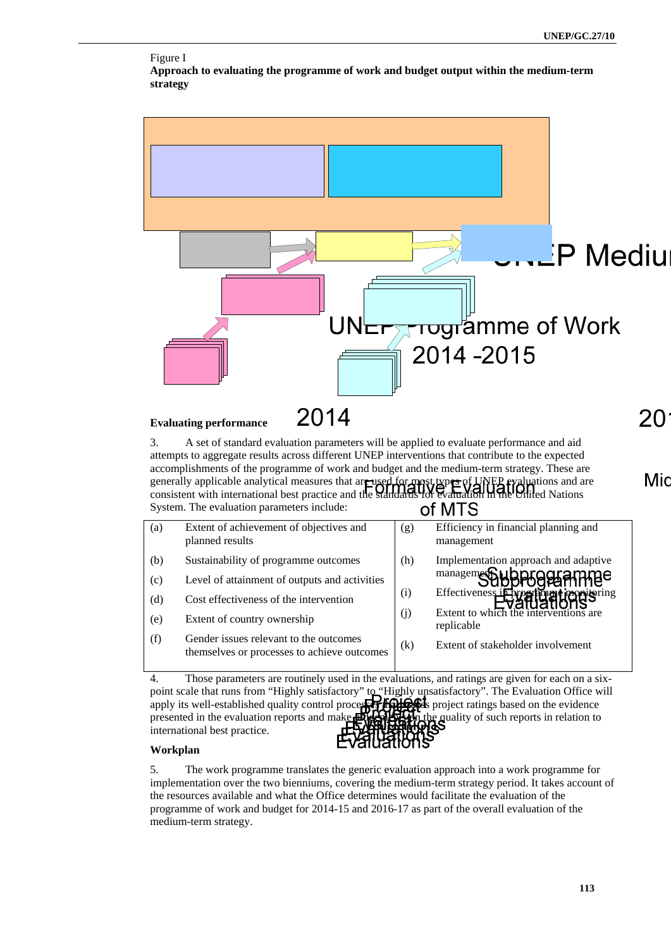

#### Figure I **Approach to evaluating the programme of work and budget output within the medium-term strategy**

#### **Evaluating performance**

3. A set of standard evaluation parameters will be applied to evaluate performance and aid attempts to aggregate results across different UNEP interventions that contribute to the expected accomplishments of the programme of work and budget and the medium-term strategy. These are<br>generally applicable analytical measures that are used for most types of UNEP evaluations and are<br>consistent with international be generally applicable analytical measures that are used for most types of UNER evaluations and are consistent with international best practice and the **Standards for Evaluation in the United** Nations System. The evaluation parameters include: of MTS

| (a) | Extent of achievement of objectives and<br>planned results                            | (g) | Efficiency in financial planning and<br>management                                                 |
|-----|---------------------------------------------------------------------------------------|-----|----------------------------------------------------------------------------------------------------|
| (b) | Sustainability of programme outcomes                                                  | (h) | Implementation approach and adaptive                                                               |
| (c) | Level of attainment of outputs and activities                                         |     | managemer Subprogramme                                                                             |
| (d) | Cost effectiveness of the intervention                                                | (i) | Effectiveness in the article throm to ring<br>Evaluations<br>Extent to which the interventions are |
| (e) | Extent of country ownership                                                           | (j) | replicable                                                                                         |
| (f) | Gender issues relevant to the outcomes<br>themselves or processes to achieve outcomes | (k) | Extent of stakeholder involvement                                                                  |

4. Those parameters are routinely used in the evaluations, and ratings are given for each on a sixpoint scale that runs from "Highly satisfactory" to "Highly unsatisfactory". The Evaluation Office will apply its well-established quality control processes  $\mathbb{F}$   $\mathbb{F}$ presented in the evaluation reports and make  $\mathbb{R}$   $\mathbb{R}$  in the quality of such reports in relation to international best practice.

#### **Workplan**

5. The work programme translates the generic evaluation approach into a work programme for implementation over the two bienniums, covering the medium-term strategy period. It takes account of the resources available and what the Office determines would facilitate the evaluation of the programme of work and budget for 2014-15 and 2016-17 as part of the overall evaluation of the medium-term strategy.

Mic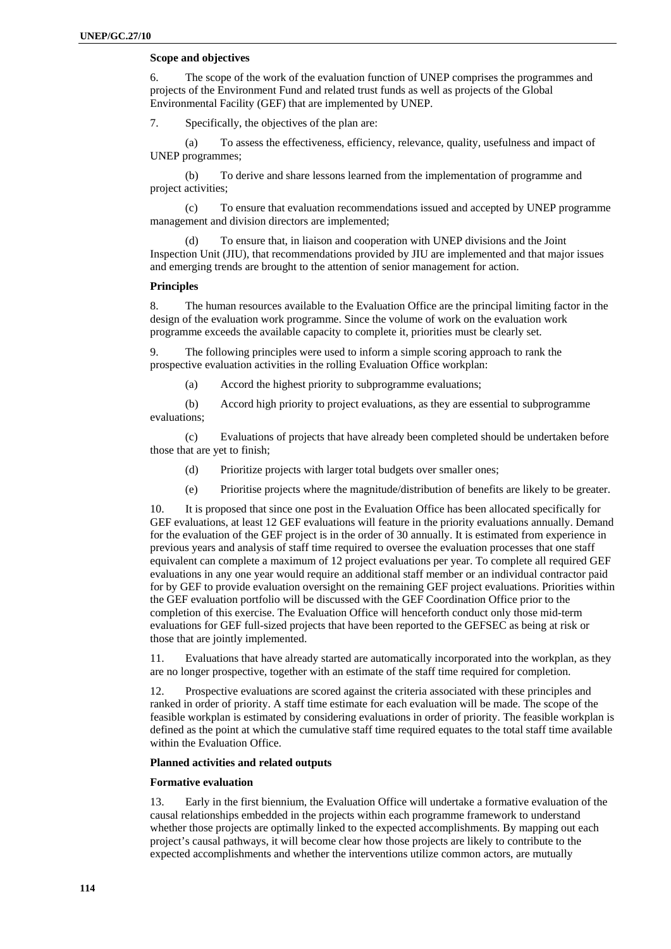#### **Scope and objectives**

6. The scope of the work of the evaluation function of UNEP comprises the programmes and projects of the Environment Fund and related trust funds as well as projects of the Global Environmental Facility (GEF) that are implemented by UNEP.

7. Specifically, the objectives of the plan are:

(a) To assess the effectiveness, efficiency, relevance, quality, usefulness and impact of UNEP programmes;

(b) To derive and share lessons learned from the implementation of programme and project activities;

(c) To ensure that evaluation recommendations issued and accepted by UNEP programme management and division directors are implemented;

(d) To ensure that, in liaison and cooperation with UNEP divisions and the Joint Inspection Unit (JIU), that recommendations provided by JIU are implemented and that major issues and emerging trends are brought to the attention of senior management for action.

#### **Principles**

8. The human resources available to the Evaluation Office are the principal limiting factor in the design of the evaluation work programme. Since the volume of work on the evaluation work programme exceeds the available capacity to complete it, priorities must be clearly set.

9. The following principles were used to inform a simple scoring approach to rank the prospective evaluation activities in the rolling Evaluation Office workplan:

(a) Accord the highest priority to subprogramme evaluations;

(b) Accord high priority to project evaluations, as they are essential to subprogramme evaluations;

(c) Evaluations of projects that have already been completed should be undertaken before those that are yet to finish;

- (d) Prioritize projects with larger total budgets over smaller ones;
- (e) Prioritise projects where the magnitude/distribution of benefits are likely to be greater.

10. It is proposed that since one post in the Evaluation Office has been allocated specifically for GEF evaluations, at least 12 GEF evaluations will feature in the priority evaluations annually. Demand for the evaluation of the GEF project is in the order of 30 annually. It is estimated from experience in previous years and analysis of staff time required to oversee the evaluation processes that one staff equivalent can complete a maximum of 12 project evaluations per year. To complete all required GEF evaluations in any one year would require an additional staff member or an individual contractor paid for by GEF to provide evaluation oversight on the remaining GEF project evaluations. Priorities within the GEF evaluation portfolio will be discussed with the GEF Coordination Office prior to the completion of this exercise. The Evaluation Office will henceforth conduct only those mid-term evaluations for GEF full-sized projects that have been reported to the GEFSEC as being at risk or those that are jointly implemented.

11. Evaluations that have already started are automatically incorporated into the workplan, as they are no longer prospective, together with an estimate of the staff time required for completion.

12. Prospective evaluations are scored against the criteria associated with these principles and ranked in order of priority. A staff time estimate for each evaluation will be made. The scope of the feasible workplan is estimated by considering evaluations in order of priority. The feasible workplan is defined as the point at which the cumulative staff time required equates to the total staff time available within the Evaluation Office.

#### **Planned activities and related outputs**

#### **Formative evaluation**

13. Early in the first biennium, the Evaluation Office will undertake a formative evaluation of the causal relationships embedded in the projects within each programme framework to understand whether those projects are optimally linked to the expected accomplishments. By mapping out each project's causal pathways, it will become clear how those projects are likely to contribute to the expected accomplishments and whether the interventions utilize common actors, are mutually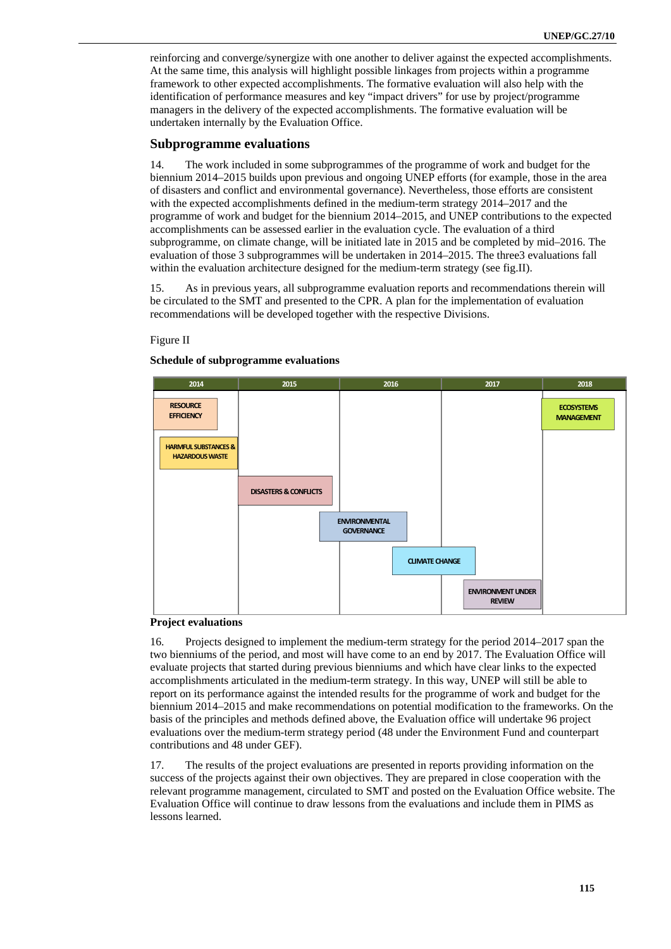reinforcing and converge/synergize with one another to deliver against the expected accomplishments. At the same time, this analysis will highlight possible linkages from projects within a programme framework to other expected accomplishments. The formative evaluation will also help with the identification of performance measures and key "impact drivers" for use by project/programme managers in the delivery of the expected accomplishments. The formative evaluation will be undertaken internally by the Evaluation Office.

#### **Subprogramme evaluations**

14. The work included in some subprogrammes of the programme of work and budget for the biennium 2014–2015 builds upon previous and ongoing UNEP efforts (for example, those in the area of disasters and conflict and environmental governance). Nevertheless, those efforts are consistent with the expected accomplishments defined in the medium-term strategy 2014–2017 and the programme of work and budget for the biennium 2014–2015, and UNEP contributions to the expected accomplishments can be assessed earlier in the evaluation cycle. The evaluation of a third subprogramme, on climate change, will be initiated late in 2015 and be completed by mid–2016. The evaluation of those 3 subprogrammes will be undertaken in 2014–2015. The three3 evaluations fall within the evaluation architecture designed for the medium-term strategy (see fig.II).

15. As in previous years, all subprogramme evaluation reports and recommendations therein will be circulated to the SMT and presented to the CPR. A plan for the implementation of evaluation recommendations will be developed together with the respective Divisions.

#### Figure II

#### **Schedule of subprogramme evaluations**



#### **Project evaluations**

16. Projects designed to implement the medium-term strategy for the period 2014–2017 span the two bienniums of the period, and most will have come to an end by 2017. The Evaluation Office will evaluate projects that started during previous bienniums and which have clear links to the expected accomplishments articulated in the medium-term strategy. In this way, UNEP will still be able to report on its performance against the intended results for the programme of work and budget for the biennium 2014–2015 and make recommendations on potential modification to the frameworks. On the basis of the principles and methods defined above, the Evaluation office will undertake 96 project evaluations over the medium-term strategy period (48 under the Environment Fund and counterpart contributions and 48 under GEF).

17. The results of the project evaluations are presented in reports providing information on the success of the projects against their own objectives. They are prepared in close cooperation with the relevant programme management, circulated to SMT and posted on the Evaluation Office website. The Evaluation Office will continue to draw lessons from the evaluations and include them in PIMS as lessons learned.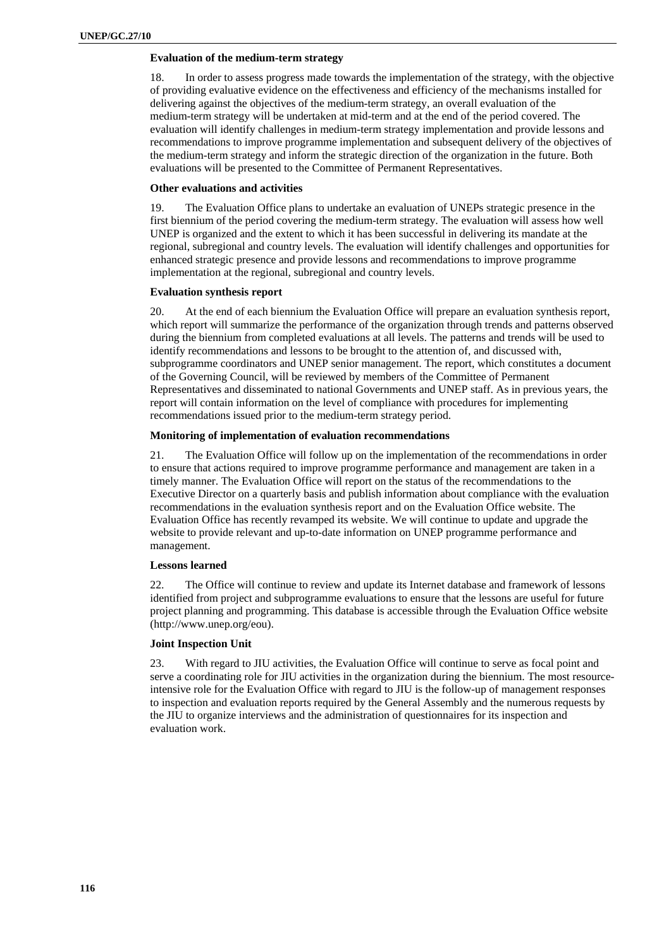#### **Evaluation of the medium-term strategy**

18. In order to assess progress made towards the implementation of the strategy, with the objective of providing evaluative evidence on the effectiveness and efficiency of the mechanisms installed for delivering against the objectives of the medium-term strategy, an overall evaluation of the medium-term strategy will be undertaken at mid-term and at the end of the period covered. The evaluation will identify challenges in medium-term strategy implementation and provide lessons and recommendations to improve programme implementation and subsequent delivery of the objectives of the medium-term strategy and inform the strategic direction of the organization in the future. Both evaluations will be presented to the Committee of Permanent Representatives.

#### **Other evaluations and activities**

19. The Evaluation Office plans to undertake an evaluation of UNEPs strategic presence in the first biennium of the period covering the medium-term strategy. The evaluation will assess how well UNEP is organized and the extent to which it has been successful in delivering its mandate at the regional, subregional and country levels. The evaluation will identify challenges and opportunities for enhanced strategic presence and provide lessons and recommendations to improve programme implementation at the regional, subregional and country levels.

#### **Evaluation synthesis report**

20. At the end of each biennium the Evaluation Office will prepare an evaluation synthesis report, which report will summarize the performance of the organization through trends and patterns observed during the biennium from completed evaluations at all levels. The patterns and trends will be used to identify recommendations and lessons to be brought to the attention of, and discussed with, subprogramme coordinators and UNEP senior management. The report, which constitutes a document of the Governing Council, will be reviewed by members of the Committee of Permanent Representatives and disseminated to national Governments and UNEP staff. As in previous years, the report will contain information on the level of compliance with procedures for implementing recommendations issued prior to the medium-term strategy period.

#### **Monitoring of implementation of evaluation recommendations**

21. The Evaluation Office will follow up on the implementation of the recommendations in order to ensure that actions required to improve programme performance and management are taken in a timely manner. The Evaluation Office will report on the status of the recommendations to the Executive Director on a quarterly basis and publish information about compliance with the evaluation recommendations in the evaluation synthesis report and on the Evaluation Office website. The Evaluation Office has recently revamped its website. We will continue to update and upgrade the website to provide relevant and up-to-date information on UNEP programme performance and management.

#### **Lessons learned**

22. The Office will continue to review and update its Internet database and framework of lessons identified from project and subprogramme evaluations to ensure that the lessons are useful for future project planning and programming. This database is accessible through the Evaluation Office website (http://www.unep.org/eou).

#### **Joint Inspection Unit**

23. With regard to JIU activities, the Evaluation Office will continue to serve as focal point and serve a coordinating role for JIU activities in the organization during the biennium. The most resourceintensive role for the Evaluation Office with regard to JIU is the follow-up of management responses to inspection and evaluation reports required by the General Assembly and the numerous requests by the JIU to organize interviews and the administration of questionnaires for its inspection and evaluation work.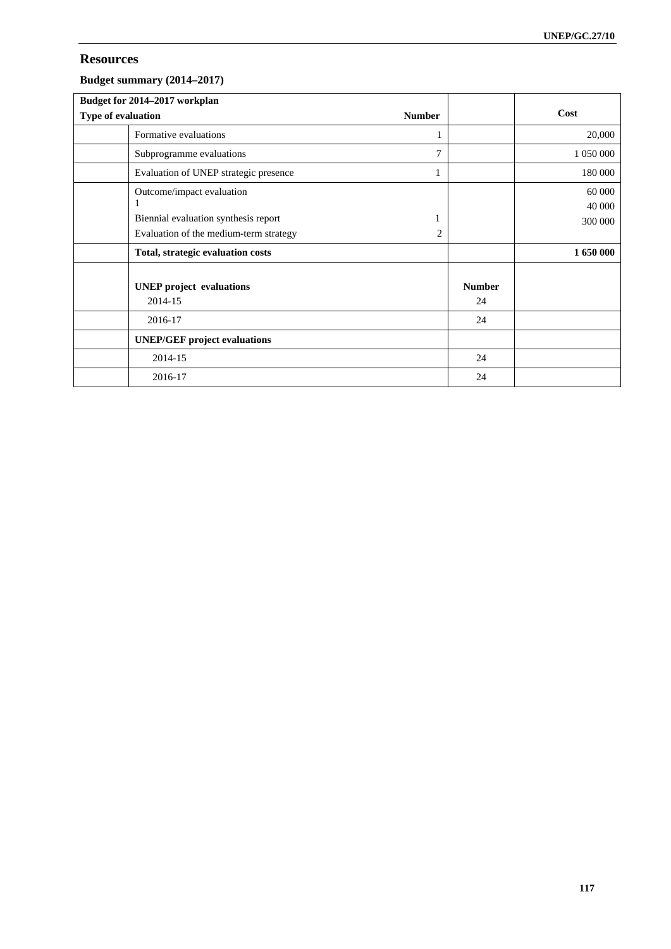## **Resources**

#### **Budget summary (2014–2017)**

| Budget for 2014-2017 workplan                                                                               |               |                     |                             |
|-------------------------------------------------------------------------------------------------------------|---------------|---------------------|-----------------------------|
| Type of evaluation                                                                                          | <b>Number</b> |                     | Cost                        |
| Formative evaluations                                                                                       |               |                     | 20,000                      |
| Subprogramme evaluations                                                                                    | 7             |                     | 1 050 000                   |
| Evaluation of UNEP strategic presence                                                                       |               |                     | 180 000                     |
| Outcome/impact evaluation<br>Biennial evaluation synthesis report<br>Evaluation of the medium-term strategy | 2             |                     | 60 000<br>40 000<br>300 000 |
| Total, strategic evaluation costs                                                                           |               |                     | 1 650 000                   |
| <b>UNEP</b> project evaluations<br>2014-15                                                                  |               | <b>Number</b><br>24 |                             |
| 2016-17                                                                                                     |               | 24                  |                             |
| <b>UNEP/GEF</b> project evaluations                                                                         |               |                     |                             |
| 2014-15                                                                                                     |               | 24                  |                             |
| 2016-17                                                                                                     |               | 24                  |                             |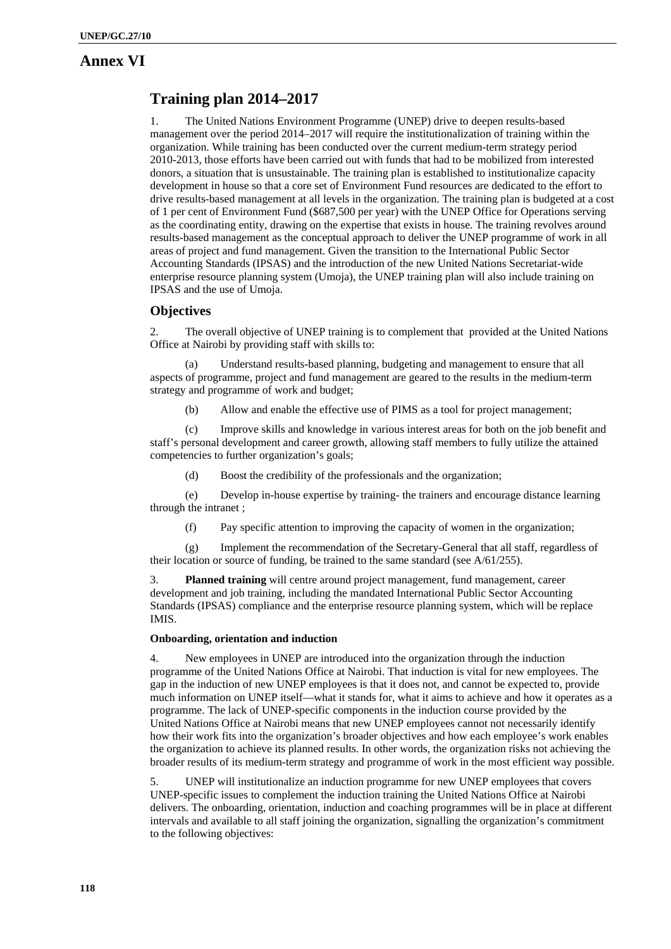### **Annex VI**

## **Training plan 2014–2017**

1. The United Nations Environment Programme (UNEP) drive to deepen results-based management over the period 2014–2017 will require the institutionalization of training within the organization. While training has been conducted over the current medium-term strategy period 2010-2013, those efforts have been carried out with funds that had to be mobilized from interested donors, a situation that is unsustainable. The training plan is established to institutionalize capacity development in house so that a core set of Environment Fund resources are dedicated to the effort to drive results-based management at all levels in the organization. The training plan is budgeted at a cost of 1 per cent of Environment Fund (\$687,500 per year) with the UNEP Office for Operations serving as the coordinating entity, drawing on the expertise that exists in house. The training revolves around results-based management as the conceptual approach to deliver the UNEP programme of work in all areas of project and fund management. Given the transition to the International Public Sector Accounting Standards (IPSAS) and the introduction of the new United Nations Secretariat-wide enterprise resource planning system (Umoja), the UNEP training plan will also include training on IPSAS and the use of Umoja.

#### **Objectives**

2. The overall objective of UNEP training is to complement that provided at the United Nations Office at Nairobi by providing staff with skills to:

(a) Understand results-based planning, budgeting and management to ensure that all aspects of programme, project and fund management are geared to the results in the medium-term strategy and programme of work and budget;

(b) Allow and enable the effective use of PIMS as a tool for project management;

(c) Improve skills and knowledge in various interest areas for both on the job benefit and staff's personal development and career growth, allowing staff members to fully utilize the attained competencies to further organization's goals;

(d) Boost the credibility of the professionals and the organization;

(e) Develop in-house expertise by training- the trainers and encourage distance learning through the intranet ;

(f) Pay specific attention to improving the capacity of women in the organization;

(g) Implement the recommendation of the Secretary-General that all staff, regardless of their location or source of funding, be trained to the same standard (see A/61/255).

3. **Planned training** will centre around project management, fund management, career development and job training, including the mandated International Public Sector Accounting Standards (IPSAS) compliance and the enterprise resource planning system, which will be replace IMIS.

#### **Onboarding, orientation and induction**

4. New employees in UNEP are introduced into the organization through the induction programme of the United Nations Office at Nairobi. That induction is vital for new employees. The gap in the induction of new UNEP employees is that it does not, and cannot be expected to, provide much information on UNEP itself—what it stands for, what it aims to achieve and how it operates as a programme. The lack of UNEP-specific components in the induction course provided by the United Nations Office at Nairobi means that new UNEP employees cannot not necessarily identify how their work fits into the organization's broader objectives and how each employee's work enables the organization to achieve its planned results. In other words, the organization risks not achieving the broader results of its medium-term strategy and programme of work in the most efficient way possible.

5. UNEP will institutionalize an induction programme for new UNEP employees that covers UNEP-specific issues to complement the induction training the United Nations Office at Nairobi delivers. The onboarding, orientation, induction and coaching programmes will be in place at different intervals and available to all staff joining the organization, signalling the organization's commitment to the following objectives: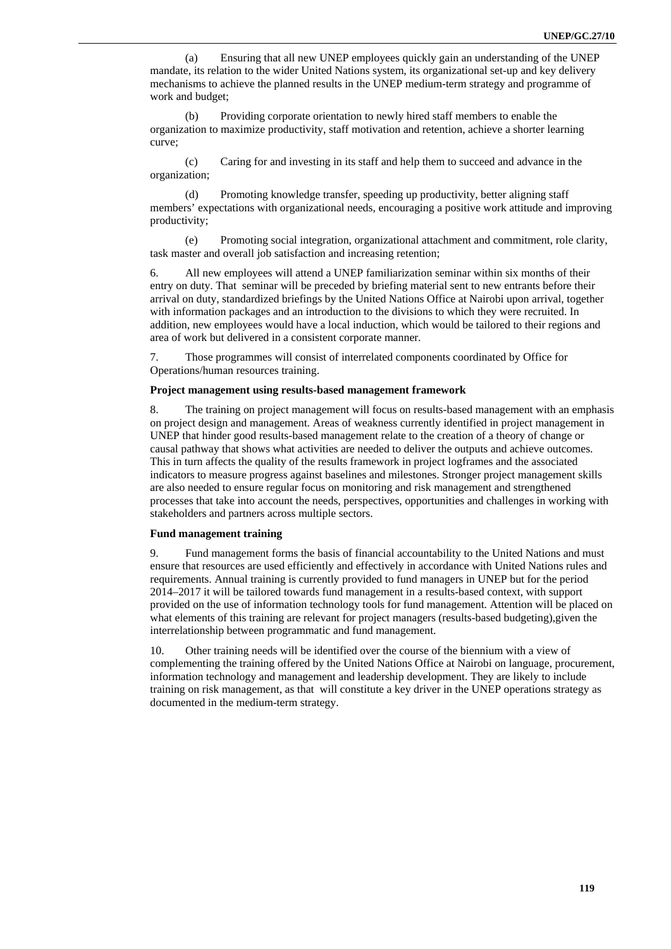(a) Ensuring that all new UNEP employees quickly gain an understanding of the UNEP mandate, its relation to the wider United Nations system, its organizational set-up and key delivery mechanisms to achieve the planned results in the UNEP medium-term strategy and programme of work and budget;

(b) Providing corporate orientation to newly hired staff members to enable the organization to maximize productivity, staff motivation and retention, achieve a shorter learning curve;

(c) Caring for and investing in its staff and help them to succeed and advance in the organization;

(d) Promoting knowledge transfer, speeding up productivity, better aligning staff members' expectations with organizational needs, encouraging a positive work attitude and improving productivity;

(e) Promoting social integration, organizational attachment and commitment, role clarity, task master and overall job satisfaction and increasing retention;

6. All new employees will attend a UNEP familiarization seminar within six months of their entry on duty. That seminar will be preceded by briefing material sent to new entrants before their arrival on duty, standardized briefings by the United Nations Office at Nairobi upon arrival, together with information packages and an introduction to the divisions to which they were recruited. In addition, new employees would have a local induction, which would be tailored to their regions and area of work but delivered in a consistent corporate manner.

7. Those programmes will consist of interrelated components coordinated by Office for Operations/human resources training.

#### **Project management using results-based management framework**

8. The training on project management will focus on results-based management with an emphasis on project design and management. Areas of weakness currently identified in project management in UNEP that hinder good results-based management relate to the creation of a theory of change or causal pathway that shows what activities are needed to deliver the outputs and achieve outcomes. This in turn affects the quality of the results framework in project logframes and the associated indicators to measure progress against baselines and milestones. Stronger project management skills are also needed to ensure regular focus on monitoring and risk management and strengthened processes that take into account the needs, perspectives, opportunities and challenges in working with stakeholders and partners across multiple sectors.

#### **Fund management training**

9. Fund management forms the basis of financial accountability to the United Nations and must ensure that resources are used efficiently and effectively in accordance with United Nations rules and requirements. Annual training is currently provided to fund managers in UNEP but for the period 2014–2017 it will be tailored towards fund management in a results-based context, with support provided on the use of information technology tools for fund management. Attention will be placed on what elements of this training are relevant for project managers (results-based budgeting),given the interrelationship between programmatic and fund management.

10. Other training needs will be identified over the course of the biennium with a view of complementing the training offered by the United Nations Office at Nairobi on language, procurement, information technology and management and leadership development. They are likely to include training on risk management, as that will constitute a key driver in the UNEP operations strategy as documented in the medium-term strategy.